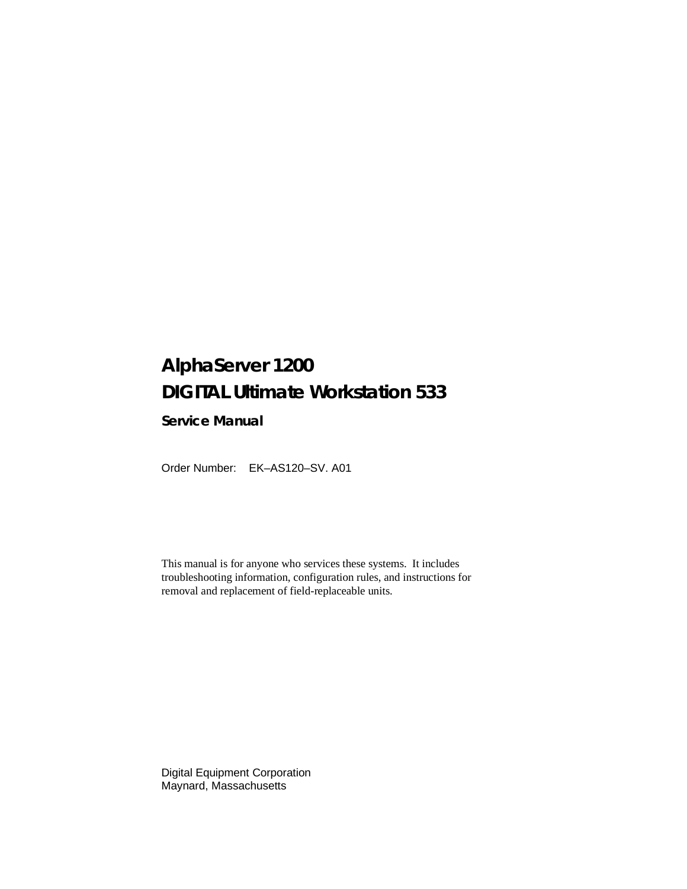## **AlphaServer 1200 DIGITAL Ultimate Workstation 533**

**Service Manual**

Order Number: EK–AS120–SV. A01

This manual is for anyone who services these systems. It includes troubleshooting information, configuration rules, and instructions for removal and replacement of field-replaceable units.

Digital Equipment Corporation Maynard, Massachusetts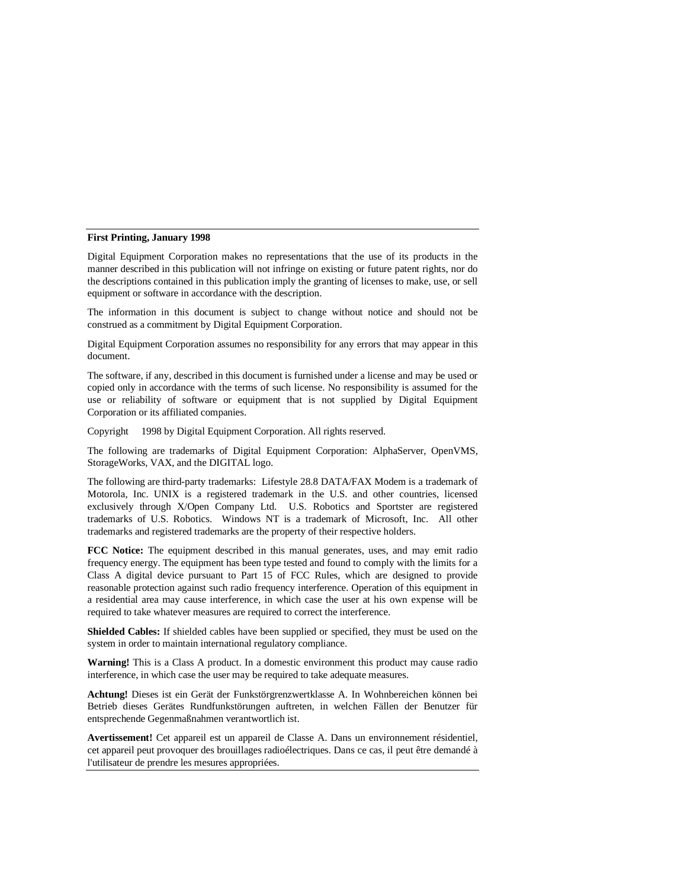#### **First Printing, January 1998**

Digital Equipment Corporation makes no representations that the use of its products in the manner described in this publication will not infringe on existing or future patent rights, nor do the descriptions contained in this publication imply the granting of licenses to make, use, or sell equipment or software in accordance with the description.

The information in this document is subject to change without notice and should not be construed as a commitment by Digital Equipment Corporation.

Digital Equipment Corporation assumes no responsibility for any errors that may appear in this document.

The software, if any, described in this document is furnished under a license and may be used or copied only in accordance with the terms of such license. No responsibility is assumed for the use or reliability of software or equipment that is not supplied by Digital Equipment Corporation or its affiliated companies.

Copyright © 1998 by Digital Equipment Corporation. All rights reserved.

The following are trademarks of Digital Equipment Corporation: AlphaServer, OpenVMS, StorageWorks, VAX, and the DIGITAL logo.

The following are third-party trademarks: Lifestyle 28.8 DATA/FAX Modem is a trademark of Motorola, Inc. UNIX is a registered trademark in the U.S. and other countries, licensed exclusively through X/Open Company Ltd. U.S. Robotics and Sportster are registered trademarks of U.S. Robotics. Windows NT is a trademark of Microsoft, Inc. All other trademarks and registered trademarks are the property of their respective holders.

**FCC Notice:** The equipment described in this manual generates, uses, and may emit radio frequency energy. The equipment has been type tested and found to comply with the limits for a Class A digital device pursuant to Part 15 of FCC Rules, which are designed to provide reasonable protection against such radio frequency interference. Operation of this equipment in a residential area may cause interference, in which case the user at his own expense will be required to take whatever measures are required to correct the interference.

**Shielded Cables:** If shielded cables have been supplied or specified, they must be used on the system in order to maintain international regulatory compliance.

**Warning!** This is a Class A product. In a domestic environment this product may cause radio interference, in which case the user may be required to take adequate measures.

**Achtung!** Dieses ist ein Gerät der Funkstörgrenzwertklasse A. In Wohnbereichen können bei Betrieb dieses Gerätes Rundfunkstörungen auftreten, in welchen Fällen der Benutzer für entsprechende Gegenmaßnahmen verantwortlich ist.

**Avertissement!** Cet appareil est un appareil de Classe A. Dans un environnement résidentiel, cet appareil peut provoquer des brouillages radioélectriques. Dans ce cas, il peut être demandé à l'utilisateur de prendre les mesures appropriées.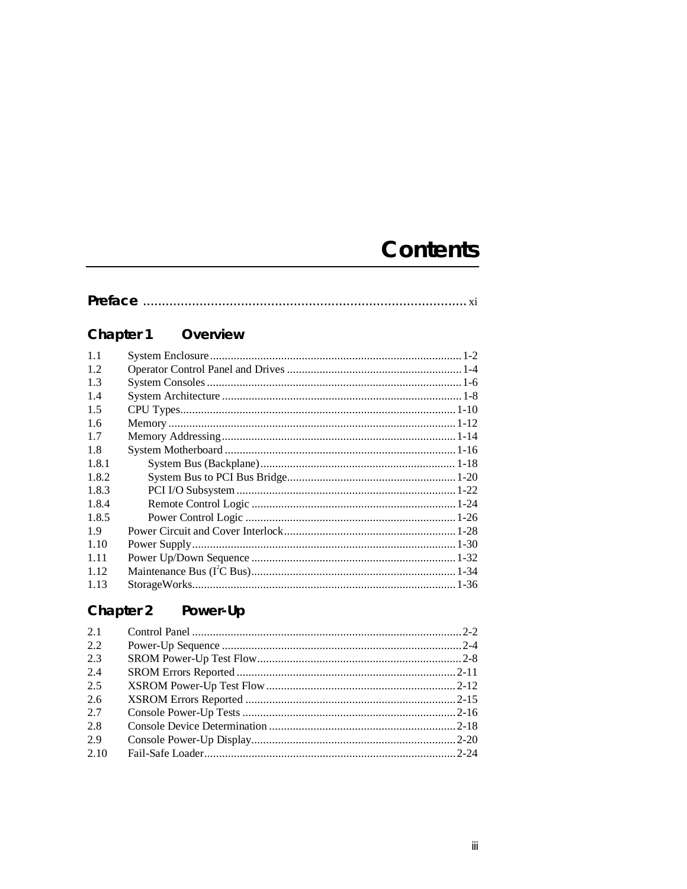## **Contents**

#### Chapter 1 Overview

| 1.1   |  |
|-------|--|
| 1.2   |  |
| 1.3   |  |
| 1.4   |  |
| 1.5   |  |
| 1.6   |  |
| 1.7   |  |
| 1.8   |  |
| 1.8.1 |  |
| 1.8.2 |  |
| 1.8.3 |  |
| 1.8.4 |  |
| 1.8.5 |  |
| 1.9   |  |
| 1.10  |  |
| 1.11  |  |
| 1.12  |  |
| 1.13  |  |
|       |  |

#### Chapter 2 Power-Up

| 2.1  |  |
|------|--|
| 2.2  |  |
| 2.3  |  |
| 2.4  |  |
| 2.5  |  |
| 2.6  |  |
| 2.7  |  |
| 2.8  |  |
| 2.9  |  |
| 2.10 |  |
|      |  |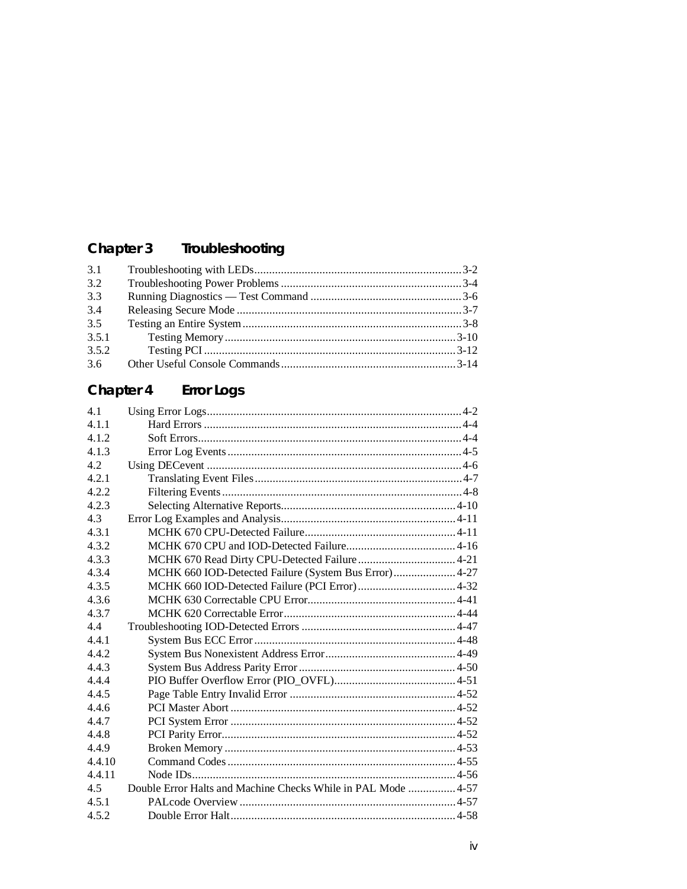## Chapter 3 Troubleshooting

| 3.1   |  |
|-------|--|
| 3.2   |  |
| 3.3   |  |
| 3.4   |  |
| 3.5   |  |
| 3.5.1 |  |
| 3.5.2 |  |
| 3.6   |  |
|       |  |

#### Chapter 4 **Error Logs**

| 4.1    |                                                       |  |
|--------|-------------------------------------------------------|--|
| 4.1.1  |                                                       |  |
| 4.1.2  |                                                       |  |
| 4.1.3  |                                                       |  |
| 4.2    |                                                       |  |
| 4.2.1  |                                                       |  |
| 4.2.2  |                                                       |  |
| 4.2.3  |                                                       |  |
| 4.3    |                                                       |  |
| 4.3.1  |                                                       |  |
| 4.3.2  |                                                       |  |
| 4.3.3  |                                                       |  |
| 4.3.4  | MCHK 660 IOD-Detected Failure (System Bus Error) 4-27 |  |
| 4.3.5  |                                                       |  |
| 4.3.6  |                                                       |  |
| 4.3.7  |                                                       |  |
| 4.4    |                                                       |  |
| 4.4.1  |                                                       |  |
| 4.4.2  |                                                       |  |
| 4.4.3  |                                                       |  |
| 4.4.4  |                                                       |  |
| 4.4.5  |                                                       |  |
| 4.4.6  |                                                       |  |
| 4.4.7  |                                                       |  |
| 4.4.8  |                                                       |  |
| 4.4.9  |                                                       |  |
| 4.4.10 |                                                       |  |
| 4.4.11 |                                                       |  |
| 4.5    |                                                       |  |
| 4.5.1  |                                                       |  |
| 4.5.2  |                                                       |  |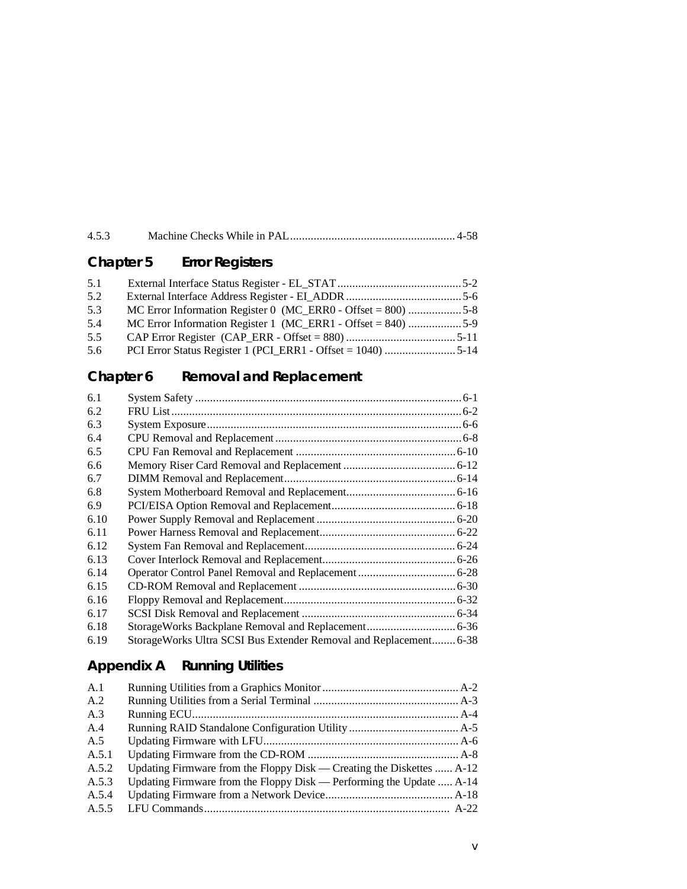| 4.5.3 |  |  |
|-------|--|--|
|-------|--|--|

## **Chapter 5 Error Registers**

| 5.1 |                                                              |  |
|-----|--------------------------------------------------------------|--|
| 5.2 |                                                              |  |
| 5.3 | MC Error Information Register 0 (MC_ERR0 - Offset = 800) 5-8 |  |
| 5.4 | MC Error Information Register 1 (MC_ERR1 - Offset = 840) 5-9 |  |
| 5.5 |                                                              |  |
| 5.6 |                                                              |  |

## **Chapter 6 Removal and Replacement**

| 6.1  |                                                                   |  |
|------|-------------------------------------------------------------------|--|
| 6.2  |                                                                   |  |
| 6.3  |                                                                   |  |
| 6.4  |                                                                   |  |
| 6.5  |                                                                   |  |
| 6.6  |                                                                   |  |
| 6.7  |                                                                   |  |
| 6.8  |                                                                   |  |
| 6.9  |                                                                   |  |
| 6.10 |                                                                   |  |
| 6.11 |                                                                   |  |
| 6.12 |                                                                   |  |
| 6.13 |                                                                   |  |
| 6.14 |                                                                   |  |
| 6.15 |                                                                   |  |
| 6.16 |                                                                   |  |
| 6.17 |                                                                   |  |
| 6.18 |                                                                   |  |
| 6.19 | StorageWorks Ultra SCSI Bus Extender Removal and Replacement 6-38 |  |

## **Appendix A Running Utilities**

| A.1   |                                                                       |
|-------|-----------------------------------------------------------------------|
| A.2   |                                                                       |
| A.3   |                                                                       |
| A.4   |                                                                       |
| A.5   |                                                                       |
| A.5.1 |                                                                       |
| A.5.2 | Updating Firmware from the Floppy Disk — Creating the Diskettes  A-12 |
| A.5.3 | Updating Firmware from the Floppy Disk — Performing the Update  A-14  |
| A.5.4 |                                                                       |
| A.5.5 |                                                                       |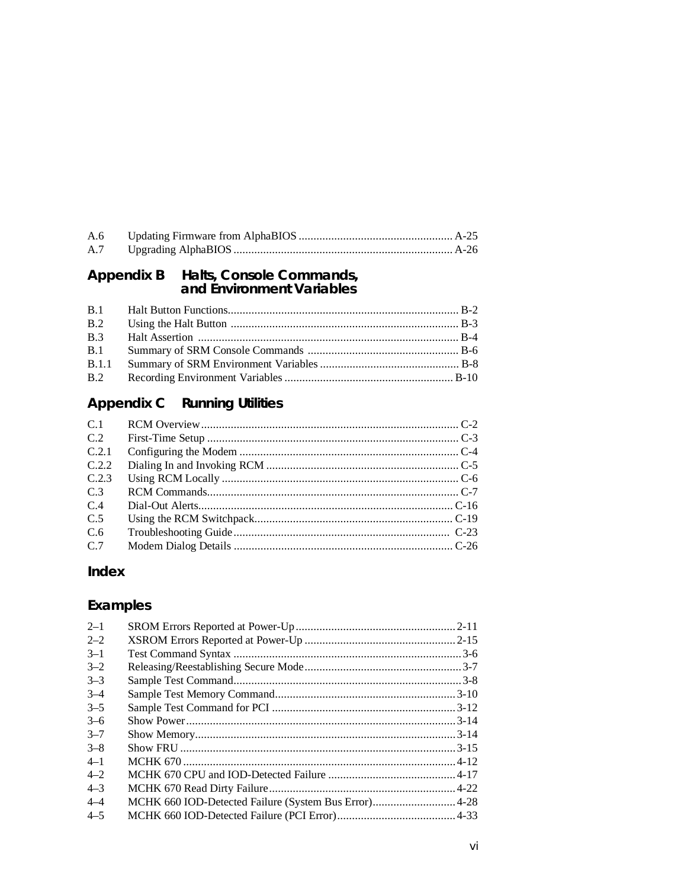# Appendix B Halts, Console Commands,<br>and Environment Variables

| B.2 |  |
|-----|--|
|     |  |
|     |  |
|     |  |
|     |  |

## **Appendix C** Running Utilities

| C <sub>1</sub> |  |
|----------------|--|
| C.2            |  |
| C.2.1          |  |
| C.2.2          |  |
| C.2.3          |  |
| C <sub>3</sub> |  |
| C.4            |  |
| C <sub>5</sub> |  |
| C <sub>6</sub> |  |
| C.7            |  |

## Index

## Examples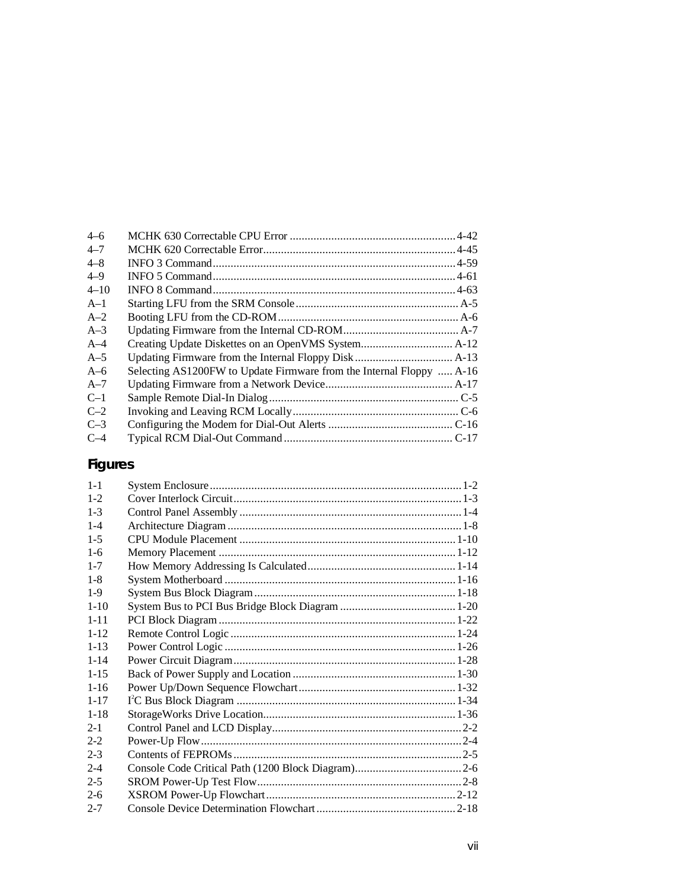| Selecting AS1200FW to Update Firmware from the Internal Floppy  A-16 |  |
|----------------------------------------------------------------------|--|
|                                                                      |  |
|                                                                      |  |
|                                                                      |  |
|                                                                      |  |
|                                                                      |  |
|                                                                      |  |

## **Figures**

| $1 - 1$  |  |
|----------|--|
| $1-2$    |  |
| $1 - 3$  |  |
| $1 - 4$  |  |
| $1 - 5$  |  |
| $1 - 6$  |  |
| $1 - 7$  |  |
| $1 - 8$  |  |
| $1-9$    |  |
| $1 - 10$ |  |
| $1 - 11$ |  |
| $1 - 12$ |  |
| $1 - 13$ |  |
| $1 - 14$ |  |
| $1 - 15$ |  |
| $1 - 16$ |  |
| $1 - 17$ |  |
| $1 - 18$ |  |
| $2 - 1$  |  |
| $2 - 2$  |  |
| $2 - 3$  |  |
| $2 - 4$  |  |
| $2 - 5$  |  |
| $2 - 6$  |  |
| $2 - 7$  |  |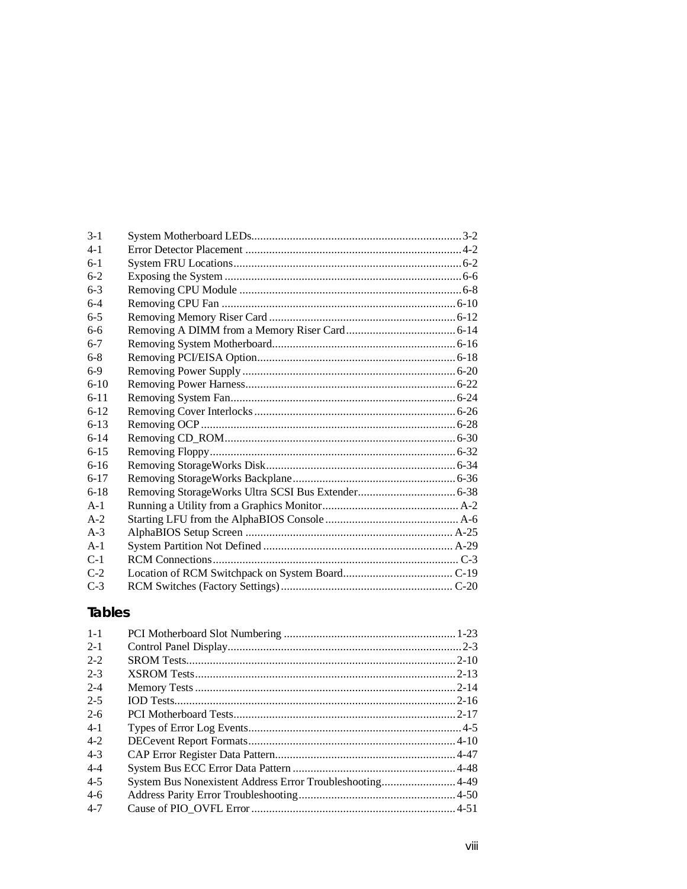| $3 - 1$  |  |
|----------|--|
| $4-1$    |  |
| $6-1$    |  |
| $6-2$    |  |
| $6 - 3$  |  |
| $6 - 4$  |  |
| $6 - 5$  |  |
| $6-6$    |  |
| $6 - 7$  |  |
| $6-8$    |  |
| $6-9$    |  |
| $6-10$   |  |
| $6 - 11$ |  |
| $6 - 12$ |  |
| $6 - 13$ |  |
| $6 - 14$ |  |
| $6 - 15$ |  |
| $6 - 16$ |  |
| $6 - 17$ |  |
| $6-18$   |  |
| $A-1$    |  |
| $A-2$    |  |
| $A-3$    |  |
| $A-1$    |  |
| $C-1$    |  |
| $C-2$    |  |
| $C-3$    |  |
|          |  |

## **Tables**

| $1 - 1$ |                                                          |  |
|---------|----------------------------------------------------------|--|
| $2 - 1$ |                                                          |  |
| $2 - 2$ |                                                          |  |
| $2 - 3$ |                                                          |  |
| $2 - 4$ |                                                          |  |
| $2 - 5$ |                                                          |  |
| $2-6$   |                                                          |  |
| $4-1$   |                                                          |  |
| $4-2$   |                                                          |  |
| $4-3$   |                                                          |  |
| $4 - 4$ |                                                          |  |
| $4 - 5$ | System Bus Nonexistent Address Error Troubleshooting4-49 |  |
| $4-6$   |                                                          |  |
| $4 - 7$ |                                                          |  |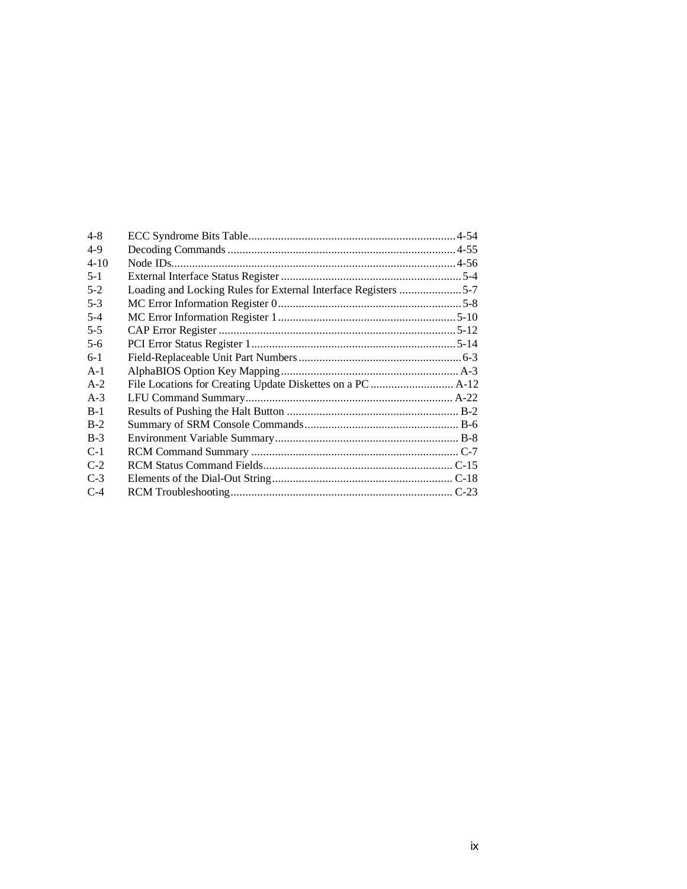| Loading and Locking Rules for External Interface Registers 5-7 |
|----------------------------------------------------------------|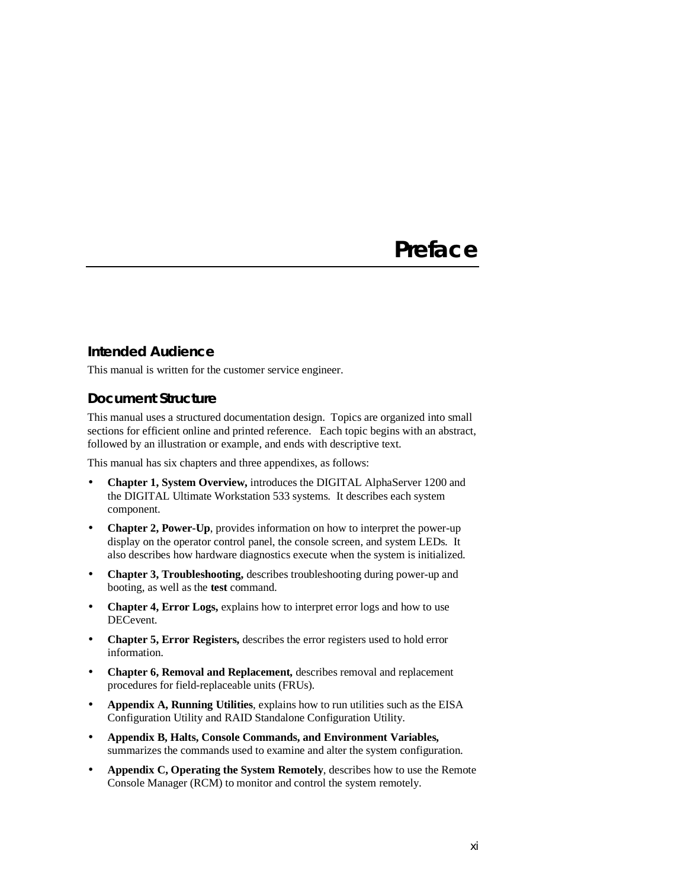## **Preface**

#### **Intended Audience**

This manual is written for the customer service engineer.

#### **Document Structure**

This manual uses a structured documentation design. Topics are organized into small sections for efficient online and printed reference. Each topic begins with an abstract, followed by an illustration or example, and ends with descriptive text.

This manual has six chapters and three appendixes, as follows:

- **Chapter 1, System Overview, introduces the DIGITAL AlphaServer 1200 and** the DIGITAL Ultimate Workstation 533 systems. It describes each system component.
- **Chapter 2, Power-Up**, provides information on how to interpret the power-up display on the operator control panel, the console screen, and system LEDs. It also describes how hardware diagnostics execute when the system is initialized.
- **Chapter 3, Troubleshooting,** describes troubleshooting during power-up and booting, as well as the **test** command.
- **Chapter 4, Error Logs, explains how to interpret error logs and how to use** DECevent.
- **Chapter 5, Error Registers,** describes the error registers used to hold error information.
- **Chapter 6, Removal and Replacement,** describes removal and replacement procedures for field-replaceable units (FRUs).
- **Appendix A, Running Utilities**, explains how to run utilities such as the EISA Configuration Utility and RAID Standalone Configuration Utility.
- **Appendix B, Halts, Console Commands, and Environment Variables,** summarizes the commands used to examine and alter the system configuration.
- **Appendix C, Operating the System Remotely**, describes how to use the Remote Console Manager (RCM) to monitor and control the system remotely.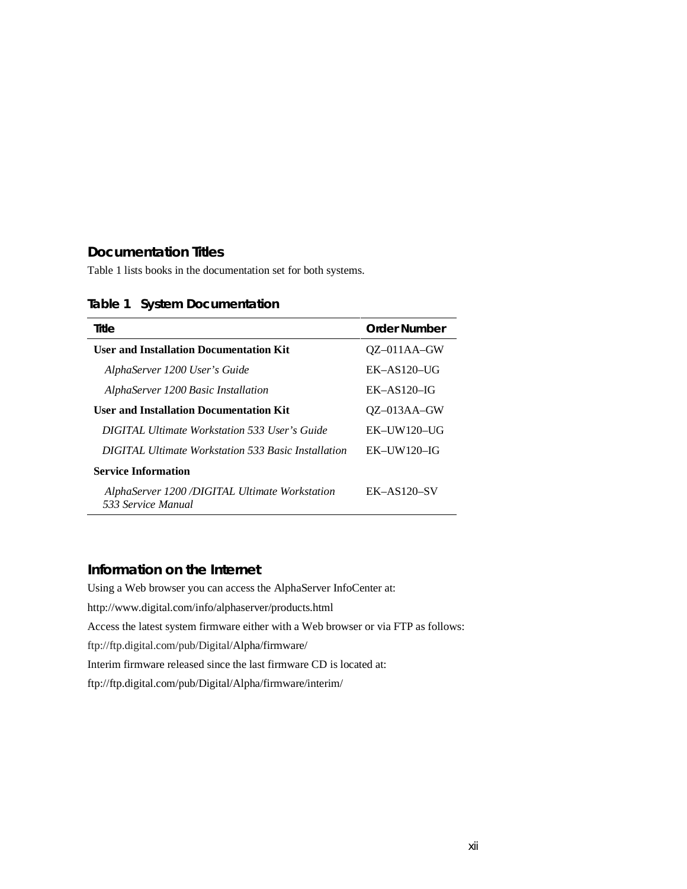#### **Documentation Titles**

Table 1 lists books in the documentation set for both systems.

#### **Table 1 System Documentation**

| Title                                                               | Order Number    |
|---------------------------------------------------------------------|-----------------|
| <b>User and Installation Documentation Kit</b>                      | $OZ$ –011AA–GW  |
| AlphaServer 1200 User's Guide                                       | $EK-AS120-UG$   |
| AlphaServer 1200 Basic Installation                                 | $EK-AS120-IG$   |
| <b>User and Installation Documentation Kit</b>                      | $OZ$ –013AA–GW  |
| <b>DIGITAL Ultimate Workstation 533 User's Guide</b>                | $EK-IIW120-IIG$ |
| <b>DIGITAL Ultimate Workstation 533 Basic Installation</b>          | $EK-IIW120-IG$  |
| <b>Service Information</b>                                          |                 |
| AlphaServer 1200/DIGITAL Ultimate Workstation<br>533 Service Manual | $EK-AS120-SV$   |

#### **Information on the Internet**

Using a Web browser you can access the AlphaServer InfoCenter at: http://www.digital.com/info/alphaserver/products.html Access the latest system firmware either with a Web browser or via FTP as follows: ftp://ftp.digital.com/pub/Digital/Alpha/firmware/ Interim firmware released since the last firmware CD is located at: ftp://ftp.digital.com/pub/Digital/Alpha/firmware/interim/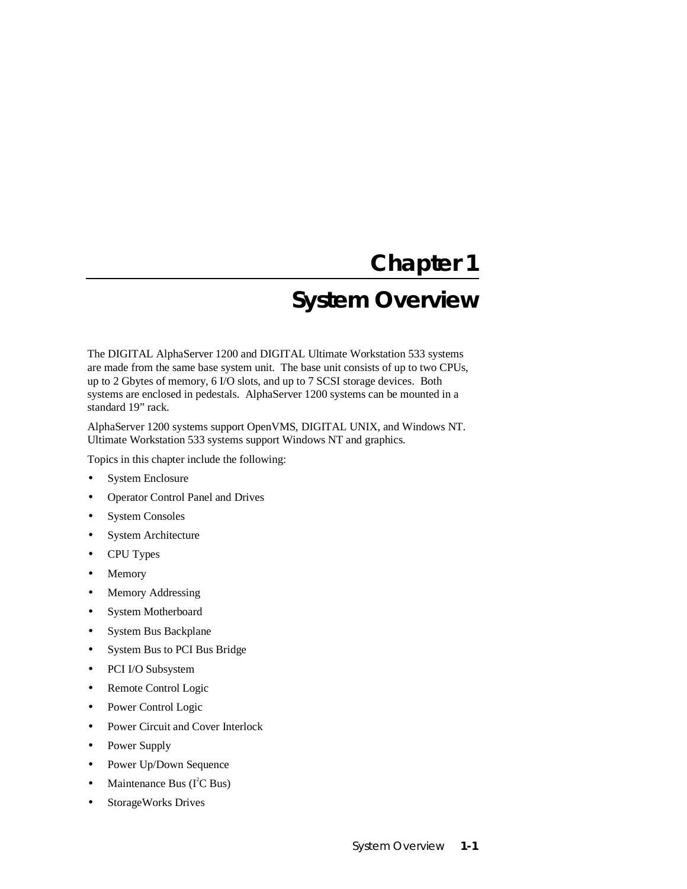## **Chapter 1**

## **System Overview**

The DIGITAL AlphaServer 1200 and DIGITAL Ultimate Workstation 533 systems are made from the same base system unit. The base unit consists of up to two CPUs, up to 2 Gbytes of memory, 6 I/O slots, and up to 7 SCSI storage devices. Both systems are enclosed in pedestals. AlphaServer 1200 systems can be mounted in a standard 19" rack.

AlphaServer 1200 systems support OpenVMS, DIGITAL UNIX, and Windows NT. Ultimate Workstation 533 systems support Windows NT and graphics.

Topics in this chapter include the following:

- System Enclosure
- Operator Control Panel and Drives
- System Consoles
- System Architecture
- CPU Types
- Memory
- Memory Addressing
- System Motherboard
- System Bus Backplane
- System Bus to PCI Bus Bridge
- PCI I/O Subsystem
- Remote Control Logic
- Power Control Logic
- Power Circuit and Cover Interlock
- Power Supply
- Power Up/Down Sequence
- Maintenance Bus ( $I^2C$  Bus)
- StorageWorks Drives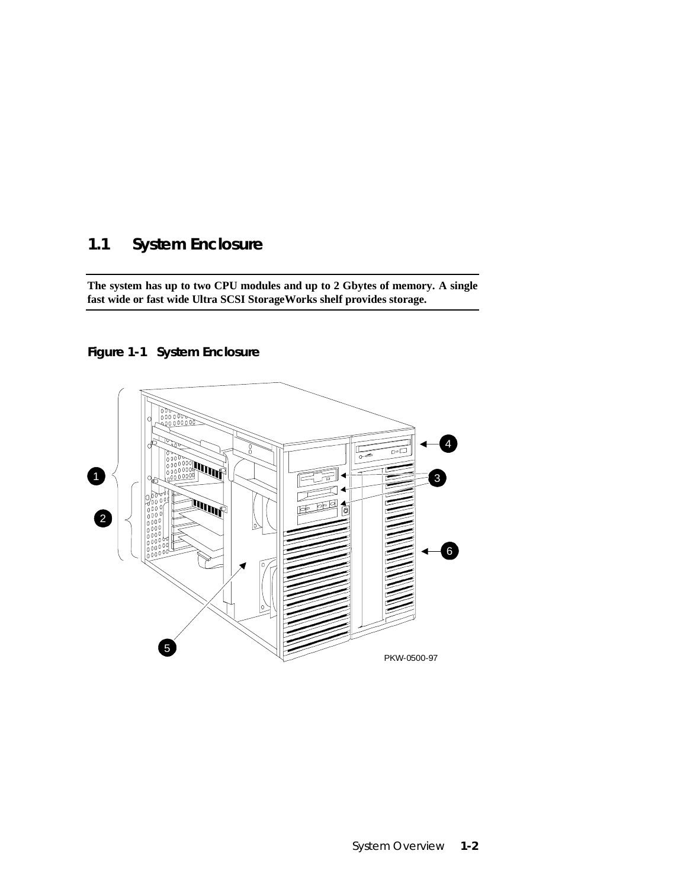## **1.1 System Enclosure**

**The system has up to two CPU modules and up to 2 Gbytes of memory. A single fast wide or fast wide Ultra SCSI StorageWorks shelf provides storage.**

**Figure 1-1 System Enclosure**

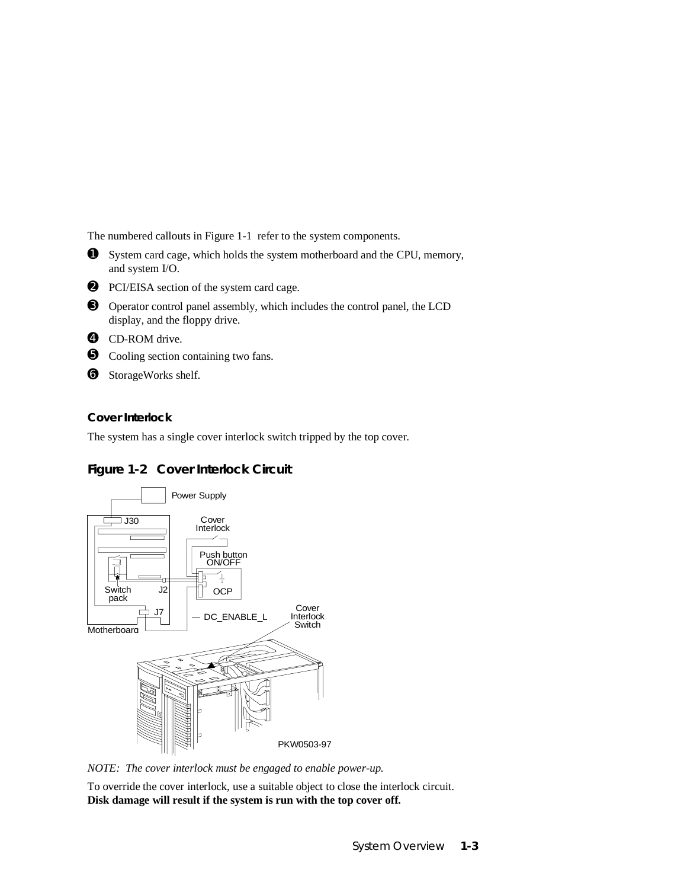The numbered callouts in Figure 1-1 refer to the system components.

- ➊ System card cage, which holds the system motherboard and the CPU, memory, and system I/O.
- ➋ PCI/EISA section of the system card cage.
- ➌ Operator control panel assembly, which includes the control panel, the LCD display, and the floppy drive.
- ➍ CD-ROM drive.
- ➎ Cooling section containing two fans.
- ➏ StorageWorks shelf.

#### **Cover Interlock**

The system has a single cover interlock switch tripped by the top cover.



#### **Figure 1-2 Cover Interlock Circuit**

*NOTE: The cover interlock must be engaged to enable power-up.*

To override the cover interlock, use a suitable object to close the interlock circuit. **Disk damage will result if the system is run with the top cover off.**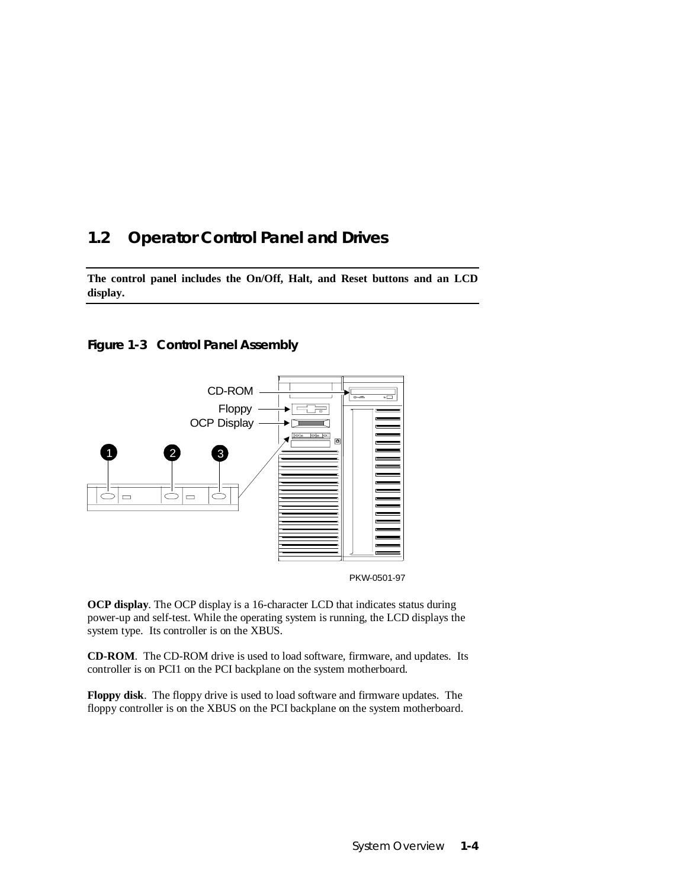## **1.2 Operator Control Panel and Drives**

**The control panel includes the On/Off, Halt, and Reset buttons and an LCD display.**







**OCP display**. The OCP display is a 16-character LCD that indicates status during power-up and self-test. While the operating system is running, the LCD displays the system type. Its controller is on the XBUS.

**CD-ROM**. The CD-ROM drive is used to load software, firmware, and updates. Its controller is on PCI1 on the PCI backplane on the system motherboard.

**Floppy disk**. The floppy drive is used to load software and firmware updates. The floppy controller is on the XBUS on the PCI backplane on the system motherboard.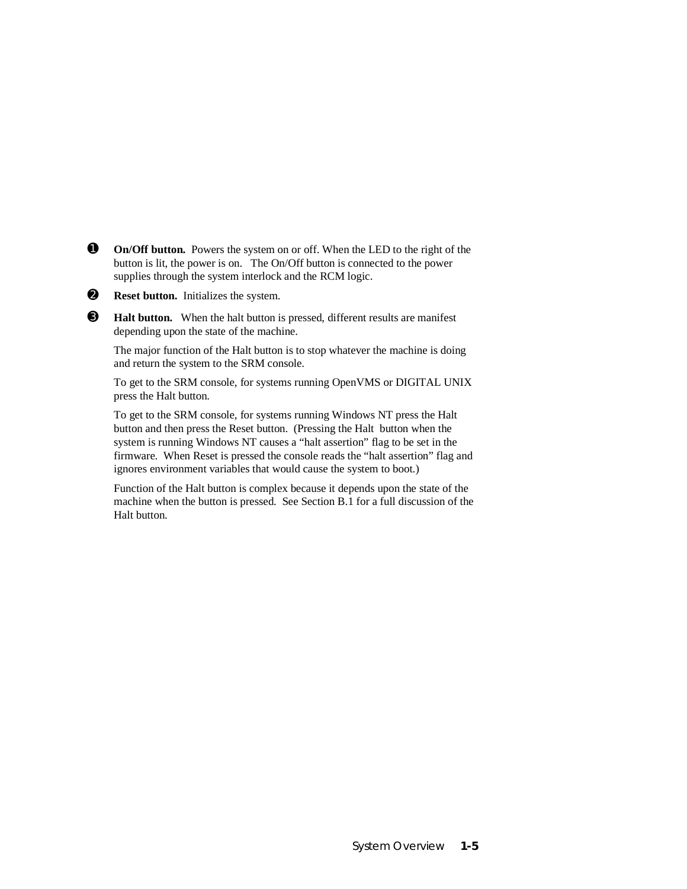- **O** On/Off button. Powers the system on or off. When the LED to the right of the button is lit, the power is on. The On/Off button is connected to the power supplies through the system interlock and the RCM logic.
- ➋ **Reset button.** Initializes the system.
- ➌ **Halt button.** When the halt button is pressed, different results are manifest depending upon the state of the machine.

The major function of the Halt button is to stop whatever the machine is doing and return the system to the SRM console.

To get to the SRM console, for systems running OpenVMS or DIGITAL UNIX press the Halt button.

To get to the SRM console, for systems running Windows NT press the Halt button and then press the Reset button. (Pressing the Halt button when the system is running Windows NT causes a "halt assertion" flag to be set in the firmware. When Reset is pressed the console reads the "halt assertion" flag and ignores environment variables that would cause the system to boot.)

Function of the Halt button is complex because it depends upon the state of the machine when the button is pressed. See Section B.1 for a full discussion of the Halt button.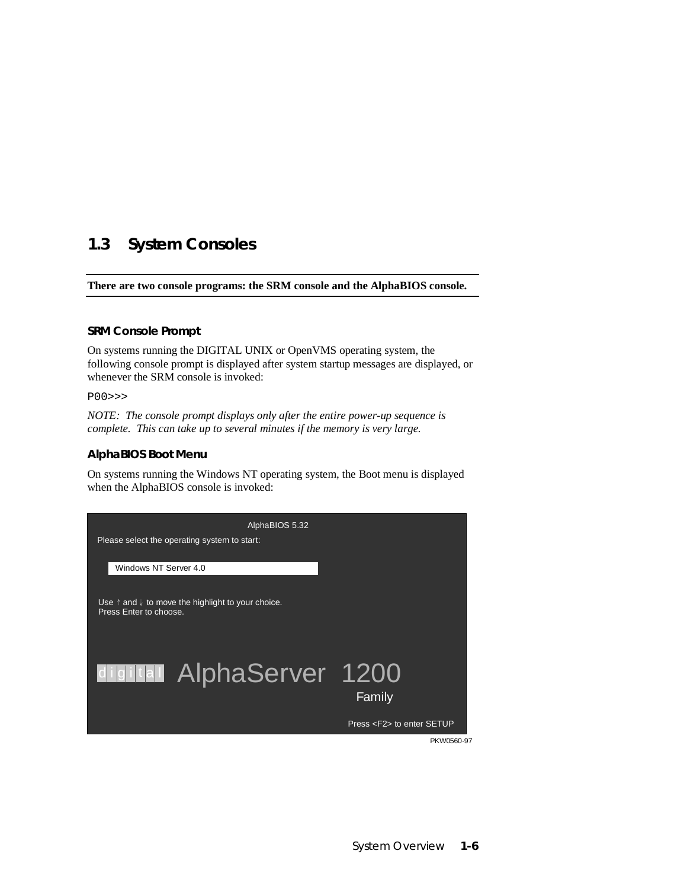## **1.3 System Consoles**

**There are two console programs: the SRM console and the AlphaBIOS console.**

#### **SRM Console Prompt**

On systems running the DIGITAL UNIX or OpenVMS operating system, the following console prompt is displayed after system startup messages are displayed, or whenever the SRM console is invoked:

P00>>>

*NOTE: The console prompt displays only after the entire power-up sequence is complete. This can take up to several minutes if the memory is very large.*

#### **AlphaBIOS Boot Menu**

On systems running the Windows NT operating system, the Boot menu is displayed when the AlphaBIOS console is invoked:

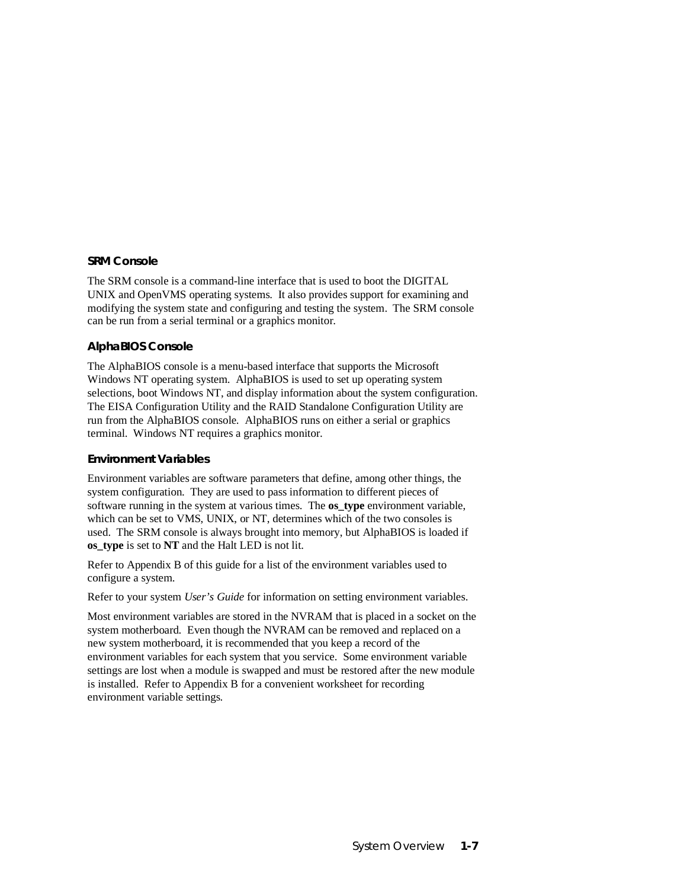#### **SRM Console**

The SRM console is a command-line interface that is used to boot the DIGITAL UNIX and OpenVMS operating systems. It also provides support for examining and modifying the system state and configuring and testing the system. The SRM console can be run from a serial terminal or a graphics monitor.

#### **AlphaBIOS Console**

The AlphaBIOS console is a menu-based interface that supports the Microsoft Windows NT operating system. AlphaBIOS is used to set up operating system selections, boot Windows NT, and display information about the system configuration. The EISA Configuration Utility and the RAID Standalone Configuration Utility are run from the AlphaBIOS console. AlphaBIOS runs on either a serial or graphics terminal. Windows NT requires a graphics monitor.

#### **Environment Variables**

Environment variables are software parameters that define, among other things, the system configuration. They are used to pass information to different pieces of software running in the system at various times. The **os\_type** environment variable, which can be set to VMS, UNIX, or NT, determines which of the two consoles is used. The SRM console is always brought into memory, but AlphaBIOS is loaded if **os\_type** is set to **NT** and the Halt LED is not lit.

Refer to Appendix B of this guide for a list of the environment variables used to configure a system.

Refer to your system *User's Guide* for information on setting environment variables.

Most environment variables are stored in the NVRAM that is placed in a socket on the system motherboard. Even though the NVRAM can be removed and replaced on a new system motherboard, it is recommended that you keep a record of the environment variables for each system that you service. Some environment variable settings are lost when a module is swapped and must be restored after the new module is installed. Refer to Appendix B for a convenient worksheet for recording environment variable settings.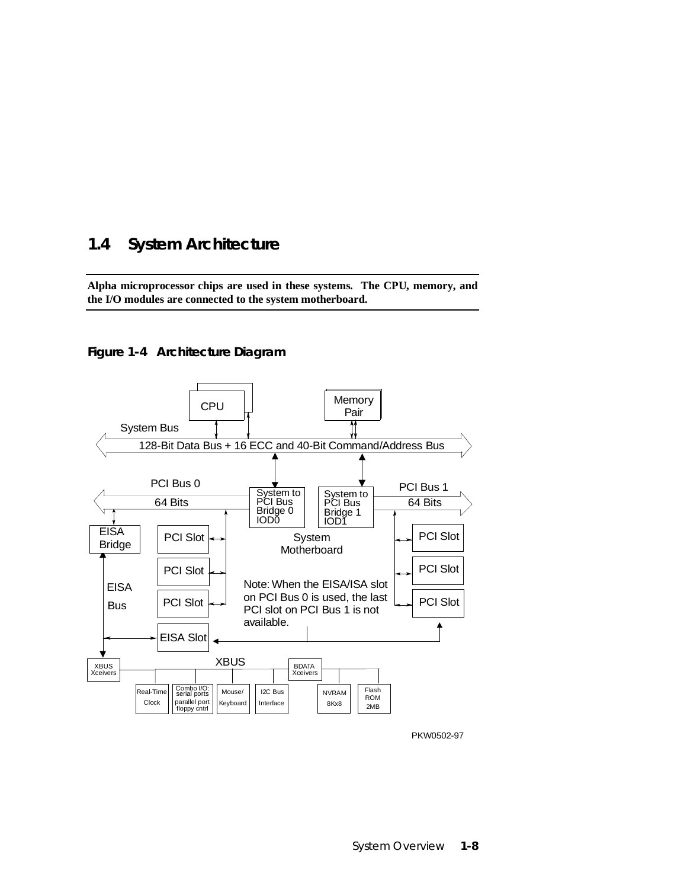## **1.4 System Architecture**

**Alpha microprocessor chips are used in these systems. The CPU, memory, and the I/O modules are connected to the system motherboard.**





PKW0502-97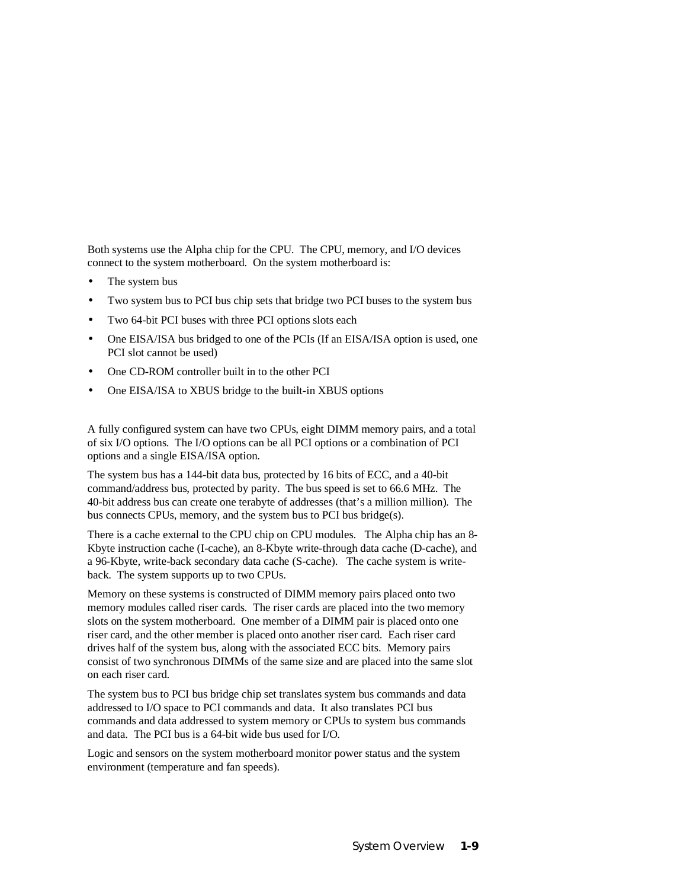Both systems use the Alpha chip for the CPU. The CPU, memory, and I/O devices connect to the system motherboard. On the system motherboard is:

- The system bus
- Two system bus to PCI bus chip sets that bridge two PCI buses to the system bus
- Two 64-bit PCI buses with three PCI options slots each
- One EISA/ISA bus bridged to one of the PCIs (If an EISA/ISA option is used, one PCI slot cannot be used)
- One CD-ROM controller built in to the other PCI
- One EISA/ISA to XBUS bridge to the built-in XBUS options

A fully configured system can have two CPUs, eight DIMM memory pairs, and a total of six I/O options. The I/O options can be all PCI options or a combination of PCI options and a single EISA/ISA option.

The system bus has a 144-bit data bus, protected by 16 bits of ECC, and a 40-bit command/address bus, protected by parity. The bus speed is set to 66.6 MHz. The 40-bit address bus can create one terabyte of addresses (that's a million million). The bus connects CPUs, memory, and the system bus to PCI bus bridge(s).

There is a cache external to the CPU chip on CPU modules. The Alpha chip has an 8- Kbyte instruction cache (I-cache), an 8-Kbyte write-through data cache (D-cache), and a 96-Kbyte, write-back secondary data cache (S-cache). The cache system is writeback. The system supports up to two CPUs.

Memory on these systems is constructed of DIMM memory pairs placed onto two memory modules called riser cards. The riser cards are placed into the two memory slots on the system motherboard. One member of a DIMM pair is placed onto one riser card, and the other member is placed onto another riser card. Each riser card drives half of the system bus, along with the associated ECC bits. Memory pairs consist of two synchronous DIMMs of the same size and are placed into the same slot on each riser card.

The system bus to PCI bus bridge chip set translates system bus commands and data addressed to I/O space to PCI commands and data. It also translates PCI bus commands and data addressed to system memory or CPUs to system bus commands and data. The PCI bus is a 64-bit wide bus used for I/O.

Logic and sensors on the system motherboard monitor power status and the system environment (temperature and fan speeds).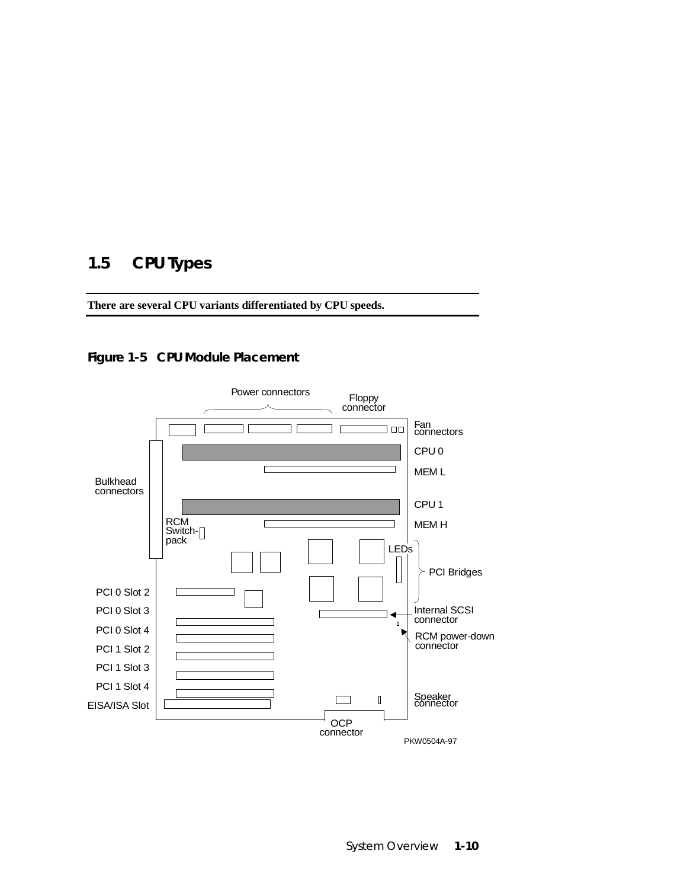## **1.5 CPU Types**

**There are several CPU variants differentiated by CPU speeds.**

## **Figure 1-5 CPU Module Placement**

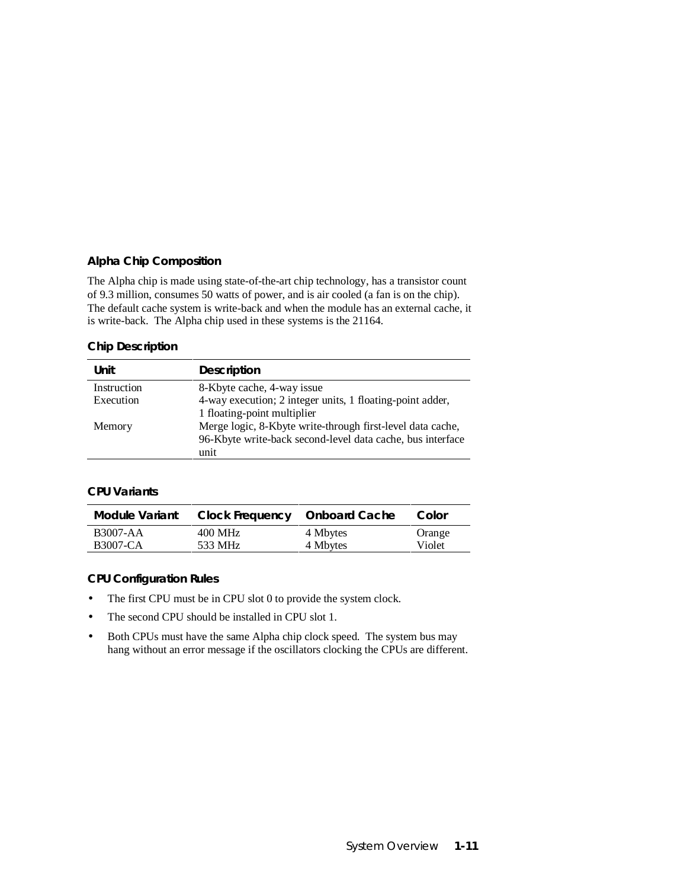#### **Alpha Chip Composition**

The Alpha chip is made using state-of-the-art chip technology, has a transistor count of 9.3 million, consumes 50 watts of power, and is air cooled (a fan is on the chip). The default cache system is write-back and when the module has an external cache, it is write-back. The Alpha chip used in these systems is the 21164.

#### **Chip Description**

| Unit        | <b>Description</b>                                         |
|-------------|------------------------------------------------------------|
| Instruction | 8-Kbyte cache, 4-way issue                                 |
| Execution   | 4-way execution; 2 integer units, 1 floating-point adder,  |
|             | 1 floating-point multiplier                                |
| Memory      | Merge logic, 8-Kbyte write-through first-level data cache, |
|             | 96-Kbyte write-back second-level data cache, bus interface |
|             | unit                                                       |

#### **CPU Variants**

| <b>Module Variant</b> | <b>Clock Frequency</b> | <b>Onboard Cache</b> | Color  |
|-----------------------|------------------------|----------------------|--------|
| <b>B3007-AA</b>       | 400 MHz                | 4 Mbytes             | Orange |
| <b>B3007-CA</b>       | 533 MHz                | 4 Mbytes             | Violet |

#### **CPU Configuration Rules**

- The first CPU must be in CPU slot 0 to provide the system clock.
- The second CPU should be installed in CPU slot 1.
- Both CPUs must have the same Alpha chip clock speed. The system bus may hang without an error message if the oscillators clocking the CPUs are different.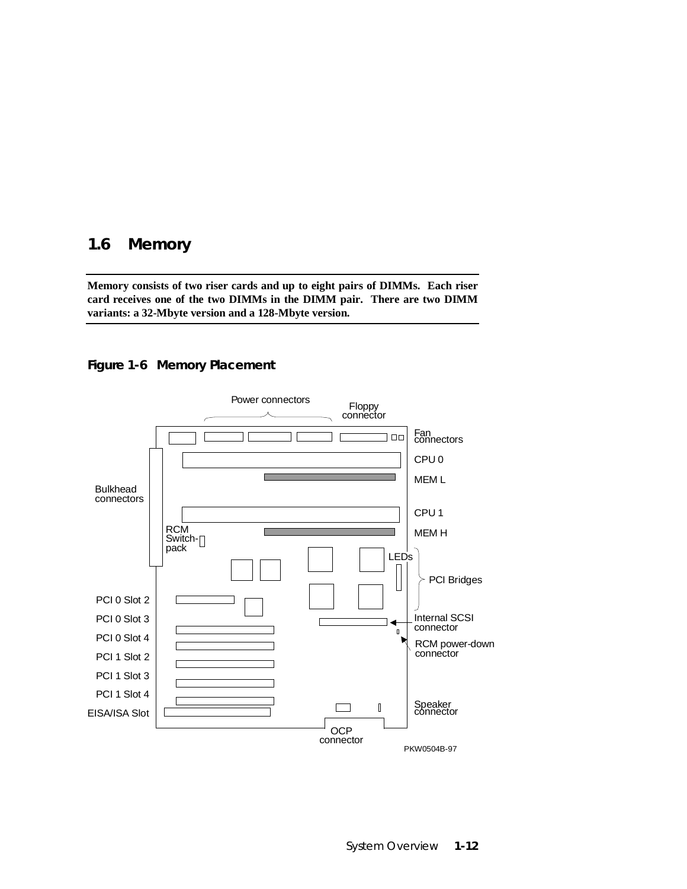## **1.6 Memory**

**Memory consists of two riser cards and up to eight pairs of DIMMs. Each riser card receives one of the two DIMMs in the DIMM pair. There are two DIMM variants: a 32-Mbyte version and a 128-Mbyte version.**



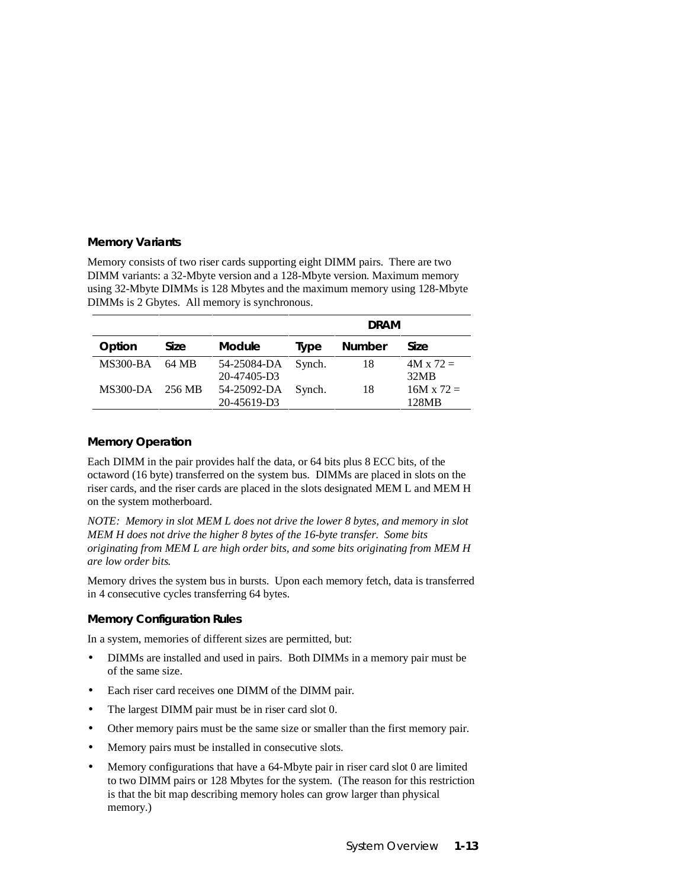#### **Memory Variants**

Memory consists of two riser cards supporting eight DIMM pairs. There are two DIMM variants: a 32-Mbyte version and a 128-Mbyte version. Maximum memory using 32-Mbyte DIMMs is 128 Mbytes and the maximum memory using 128-Mbyte DIMMs is 2 Gbytes. All memory is synchronous.

|                 |        |               |        | <b>DRAM</b>   |                   |
|-----------------|--------|---------------|--------|---------------|-------------------|
| Option          | Size   | <b>Module</b> | Type   | <b>Number</b> | Size              |
| <b>MS300-BA</b> | 64 MB  | 54-25084-DA   | Synch. | 18            | $4M \times 72 =$  |
|                 |        | 20-47405-D3   |        |               | 32MB              |
| $MS300-DA$      | 256 MB | 54-25092-DA   | Synch. | 18            | $16M \times 72 =$ |
|                 |        | 20-45619-D3   |        |               | 128MB             |

#### **Memory Operation**

Each DIMM in the pair provides half the data, or 64 bits plus 8 ECC bits, of the octaword (16 byte) transferred on the system bus. DIMMs are placed in slots on the riser cards, and the riser cards are placed in the slots designated MEM L and MEM H on the system motherboard.

*NOTE: Memory in slot MEM L does not drive the lower 8 bytes, and memory in slot MEM H does not drive the higher 8 bytes of the 16-byte transfer. Some bits originating from MEM L are high order bits, and some bits originating from MEM H are low order bits.*

Memory drives the system bus in bursts. Upon each memory fetch, data is transferred in 4 consecutive cycles transferring 64 bytes.

#### **Memory Configuration Rules**

In a system, memories of different sizes are permitted, but:

- DIMMs are installed and used in pairs. Both DIMMs in a memory pair must be of the same size.
- Each riser card receives one DIMM of the DIMM pair.
- The largest DIMM pair must be in riser card slot 0.
- Other memory pairs must be the same size or smaller than the first memory pair.
- Memory pairs must be installed in consecutive slots.
- Memory configurations that have a 64-Mbyte pair in riser card slot 0 are limited to two DIMM pairs or 128 Mbytes for the system. (The reason for this restriction is that the bit map describing memory holes can grow larger than physical memory.)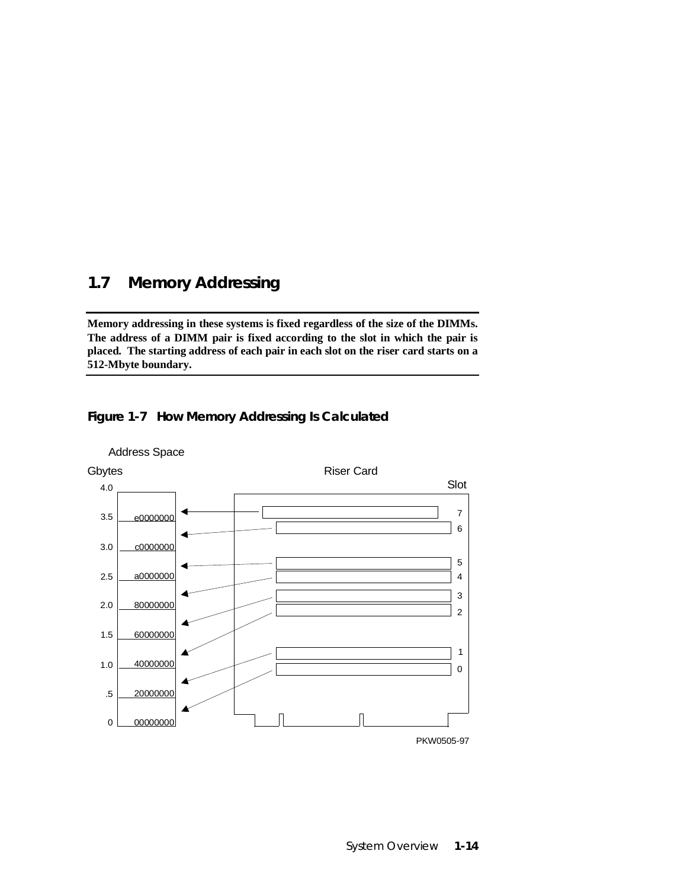## **1.7 Memory Addressing**

**Memory addressing in these systems is fixed regardless of the size of the DIMMs. The address of a DIMM pair is fixed according to the slot in which the pair is placed. The starting address of each pair in each slot on the riser card starts on a 512-Mbyte boundary.**





Address Space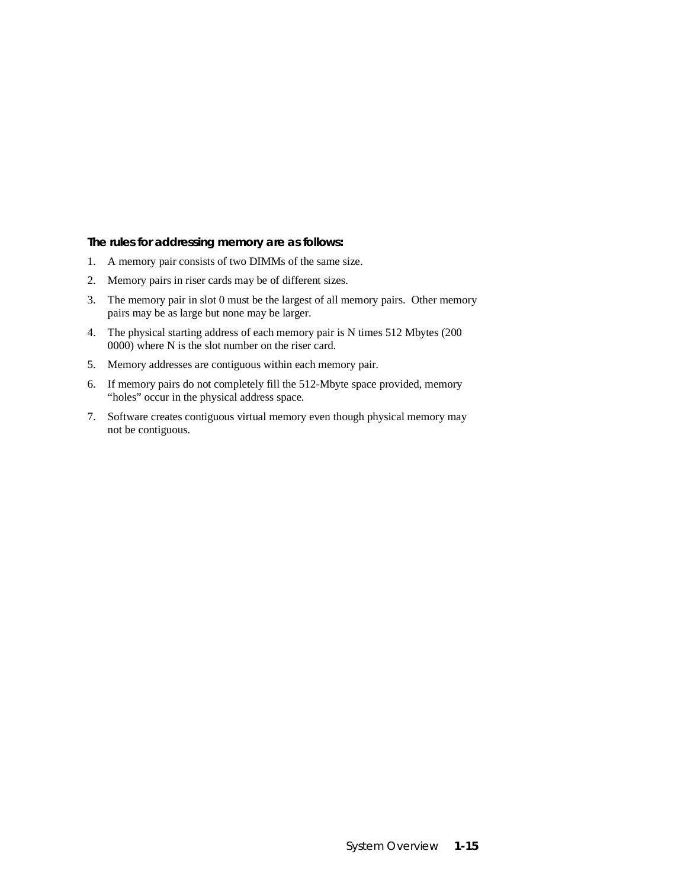#### **The rules for addressing memory are as follows:**

- 1. A memory pair consists of two DIMMs of the same size.
- 2. Memory pairs in riser cards may be of different sizes.
- 3. The memory pair in slot 0 must be the largest of all memory pairs. Other memory pairs may be as large but none may be larger.
- 4. The physical starting address of each memory pair is N times 512 Mbytes (200 0000) where N is the slot number on the riser card.
- 5. Memory addresses are contiguous within each memory pair.
- 6. If memory pairs do not completely fill the 512-Mbyte space provided, memory "holes" occur in the physical address space.
- 7. Software creates contiguous virtual memory even though physical memory may not be contiguous.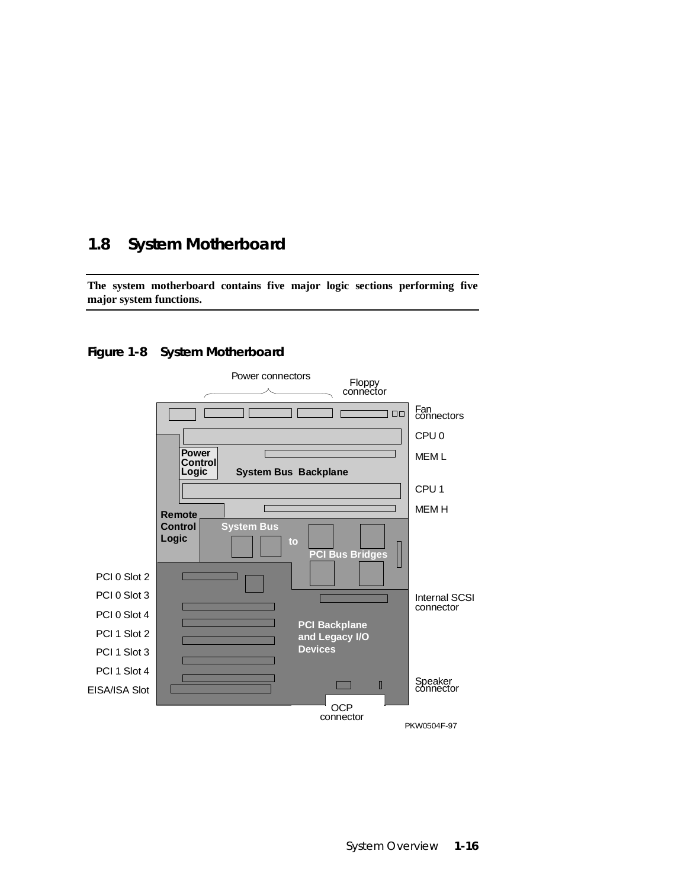## **1.8 System Motherboard**

**The system motherboard contains five major logic sections performing five major system functions.**

#### **Figure 1-8 System Motherboard**

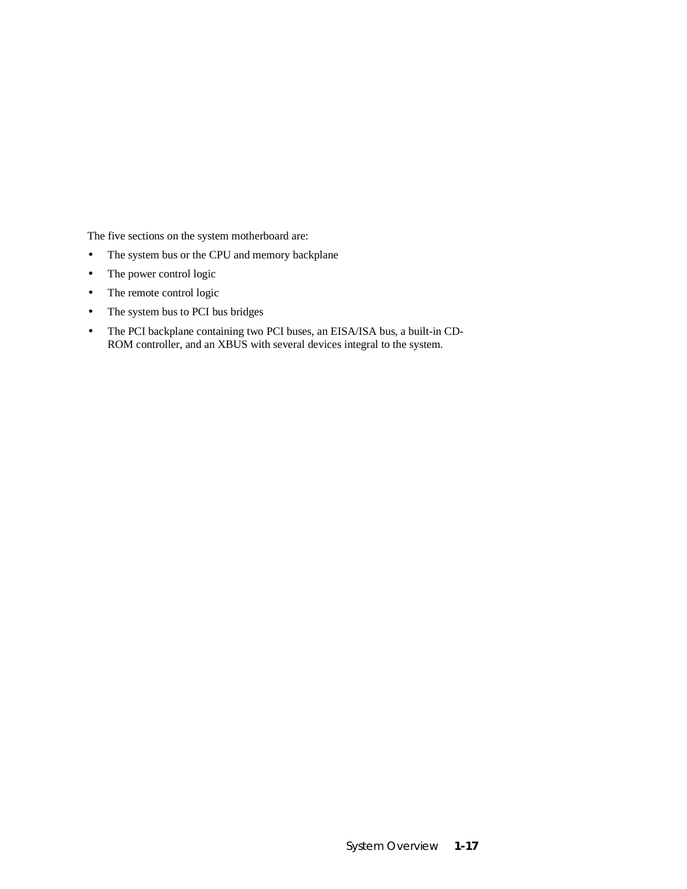The five sections on the system motherboard are:

- The system bus or the CPU and memory backplane
- The power control logic
- The remote control logic
- The system bus to PCI bus bridges
- The PCI backplane containing two PCI buses, an EISA/ISA bus, a built-in CD-ROM controller, and an XBUS with several devices integral to the system.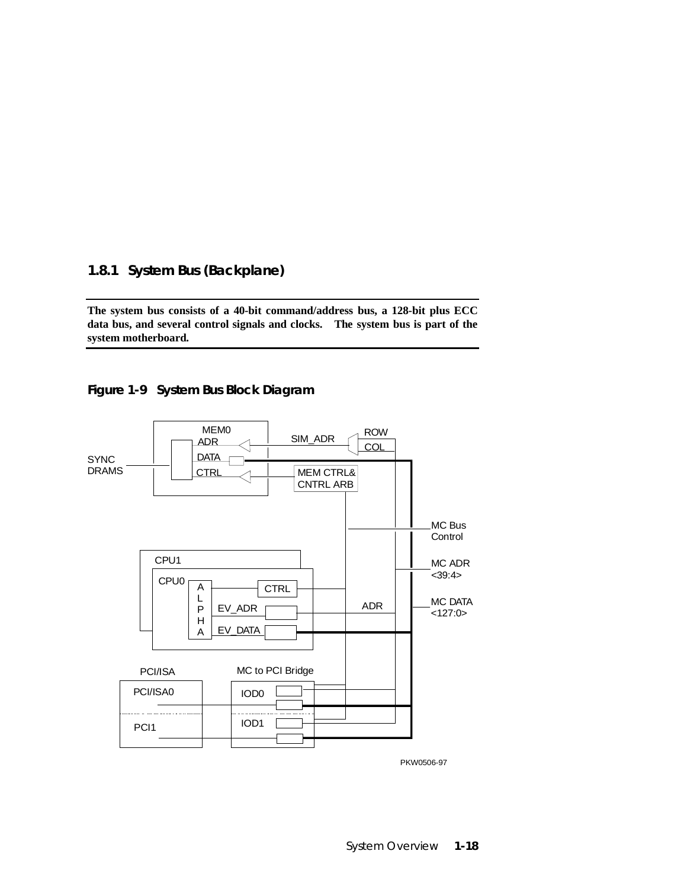### **1.8.1 System Bus (Backplane)**

**The system bus consists of a 40-bit command/address bus, a 128-bit plus ECC data bus, and several control signals and clocks. The system bus is part of the system motherboard.**





PKW0506-97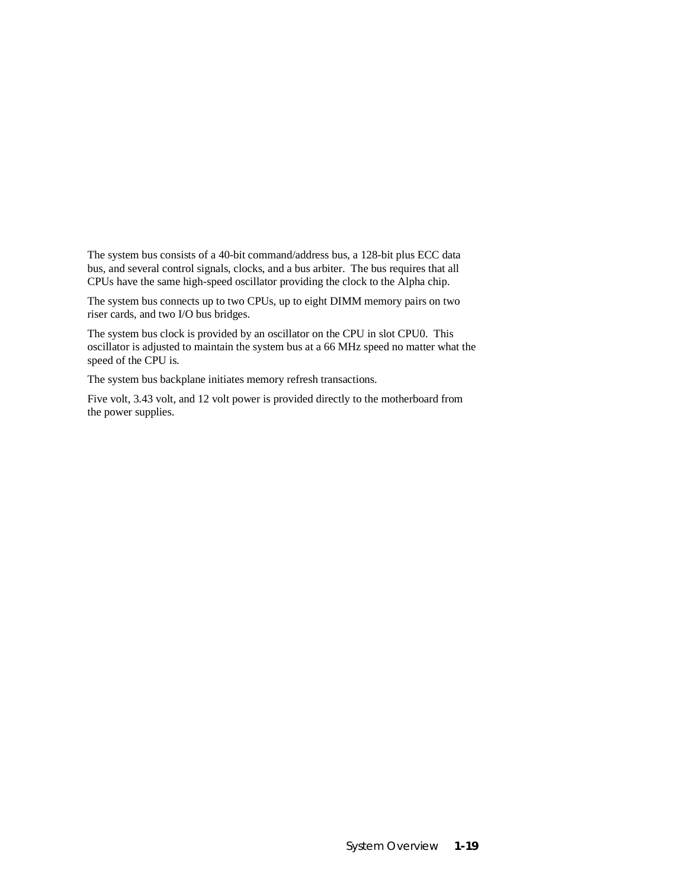The system bus consists of a 40-bit command/address bus, a 128-bit plus ECC data bus, and several control signals, clocks, and a bus arbiter. The bus requires that all CPUs have the same high-speed oscillator providing the clock to the Alpha chip.

The system bus connects up to two CPUs, up to eight DIMM memory pairs on two riser cards, and two I/O bus bridges.

The system bus clock is provided by an oscillator on the CPU in slot CPU0. This oscillator is adjusted to maintain the system bus at a 66 MHz speed no matter what the speed of the CPU is.

The system bus backplane initiates memory refresh transactions.

Five volt, 3.43 volt, and 12 volt power is provided directly to the motherboard from the power supplies.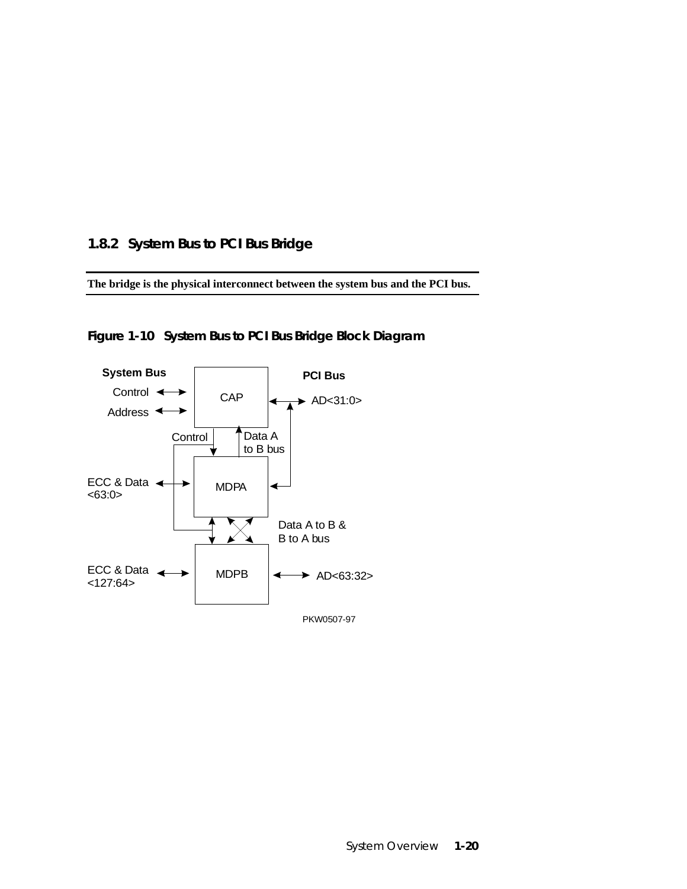### **1.8.2 System Bus to PCI Bus Bridge**

**The bridge is the physical interconnect between the system bus and the PCI bus.**



**Figure 1-10 System Bus to PCI Bus Bridge Block Diagram**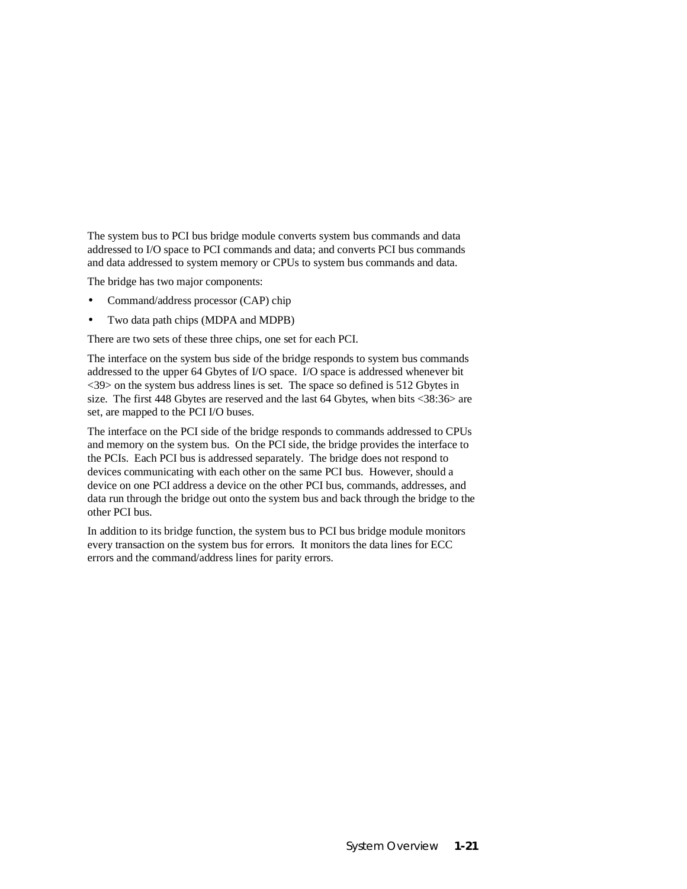The system bus to PCI bus bridge module converts system bus commands and data addressed to I/O space to PCI commands and data; and converts PCI bus commands and data addressed to system memory or CPUs to system bus commands and data.

The bridge has two major components:

- Command/address processor (CAP) chip
- Two data path chips (MDPA and MDPB)

There are two sets of these three chips, one set for each PCI.

The interface on the system bus side of the bridge responds to system bus commands addressed to the upper 64 Gbytes of I/O space. I/O space is addressed whenever bit <39> on the system bus address lines is set. The space so defined is 512 Gbytes in size. The first 448 Gbytes are reserved and the last 64 Gbytes, when bits <38:36> are set, are mapped to the PCI I/O buses.

The interface on the PCI side of the bridge responds to commands addressed to CPUs and memory on the system bus. On the PCI side, the bridge provides the interface to the PCIs. Each PCI bus is addressed separately. The bridge does not respond to devices communicating with each other on the same PCI bus. However, should a device on one PCI address a device on the other PCI bus, commands, addresses, and data run through the bridge out onto the system bus and back through the bridge to the other PCI bus.

In addition to its bridge function, the system bus to PCI bus bridge module monitors every transaction on the system bus for errors. It monitors the data lines for ECC errors and the command/address lines for parity errors.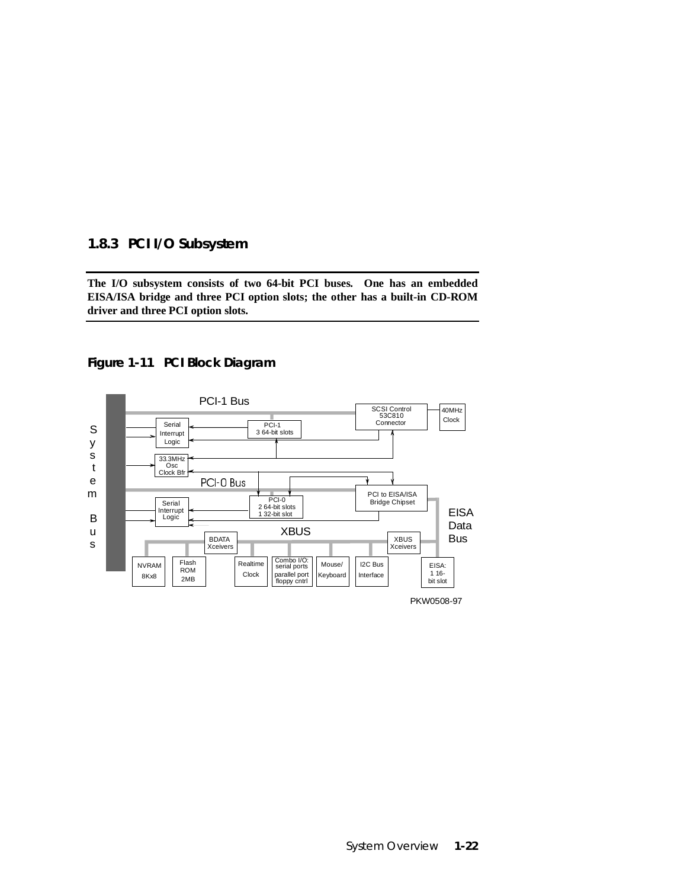#### **1.8.3 PCI I/O Subsystem**

**The I/O subsystem consists of two 64-bit PCI buses. One has an embedded EISA/ISA bridge and three PCI option slots; the other has a built-in CD-ROM driver and three PCI option slots.**



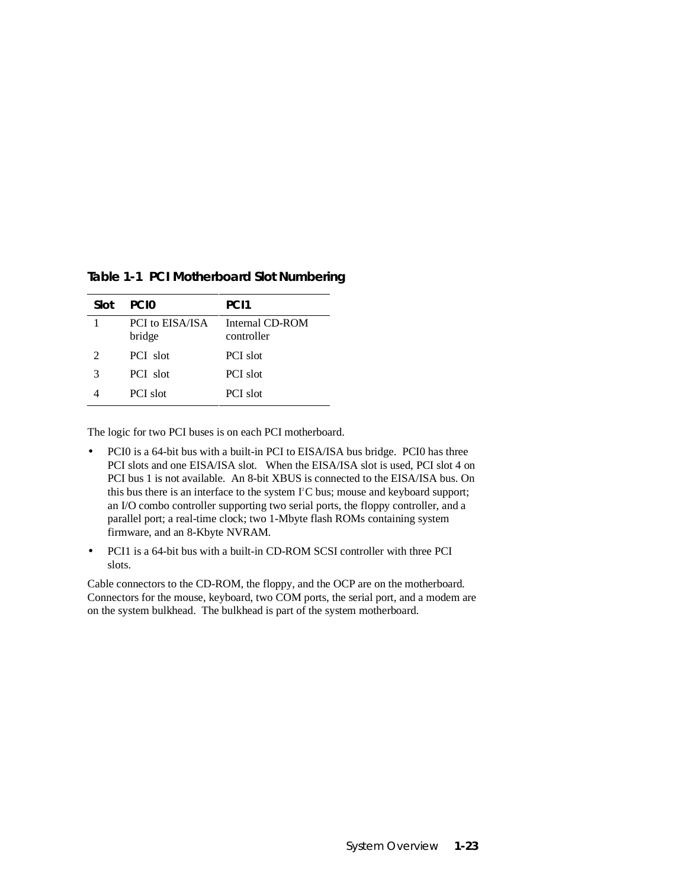| Slot          | PCI <sub>0</sub>          | PC <sub>11</sub>              |
|---------------|---------------------------|-------------------------------|
|               | PCI to EISA/ISA<br>bridge | Internal CD-ROM<br>controller |
| $\mathcal{L}$ | PCI slot                  | PCI slot                      |
| 3             | PCI slot                  | PCI slot                      |
|               | PCI slot                  | PCI slot                      |

**Table 1-1 PCI Motherboard Slot Numbering**

The logic for two PCI buses is on each PCI motherboard.

- PCI0 is a 64-bit bus with a built-in PCI to EISA/ISA bus bridge. PCI0 has three PCI slots and one EISA/ISA slot. When the EISA/ISA slot is used, PCI slot 4 on PCI bus 1 is not available. An 8-bit XBUS is connected to the EISA/ISA bus. On this bus there is an interface to the system  $I^2C$  bus; mouse and keyboard support; an I/O combo controller supporting two serial ports, the floppy controller, and a parallel port; a real-time clock; two 1-Mbyte flash ROMs containing system firmware, and an 8-Kbyte NVRAM.
- PCI1 is a 64-bit bus with a built-in CD-ROM SCSI controller with three PCI slots.

Cable connectors to the CD-ROM, the floppy, and the OCP are on the motherboard. Connectors for the mouse, keyboard, two COM ports, the serial port, and a modem are on the system bulkhead. The bulkhead is part of the system motherboard.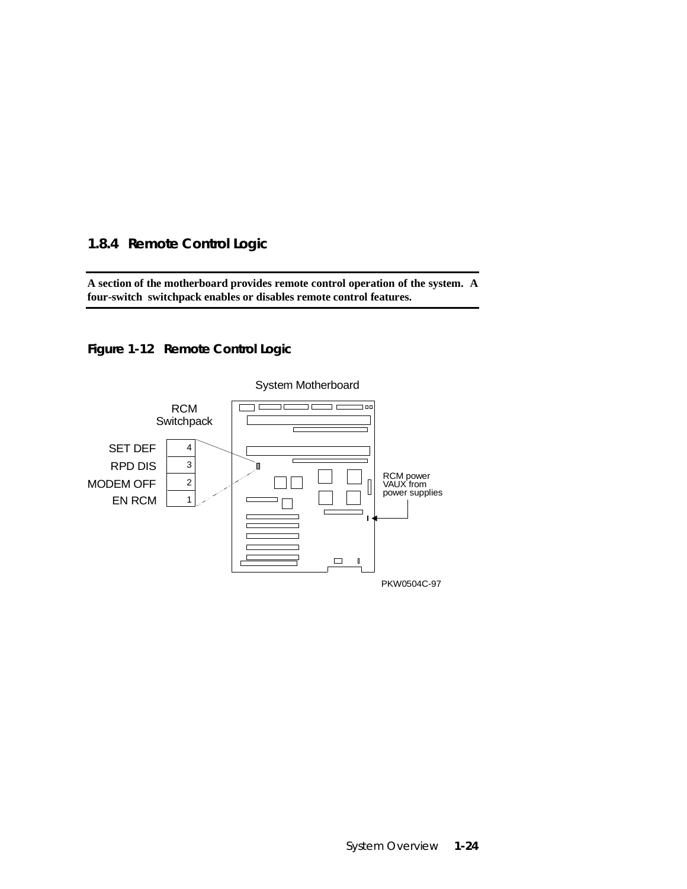### **1.8.4 Remote Control Logic**

**A section of the motherboard provides remote control operation of the system. A four-switch switchpack enables or disables remote control features.**

**Figure 1-12 Remote Control Logic**



System Overview **1-24**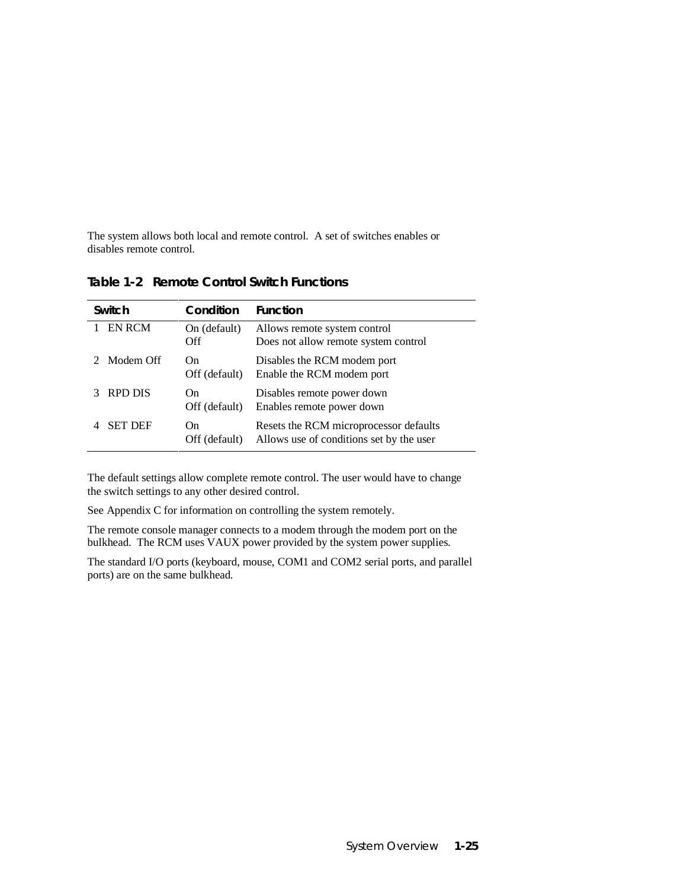The system allows both local and remote control. A set of switches enables or disables remote control.

| Switch         | Condition            | <b>Function</b>                                                                    |
|----------------|----------------------|------------------------------------------------------------------------------------|
| <b>EN RCM</b>  | On (default)<br>Off  | Allows remote system control<br>Does not allow remote system control               |
| Modem Off      | On.<br>Off (default) | Disables the RCM modem port<br>Enable the RCM modem port                           |
| RPD DIS        | On.<br>Off (default) | Disables remote power down<br>Enables remote power down                            |
| <b>SET DEF</b> | On<br>Off (default)  | Resets the RCM microprocessor defaults<br>Allows use of conditions set by the user |

**Table 1-2 Remote Control Switch Functions**

The default settings allow complete remote control. The user would have to change the switch settings to any other desired control.

See Appendix C for information on controlling the system remotely.

The remote console manager connects to a modem through the modem port on the bulkhead. The RCM uses VAUX power provided by the system power supplies.

The standard I/O ports (keyboard, mouse, COM1 and COM2 serial ports, and parallel ports) are on the same bulkhead.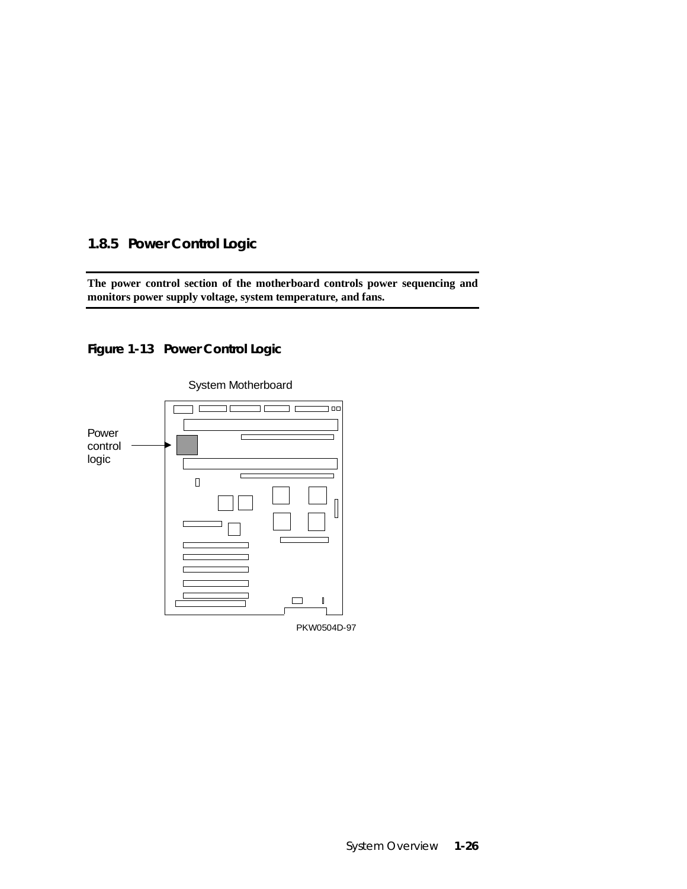### **1.8.5 Power Control Logic**

**The power control section of the motherboard controls power sequencing and monitors power supply voltage, system temperature, and fans.**

**Figure 1-13 Power Control Logic**



System Motherboard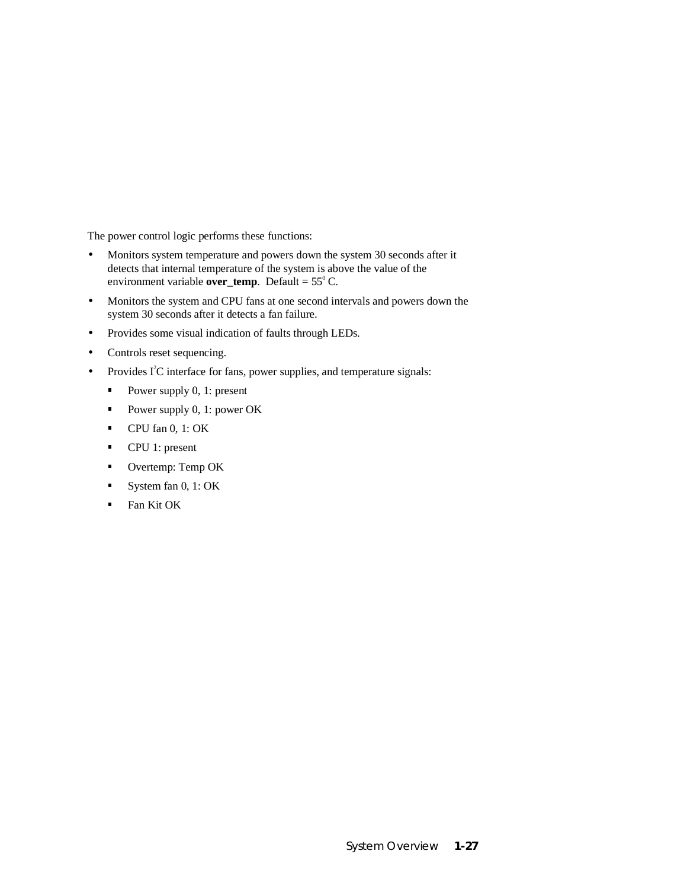The power control logic performs these functions:

- Monitors system temperature and powers down the system 30 seconds after it detects that internal temperature of the system is above the value of the environment variable **over\_temp**. Default =  $55^{\circ}$  C.
- Monitors the system and CPU fans at one second intervals and powers down the system 30 seconds after it detects a fan failure.
- Provides some visual indication of faults through LEDs.
- Controls reset sequencing.
- Provides I<sup>2</sup>C interface for fans, power supplies, and temperature signals:
	- Power supply 0, 1: present
	- Power supply 0, 1: power OK
	- CPU fan 0, 1: OK
	- **CPU** 1: present
	- **•** Overtemp: Temp OK
	- System fan 0, 1: OK
	- $\blacksquare$ Fan Kit OK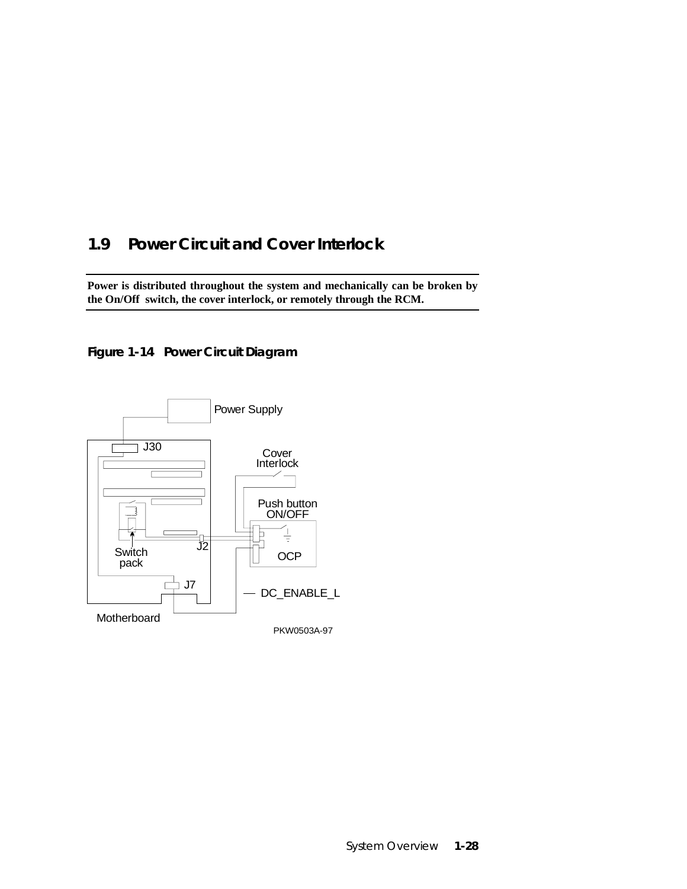# **1.9 Power Circuit and Cover Interlock**

**Power is distributed throughout the system and mechanically can be broken by the On/Off switch, the cover interlock, or remotely through the RCM.**

### **Figure 1-14 Power Circuit Diagram**

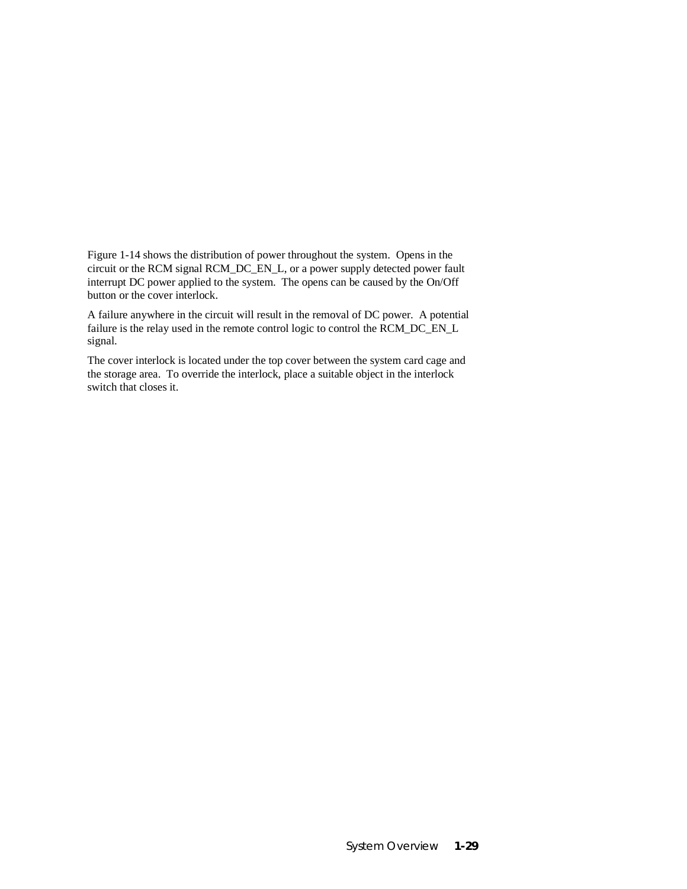Figure 1-14 shows the distribution of power throughout the system. Opens in the circuit or the RCM signal RCM\_DC\_EN\_L, or a power supply detected power fault interrupt DC power applied to the system. The opens can be caused by the On/Off button or the cover interlock.

A failure anywhere in the circuit will result in the removal of DC power. A potential failure is the relay used in the remote control logic to control the RCM\_DC\_EN\_L signal.

The cover interlock is located under the top cover between the system card cage and the storage area. To override the interlock, place a suitable object in the interlock switch that closes it.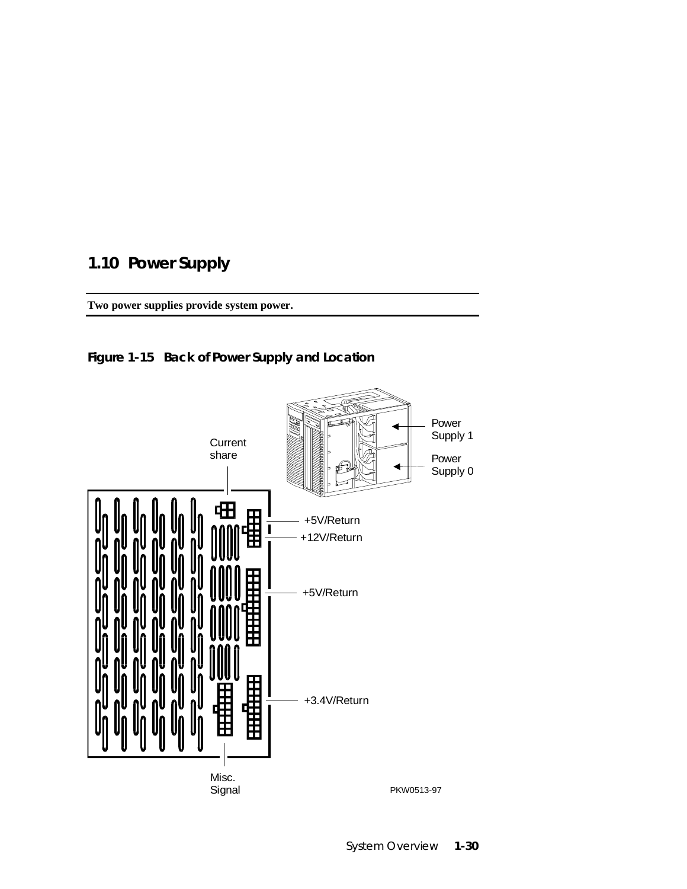# **1.10 Power Supply**

**Two power supplies provide system power.**



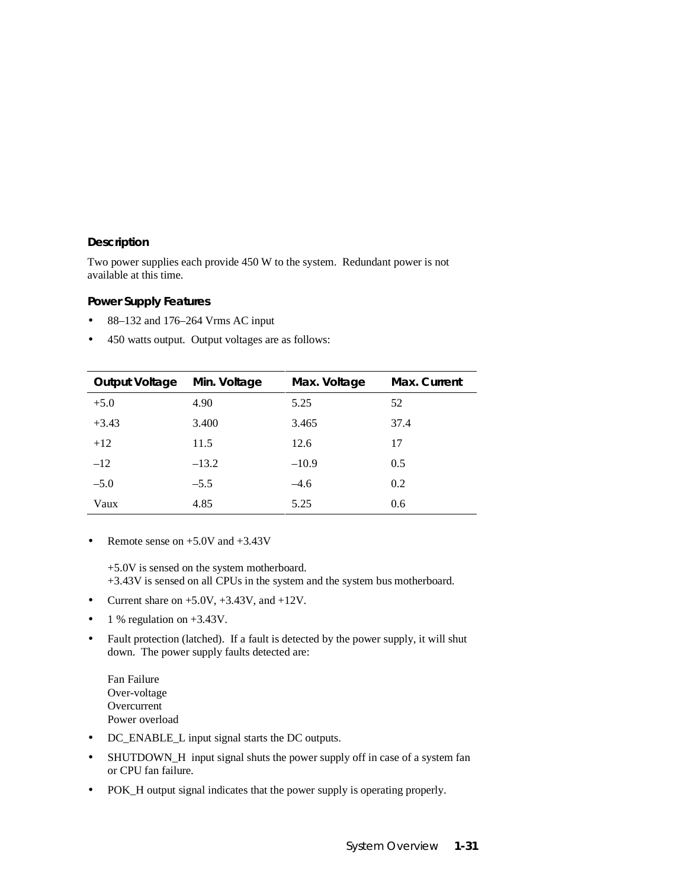#### **Description**

Two power supplies each provide 450 W to the system. Redundant power is not available at this time.

#### **Power Supply Features**

- 88–132 and 176–264 Vrms AC input
- 450 watts output. Output voltages are as follows:

| <b>Output Voltage</b> | Min. Voltage | Max. Voltage | Max. Current |
|-----------------------|--------------|--------------|--------------|
| $+5.0$                | 4.90         | 5.25         | 52           |
| $+3.43$               | 3.400        | 3.465        | 37.4         |
| $+12$                 | 11.5         | 12.6         | 17           |
| $-12$                 | $-13.2$      | $-10.9$      | 0.5          |
| $-5.0$                | $-5.5$       | $-4.6$       | 0.2          |
| Vaux                  | 4.85         | 5.25         | 0.6          |

• Remote sense on  $+5.0V$  and  $+3.43V$ 

+5.0V is sensed on the system motherboard.

+3.43V is sensed on all CPUs in the system and the system bus motherboard.

- Current share on  $+5.0V$ ,  $+3.43V$ , and  $+12V$ .
- 1 % regulation on  $+3.43V$ .
- Fault protection (latched). If a fault is detected by the power supply, it will shut down. The power supply faults detected are:

Fan Failure Over-voltage **Overcurrent** Power overload

- DC\_ENABLE\_L input signal starts the DC outputs.
- SHUTDOWN\_H input signal shuts the power supply off in case of a system fan or CPU fan failure.
- POK\_H output signal indicates that the power supply is operating properly.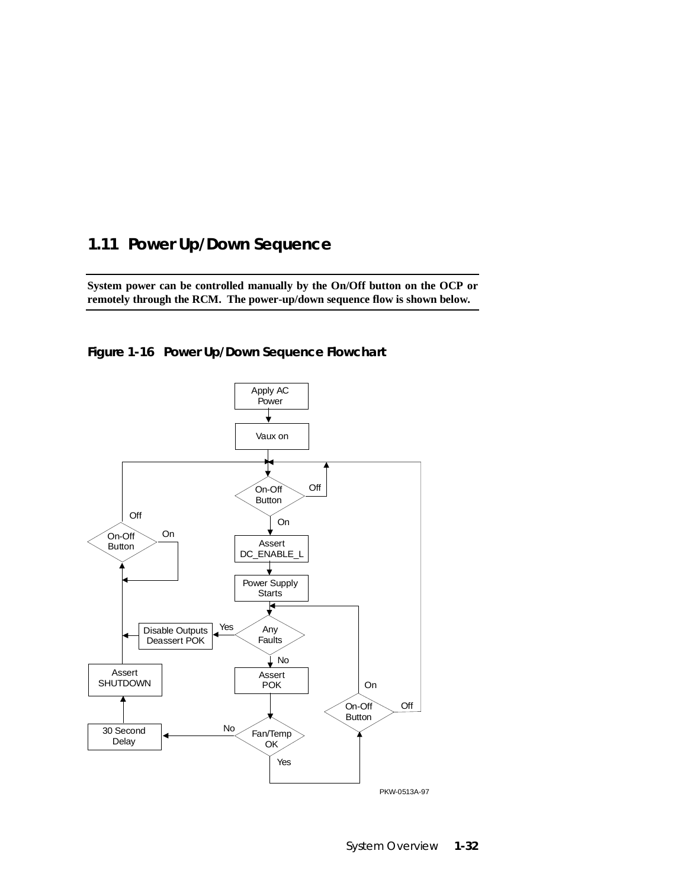### **1.11 Power Up/Down Sequence**

**System power can be controlled manually by the On/Off button on the OCP or remotely through the RCM. The power-up/down sequence flow is shown below.**



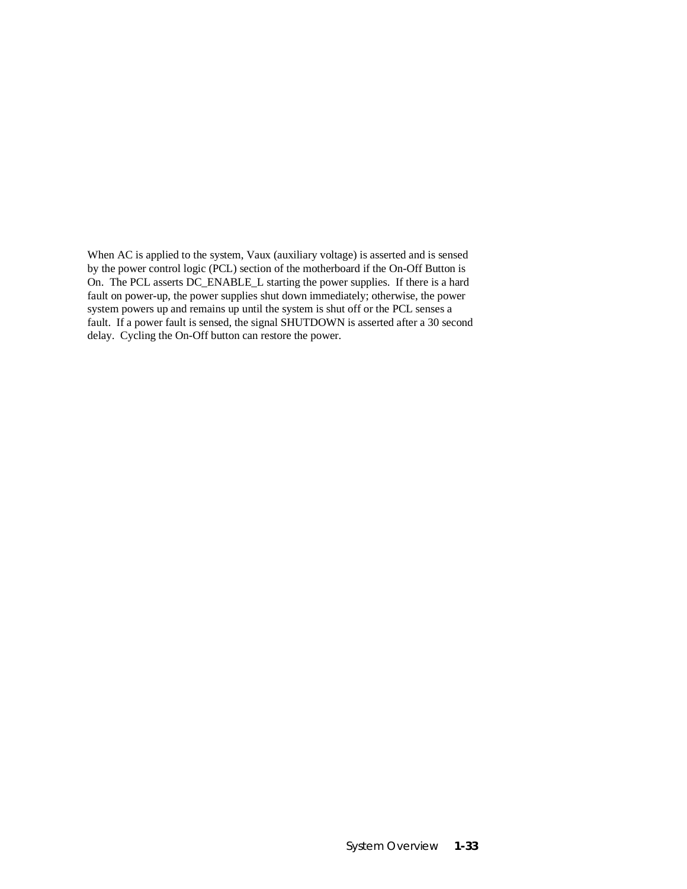When AC is applied to the system, Vaux (auxiliary voltage) is asserted and is sensed by the power control logic (PCL) section of the motherboard if the On-Off Button is On. The PCL asserts DC\_ENABLE\_L starting the power supplies. If there is a hard fault on power-up, the power supplies shut down immediately; otherwise, the power system powers up and remains up until the system is shut off or the PCL senses a fault. If a power fault is sensed, the signal SHUTDOWN is asserted after a 30 second delay. Cycling the On-Off button can restore the power.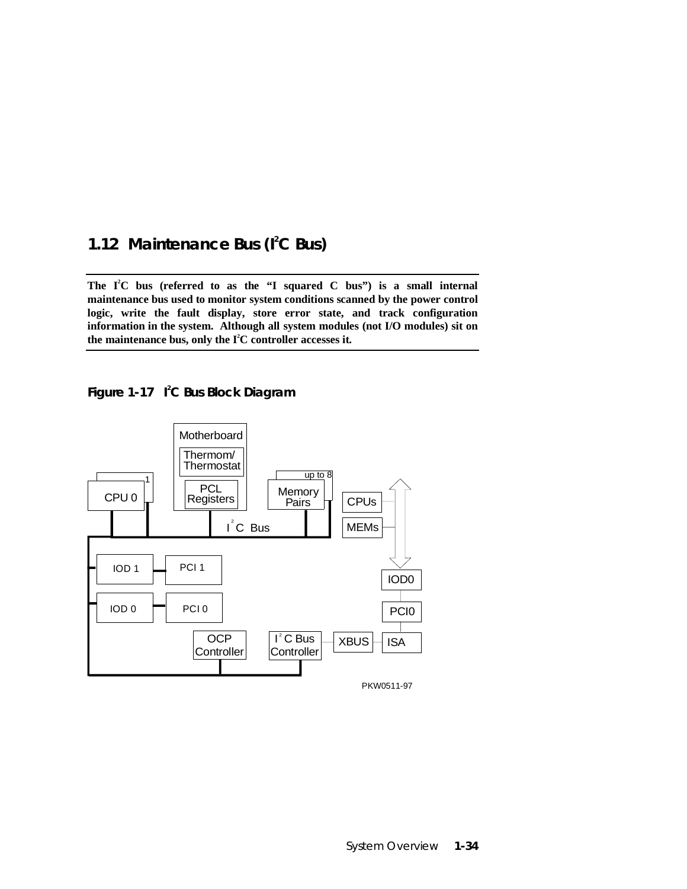### 1.12 Maintenance Bus (I<sup>2</sup>C Bus)

The I<sup>2</sup>C bus (referred to as the "I squared C bus") is a small internal **maintenance bus used to monitor system conditions scanned by the power control logic, write the fault display, store error state, and track configuration information in the system. Although all system modules (not I/O modules) sit on** the maintenance bus, only the I<sup>2</sup>C controller accesses it.

**Figure 1-17 I2 C Bus Block Diagram**

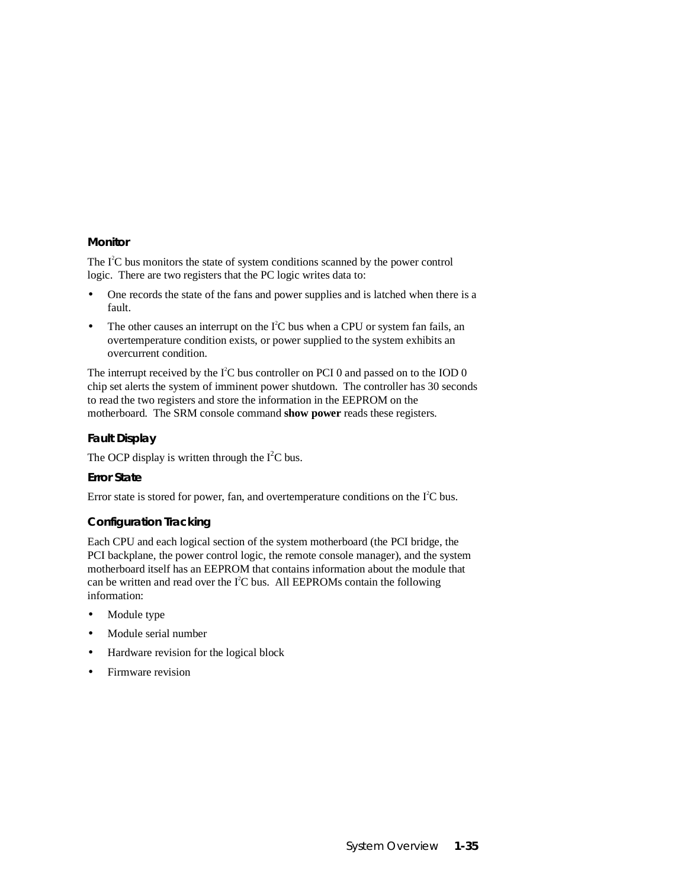#### **Monitor**

The  $I<sup>2</sup>C$  bus monitors the state of system conditions scanned by the power control logic. There are two registers that the PC logic writes data to:

- One records the state of the fans and power supplies and is latched when there is a fault.
- The other causes an interrupt on the  $I<sup>2</sup>C$  bus when a CPU or system fan fails, an overtemperature condition exists, or power supplied to the system exhibits an overcurrent condition.

The interrupt received by the  $I^2C$  bus controller on PCI 0 and passed on to the IOD 0 chip set alerts the system of imminent power shutdown. The controller has 30 seconds to read the two registers and store the information in the EEPROM on the motherboard. The SRM console command **show power** reads these registers.

#### **Fault Display**

The OCP display is written through the  $I<sup>2</sup>C$  bus.

#### **Error State**

Error state is stored for power, fan, and overtemperature conditions on the  $I<sup>2</sup>C$  bus.

#### **Configuration Tracking**

Each CPU and each logical section of the system motherboard (the PCI bridge, the PCI backplane, the power control logic, the remote console manager), and the system motherboard itself has an EEPROM that contains information about the module that can be written and read over the  $I^2C$  bus. All EEPROMs contain the following information:

- Module type
- Module serial number
- Hardware revision for the logical block
- Firmware revision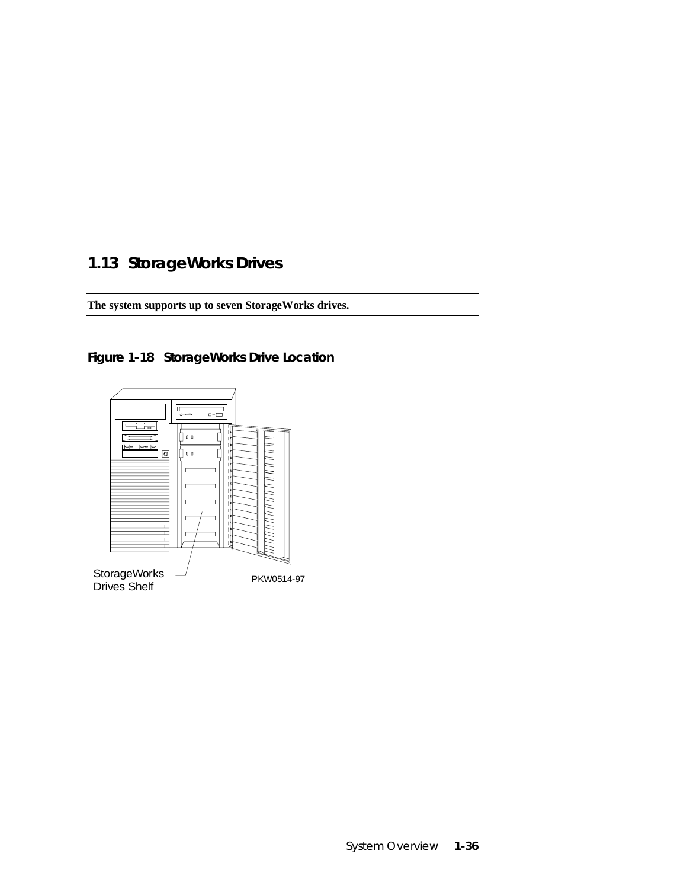# **1.13 StorageWorks Drives**

**The system supports up to seven StorageWorks drives.**



**Figure 1-18 StorageWorks Drive Location**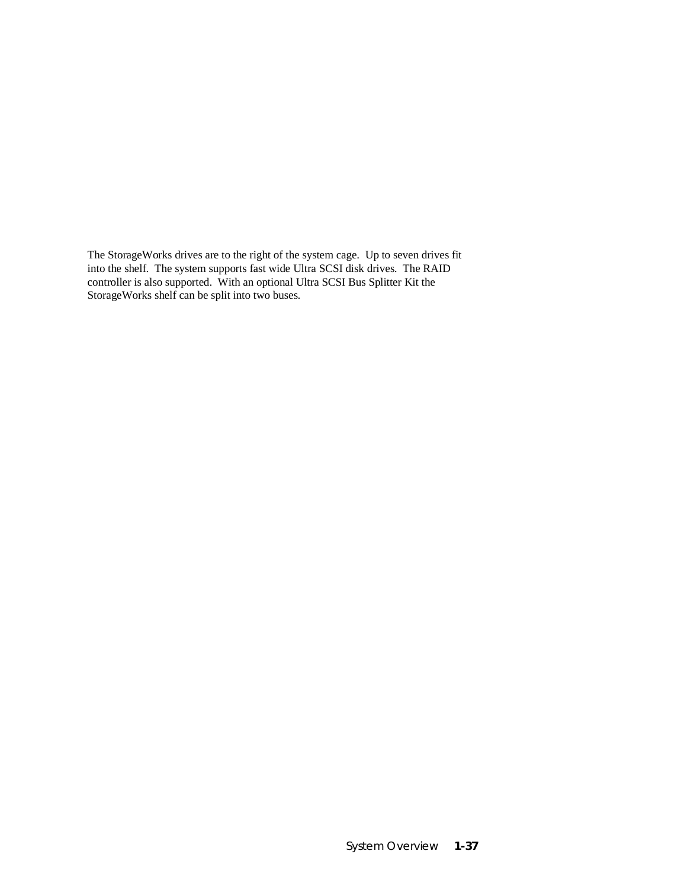The StorageWorks drives are to the right of the system cage. Up to seven drives fit into the shelf. The system supports fast wide Ultra SCSI disk drives. The RAID controller is also supported. With an optional Ultra SCSI Bus Splitter Kit the StorageWorks shelf can be split into two buses.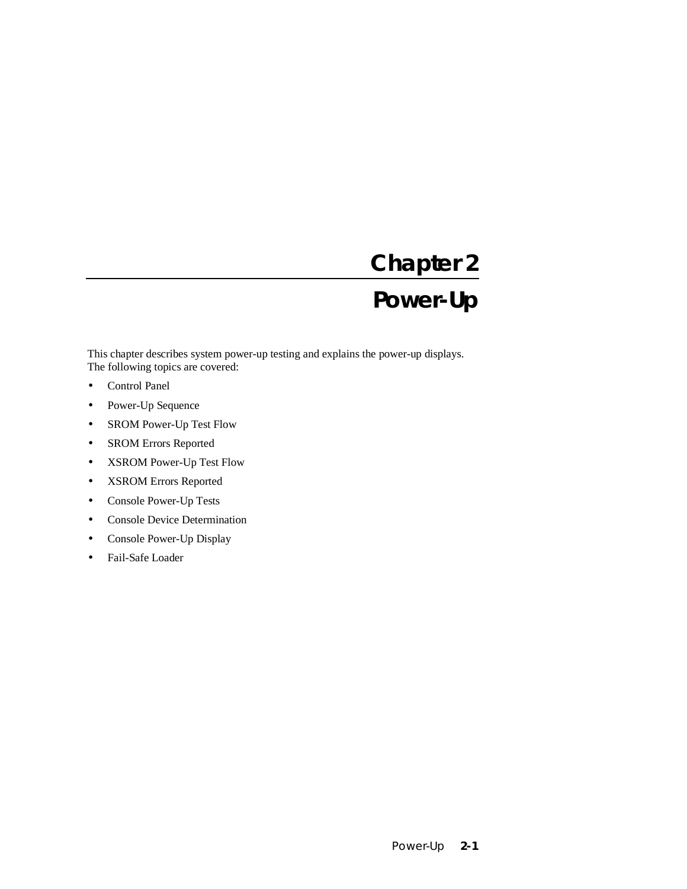# **Chapter 2 Power-Up**

This chapter describes system power-up testing and explains the power-up displays. The following topics are covered:

- Control Panel
- Power-Up Sequence
- SROM Power-Up Test Flow
- SROM Errors Reported
- XSROM Power-Up Test Flow
- XSROM Errors Reported
- Console Power-Up Tests
- Console Device Determination
- Console Power-Up Display
- Fail-Safe Loader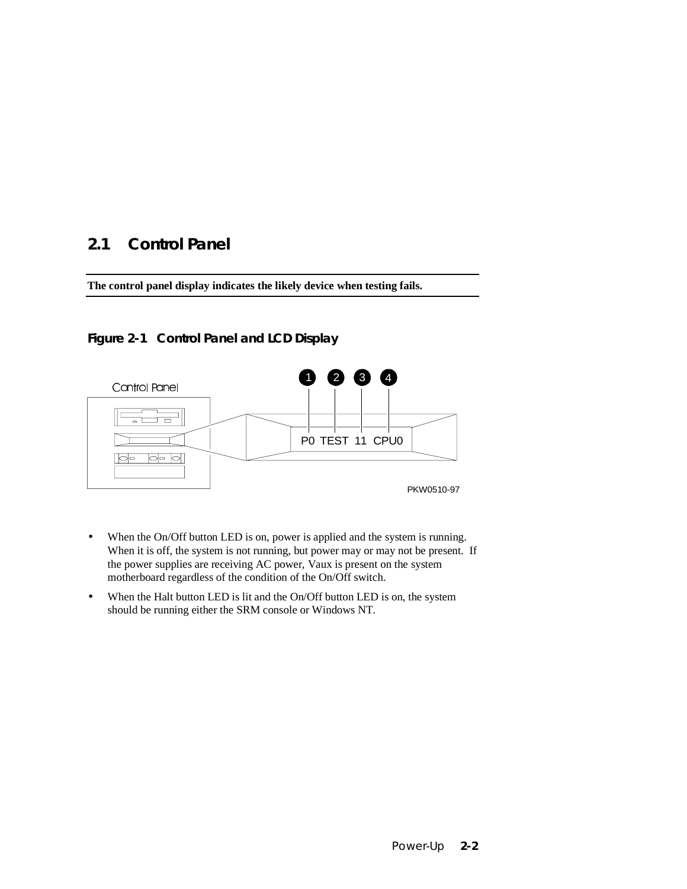# **2.1 Control Panel**

**The control panel display indicates the likely device when testing fails.**

### **Figure 2-1 Control Panel and LCD Display**



- When the On/Off button LED is on, power is applied and the system is running. When it is off, the system is not running, but power may or may not be present. If the power supplies are receiving AC power, Vaux is present on the system motherboard regardless of the condition of the On/Off switch.
- When the Halt button LED is lit and the On/Off button LED is on, the system should be running either the SRM console or Windows NT.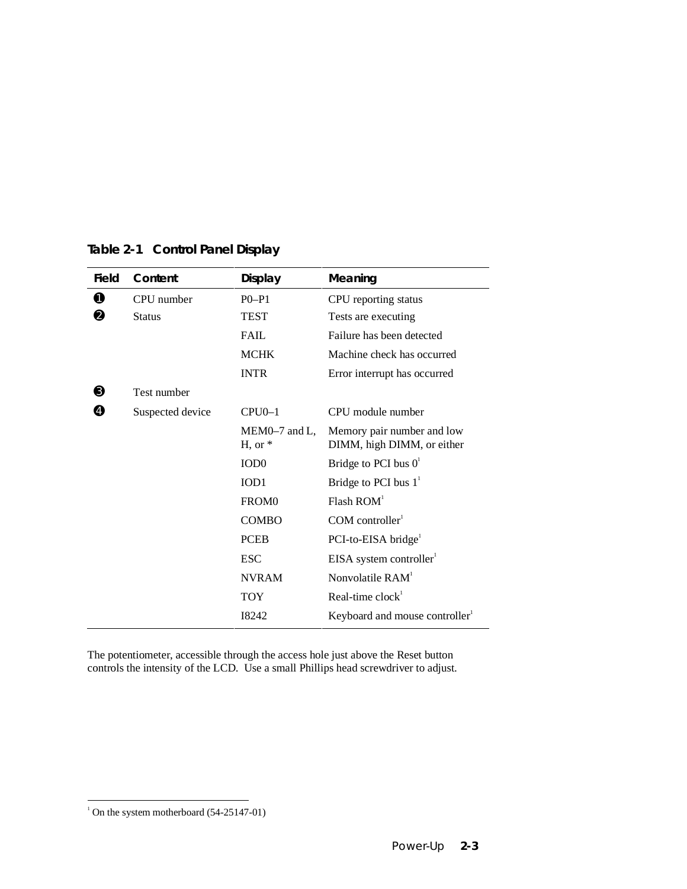| Field | Content          | <b>Display</b>               | Meaning                                                  |
|-------|------------------|------------------------------|----------------------------------------------------------|
| 0     | CPU number       | $P0-P1$                      | CPU reporting status                                     |
| ❷     | <b>Status</b>    | <b>TEST</b>                  | Tests are executing                                      |
|       |                  | <b>FAIL</b>                  | Failure has been detected                                |
|       |                  | <b>MCHK</b>                  | Machine check has occurred                               |
|       |                  | <b>INTR</b>                  | Error interrupt has occurred                             |
| ❸     | Test number      |                              |                                                          |
| Ø     | Suspected device | $CPU 0-1$                    | CPU module number                                        |
|       |                  | $MEM0-7$ and L,<br>$H, or *$ | Memory pair number and low<br>DIMM, high DIMM, or either |
|       |                  | IOD <sub>0</sub>             | Bridge to PCI bus $0^1$                                  |
|       |                  | IOD <sub>1</sub>             | Bridge to PCI bus $11$                                   |
|       |                  | FROM <sub>0</sub>            | Flash ROM <sup>1</sup>                                   |
|       |                  | <b>COMBO</b>                 | $COM$ controller <sup>1</sup>                            |
|       |                  | <b>PCEB</b>                  | PCI-to-EISA bridge <sup>1</sup>                          |
|       |                  | <b>ESC</b>                   | $EISA$ system controller <sup>1</sup>                    |
|       |                  | <b>NVRAM</b>                 | Nonvolatile $RAM1$                                       |
|       |                  | <b>TOY</b>                   | Real-time $clock1$                                       |
|       |                  | 18242                        | Keyboard and mouse controller                            |

### **Table 2-1 Control Panel Display**

The potentiometer, accessible through the access hole just above the Reset button controls the intensity of the LCD. Use a small Phillips head screwdriver to adjust.

 1 On the system motherboard (54-25147-01)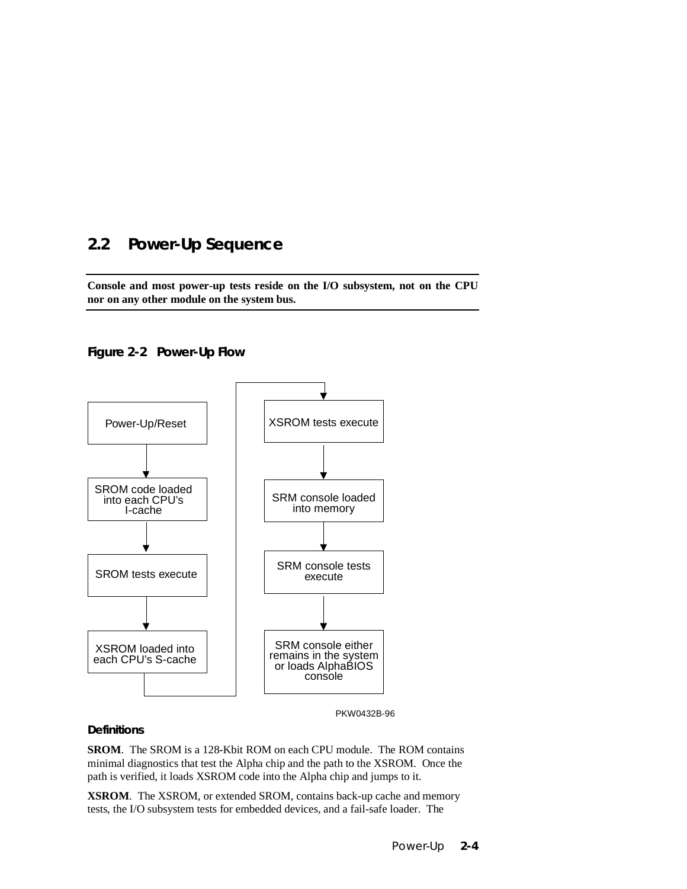# **2.2 Power-Up Sequence**

**Console and most power-up tests reside on the I/O subsystem, not on the CPU nor on any other module on the system bus.**

**Figure 2-2 Power-Up Flow**



PKW0432B-96

#### **Definitions**

**SROM**. The SROM is a 128-Kbit ROM on each CPU module. The ROM contains minimal diagnostics that test the Alpha chip and the path to the XSROM. Once the path is verified, it loads XSROM code into the Alpha chip and jumps to it.

**XSROM**. The XSROM, or extended SROM, contains back-up cache and memory tests, the I/O subsystem tests for embedded devices, and a fail-safe loader. The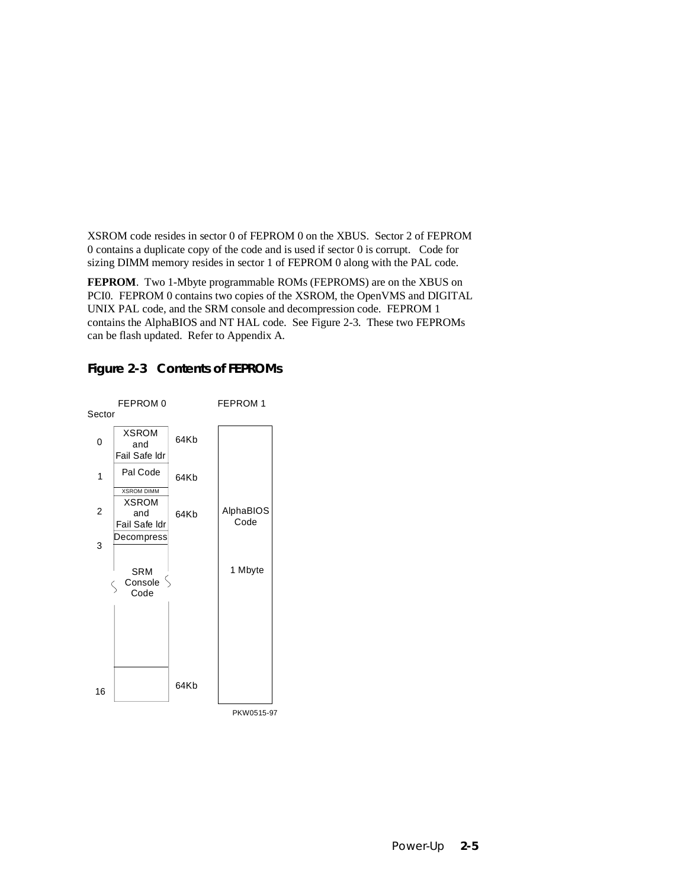XSROM code resides in sector 0 of FEPROM 0 on the XBUS. Sector 2 of FEPROM 0 contains a duplicate copy of the code and is used if sector 0 is corrupt. Code for sizing DIMM memory resides in sector 1 of FEPROM 0 along with the PAL code.

**FEPROM**. Two 1-Mbyte programmable ROMs (FEPROMS) are on the XBUS on PCI0. FEPROM 0 contains two copies of the XSROM, the OpenVMS and DIGITAL UNIX PAL code, and the SRM console and decompression code. FEPROM 1 contains the AlphaBIOS and NT HAL code. See Figure 2-3. These two FEPROMs can be flash updated. Refer to Appendix A.



### **Figure 2-3 Contents of FEPROMs**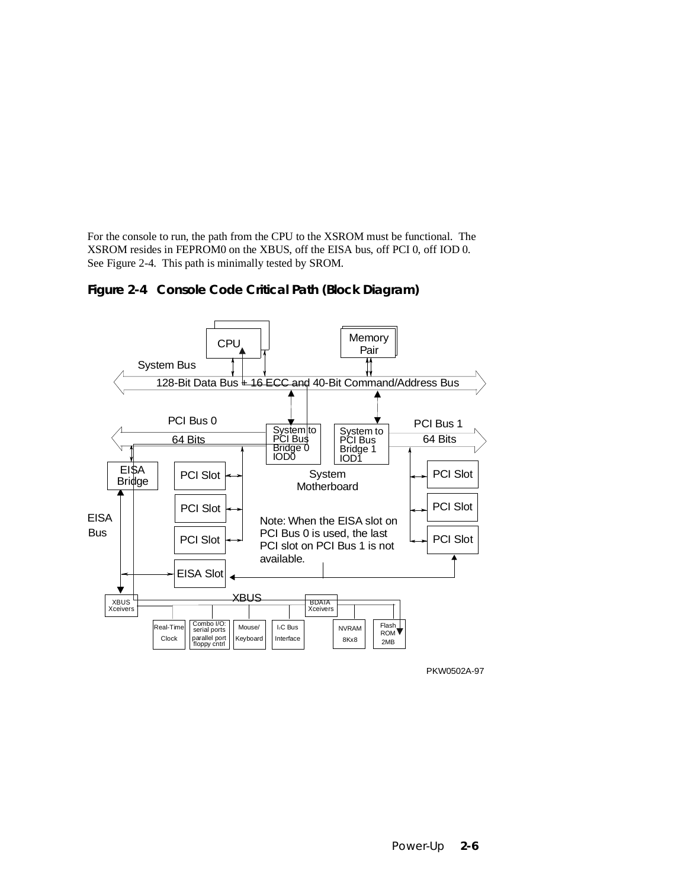For the console to run, the path from the CPU to the XSROM must be functional. The XSROM resides in FEPROM0 on the XBUS, off the EISA bus, off PCI 0, off IOD 0. See Figure 2-4. This path is minimally tested by SROM.





PKW0502A-97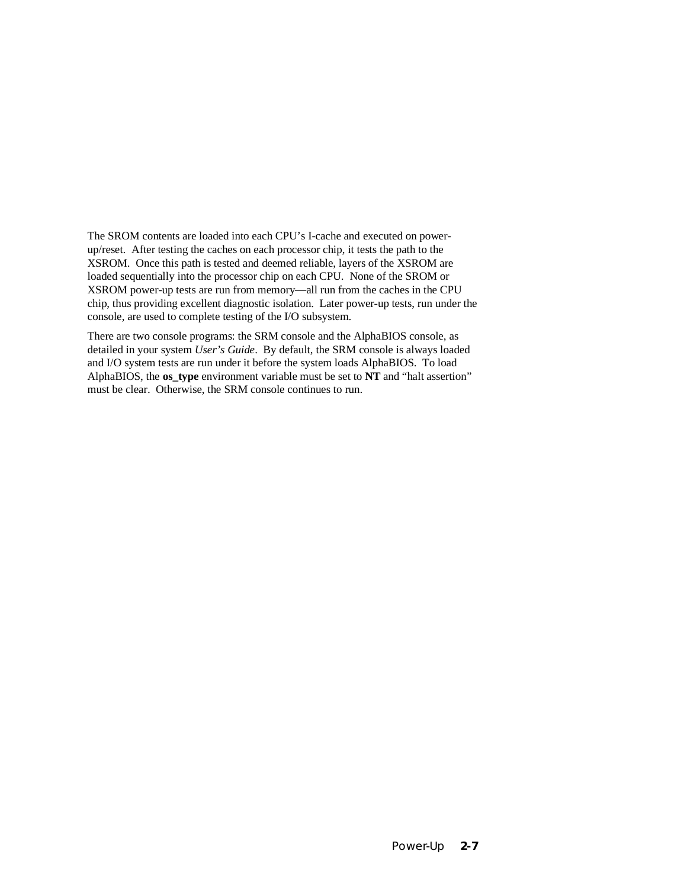The SROM contents are loaded into each CPU's I-cache and executed on powerup/reset. After testing the caches on each processor chip, it tests the path to the XSROM. Once this path is tested and deemed reliable, layers of the XSROM are loaded sequentially into the processor chip on each CPU. None of the SROM or XSROM power-up tests are run from memory—all run from the caches in the CPU chip, thus providing excellent diagnostic isolation. Later power-up tests, run under the console, are used to complete testing of the I/O subsystem.

There are two console programs: the SRM console and the AlphaBIOS console, as detailed in your system *User's Guide*. By default, the SRM console is always loaded and I/O system tests are run under it before the system loads AlphaBIOS. To load AlphaBIOS, the **os\_type** environment variable must be set to **NT** and "halt assertion" must be clear. Otherwise, the SRM console continues to run.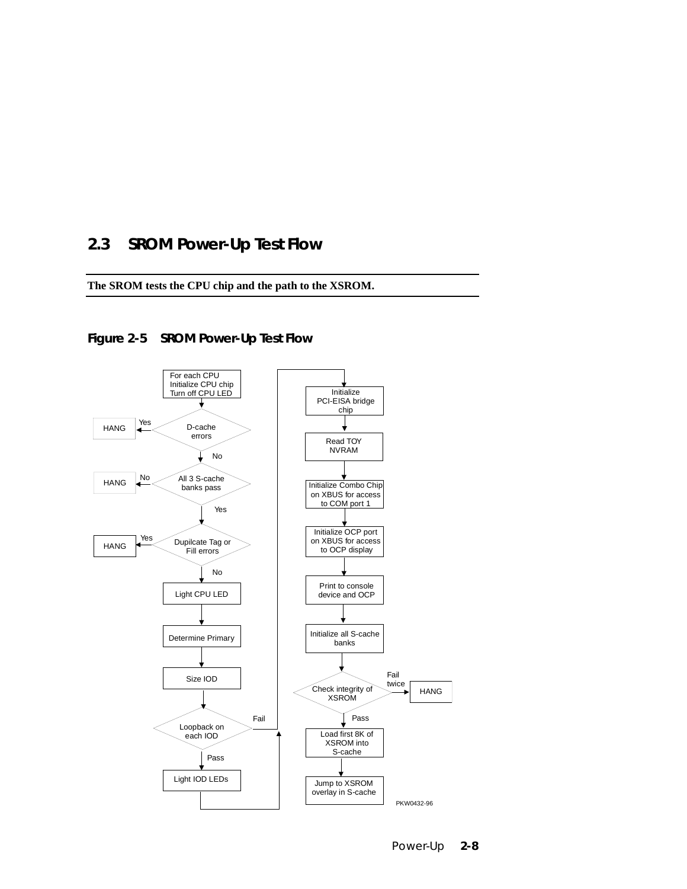### **2.3 SROM Power-Up Test Flow**

**The SROM tests the CPU chip and the path to the XSROM.**





Power-Up **2-8**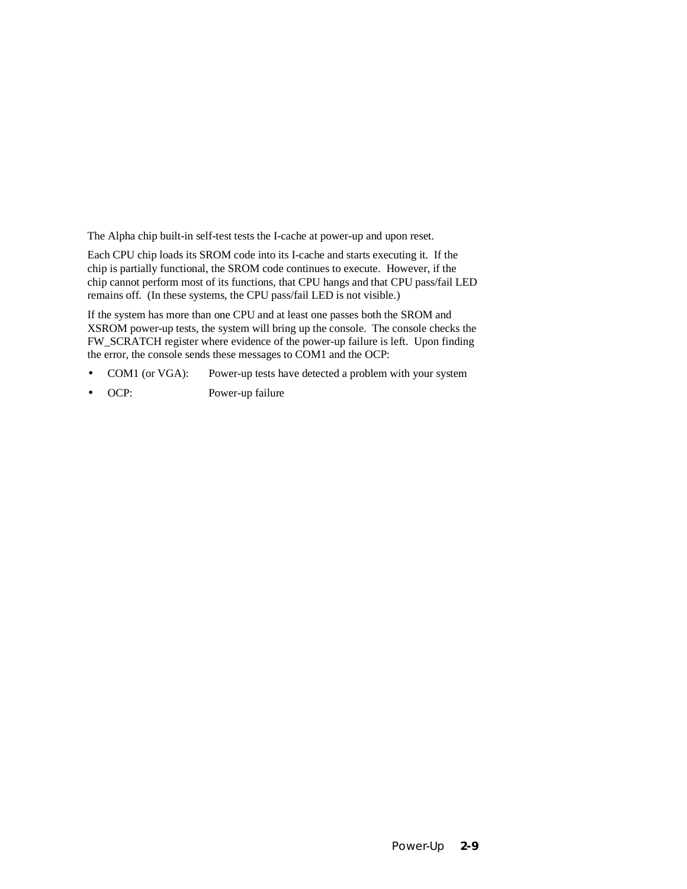The Alpha chip built-in self-test tests the I-cache at power-up and upon reset.

Each CPU chip loads its SROM code into its I-cache and starts executing it. If the chip is partially functional, the SROM code continues to execute. However, if the chip cannot perform most of its functions, that CPU hangs and that CPU pass/fail LED remains off. (In these systems, the CPU pass/fail LED is not visible.)

If the system has more than one CPU and at least one passes both the SROM and XSROM power-up tests, the system will bring up the console. The console checks the FW\_SCRATCH register where evidence of the power-up failure is left. Upon finding the error, the console sends these messages to COM1 and the OCP:

- COM1 (or VGA): Power-up tests have detected a problem with your system
- OCP: Power-up failure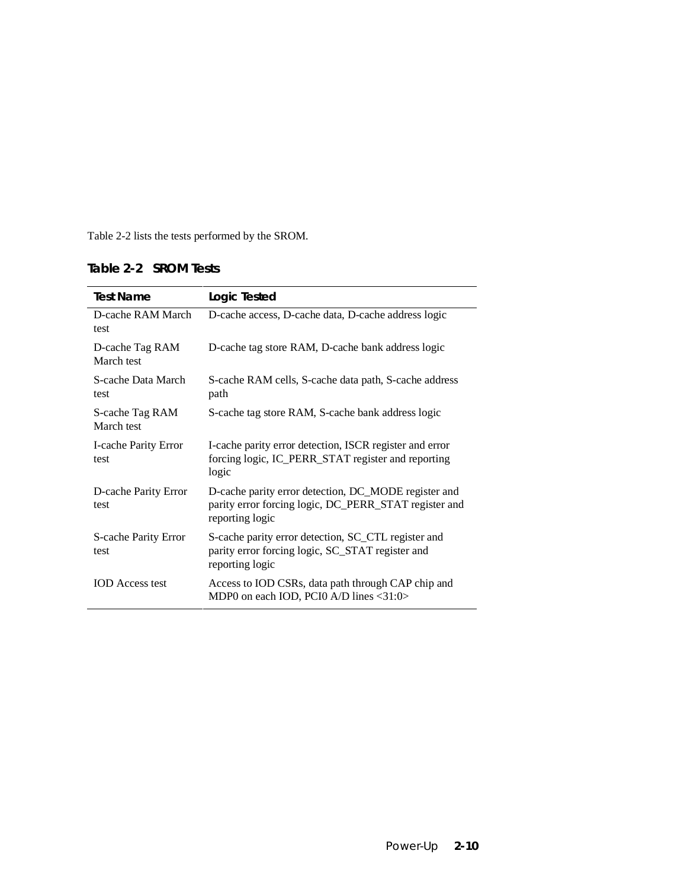Table 2-2 lists the tests performed by the SROM.

| Table 2-2 SROM Tests |  |  |
|----------------------|--|--|
|----------------------|--|--|

| Logic Tested                                                                                                                     |
|----------------------------------------------------------------------------------------------------------------------------------|
| D-cache access, D-cache data, D-cache address logic                                                                              |
| D-cache tag store RAM, D-cache bank address logic                                                                                |
| S-cache RAM cells, S-cache data path, S-cache address<br>path                                                                    |
| S-cache tag store RAM, S-cache bank address logic                                                                                |
| I-cache parity error detection, ISCR register and error<br>forcing logic, IC_PERR_STAT register and reporting<br>logic           |
| D-cache parity error detection, DC_MODE register and<br>parity error forcing logic, DC_PERR_STAT register and<br>reporting logic |
| S-cache parity error detection, SC_CTL register and<br>parity error forcing logic, SC_STAT register and<br>reporting logic       |
| Access to IOD CSRs, data path through CAP chip and<br>MDP0 on each IOD, PCI0 A/D lines <31:0>                                    |
|                                                                                                                                  |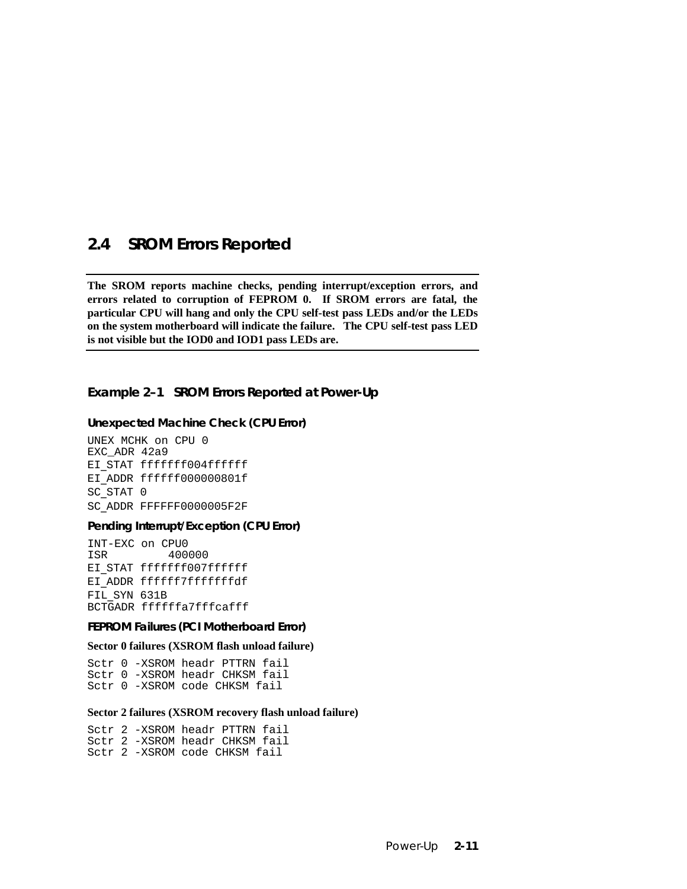### **2.4 SROM Errors Reported**

**The SROM reports machine checks, pending interrupt/exception errors, and errors related to corruption of FEPROM 0. If SROM errors are fatal, the particular CPU will hang and only the CPU self-test pass LEDs and/or the LEDs on the system motherboard will indicate the failure. The CPU self-test pass LED is not visible but the IOD0 and IOD1 pass LEDs are.**

**Example 2–1 SROM Errors Reported at Power-Up**

#### **Unexpected Machine Check (CPU Error)**

UNEX MCHK on CPU 0 EXC\_ADR 42a9 EI STAT fffffff004ffffff EI ADDR ffffff000000801f SC\_STAT 0 SC\_ADDR FFFFFF0000005F2F

#### **Pending Interrupt/Exception (CPU Error)**

INT-EXC on CPU0 400000 EI STAT fffffff007ffffff EI ADDR ffffffffffffffdf FIL SYN 631B BCTGADR ffffffa7fffcafff

**FEPROM Failures (PCI Motherboard Error)**

#### **Sector 0 failures (XSROM flash unload failure)**

Sctr 0 -XSROM headr PTTRN fail Sctr 0 -XSROM headr CHKSM fail Sctr 0 -XSROM code CHKSM fail

#### **Sector 2 failures (XSROM recovery flash unload failure)**

Sctr 2 -XSROM headr PTTRN fail Sctr 2 -XSROM headr CHKSM fail Sctr 2 -XSROM code CHKSM fail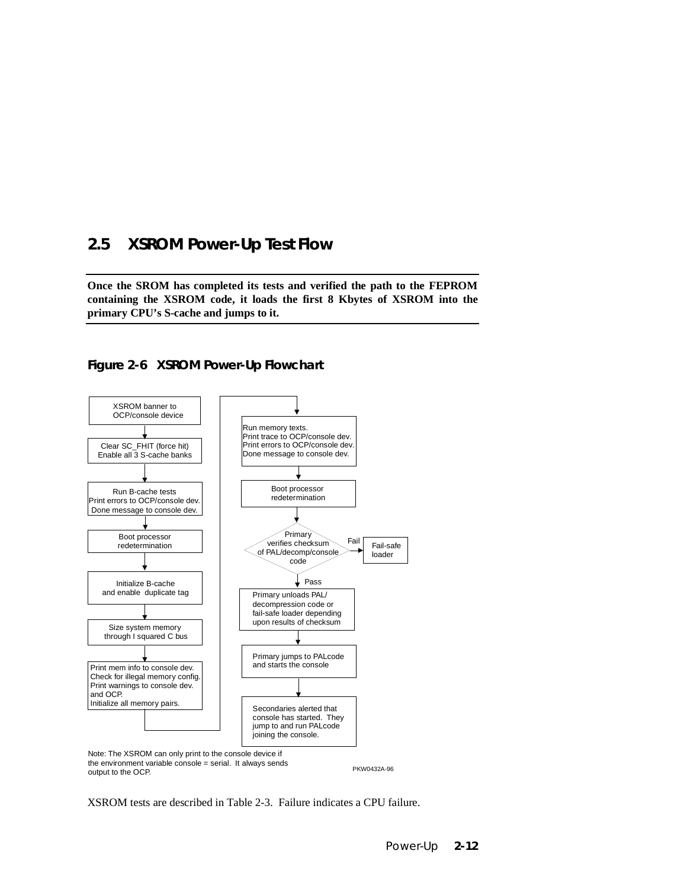### **2.5 XSROM Power-Up Test Flow**

**Once the SROM has completed its tests and verified the path to the FEPROM containing the XSROM code, it loads the first 8 Kbytes of XSROM into the primary CPU's S-cache and jumps to it.**

### **Figure 2-6 XSROM Power-Up Flowchart**



XSROM tests are described in Table 2-3. Failure indicates a CPU failure.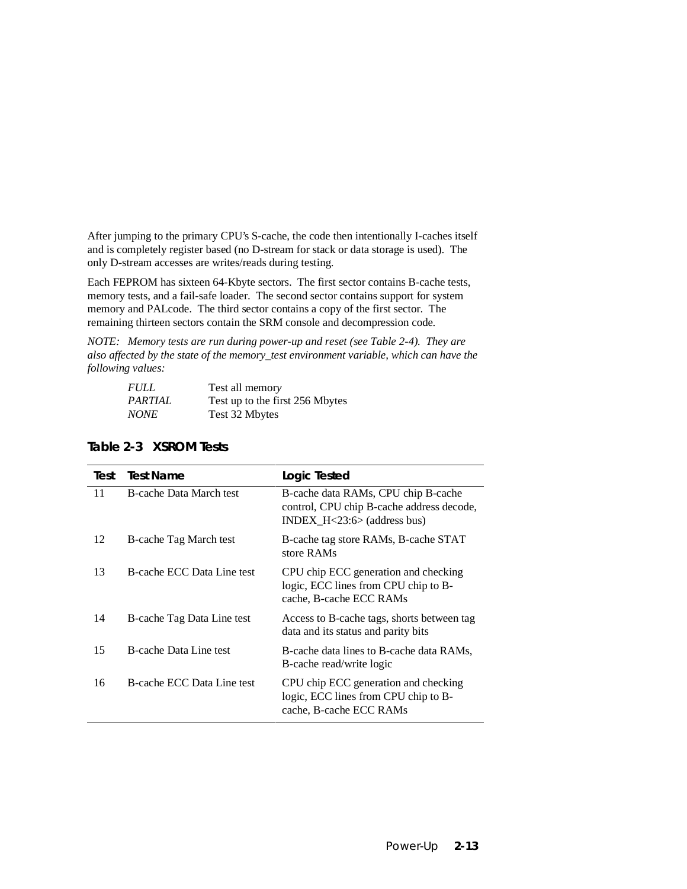After jumping to the primary CPU's S-cache, the code then intentionally I-caches itself and is completely register based (no D-stream for stack or data storage is used). The only D-stream accesses are writes/reads during testing.

Each FEPROM has sixteen 64-Kbyte sectors. The first sector contains B-cache tests, memory tests, and a fail-safe loader. The second sector contains support for system memory and PALcode. The third sector contains a copy of the first sector. The remaining thirteen sectors contain the SRM console and decompression code.

*NOTE: Memory tests are run during power-up and reset (see Table 2-4). They are also affected by the state of the memory\_test environment variable, which can have the following values:*

| <b>FULL</b>    | Test all memory                 |
|----------------|---------------------------------|
| <i>PARTIAL</i> | Test up to the first 256 Mbytes |
| <i>NONE</i>    | Test 32 Mbytes                  |

| Test | <b>Test Name</b>           | <b>Logic Tested</b>                                                                                                  |
|------|----------------------------|----------------------------------------------------------------------------------------------------------------------|
| 11   | B-cache Data March test    | B-cache data RAMs, CPU chip B-cache<br>control, CPU chip B-cache address decode,<br>$INDEX_H < 23:6 > (address bus)$ |
| 12   | B-cache Tag March test     | B-cache tag store RAMs, B-cache STAT<br>store RAMs                                                                   |
| 13   | B-cache ECC Data Line test | CPU chip ECC generation and checking<br>logic, ECC lines from CPU chip to B-<br>cache, B-cache ECC RAMs              |
| 14   | B-cache Tag Data Line test | Access to B-cache tags, shorts between tag<br>data and its status and parity bits                                    |
| 15   | B-cache Data Line test     | B-cache data lines to B-cache data RAMs,<br>B-cache read/write logic                                                 |
| 16   | B-cache ECC Data Line test | CPU chip ECC generation and checking<br>logic, ECC lines from CPU chip to B-<br>cache, B-cache ECC RAMs              |

#### **Table 2-3 XSROM Tests**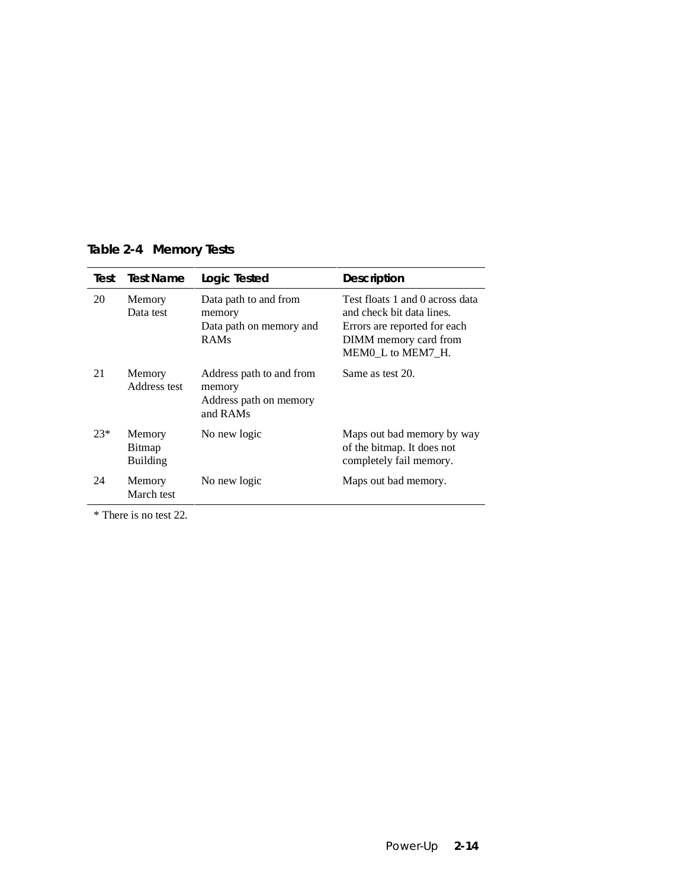| Test | <b>Test Name</b>       | Logic Tested                                                              | <b>Description</b>                                                                                                                       |
|------|------------------------|---------------------------------------------------------------------------|------------------------------------------------------------------------------------------------------------------------------------------|
| 20   | Memory<br>Data test    | Data path to and from<br>memory<br>Data path on memory and<br><b>RAMs</b> | Test floats 1 and 0 across da<br>and check bit data lines.<br>Errors are reported for each<br>DIMM memory card from<br>MEM0 L to MEM7 H. |
| 21   | Memory<br>Address test | Address path to and from<br>memory<br>Address path on memory              | Same as test 20.                                                                                                                         |

**Table 2-4 Memory Tests**

and RAMs 23\* Memory Bitmap Building No new logic Maps out bad memory by way of the bitmap. It does not completely fail memory. 24 Memory March test No new logic Maps out bad memory.

\* There is no test 22.

and 0 across data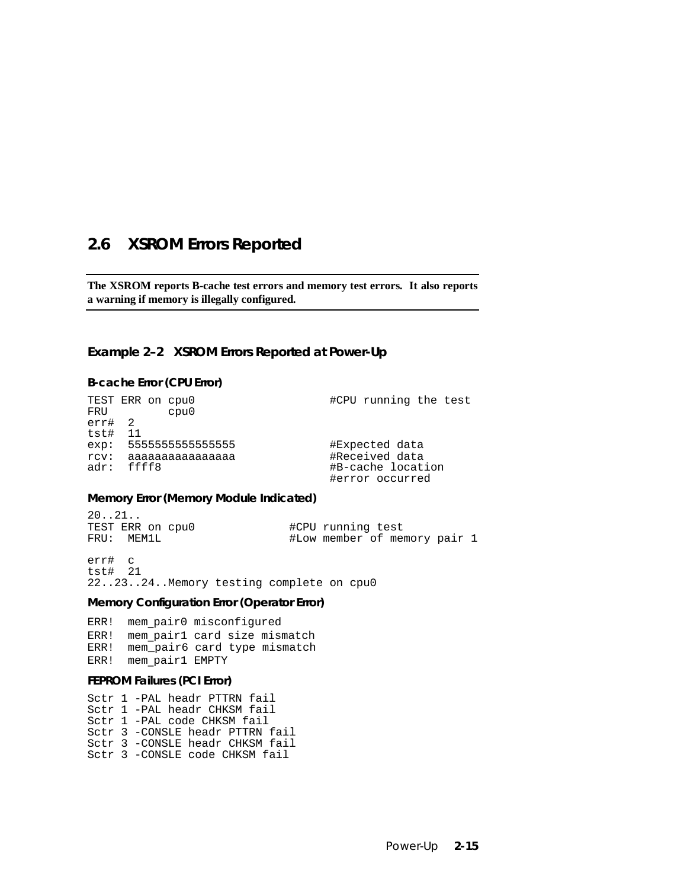### **2.6 XSROM Errors Reported**

**The XSROM reports B-cache test errors and memory test errors. It also reports a warning if memory is illegally configured.**

#### **Example 2–2 XSROM Errors Reported at Power-Up**

#### **B-cache Error (CPU Error)**

TEST ERR on cpu0  $\text{HCPU running the test}$ FRU cpu0 err# 2 tst# 11 exp: 5555555555555555 #Expected data rcv: aaaaaaaaaaaaaaaa #Received data adr: ffff8 #B-cache location #error occurred

#### **Memory Error (Memory Module Indicated)**

20..21.. TEST ERR on cpu0  $\text{HCP}$  #CPU running test<br>FRU: MEM1L #Low member of me #Low member of memory pair 1

err# c tst# 21 22..23..24..Memory testing complete on cpu0

#### **Memory Configuration Error (Operator Error)**

ERR! mem\_pair0 misconfigured ERR! mem pair1 card size mismatch ERR! mem\_pair6 card type mismatch ERR! mem\_pair1 EMPTY

#### **FEPROM Failures (PCI Error)**

Sctr 1 -PAL headr PTTRN fail Sctr 1 -PAL headr CHKSM fail Sctr 1 -PAL code CHKSM fail Sctr 3 -CONSLE headr PTTRN fail Sctr 3 -CONSLE headr CHKSM fail Sctr 3 -CONSLE code CHKSM fail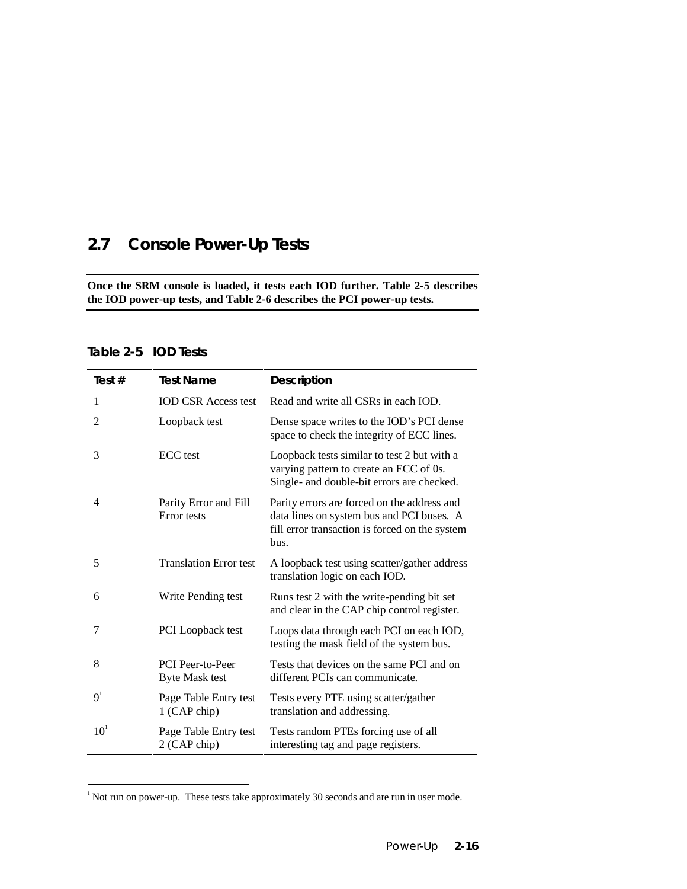# **2.7 Console Power-Up Tests**

**Once the SRM console is loaded, it tests each IOD further. Table 2-5 describes the IOD power-up tests, and Table 2-6 describes the PCI power-up tests.**

#### **Table 2-5 IOD Tests**

-

| Test #          | <b>Test Name</b>                          | <b>Description</b>                                                                                                                                 |
|-----------------|-------------------------------------------|----------------------------------------------------------------------------------------------------------------------------------------------------|
| 1               | <b>IOD CSR Access test</b>                | Read and write all CSRs in each IOD.                                                                                                               |
| 2               | Loopback test                             | Dense space writes to the IOD's PCI dense<br>space to check the integrity of ECC lines.                                                            |
| 3               | <b>ECC</b> test                           | Loopback tests similar to test 2 but with a<br>varying pattern to create an ECC of 0s.<br>Single- and double-bit errors are checked.               |
| 4               | Parity Error and Fill<br>Error tests      | Parity errors are forced on the address and<br>data lines on system bus and PCI buses. A<br>fill error transaction is forced on the system<br>bus. |
| 5               | <b>Translation Error test</b>             | A loopback test using scatter/gather address<br>translation logic on each IOD.                                                                     |
| 6               | Write Pending test                        | Runs test 2 with the write-pending bit set<br>and clear in the CAP chip control register.                                                          |
| 7               | <b>PCI</b> Loopback test                  | Loops data through each PCI on each IOD,<br>testing the mask field of the system bus.                                                              |
| 8               | PCI Peer-to-Peer<br><b>Byte Mask test</b> | Tests that devices on the same PCI and on<br>different PCIs can communicate.                                                                       |
| 9 <sup>1</sup>  | Page Table Entry test<br>1 (CAP chip)     | Tests every PTE using scatter/gather<br>translation and addressing.                                                                                |
| 10 <sup>1</sup> | Page Table Entry test<br>2 (CAP chip)     | Tests random PTEs forcing use of all<br>interesting tag and page registers.                                                                        |

 $1$  Not run on power-up. These tests take approximately 30 seconds and are run in user mode.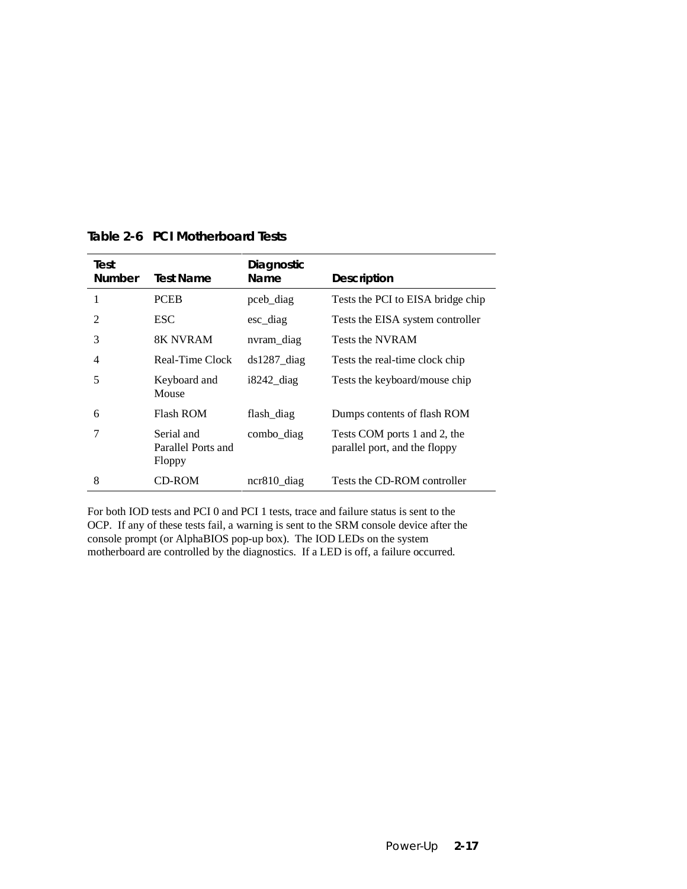| Test<br><b>Number</b> | Test Name                                  | Diagnostic<br><b>Name</b> | <b>Description</b>                                            |
|-----------------------|--------------------------------------------|---------------------------|---------------------------------------------------------------|
|                       | <b>PCEB</b>                                | pceb_diag                 | Tests the PCI to EISA bridge chip                             |
| $\mathfrak{D}$        | <b>ESC</b>                                 | $\text{esc\_diag}$        | Tests the EISA system controller                              |
| 3                     | 8K NVRAM                                   | nvram_diag                | Tests the NVRAM                                               |
| 4                     | Real-Time Clock                            | $ds1287$ _diag            | Tests the real-time clock chip                                |
| 5                     | Keyboard and<br>Mouse                      | $i8242$ diag              | Tests the keyboard/mouse chip                                 |
| 6                     | <b>Flash ROM</b>                           | flash_diag                | Dumps contents of flash ROM                                   |
| 7                     | Serial and<br>Parallel Ports and<br>Floppy | combo_diag                | Tests COM ports 1 and 2, the<br>parallel port, and the floppy |
| 8                     | CD-ROM                                     | $ncr810$ _diag            | Tests the CD-ROM controller                                   |

**Table 2-6 PCI Motherboard Tests**

For both IOD tests and PCI 0 and PCI 1 tests, trace and failure status is sent to the OCP. If any of these tests fail, a warning is sent to the SRM console device after the console prompt (or AlphaBIOS pop-up box). The IOD LEDs on the system motherboard are controlled by the diagnostics. If a LED is off, a failure occurred.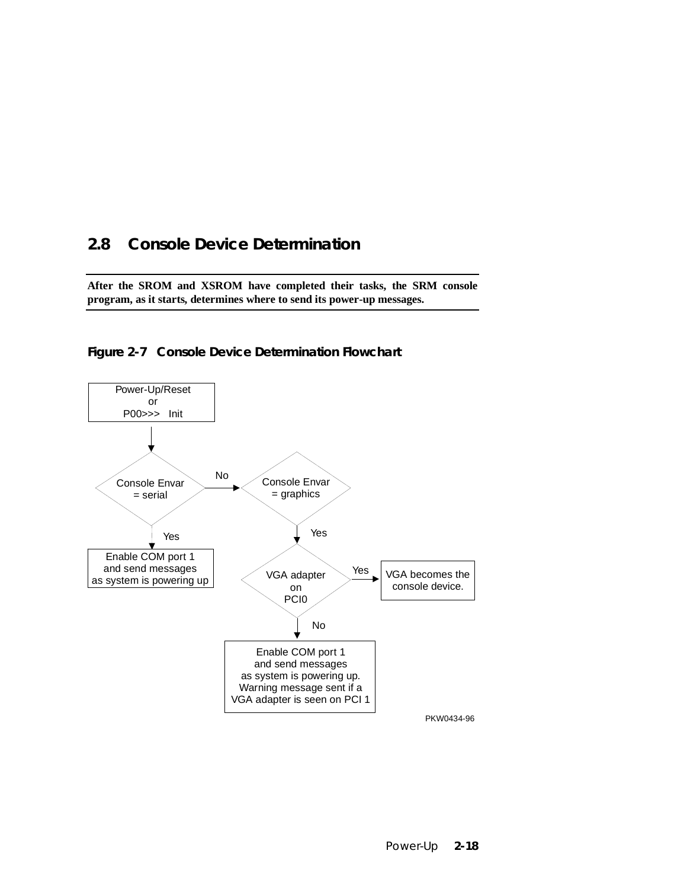# **2.8 Console Device Determination**

**After the SROM and XSROM have completed their tasks, the SRM console program, as it starts, determines where to send its power-up messages.**



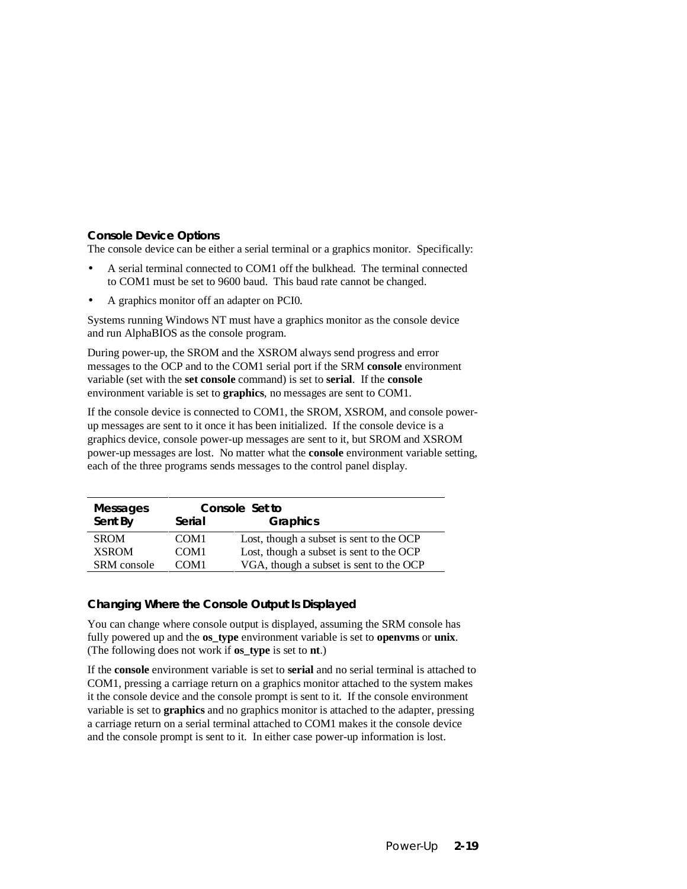#### **Console Device Options**

The console device can be either a serial terminal or a graphics monitor. Specifically:

- A serial terminal connected to COM1 off the bulkhead. The terminal connected to COM1 must be set to 9600 baud. This baud rate cannot be changed.
- A graphics monitor off an adapter on PCI0.

Systems running Windows NT must have a graphics monitor as the console device and run AlphaBIOS as the console program.

During power-up, the SROM and the XSROM always send progress and error messages to the OCP and to the COM1 serial port if the SRM **console** environment variable (set with the **set console** command) is set to **serial**. If the **console** environment variable is set to **graphics**, no messages are sent to COM1.

If the console device is connected to COM1, the SROM, XSROM, and console powerup messages are sent to it once it has been initialized. If the console device is a graphics device, console power-up messages are sent to it, but SROM and XSROM power-up messages are lost. No matter what the **console** environment variable setting, each of the three programs sends messages to the control panel display.

| <b>Messages</b> | Console Set to   |                                          |
|-----------------|------------------|------------------------------------------|
| Sent By         | Serial           | Graphics                                 |
| <b>SROM</b>     | COM <sub>1</sub> | Lost, though a subset is sent to the OCP |
| <b>XSROM</b>    | COM <sub>1</sub> | Lost, though a subset is sent to the OCP |
| SRM console     | COM <sub>1</sub> | VGA, though a subset is sent to the OCP  |

#### **Changing Where the Console Output Is Displayed**

You can change where console output is displayed, assuming the SRM console has fully powered up and the **os\_type** environment variable is set to **openvms** or **unix**. (The following does not work if **os\_type** is set to **nt**.)

If the **console** environment variable is set to **serial** and no serial terminal is attached to COM1, pressing a carriage return on a graphics monitor attached to the system makes it the console device and the console prompt is sent to it. If the console environment variable is set to **graphics** and no graphics monitor is attached to the adapter, pressing a carriage return on a serial terminal attached to COM1 makes it the console device and the console prompt is sent to it. In either case power-up information is lost.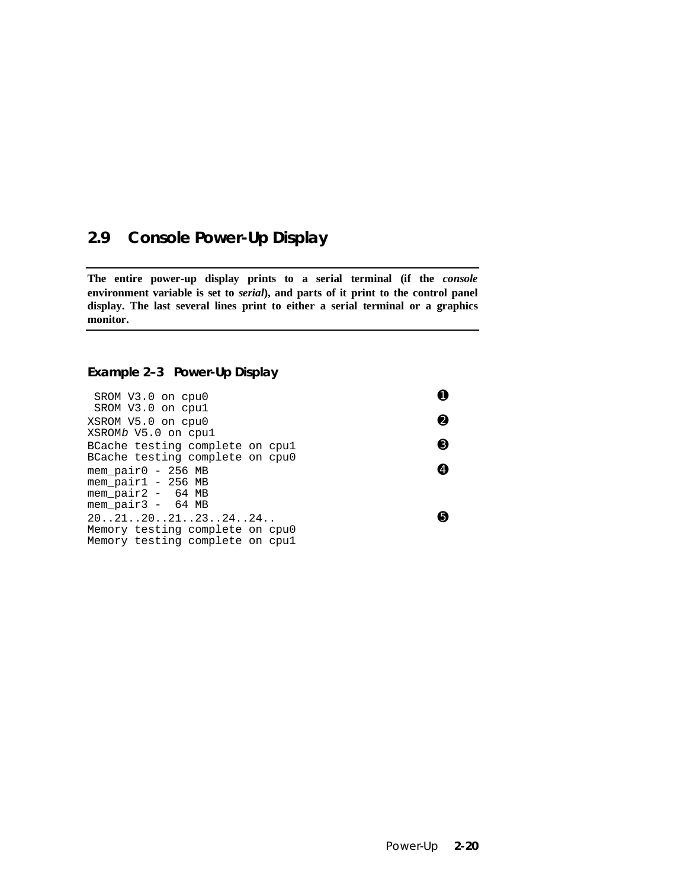# **2.9 Console Power-Up Display**

**The entire power-up display prints to a serial terminal (if the** *console* **environment variable is set to** *serial***), and parts of it print to the control panel display. The last several lines print to either a serial terminal or a graphics monitor.**

### **Example 2–3 Power-Up Display**

| SROM V3.0 on cpu0<br>SROM V3.0 on cpul                                               |   |
|--------------------------------------------------------------------------------------|---|
| XSROM V5.0 on cpu0<br>XSROMb V5.0 on cpul                                            | Ø |
| BCache testing complete on cpul<br>BCache testing complete on cpu0                   | ❸ |
| mem pair0 - 256 MB<br>mem_pair1 - 256 MB<br>mem_pair2 - 64 MB<br>mem pair3 - 64 MB   |   |
| 20212021232424<br>Memory testing complete on cpu0<br>Memory testing complete on cpul |   |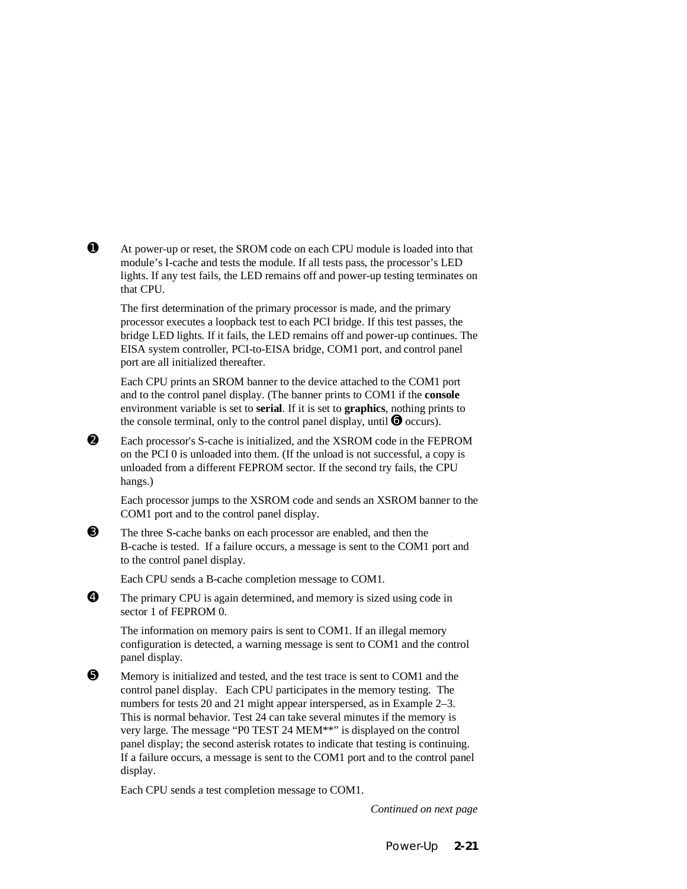➊ At power-up or reset, the SROM code on each CPU module is loaded into that module's I-cache and tests the module. If all tests pass, the processor's LED lights. If any test fails, the LED remains off and power-up testing terminates on that CPU.

The first determination of the primary processor is made, and the primary processor executes a loopback test to each PCI bridge. If this test passes, the bridge LED lights. If it fails, the LED remains off and power-up continues. The EISA system controller, PCI-to-EISA bridge, COM1 port, and control panel port are all initialized thereafter.

Each CPU prints an SROM banner to the device attached to the COM1 port and to the control panel display. (The banner prints to COM1 if the **console** environment variable is set to **serial**. If it is set to **graphics**, nothing prints to the console terminal, only to the control panel display, until  $\bullet$  occurs).

➋ Each processor's S-cache is initialized, and the XSROM code in the FEPROM on the PCI 0 is unloaded into them. (If the unload is not successful, a copy is unloaded from a different FEPROM sector. If the second try fails, the CPU hangs.)

Each processor jumps to the XSROM code and sends an XSROM banner to the COM1 port and to the control panel display.

➌ The three S-cache banks on each processor are enabled, and then the B-cache is tested. If a failure occurs, a message is sent to the COM1 port and to the control panel display.

Each CPU sends a B-cache completion message to COM1.

➍ The primary CPU is again determined, and memory is sized using code in sector 1 of FEPROM 0.

The information on memory pairs is sent to COM1. If an illegal memory configuration is detected, a warning message is sent to COM1 and the control panel display.

 $\Theta$  Memory is initialized and tested, and the test trace is sent to COM1 and the control panel display. Each CPU participates in the memory testing. The numbers for tests 20 and 21 might appear interspersed, as in Example 2–3. This is normal behavior. Test 24 can take several minutes if the memory is very large. The message "P0 TEST 24 MEM\*\*" is displayed on the control panel display; the second asterisk rotates to indicate that testing is continuing. If a failure occurs, a message is sent to the COM1 port and to the control panel display.

Each CPU sends a test completion message to COM1.

*Continued on next page*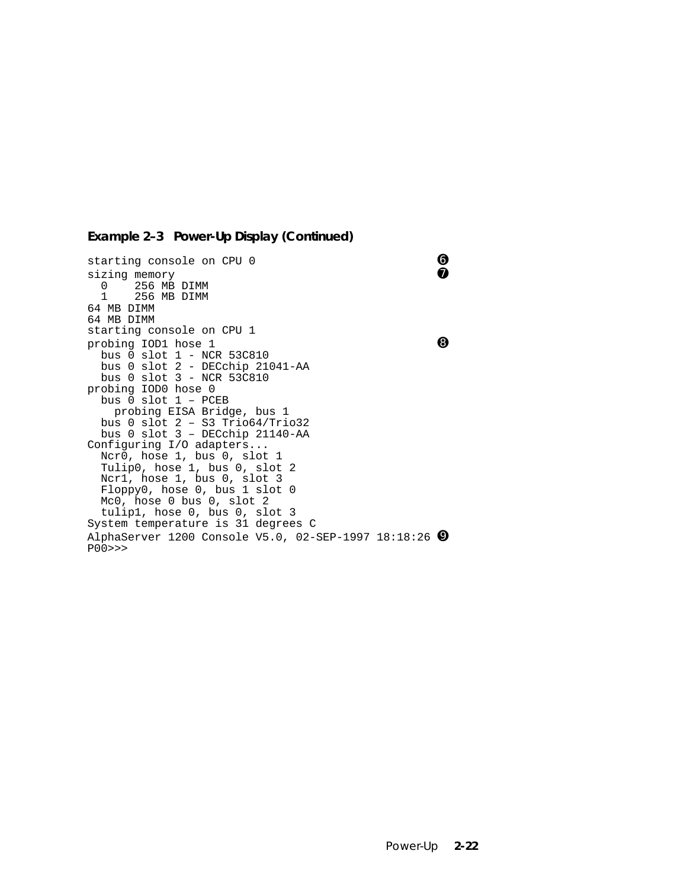#### **Example 2–3 Power-Up Display (Continued)**

starting console on CPU 0 ➏ sizing memory 0 256 MB DIMM<br>1 256 MB DIMM 256 MB DIMM 64 MB DIMM 64 MB DIMM starting console on CPU 1 probing IOD1 hose 1 ➑ bus 0 slot 1 - NCR 53C810 bus 0 slot 2 - DECchip 21041-AA bus 0 slot 3 - NCR 53C810 probing IOD0 hose 0 bus 0 slot 1 – PCEB probing EISA Bridge, bus 1 bus 0 slot 2 – S3 Trio64/Trio32 bus 0 slot 3 – DECchip 21140-AA Configuring I/O adapters... Ncr0, hose 1, bus 0, slot 1 Tulip0, hose 1, bus 0, slot 2 Ncr1, hose 1, bus 0, slot 3 Floppy0, hose 0, bus 1 slot 0 Mc0, hose 0 bus 0, slot 2 tulip1, hose 0, bus 0, slot 3 System temperature is 31 degrees C AlphaServer 1200 Console V5.0, 02-SEP-1997 18:18:26 ➒ P00>>>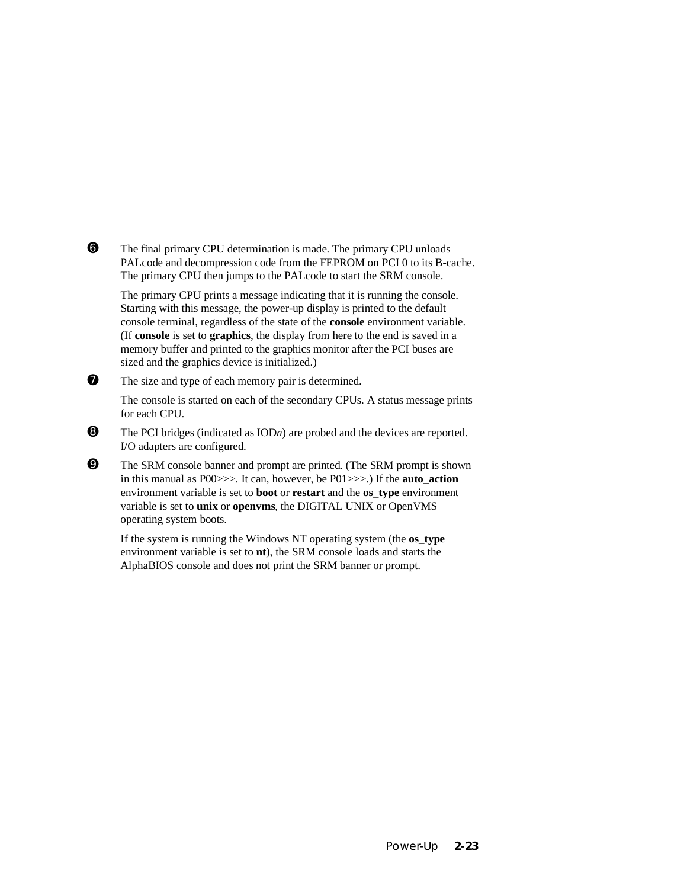➏ The final primary CPU determination is made. The primary CPU unloads PALcode and decompression code from the FEPROM on PCI 0 to its B-cache. The primary CPU then jumps to the PALcode to start the SRM console.

The primary CPU prints a message indicating that it is running the console. Starting with this message, the power-up display is printed to the default console terminal, regardless of the state of the **console** environment variable. (If **console** is set to **graphics**, the display from here to the end is saved in a memory buffer and printed to the graphics monitor after the PCI buses are sized and the graphics device is initialized.)

 $\bullet$  The size and type of each memory pair is determined.

The console is started on each of the secondary CPUs. A status message prints for each CPU.

- $\bullet$  The PCI bridges (indicated as IOD*n*) are probed and the devices are reported. I/O adapters are configured.
- ➒ The SRM console banner and prompt are printed. (The SRM prompt is shown in this manual as P00>>>. It can, however, be P01>>>.) If the **auto\_action** environment variable is set to **boot** or **restart** and the **os\_type** environment variable is set to **unix** or **openvms**, the DIGITAL UNIX or OpenVMS operating system boots.

If the system is running the Windows NT operating system (the **os\_type** environment variable is set to **nt**), the SRM console loads and starts the AlphaBIOS console and does not print the SRM banner or prompt.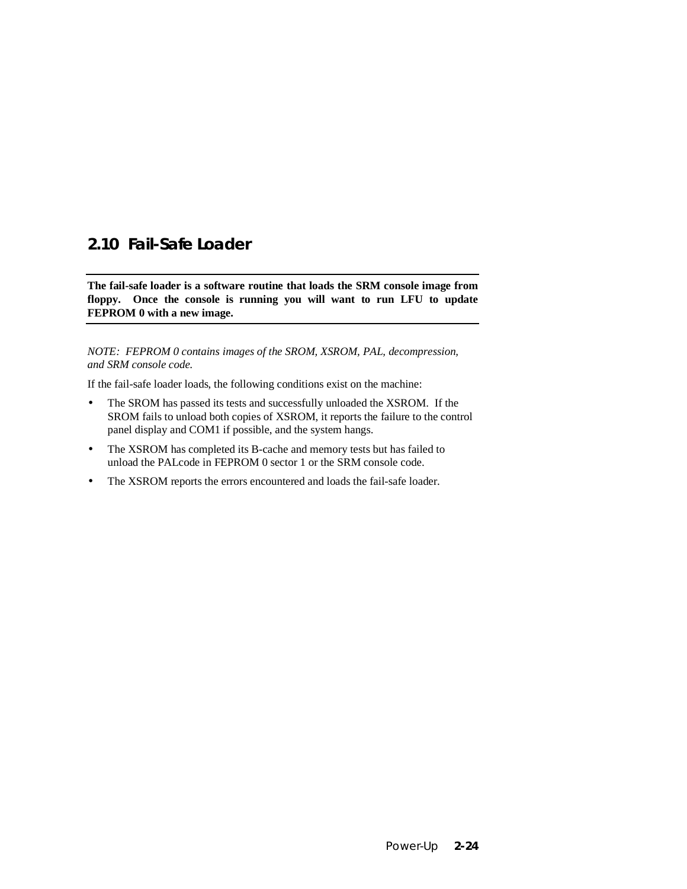# **2.10 Fail-Safe Loader**

**The fail-safe loader is a software routine that loads the SRM console image from floppy. Once the console is running you will want to run LFU to update FEPROM 0 with a new image.**

*NOTE: FEPROM 0 contains images of the SROM, XSROM, PAL, decompression, and SRM console code.*

If the fail-safe loader loads, the following conditions exist on the machine:

- The SROM has passed its tests and successfully unloaded the XSROM. If the SROM fails to unload both copies of XSROM, it reports the failure to the control panel display and COM1 if possible, and the system hangs.
- The XSROM has completed its B-cache and memory tests but has failed to unload the PALcode in FEPROM 0 sector 1 or the SRM console code.
- The XSROM reports the errors encountered and loads the fail-safe loader.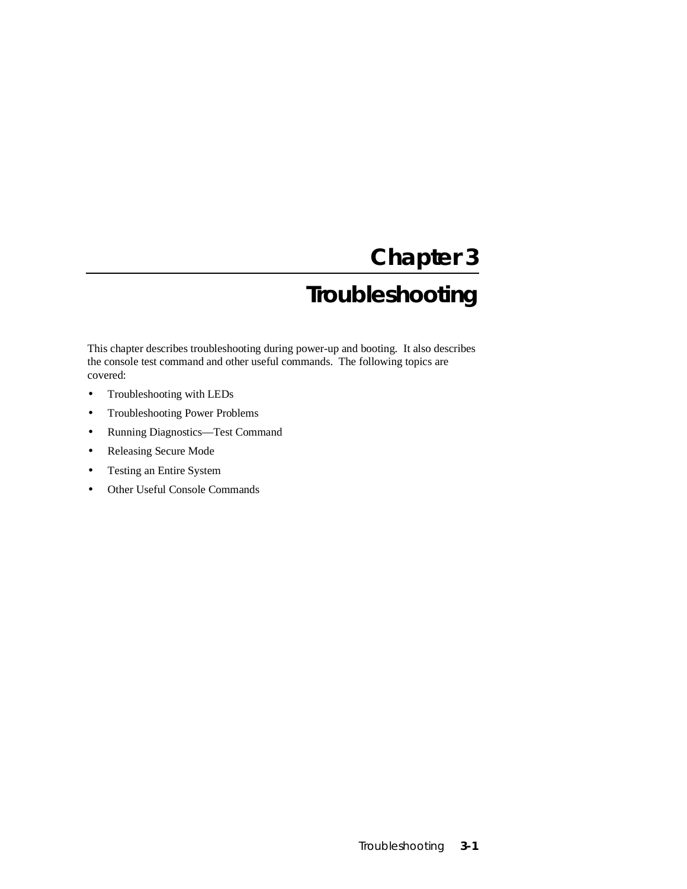# **Chapter 3**

# **Troubleshooting**

This chapter describes troubleshooting during power-up and booting. It also describes the console test command and other useful commands. The following topics are covered:

- Troubleshooting with LEDs
- Troubleshooting Power Problems
- Running Diagnostics—Test Command
- Releasing Secure Mode
- Testing an Entire System
- Other Useful Console Commands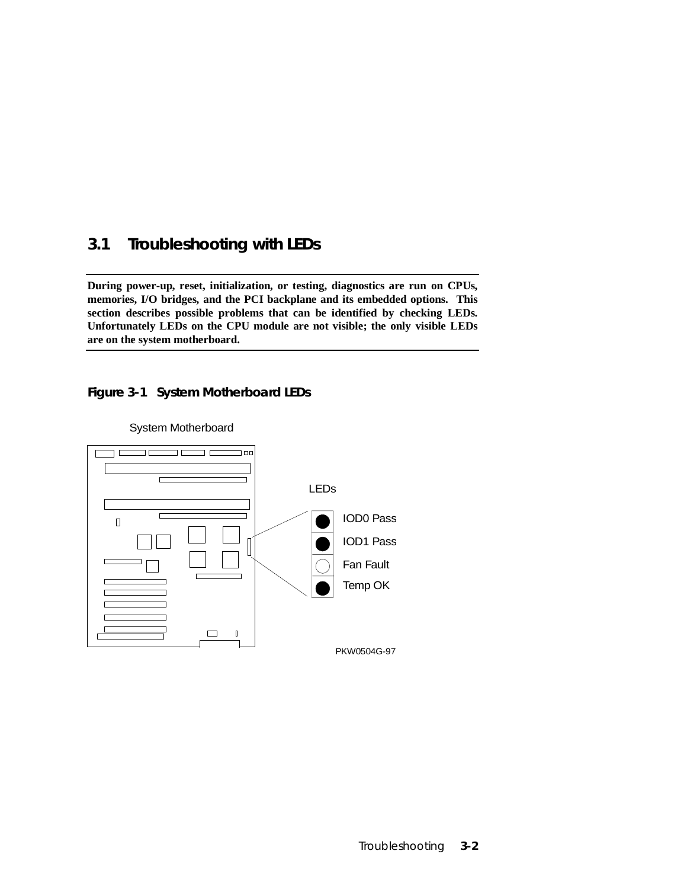# **3.1 Troubleshooting with LEDs**

**During power-up, reset, initialization, or testing, diagnostics are run on CPUs, memories, I/O bridges, and the PCI backplane and its embedded options. This section describes possible problems that can be identified by checking LEDs. Unfortunately LEDs on the CPU module are not visible; the only visible LEDs are on the system motherboard.**

### **Figure 3-1 System Motherboard LEDs**



System Motherboard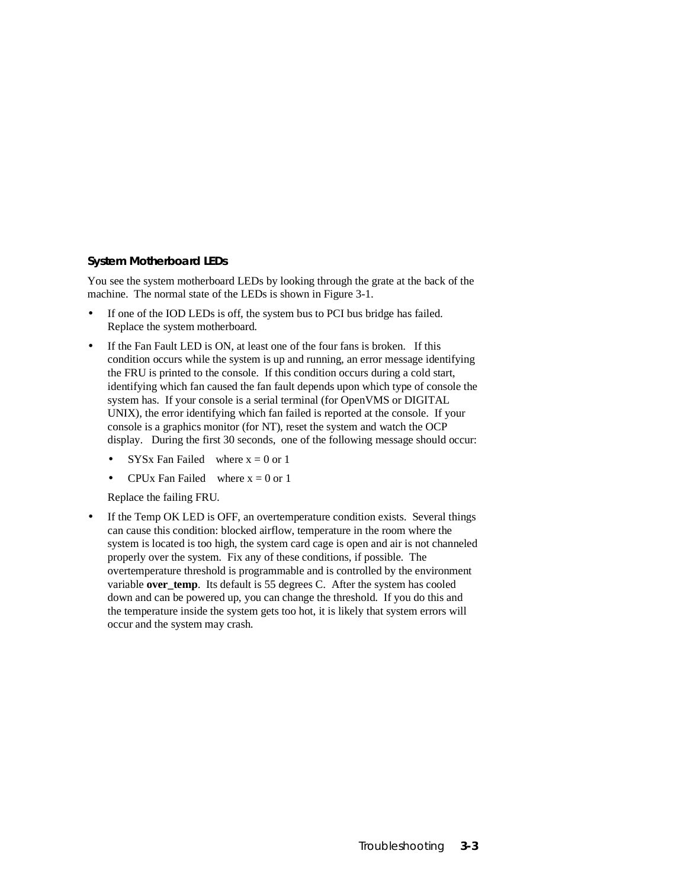#### **System Motherboard LEDs**

You see the system motherboard LEDs by looking through the grate at the back of the machine. The normal state of the LEDs is shown in Figure 3-1.

- If one of the IOD LEDs is off, the system bus to PCI bus bridge has failed. Replace the system motherboard.
- If the Fan Fault LED is ON, at least one of the four fans is broken. If this condition occurs while the system is up and running, an error message identifying the FRU is printed to the console. If this condition occurs during a cold start, identifying which fan caused the fan fault depends upon which type of console the system has. If your console is a serial terminal (for OpenVMS or DIGITAL UNIX), the error identifying which fan failed is reported at the console. If your console is a graphics monitor (for NT), reset the system and watch the OCP display. During the first 30 seconds, one of the following message should occur:
	- **SYSx Fan Failed** where  $x = 0$  or 1
	- CPUx Fan Failed where  $x = 0$  or 1

Replace the failing FRU.

• If the Temp OK LED is OFF, an overtemperature condition exists. Several things can cause this condition: blocked airflow, temperature in the room where the system is located is too high, the system card cage is open and air is not channeled properly over the system. Fix any of these conditions, if possible. The overtemperature threshold is programmable and is controlled by the environment variable **over** temp. Its default is 55 degrees C. After the system has cooled down and can be powered up, you can change the threshold. If you do this and the temperature inside the system gets too hot, it is likely that system errors will occur and the system may crash.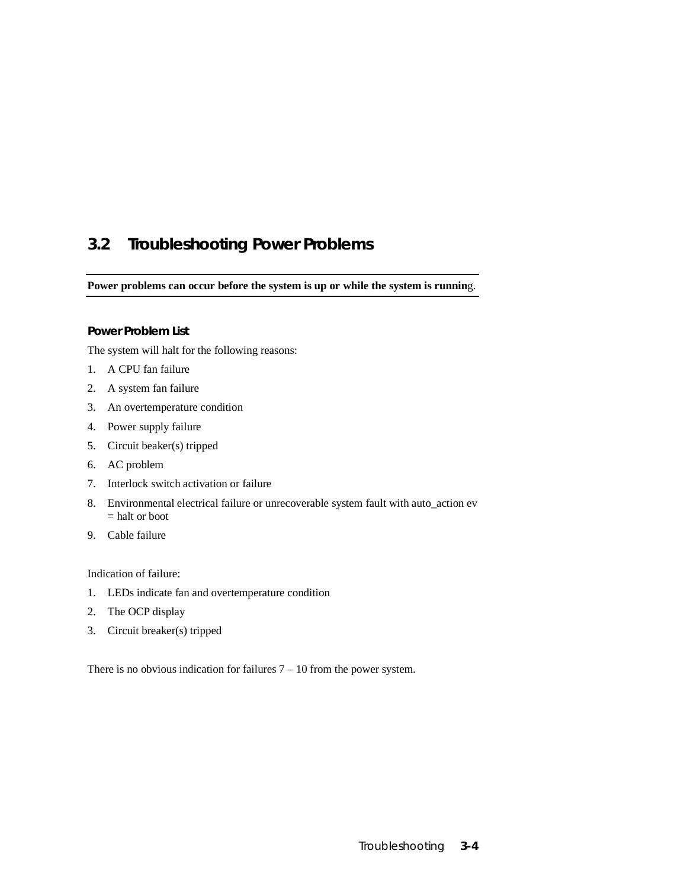# **3.2 Troubleshooting Power Problems**

**Power problems can occur before the system is up or while the system is runnin**g.

#### **Power Problem List**

The system will halt for the following reasons:

- 1. A CPU fan failure
- 2. A system fan failure
- 3. An overtemperature condition
- 4. Power supply failure
- 5. Circuit beaker(s) tripped
- 6. AC problem
- 7. Interlock switch activation or failure
- 8. Environmental electrical failure or unrecoverable system fault with auto\_action ev = halt or boot
- 9. Cable failure

Indication of failure:

- 1. LEDs indicate fan and overtemperature condition
- 2. The OCP display
- 3. Circuit breaker(s) tripped

There is no obvious indication for failures  $7 - 10$  from the power system.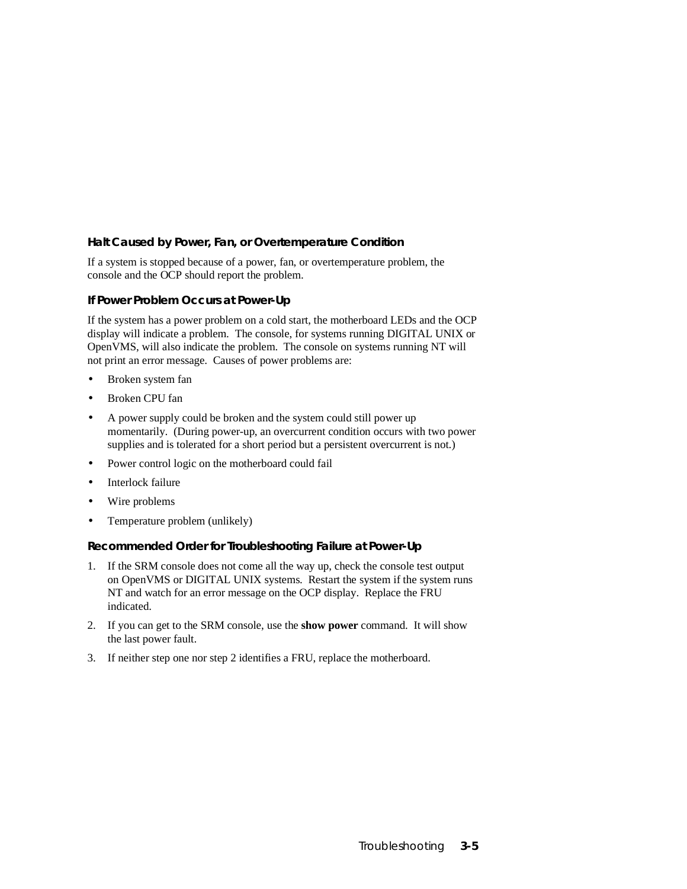#### **Halt Caused by Power, Fan, or Overtemperature Condition**

If a system is stopped because of a power, fan, or overtemperature problem, the console and the OCP should report the problem.

#### **If Power Problem Occurs at Power-Up**

If the system has a power problem on a cold start, the motherboard LEDs and the OCP display will indicate a problem. The console, for systems running DIGITAL UNIX or OpenVMS, will also indicate the problem. The console on systems running NT will not print an error message. Causes of power problems are:

- Broken system fan
- Broken CPU fan
- A power supply could be broken and the system could still power up momentarily. (During power-up, an overcurrent condition occurs with two power supplies and is tolerated for a short period but a persistent overcurrent is not.)
- Power control logic on the motherboard could fail
- Interlock failure
- Wire problems
- Temperature problem (unlikely)

#### **Recommended Order for Troubleshooting Failure at Power-Up**

- 1. If the SRM console does not come all the way up, check the console test output on OpenVMS or DIGITAL UNIX systems. Restart the system if the system runs NT and watch for an error message on the OCP display. Replace the FRU indicated.
- 2. If you can get to the SRM console, use the **show power** command. It will show the last power fault.
- 3. If neither step one nor step 2 identifies a FRU, replace the motherboard.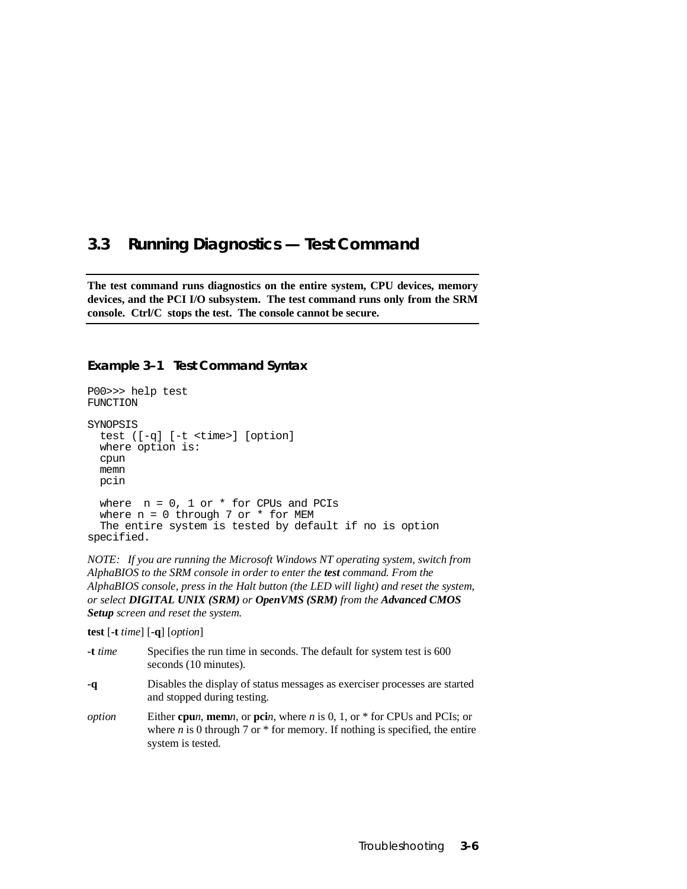### **3.3 Running Diagnostics — Test Command**

**The test command runs diagnostics on the entire system, CPU devices, memory devices, and the PCI I/O subsystem. The test command runs only from the SRM console. Ctrl/C stops the test. The console cannot be secure.**

#### **Example 3–1 Test Command Syntax**

```
P00>>> help test
FUNCTION
SYNOPSIS
  test ([-q] [-t <time>] [option]
  where option is:
  cpun
  memn
  pcin
 where n = 0, 1 or * for CPUs and PCIs
 where n = 0 through 7 or * for MEM
  The entire system is tested by default if no is option
specified.
```
*NOTE: If you are running the Microsoft Windows NT operating system, switch from AlphaBIOS to the SRM console in order to enter the test command. From the AlphaBIOS console, press in the Halt button (the LED will light) and reset the system, or select DIGITAL UNIX (SRM) or OpenVMS (SRM) from the Advanced CMOS Setup screen and reset the system.*

**test** [**-t** *time*] [**-q**] [*option*]

| -t time | Specifies the run time in seconds. The default for system test is 600<br>seconds (10 minutes).                                                                                         |
|---------|----------------------------------------------------------------------------------------------------------------------------------------------------------------------------------------|
| -q      | Disables the display of status messages as exerciser processes are started<br>and stopped during testing.                                                                              |
| option  | Either cpun, memn, or pcin, where n is 0, 1, or $*$ for CPUs and PCIs; or<br>where <i>n</i> is 0 through 7 or $*$ for memory. If nothing is specified, the entire<br>system is tested. |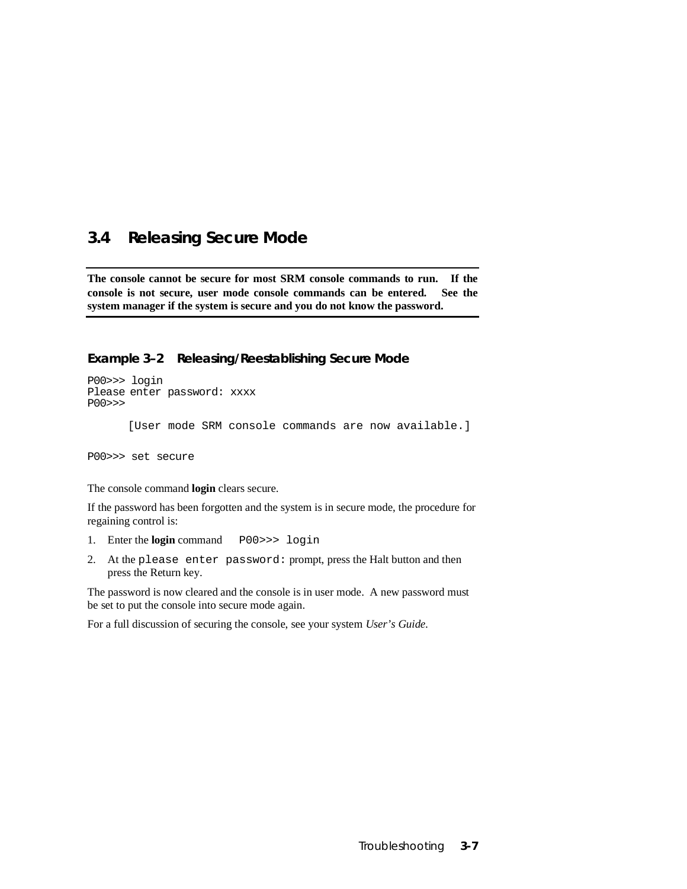### **3.4 Releasing Secure Mode**

**The console cannot be secure for most SRM console commands to run. If the console is not secure, user mode console commands can be entered. See the system manager if the system is secure and you do not know the password.**

#### **Example 3–2 Releasing/Reestablishing Secure Mode**

P00>>> login Please enter password: xxxx P00>>> [User mode SRM console commands are now available.] P00>>> set secure

The console command **login** clears secure.

If the password has been forgotten and the system is in secure mode, the procedure for regaining control is:

- 1. Enter the **login** command P00>>> login
- 2. At the please enter password: prompt, press the Halt button and then press the Return key.

The password is now cleared and the console is in user mode. A new password must be set to put the console into secure mode again.

For a full discussion of securing the console, see your system *User's Guide.*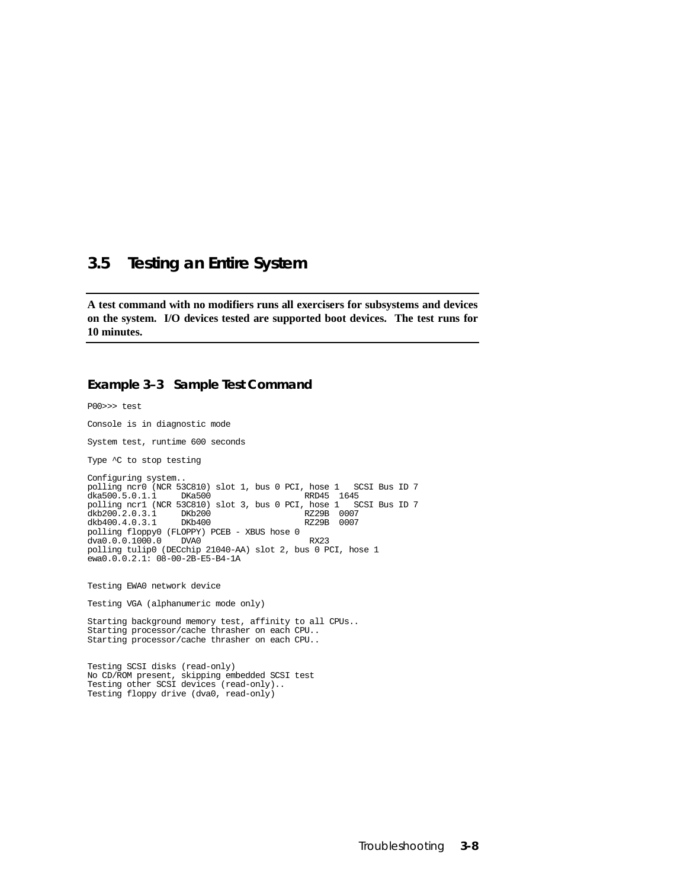### **3.5 Testing an Entire System**

**A test command with no modifiers runs all exercisers for subsystems and devices on the system. I/O devices tested are supported boot devices. The test runs for 10 minutes.**

#### **Example 3–3 Sample Test Command**

P00>>> test Console is in diagnostic mode System test, runtime 600 seconds Type  $\sim$ C to stop testing Configuring system.. polling ncr0 (NCR 53C810) slot 1, bus 0 PCI, hose 1 SCSI Bus ID 7 dka500.5.0.1.1 DKa500 RRD45 1645 polling ncr1 (NCR 53C810) slot 3, bus 0 PCI, hose 1 SCSI Bus ID 7 dkb200.2.0.3.1 DKb200 RZ29B 0007 dkb200.2.0.3.1 DKb200 RZ29B 0007<br>dkb400.4.0.3.1 DKb400 RZ29B 0007 dkb400.4.0.3.1 polling floppy0 (FLOPPY) PCEB - XBUS hose 0 dva0.0.0.1000.0 DVA0 dva0.0.0.1000.0 DVA0<br>polling tulip0 (DECchip 21040-AA) slot 2, bus 0 PCI, hose 1  $ewa0.0.0.2.1: 08-00-2B-E5-B4-1A$ Testing EWA0 network device Testing VGA (alphanumeric mode only) Starting background memory test, affinity to all CPUs.. Starting processor/cache thrasher on each CPU.. Starting processor/cache thrasher on each CPU..

Testing SCSI disks (read-only) No CD/ROM present, skipping embedded SCSI test Testing other SCSI devices (read-only).. Testing floppy drive (dva0, read-only)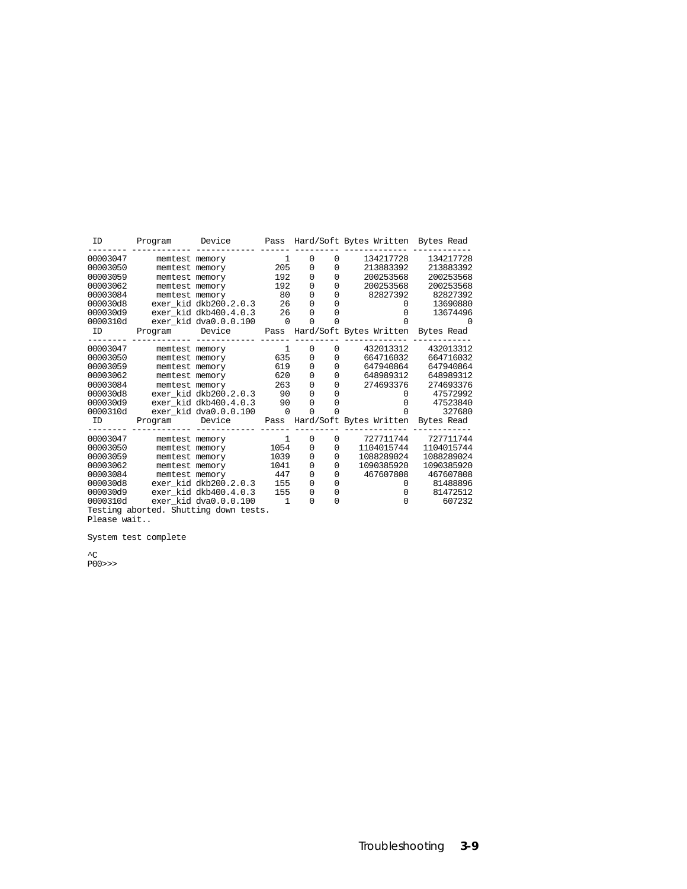| ID                                    | Program        | Device                | Pass         |             |             | Hard/Soft Bytes Written Bytes Read |            |
|---------------------------------------|----------------|-----------------------|--------------|-------------|-------------|------------------------------------|------------|
| 00003047                              | memtest memory |                       | 1            | 0           | $\Omega$    | 134217728                          | 134217728  |
| 00003050                              | memtest memory |                       | 205          | 0           | 0           | 213883392                          | 213883392  |
| 00003059                              |                | memtest memory        | 192          | 0           | 0           | 200253568                          | 200253568  |
| 00003062                              | memtest memory |                       | 192          | 0           | $\Omega$    | 200253568                          | 200253568  |
| 00003084                              | memtest memory |                       | 80           | 0           | 0           | 82827392                           | 82827392   |
| 000030d8                              |                | exer kid dkb200.2.0.3 | 26           | $\Omega$    | 0           | 0                                  | 13690880   |
| 000030d9                              |                | exer kid dkb400.4.0.3 | 26           | 0           | 0           | 0                                  | 13674496   |
| 0000310d                              |                | exer kid dva0.0.0.100 | $\mathbf 0$  | $\Omega$    | 0           | <sup>0</sup>                       |            |
| ID                                    | Program        | Device                | Pass         |             |             | Hard/Soft Bytes Written Bytes Read |            |
| 00003047                              | memtest memory |                       | 1            | 0           | $\mathbf 0$ | 432013312                          | 432013312  |
| 00003050                              |                | memtest memory        | 635          | 0           | 0           | 664716032                          | 664716032  |
| 00003059                              |                | memtest memory        | 619          | $\mathbf 0$ | $\Omega$    | 647940864                          | 647940864  |
| 00003062                              | memtest memory |                       | 620          | 0           | 0           | 648989312                          | 648989312  |
| 00003084                              | memtest memory |                       | 263          | 0           | 0           | 274693376                          | 274693376  |
| 000030d8                              |                | exer kid dkb200.2.0.3 | 90           | 0           | $\Omega$    | 0                                  | 47572992   |
| 000030d9                              |                | exer kid dkb400.4.0.3 | 90           | $\Omega$    | 0           | <sup>0</sup>                       | 47523840   |
| 0000310d                              |                | exer kid dva0.0.0.100 | $\Omega$     | $\Omega$    | O           | $\Omega$                           | 327680     |
| ID                                    | Program        | Device                | Pass         |             |             | Hard/Soft Bytes Written            | Bytes Read |
| 00003047                              | memtest memory |                       | 1            | 0           | 0           | 727711744                          | 727711744  |
| 00003050                              |                | memtest memory        | 1054         | 0           | 0           | 1104015744                         | 1104015744 |
| 00003059                              | memtest memory |                       | 1039         | 0           | 0           | 1088289024                         | 1088289024 |
| 00003062                              | memtest memory |                       | 1041         | 0           | 0           | 1090385920                         | 1090385920 |
| 00003084                              | memtest memory |                       | 447          | 0           | 0           | 467607808                          | 467607808  |
| 000030d8                              |                | exer kid dkb200.2.0.3 | 155          | 0           | $\Omega$    | 0                                  | 81488896   |
| 000030d9                              |                | exer kid dkb400.4.0.3 | 155          | 0           | $\mathbf 0$ | $\Omega$                           | 81472512   |
| 0000310d                              |                | exer kid dva0.0.0.100 | $\mathbf{1}$ | 0           | $\Omega$    | $\Omega$                           | 607232     |
| Testing aborted. Shutting down tests. |                |                       |              |             |             |                                    |            |

Please wait..

System test complete

^C P00>>>

Troubleshooting **3-9**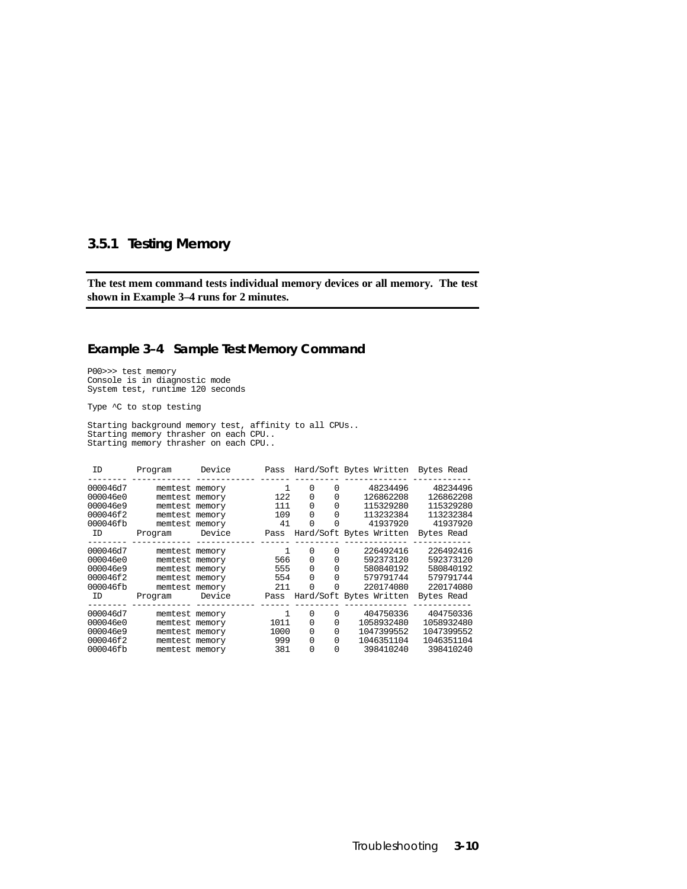### **3.5.1 Testing Memory**

**The test mem command tests individual memory devices or all memory. The test shown in Example 3–4 runs for 2 minutes.**

#### **Example 3–4 Sample Test Memory Command**

P00>>> test memory Console is in diagnostic mode System test, runtime 120 seconds

Type  $\sim$ C to stop testing

Starting background memory test, affinity to all CPUs.. Starting memory thrasher on each CPU.. Starting memory thrasher on each CPU..

| Program | Device | Pass                                                                                                                                                                                                                                                                       |   |                                                                                 |                              |                                                                                                                                                                          |
|---------|--------|----------------------------------------------------------------------------------------------------------------------------------------------------------------------------------------------------------------------------------------------------------------------------|---|---------------------------------------------------------------------------------|------------------------------|--------------------------------------------------------------------------------------------------------------------------------------------------------------------------|
|         |        | 1                                                                                                                                                                                                                                                                          | 0 | 0                                                                               | 48234496                     | 48234496                                                                                                                                                                 |
|         |        |                                                                                                                                                                                                                                                                            | 0 | 0                                                                               | 126862208                    | 126862208                                                                                                                                                                |
|         |        | 111                                                                                                                                                                                                                                                                        | 0 | 0                                                                               | 115329280                    | 115329280                                                                                                                                                                |
|         |        |                                                                                                                                                                                                                                                                            | 0 | 0                                                                               | 113232384                    | 113232384                                                                                                                                                                |
|         |        | 41                                                                                                                                                                                                                                                                         | O | O                                                                               | 41937920                     | 41937920                                                                                                                                                                 |
| Program | Device | Pass                                                                                                                                                                                                                                                                       |   |                                                                                 |                              | Bytes Read                                                                                                                                                               |
|         |        |                                                                                                                                                                                                                                                                            |   |                                                                                 |                              |                                                                                                                                                                          |
|         |        |                                                                                                                                                                                                                                                                            |   |                                                                                 |                              | 226492416                                                                                                                                                                |
|         |        |                                                                                                                                                                                                                                                                            |   |                                                                                 |                              | 592373120                                                                                                                                                                |
|         |        |                                                                                                                                                                                                                                                                            | 0 | 0                                                                               |                              | 580840192                                                                                                                                                                |
|         |        |                                                                                                                                                                                                                                                                            | 0 | 0                                                                               | 579791744                    | 579791744                                                                                                                                                                |
|         |        | 211                                                                                                                                                                                                                                                                        | O | 0                                                                               | 220174080                    | 220174080                                                                                                                                                                |
| Program | Device | Pass                                                                                                                                                                                                                                                                       |   |                                                                                 |                              | Bytes Read                                                                                                                                                               |
|         |        |                                                                                                                                                                                                                                                                            |   |                                                                                 |                              |                                                                                                                                                                          |
|         |        |                                                                                                                                                                                                                                                                            |   |                                                                                 |                              | 404750336                                                                                                                                                                |
|         |        |                                                                                                                                                                                                                                                                            |   |                                                                                 |                              | 1058932480                                                                                                                                                               |
|         |        |                                                                                                                                                                                                                                                                            |   |                                                                                 |                              | 1047399552                                                                                                                                                               |
|         |        |                                                                                                                                                                                                                                                                            | 0 | 0                                                                               | 1046351104                   | 1046351104                                                                                                                                                               |
|         |        | 381                                                                                                                                                                                                                                                                        | O | 0                                                                               | 398410240                    | 398410240                                                                                                                                                                |
|         |        | memtest memory<br>memtest memory<br>memtest memory<br>memtest memory<br>memtest memory<br>memtest memory<br>memtest memory<br>memtest memory<br>memtest memory<br>memtest memory<br>memtest memory<br>memtest memory<br>memtest memory<br>memtest memory<br>memtest memory |   | 122<br>109<br>0<br>0<br>566<br>555<br>554<br>0<br>1011<br>0<br>1000<br>0<br>999 | $\Omega$<br>0<br>0<br>0<br>0 | Hard/Soft Bytes Written Bytes Read<br>Hard/Soft Bytes Written<br>226492416<br>592373120<br>580840192<br>Hard/Soft Bytes Written<br>404750336<br>1058932480<br>1047399552 |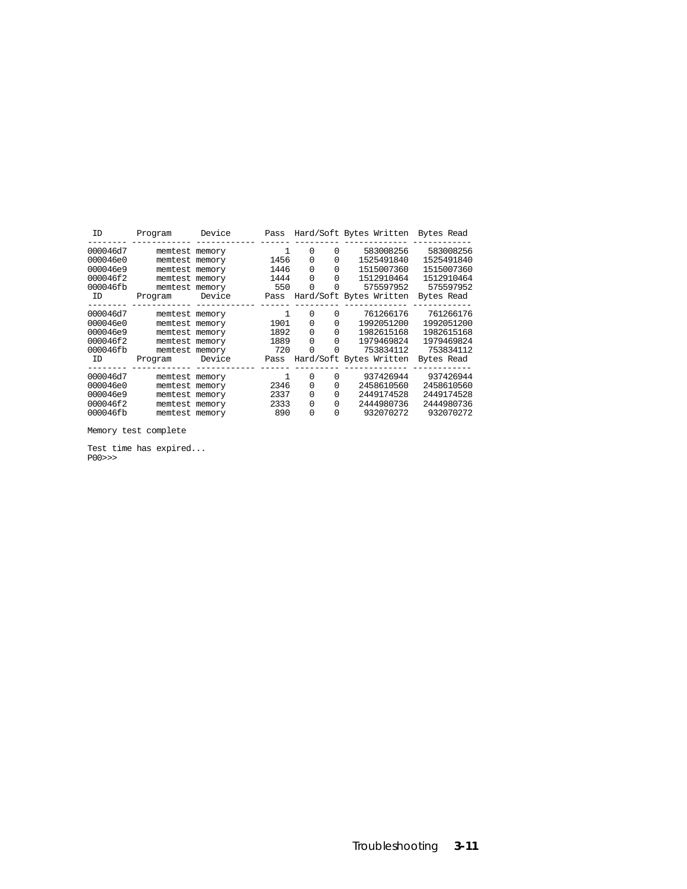| ID       | Program        | Device | Pass |          |          | Hard/Soft Bytes Written Bytes Read |            |
|----------|----------------|--------|------|----------|----------|------------------------------------|------------|
| 000046d7 | memtest memory |        | 1    | 0        | 0        | 583008256                          | 583008256  |
| 000046e0 | memtest memory |        | 1456 | 0        | 0        | 1525491840                         | 1525491840 |
| 000046e9 | memtest memory |        | 1446 | $\Omega$ | $\Omega$ | 1515007360                         | 1515007360 |
| 000046f2 | memtest memory |        | 1444 | $\Omega$ | $\Omega$ | 1512910464                         | 1512910464 |
| 000046fb | memtest memory |        | 550  | $\Omega$ | 0        | 575597952                          | 575597952  |
| ID       | Program        | Device | Pass |          |          | Hard/Soft Bytes Written            | Bytes Read |
| 000046d7 | memtest memory |        |      | 0        | 0        | 761266176                          | 761266176  |
| 000046e0 | memtest memory |        | 1901 | $\Omega$ | 0        | 1992051200                         | 1992051200 |
| 000046e9 | memtest memory |        | 1892 | 0        | 0        | 1982615168                         | 1982615168 |
| 000046f2 | memtest memory |        | 1889 | $\Omega$ | 0        | 1979469824                         | 1979469824 |
| 000046fb | memtest memory |        | 720  | $\Omega$ |          | 753834112                          | 753834112  |
| ID       | Program        | Device | Pass |          |          | Hard/Soft Bytes Written            | Bytes Read |
| 000046d7 | memtest memory |        |      | 0        | 0        | 937426944                          | 937426944  |
| 000046e0 | memtest memory |        | 2346 | $\Omega$ | 0        | 2458610560                         | 2458610560 |
| 000046e9 | memtest memory |        | 2337 | 0        | 0        | 2449174528                         | 2449174528 |
| 000046f2 | memtest memory |        | 2333 | $\Omega$ | 0        | 2444980736                         | 2444980736 |
| 000046fb | memtest memory |        | 890  | $\Omega$ | 0        | 932070272                          | 932070272  |
|          |                |        |      |          |          |                                    |            |

Memory test complete

Test time has expired... P00>>>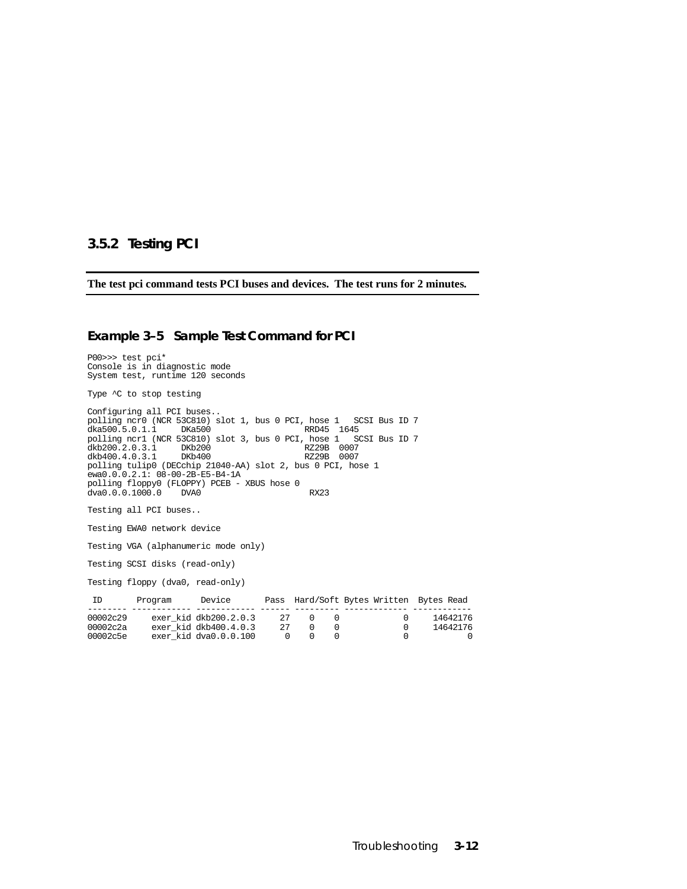#### **3.5.2 Testing PCI**

**The test pci command tests PCI buses and devices. The test runs for 2 minutes.**

#### **Example 3–5 Sample Test Command for PCI**

P00>>> test pci\* Console is in diagnostic mode System test, runtime 120 seconds Type  $\sim$ C to stop testing Configuring all PCI buses.. polling ncr0 (NCR 53C810) slot 1, bus 0 PCI, hose 1 SCSI Bus ID 7 dka500.5.0.1.1 DKa500 RRD45 1645<br>polling ncr1 (NCR 53C810) slot 3, bus 0 PCI, hose 1 SCSI Bus ID 7 polling ncr1 (NCR 53C810) slot 3, bus 0 PCI, hose 1 SCSI Bus ID 7 dkb200.2.0.3.1 DKb200 RZ29B 0007 dkb400.4.0.3.1 DKb400 RZ29B 0007 polling tulip0 (DECchip 21040-AA) slot 2, bus 0 PCI, hose 1 ewa0.0.0.2.1: 08-00-2B-E5-B4-1A polling floppy0 (FLOPPY) PCEB - XBUS hose 0 dva0.0.0.1000.0 DVA0 dva0.0.0.1000.0 DVA0 RX23 Testing all PCI buses.. Testing EWA0 network device Testing VGA (alphanumeric mode only) Testing SCSI disks (read-only) Testing floppy (dva0, read-only) ID Program Device Pass Hard/Soft Bytes Written Bytes Read -------- ------------ ------------ ------ --------- ------------- ------------ 00002c29 exer\_kid dkb200.2.0.3 27 0 0 0 14642176 00002c2a exer\_kid dkb400.4.0.3 27 0 0 0 14642176 00002c5e exer\_kid dva0.0.0.100 0 0 0 0 0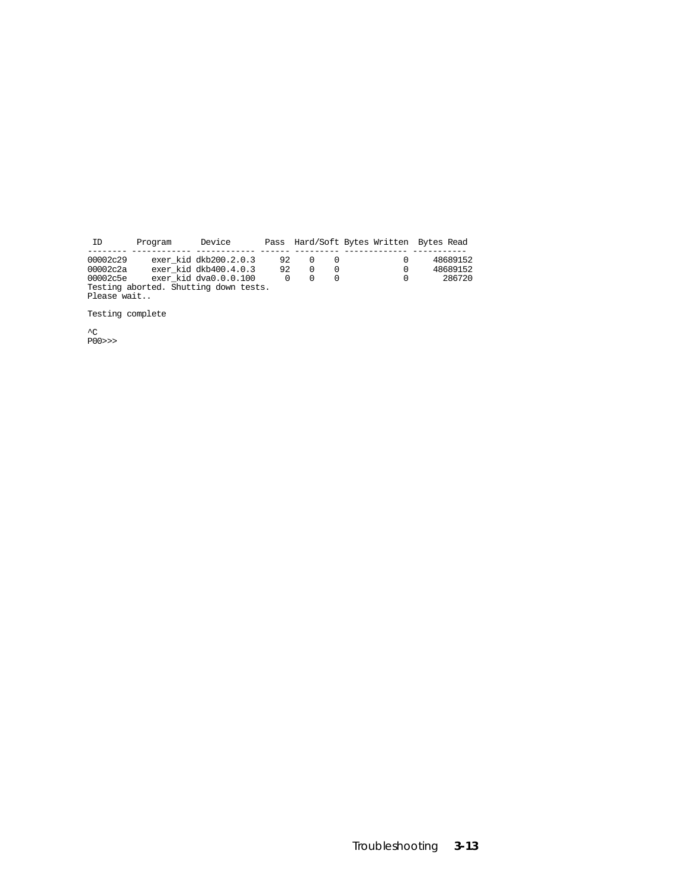| ID          | Program | Device                                |    |  |          | Pass Hard/Soft Bytes Written Bytes Read |
|-------------|---------|---------------------------------------|----|--|----------|-----------------------------------------|
|             |         |                                       |    |  |          |                                         |
| 00002c29    |         | exer kid dkb200.2.0.3                 | 92 |  | $\Omega$ | 48689152                                |
| 00002c2a    |         | exer kid dkb400.4.0.3                 | 92 |  | $\Omega$ | 48689152                                |
| 00002c5e    |         | exer kid dva $0.0.0.100$              |    |  | 0        | 286720                                  |
|             |         | Testing aborted. Shutting down tests. |    |  |          |                                         |
| Please wait |         |                                       |    |  |          |                                         |

Testing complete

^C P00>>>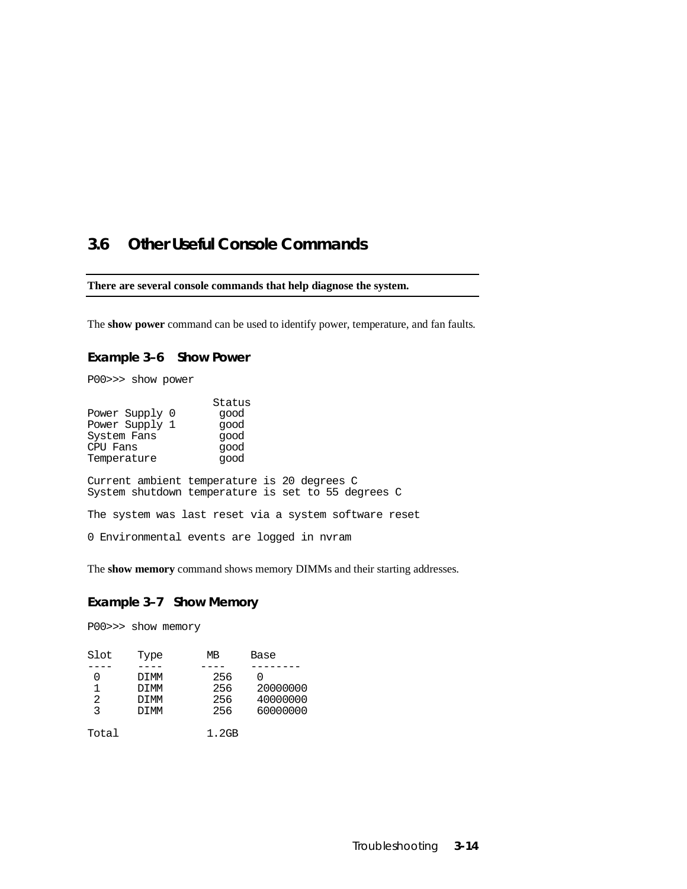### **3.6 Other Useful Console Commands**

#### **There are several console commands that help diagnose the system.**

The **show power** command can be used to identify power, temperature, and fan faults.

#### **Example 3–6 Show Power**

P00>>> show power

| Power Supply 0<br>Power Supply 1<br>System Fans<br>CPU Fans<br>Temperature                        | Status<br>qood<br>qood<br>qood<br>qood<br>qood |  |  |  |
|---------------------------------------------------------------------------------------------------|------------------------------------------------|--|--|--|
| Current ambient temperature is 20 degrees C<br>System shutdown temperature is set to 55 degrees C |                                                |  |  |  |
| The system was last reset via a system software reset                                             |                                                |  |  |  |
| 0 Environmental events are logged in nvram                                                        |                                                |  |  |  |

The **show memory** command shows memory DIMMs and their starting addresses.

#### **Example 3–7 Show Memory**

P00>>> show memory

| Slot          | Type        | МB    | Base     |
|---------------|-------------|-------|----------|
|               |             |       |          |
|               | DIMM        | 256   |          |
| 1             | <b>DIMM</b> | 256   | 20000000 |
| $\mathcal{L}$ | <b>DIMM</b> | 256   | 40000000 |
| ર             | <b>DIMM</b> | 256   | 60000000 |
| Total         |             | 1.2GB |          |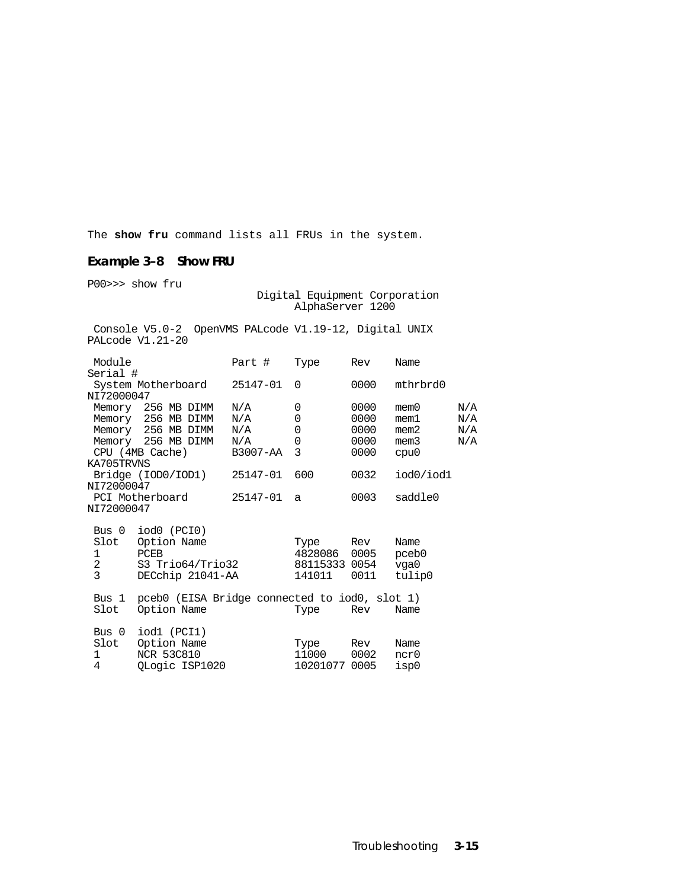The **show fru** command lists all FRUs in the system.

### **Example 3–8 Show FRU**

P00>>> show fru

#### Digital Equipment Corporation AlphaServer 1200

 Console V5.0-2 OpenVMS PALcode V1.19-12, Digital UNIX PALcode V1.21-20

| Module               | Part #                                                                                                                                                                                                                                          | Type                                                                                         | Rev                                                                                   | Name                                                                                                                                                  |                                                                                                                                                  |
|----------------------|-------------------------------------------------------------------------------------------------------------------------------------------------------------------------------------------------------------------------------------------------|----------------------------------------------------------------------------------------------|---------------------------------------------------------------------------------------|-------------------------------------------------------------------------------------------------------------------------------------------------------|--------------------------------------------------------------------------------------------------------------------------------------------------|
| Serial #             |                                                                                                                                                                                                                                                 |                                                                                              |                                                                                       |                                                                                                                                                       |                                                                                                                                                  |
| System Motherboard   | 25147-01                                                                                                                                                                                                                                        | $\Omega$                                                                                     |                                                                                       | mthrbrd0                                                                                                                                              |                                                                                                                                                  |
|                      |                                                                                                                                                                                                                                                 |                                                                                              |                                                                                       |                                                                                                                                                       |                                                                                                                                                  |
|                      |                                                                                                                                                                                                                                                 |                                                                                              |                                                                                       |                                                                                                                                                       | N/A                                                                                                                                              |
|                      |                                                                                                                                                                                                                                                 |                                                                                              |                                                                                       |                                                                                                                                                       | N/A                                                                                                                                              |
|                      |                                                                                                                                                                                                                                                 |                                                                                              |                                                                                       |                                                                                                                                                       | N/A                                                                                                                                              |
|                      |                                                                                                                                                                                                                                                 |                                                                                              |                                                                                       |                                                                                                                                                       | N/A                                                                                                                                              |
|                      |                                                                                                                                                                                                                                                 |                                                                                              |                                                                                       |                                                                                                                                                       |                                                                                                                                                  |
|                      |                                                                                                                                                                                                                                                 |                                                                                              |                                                                                       |                                                                                                                                                       |                                                                                                                                                  |
|                      |                                                                                                                                                                                                                                                 |                                                                                              |                                                                                       |                                                                                                                                                       |                                                                                                                                                  |
|                      |                                                                                                                                                                                                                                                 |                                                                                              |                                                                                       |                                                                                                                                                       |                                                                                                                                                  |
|                      |                                                                                                                                                                                                                                                 |                                                                                              |                                                                                       |                                                                                                                                                       |                                                                                                                                                  |
|                      |                                                                                                                                                                                                                                                 |                                                                                              |                                                                                       |                                                                                                                                                       |                                                                                                                                                  |
|                      |                                                                                                                                                                                                                                                 |                                                                                              |                                                                                       |                                                                                                                                                       |                                                                                                                                                  |
|                      |                                                                                                                                                                                                                                                 |                                                                                              |                                                                                       |                                                                                                                                                       |                                                                                                                                                  |
|                      |                                                                                                                                                                                                                                                 |                                                                                              |                                                                                       |                                                                                                                                                       |                                                                                                                                                  |
|                      |                                                                                                                                                                                                                                                 |                                                                                              |                                                                                       |                                                                                                                                                       |                                                                                                                                                  |
|                      |                                                                                                                                                                                                                                                 |                                                                                              |                                                                                       |                                                                                                                                                       |                                                                                                                                                  |
|                      |                                                                                                                                                                                                                                                 |                                                                                              |                                                                                       |                                                                                                                                                       |                                                                                                                                                  |
| Bus 1                |                                                                                                                                                                                                                                                 |                                                                                              |                                                                                       |                                                                                                                                                       |                                                                                                                                                  |
| Option Name          |                                                                                                                                                                                                                                                 |                                                                                              | Rev                                                                                   | Name                                                                                                                                                  |                                                                                                                                                  |
|                      |                                                                                                                                                                                                                                                 |                                                                                              |                                                                                       |                                                                                                                                                       |                                                                                                                                                  |
| iodl (PCI1)<br>Bus 0 |                                                                                                                                                                                                                                                 |                                                                                              |                                                                                       |                                                                                                                                                       |                                                                                                                                                  |
| Slot<br>Option Name  |                                                                                                                                                                                                                                                 | Type                                                                                         | Rev                                                                                   | Name                                                                                                                                                  |                                                                                                                                                  |
| <b>NCR 53C810</b>    |                                                                                                                                                                                                                                                 |                                                                                              |                                                                                       | ncr0                                                                                                                                                  |                                                                                                                                                  |
| QLogic ISP1020       |                                                                                                                                                                                                                                                 |                                                                                              |                                                                                       | isp0                                                                                                                                                  |                                                                                                                                                  |
|                      | NI72000047<br>Memory 256 MB DIMM<br>Memory 256 MB DIMM<br>Memory 256 MB DIMM<br>Memory 256 MB DIMM<br>CPU (4MB Cache)<br>KA705TRVNS<br>NI72000047<br>PCI Motherboard<br>NI72000047<br>Bus $0$ iod $0$ (PCI $0$ )<br>Slot<br>Option Name<br>PCEB | N/A<br>N/A<br>$\rm N/A$<br>N/A<br>Bridge (IOD0/IOD1)<br>S3 Trio64/Trio32<br>DECchip 21041-AA | 0<br>0<br>0<br>0<br>3<br>B3007-AA<br>600<br>25147-01<br>25147-01<br>a<br>Type<br>Type | 0000<br>0000<br>0000<br>0000<br>0000<br>0000<br>0032<br>0003<br>Rev<br>4828086 0005<br>88115333 0054<br>141011<br>0011<br>11000 0002<br>10201077 0005 | mem0<br>mem1<br>mem2<br>mem3<br>cpu0<br>iod0/iod1<br>saddle0<br>Name<br>pceb0<br>vga0<br>tulip0<br>pceb0 (EISA Bridge connected to iod0, slot 1) |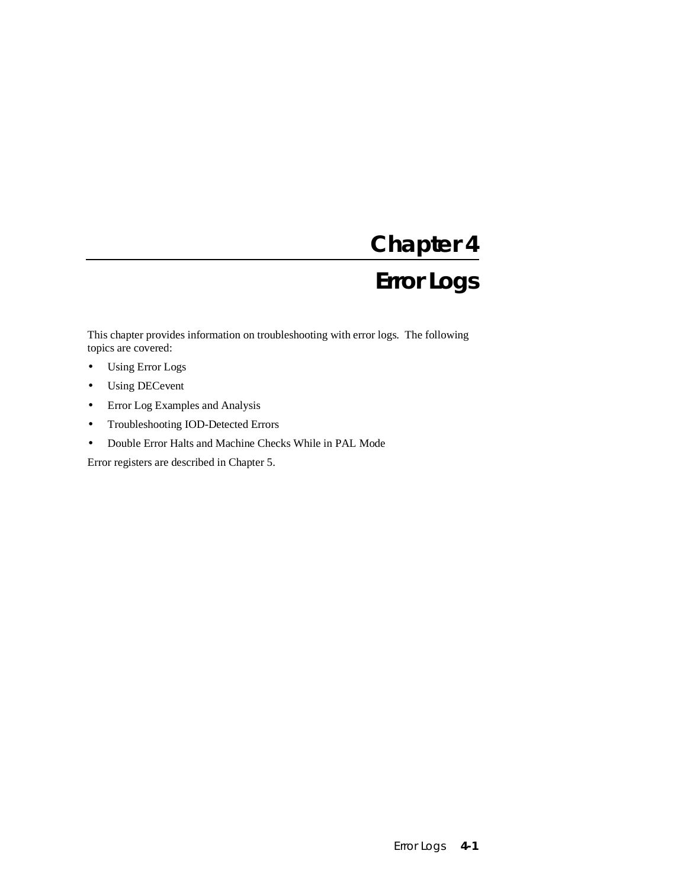# **Chapter 4 Error Logs**

This chapter provides information on troubleshooting with error logs. The following topics are covered:

- Using Error Logs
- Using DECevent
- Error Log Examples and Analysis
- Troubleshooting IOD-Detected Errors
- Double Error Halts and Machine Checks While in PAL Mode

Error registers are described in Chapter 5.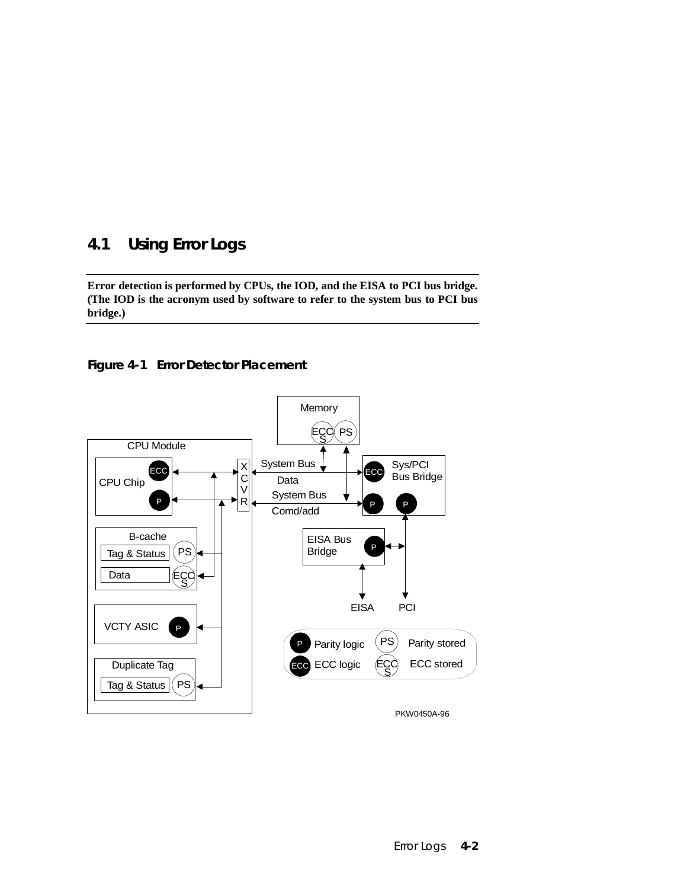### **4.1 Using Error Logs**

**Error detection is performed by CPUs, the IOD, and the EISA to PCI bus bridge. (The IOD is the acronym used by software to refer to the system bus to PCI bus bridge.)**



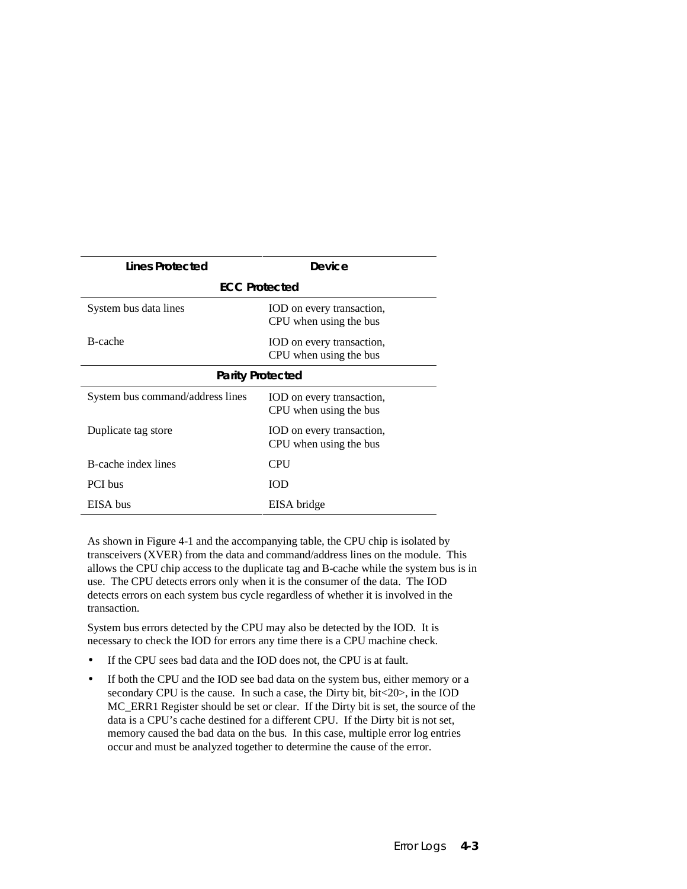| Lines Protected                  | Device                                              |  |  |
|----------------------------------|-----------------------------------------------------|--|--|
|                                  | <b>ECC Protected</b>                                |  |  |
| System bus data lines            | IOD on every transaction,<br>CPU when using the bus |  |  |
| B-cache                          | IOD on every transaction,<br>CPU when using the bus |  |  |
| <b>Parity Protected</b>          |                                                     |  |  |
| System bus command/address lines | IOD on every transaction,<br>CPU when using the bus |  |  |
| Duplicate tag store              | IOD on every transaction,<br>CPU when using the bus |  |  |
| B-cache index lines              | <b>CPU</b>                                          |  |  |
| PCI bus                          | <b>IOD</b>                                          |  |  |
| EISA bus                         | EISA bridge                                         |  |  |

As shown in Figure 4-1 and the accompanying table, the CPU chip is isolated by transceivers (XVER) from the data and command/address lines on the module. This allows the CPU chip access to the duplicate tag and B-cache while the system bus is in use. The CPU detects errors only when it is the consumer of the data. The IOD detects errors on each system bus cycle regardless of whether it is involved in the transaction.

System bus errors detected by the CPU may also be detected by the IOD. It is necessary to check the IOD for errors any time there is a CPU machine check.

- If the CPU sees bad data and the IOD does not, the CPU is at fault.
- If both the CPU and the IOD see bad data on the system bus, either memory or a secondary CPU is the cause. In such a case, the Dirty bit, bit <20>, in the IOD MC\_ERR1 Register should be set or clear. If the Dirty bit is set, the source of the data is a CPU's cache destined for a different CPU. If the Dirty bit is not set, memory caused the bad data on the bus. In this case, multiple error log entries occur and must be analyzed together to determine the cause of the error.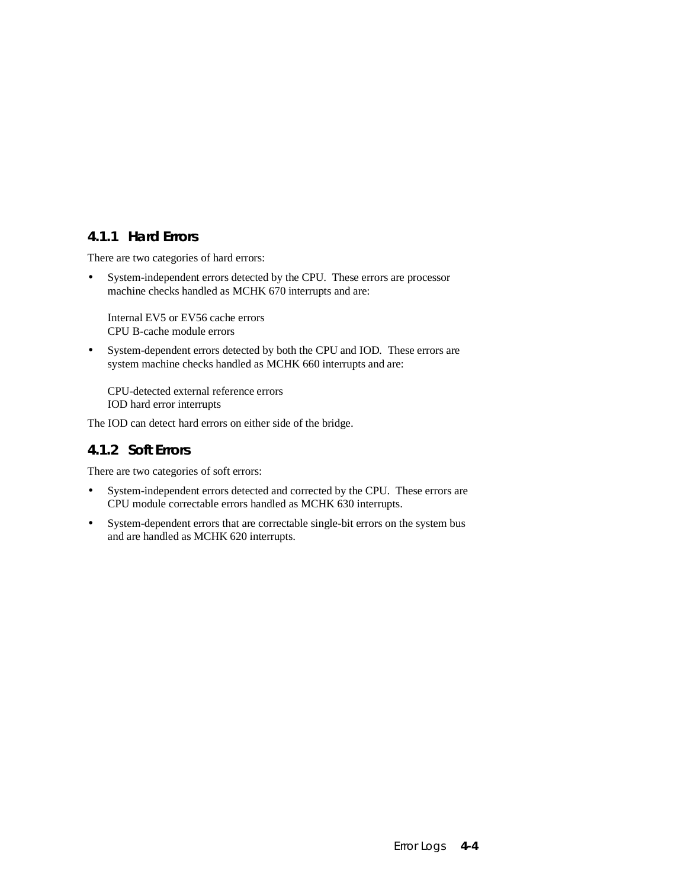### **4.1.1 Hard Errors**

There are two categories of hard errors:

• System-independent errors detected by the CPU. These errors are processor machine checks handled as MCHK 670 interrupts and are:

Internal EV5 or EV56 cache errors CPU B-cache module errors

• System-dependent errors detected by both the CPU and IOD. These errors are system machine checks handled as MCHK 660 interrupts and are:

CPU-detected external reference errors IOD hard error interrupts

The IOD can detect hard errors on either side of the bridge.

### **4.1.2 Soft Errors**

There are two categories of soft errors:

- System-independent errors detected and corrected by the CPU. These errors are CPU module correctable errors handled as MCHK 630 interrupts.
- System-dependent errors that are correctable single-bit errors on the system bus and are handled as MCHK 620 interrupts.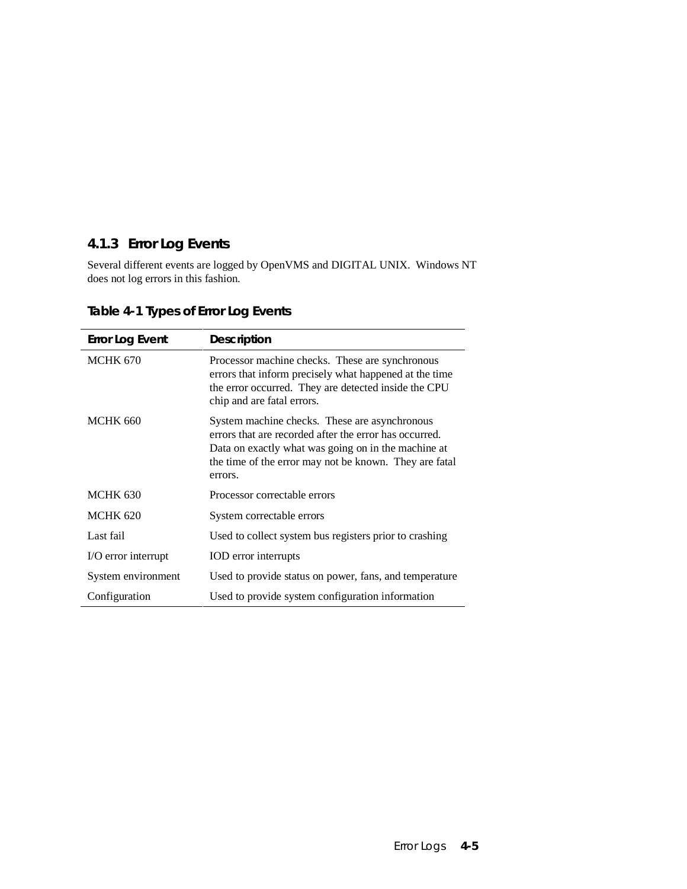# **4.1.3 Error Log Events**

Several different events are logged by OpenVMS and DIGITAL UNIX. Windows NT does not log errors in this fashion.

| <b>Error Log Event</b> | <b>Description</b>                                                                                                                                                                                                                  |
|------------------------|-------------------------------------------------------------------------------------------------------------------------------------------------------------------------------------------------------------------------------------|
| <b>MCHK 670</b>        | Processor machine checks. These are synchronous<br>errors that inform precisely what happened at the time<br>the error occurred. They are detected inside the CPU<br>chip and are fatal errors.                                     |
| <b>MCHK 660</b>        | System machine checks. These are asynchronous<br>errors that are recorded after the error has occurred.<br>Data on exactly what was going on in the machine at<br>the time of the error may not be known. They are fatal<br>errors. |
| <b>MCHK 630</b>        | Processor correctable errors                                                                                                                                                                                                        |
| <b>MCHK 620</b>        | System correctable errors                                                                                                                                                                                                           |
| Last fail              | Used to collect system bus registers prior to crashing                                                                                                                                                                              |
| I/O error interrupt    | IOD error interrupts                                                                                                                                                                                                                |
| System environment     | Used to provide status on power, fans, and temperature                                                                                                                                                                              |
| Configuration          | Used to provide system configuration information                                                                                                                                                                                    |

**Table 4-1 Types of Error Log Events**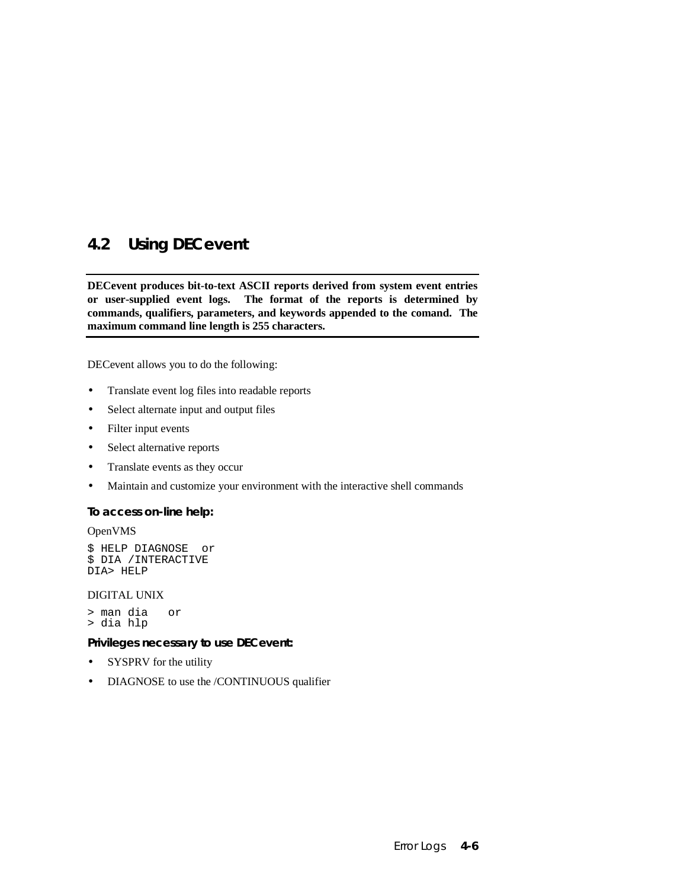# **4.2 Using DECevent**

**DECevent produces bit-to-text ASCII reports derived from system event entries or user-supplied event logs. The format of the reports is determined by commands, qualifiers, parameters, and keywords appended to the comand. The maximum command line length is 255 characters.**

DECevent allows you to do the following:

- Translate event log files into readable reports
- Select alternate input and output files
- Filter input events
- Select alternative reports
- Translate events as they occur
- Maintain and customize your environment with the interactive shell commands

#### **To access on-line help:**

OpenVMS

```
$ HELP DIAGNOSE or
$ DIA /INTERACTIVE
DIA> HELP
```
DIGITAL UNIX

- > man dia or
- > dia hlp

#### **Privileges necessary to use DECevent:**

- SYSPRV for the utility
- DIAGNOSE to use the /CONTINUOUS qualifier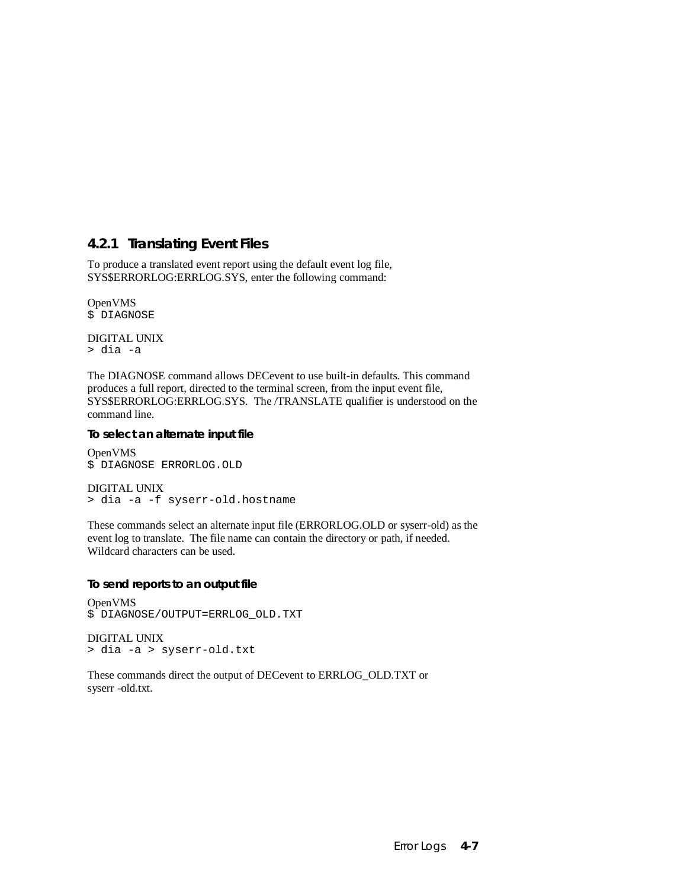### **4.2.1 Translating Event Files**

To produce a translated event report using the default event log file, SYS\$ERRORLOG:ERRLOG.SYS, enter the following command:

OpenVMS \$ DIAGNOSE

DIGITAL UNIX > dia -a

The DIAGNOSE command allows DECevent to use built-in defaults. This command produces a full report, directed to the terminal screen, from the input event file, SYS\$ERRORLOG:ERRLOG.SYS. The /TRANSLATE qualifier is understood on the command line.

#### **To select an alternate input file**

OpenVMS \$ DIAGNOSE ERRORLOG.OLD

DIGITAL UNIX > dia -a -f syserr-old.hostname

These commands select an alternate input file (ERRORLOG.OLD or syserr-old) as the event log to translate. The file name can contain the directory or path, if needed. Wildcard characters can be used.

#### **To send reports to an output file**

OpenVMS \$ DIAGNOSE/OUTPUT=ERRLOG\_OLD.TXT

DIGITAL UNIX > dia -a > syserr-old.txt

These commands direct the output of DECevent to ERRLOG\_OLD.TXT or syserr -old.txt.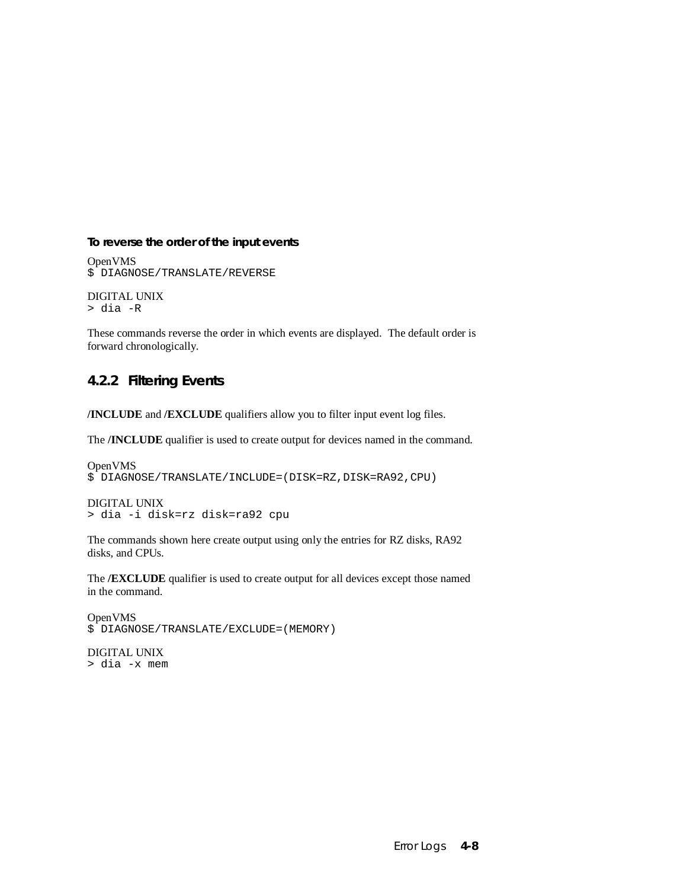#### **To reverse the order of the input events**

OpenVMS \$ DIAGNOSE/TRANSLATE/REVERSE

DIGITAL UNIX > dia -R

These commands reverse the order in which events are displayed. The default order is forward chronologically.

### **4.2.2 Filtering Events**

**/INCLUDE** and **/EXCLUDE** qualifiers allow you to filter input event log files.

The **/INCLUDE** qualifier is used to create output for devices named in the command.

```
OpenVMS
$ DIAGNOSE/TRANSLATE/INCLUDE=(DISK=RZ,DISK=RA92,CPU)
```

```
DIGITAL UNIX
> dia -i disk=rz disk=ra92 cpu
```
The commands shown here create output using only the entries for RZ disks, RA92 disks, and CPUs.

The **/EXCLUDE** qualifier is used to create output for all devices except those named in the command.

OpenVMS \$ DIAGNOSE/TRANSLATE/EXCLUDE=(MEMORY)

DIGITAL UNIX > dia -x mem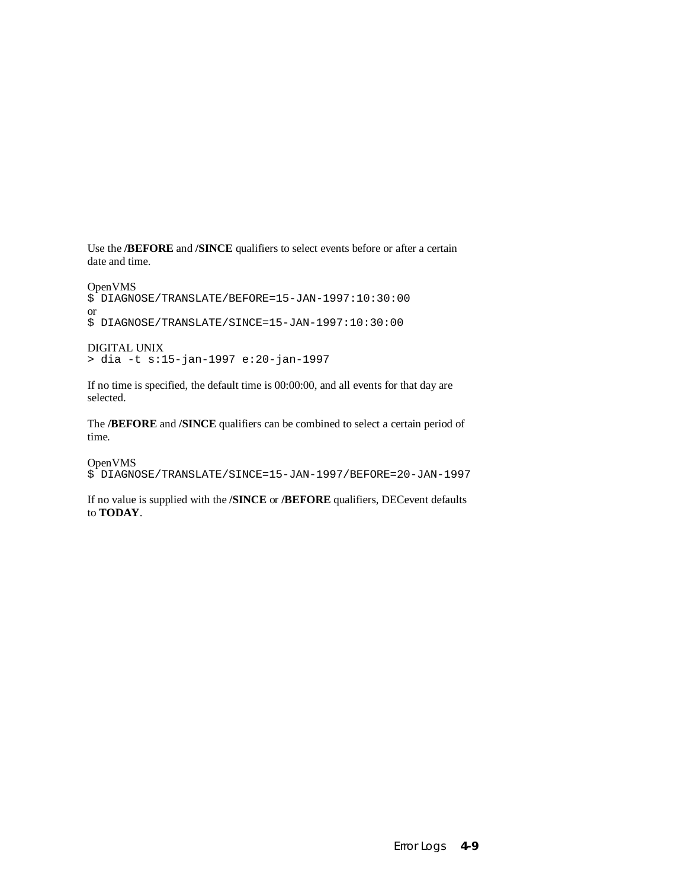Use the **/BEFORE** and **/SINCE** qualifiers to select events before or after a certain date and time.

```
OpenVMS
$ DIAGNOSE/TRANSLATE/BEFORE=15-JAN-1997:10:30:00
or
$ DIAGNOSE/TRANSLATE/SINCE=15-JAN-1997:10:30:00
```

```
DIGITAL UNIX
> dia -t s:15-jan-1997 e:20-jan-1997
```
If no time is specified, the default time is 00:00:00, and all events for that day are selected.

The **/BEFORE** and **/SINCE** qualifiers can be combined to select a certain period of time.

OpenVMS

\$ DIAGNOSE/TRANSLATE/SINCE=15-JAN-1997/BEFORE=20-JAN-1997

If no value is supplied with the **/SINCE** or **/BEFORE** qualifiers, DECevent defaults to **TODAY**.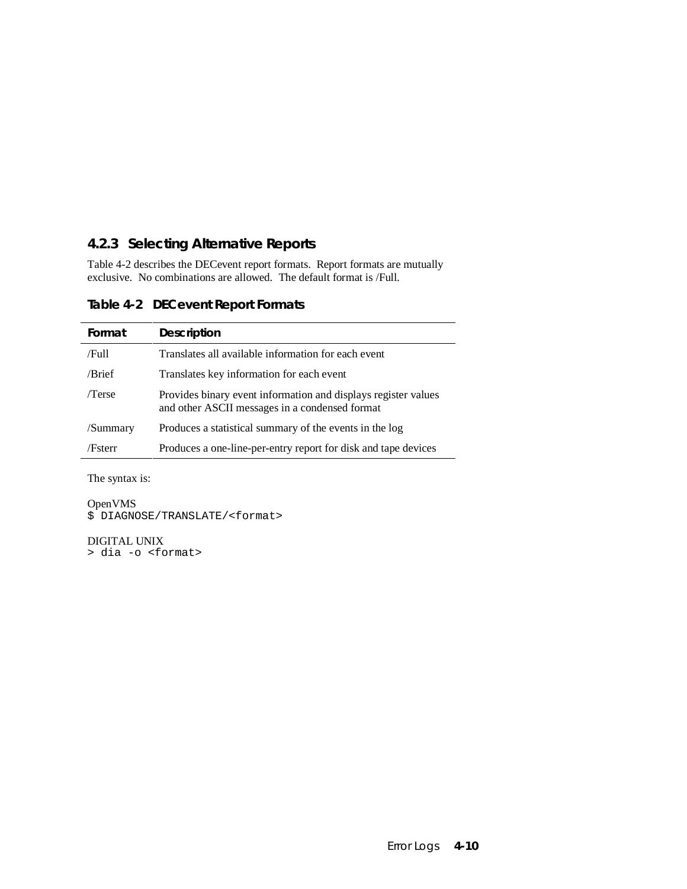### **4.2.3 Selecting Alternative Reports**

Table 4-2 describes the DECevent report formats. Report formats are mutually exclusive. No combinations are allowed. The default format is /Full.

| Format   | <b>Description</b>                                                                                               |
|----------|------------------------------------------------------------------------------------------------------------------|
| /Full    | Translates all available information for each event                                                              |
| /Brief   | Translates key information for each event                                                                        |
| /Terse   | Provides binary event information and displays register values<br>and other ASCII messages in a condensed format |
| /Summary | Produces a statistical summary of the events in the log                                                          |
| /Fsterr  | Produces a one-line-per-entry report for disk and tape devices                                                   |

**Table 4-2 DECevent Report Formats**

The syntax is:

OpenVMS

\$ DIAGNOSE/TRANSLATE/<format>

DIGITAL UNIX > dia -o <format>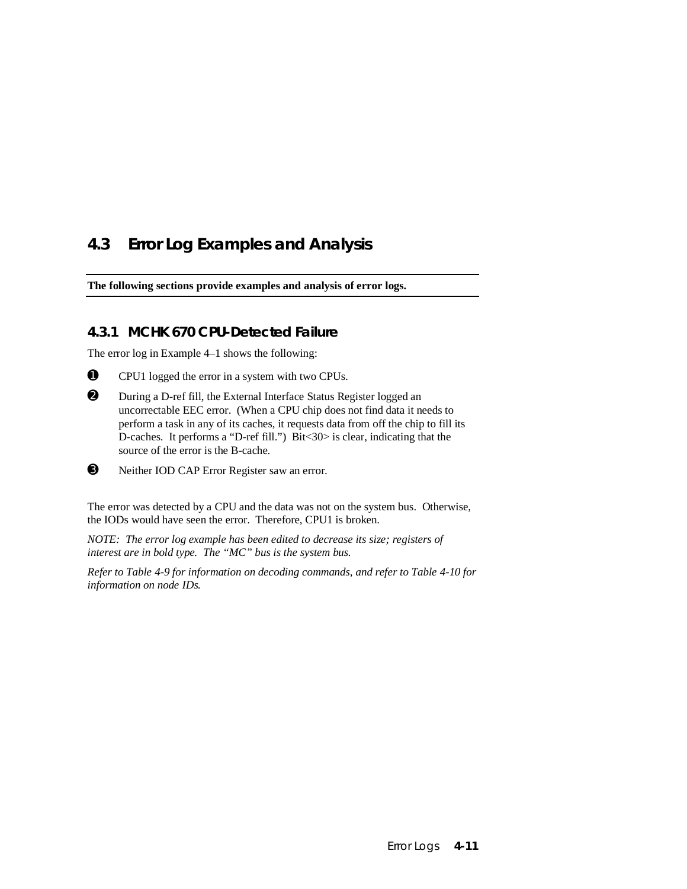# **4.3 Error Log Examples and Analysis**

**The following sections provide examples and analysis of error logs.**

### **4.3.1 MCHK 670 CPU-Detected Failure**

The error log in Example 4–1 shows the following:

- ➊ CPU1 logged the error in a system with two CPUs.
- ➋ During a D-ref fill, the External Interface Status Register logged an uncorrectable EEC error. (When a CPU chip does not find data it needs to perform a task in any of its caches, it requests data from off the chip to fill its D-caches. It performs a "D-ref fill.") Bit<30> is clear, indicating that the source of the error is the B-cache.
- ➌ Neither IOD CAP Error Register saw an error.

The error was detected by a CPU and the data was not on the system bus. Otherwise, the IODs would have seen the error. Therefore, CPU1 is broken.

*NOTE: The error log example has been edited to decrease its size; registers of interest are in bold type. The "MC" bus is the system bus.*

*Refer to Table 4-9 for information on decoding commands, and refer to Table 4-10 for information on node IDs.*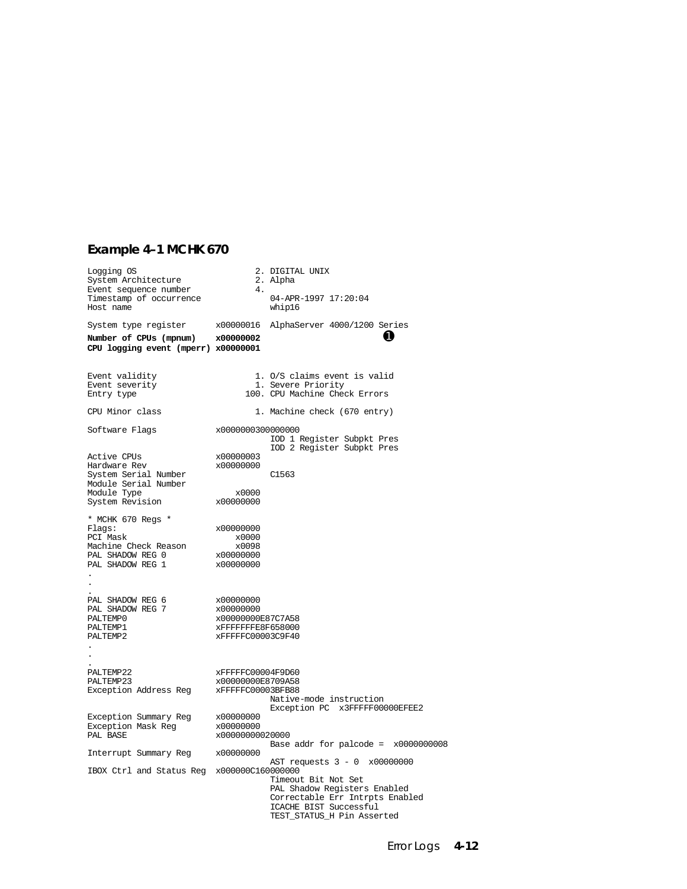### **Example 4–1 MCHK 670**

| Logging OS<br>System Architecture                                                                                            | 4.                                                                                    | 2. DIGITAL UNIX<br>2. Alpha                                                                                                                                                    |
|------------------------------------------------------------------------------------------------------------------------------|---------------------------------------------------------------------------------------|--------------------------------------------------------------------------------------------------------------------------------------------------------------------------------|
| Event sequence number<br>Timestamp of occurrence<br>Host name                                                                |                                                                                       | 04-APR-1997 17:20:04<br>whip16                                                                                                                                                 |
| System type register<br>Number of CPUs (mpnum) x00000002<br>CPU logging event (mperr) x00000001                              |                                                                                       | x00000016 AlphaServer 4000/1200 Series<br>O                                                                                                                                    |
| Event validity<br>Event severity<br>Entry type                                                                               |                                                                                       | 1. O/S claims event is valid<br>1. Severe Priority<br>100. CPU Machine Check Errors                                                                                            |
| CPU Minor class                                                                                                              |                                                                                       | 1. Machine check (670 entry)                                                                                                                                                   |
| Software Flags                                                                                                               | x0000000300000000                                                                     | IOD 1 Register Subpkt Pres<br>IOD 2 Register Subpkt Pres                                                                                                                       |
| Active CPUs<br>Hardware Rev<br>System Serial Number<br>Module Serial Number<br>Madule Trac<br>Module Type<br>System Revision | x00000003<br>x00000000<br>x0000<br>x00000000                                          | C1563                                                                                                                                                                          |
| * MCHK 670 Regs *<br>Flags:<br>PCI Mask<br>Machine Check Reason<br>PAL SHADOW REG 0<br>PAL SHADOW REG 1<br>$\epsilon$        | x00000000<br>x0000<br>x0098<br>x00000000<br>x00000000                                 |                                                                                                                                                                                |
| PAL SHADOW REG 6<br>PAL SHADOW REG 7<br>PALTEMP0<br>PALTEMP1<br>PALTEMP2                                                     | x00000000<br>x00000000<br>x00000000E87C7A58<br>xFFFFFFFE8F658000<br>xFFFFFC00003C9F40 |                                                                                                                                                                                |
| PALTEMP22<br>PALTEMP23<br>Exception Address Reg XFFFFFC00003BFB88                                                            | xFFFFFC00004F9D60<br>x00000000E8709A58                                                | Native-mode instruction<br>Exception PC x3FFFFF00000EFEE2                                                                                                                      |
| Exception Summary Reg<br>Exception Mask Reg<br>PAL BASE                                                                      | x00000000<br>x00000000<br>x00000000020000                                             | Base addr for palcode = $x0000000008$                                                                                                                                          |
| Interrupt Summary Reg x00000000                                                                                              |                                                                                       |                                                                                                                                                                                |
| IBOX Ctrl and Status Reg x000000C160000000                                                                                   |                                                                                       | AST requests 3 - 0 x00000000<br>Timeout Bit Not Set<br>PAL Shadow Registers Enabled<br>Correctable Err Intrpts Enabled<br>ICACHE BIST Successful<br>TEST_STATUS_H Pin Asserted |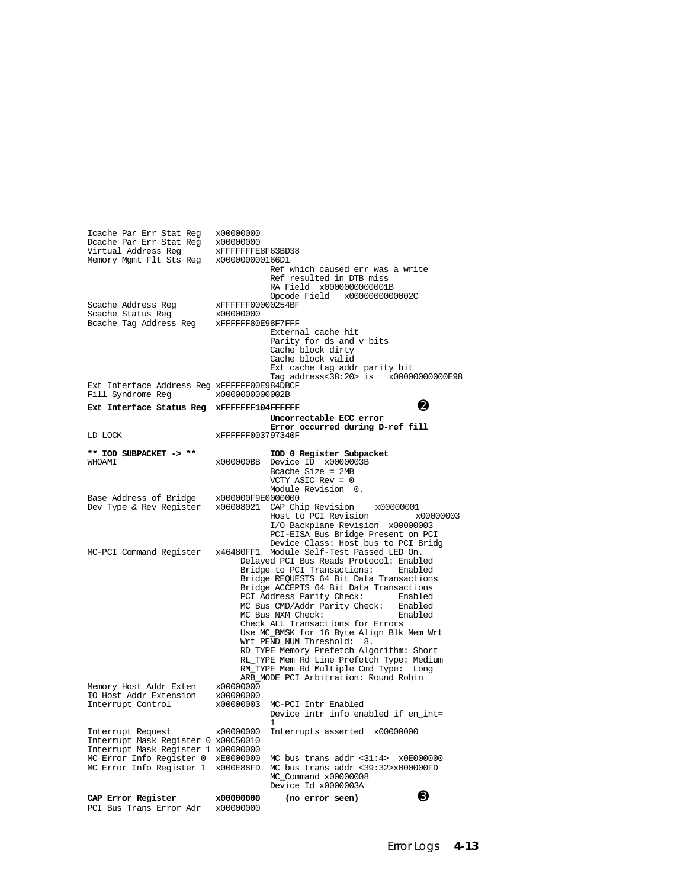| Icache Par Err Stat Reg<br>Dcache Par Err Stat Reg<br>Virtual Address Req<br>Memory Mgmt Flt Sts Reg                                                    | x00000000<br>x00000000<br>xFFFFFFFE8F63BD38<br>x000000000166D1 | Ref which caused err was a write                                                                                                                                                                                                                                                                                                                                                                                                                                                                                                                                                                                                                                |
|---------------------------------------------------------------------------------------------------------------------------------------------------------|----------------------------------------------------------------|-----------------------------------------------------------------------------------------------------------------------------------------------------------------------------------------------------------------------------------------------------------------------------------------------------------------------------------------------------------------------------------------------------------------------------------------------------------------------------------------------------------------------------------------------------------------------------------------------------------------------------------------------------------------|
| Scache Address Reg<br>Scache Status Reg<br>Bcache Tag Address Reg XFFFFFF80E98F7FFF                                                                     | xFFFFFF00000254BF<br>x00000000                                 | Ref resulted in DTB miss<br>RA Field x0000000000001B<br>Opcode Field x0000000000002C<br>External cache hit<br>Parity for ds and v bits<br>Cache block dirty<br>Cache block valid<br>Ext cache tag addr parity bit                                                                                                                                                                                                                                                                                                                                                                                                                                               |
| Ext Interface Address Reg xFFFFFF00E984DBCF<br>Fill Syndrome Reg                                                                                        | x0000000000002B                                                | Tag address<38:20> is x00000000000E98                                                                                                                                                                                                                                                                                                                                                                                                                                                                                                                                                                                                                           |
| Ext Interface Status Reg xFFFFFFF104FFFFFF                                                                                                              |                                                                | 2                                                                                                                                                                                                                                                                                                                                                                                                                                                                                                                                                                                                                                                               |
|                                                                                                                                                         |                                                                | Uncorrectable ECC error<br>Error occurred during D-ref fill                                                                                                                                                                                                                                                                                                                                                                                                                                                                                                                                                                                                     |
| LD LOCK                                                                                                                                                 | xFFFFFF003797340F                                              |                                                                                                                                                                                                                                                                                                                                                                                                                                                                                                                                                                                                                                                                 |
| ** IOD SUBPACKET -> **<br>NHOAMI                                                                                                                        | x000000BB                                                      | IOD 0 Register Subpacket<br>Device ID x0000003B<br>Bcache Size = $2MB$<br>VCTY ASIC Rev = $0$<br>Module Revision 0.                                                                                                                                                                                                                                                                                                                                                                                                                                                                                                                                             |
| Base Address of Bridge<br>Dev Type & Rev Register                                                                                                       | x000000F9E0000000                                              | x06008021 CAP Chip Revision<br>x00000001<br>Host to PCI Revision<br>x00000003<br>I/O Backplane Revision x00000003<br>PCI-EISA Bus Bridge Present on PCI                                                                                                                                                                                                                                                                                                                                                                                                                                                                                                         |
| MC-PCI Command Register                                                                                                                                 | x46480FF1                                                      | Device Class: Host bus to PCI Bridg<br>Module Self-Test Passed LED On.<br>Delayed PCI Bus Reads Protocol: Enabled<br>Bridge to PCI Transactions: Enabled<br>Bridge REQUESTS 64 Bit Data Transactions<br>Bridge ACCEPTS 64 Bit Data Transactions<br>PCI Address Parity Check:<br>Enabled<br>MC Bus CMD/Addr Parity Check: Enabled<br>MC Bus NXM Check:<br>Enabled<br>Check ALL Transactions for Errors<br>Use MC_BMSK for 16 Byte Align Blk Mem Wrt<br>Wrt PEND_NUM Threshold: 8.<br>RD_TYPE Memory Prefetch Algorithm: Short<br>RL_TYPE Mem Rd Line Prefetch Type: Medium<br>RM_TYPE Mem Rd Multiple Cmd Type:<br>Long<br>ARB MODE PCI Arbitration: Round Robin |
| Memory Host Addr Exten<br>IO Host Addr Extension<br>Interrupt Control                                                                                   | x00000000<br>x00000000<br>x00000003                            | MC-PCI Intr Enabled<br>Device intr info enabled if en_int=<br>1                                                                                                                                                                                                                                                                                                                                                                                                                                                                                                                                                                                                 |
| Interrupt Request<br>Interrupt Mask Register 0 x00C50010<br>Interrupt Mask Register 1 x00000000<br>MC Error Info Register 0<br>MC Error Info Register 1 | x00000000<br>xE0000000<br>x000E88FD                            | Interrupts asserted x00000000<br>MC bus trans addr $<31:4>$ $\times$ 0E000000<br>MC bus trans addr <39:32>x000000FD<br>MC Command x00000008<br>Device Id x0000003A                                                                                                                                                                                                                                                                                                                                                                                                                                                                                              |
| CAP Error Register<br>PCI Bus Trans Error Adr                                                                                                           | x00000000<br>x00000000                                         | ❸<br>(no error seen)                                                                                                                                                                                                                                                                                                                                                                                                                                                                                                                                                                                                                                            |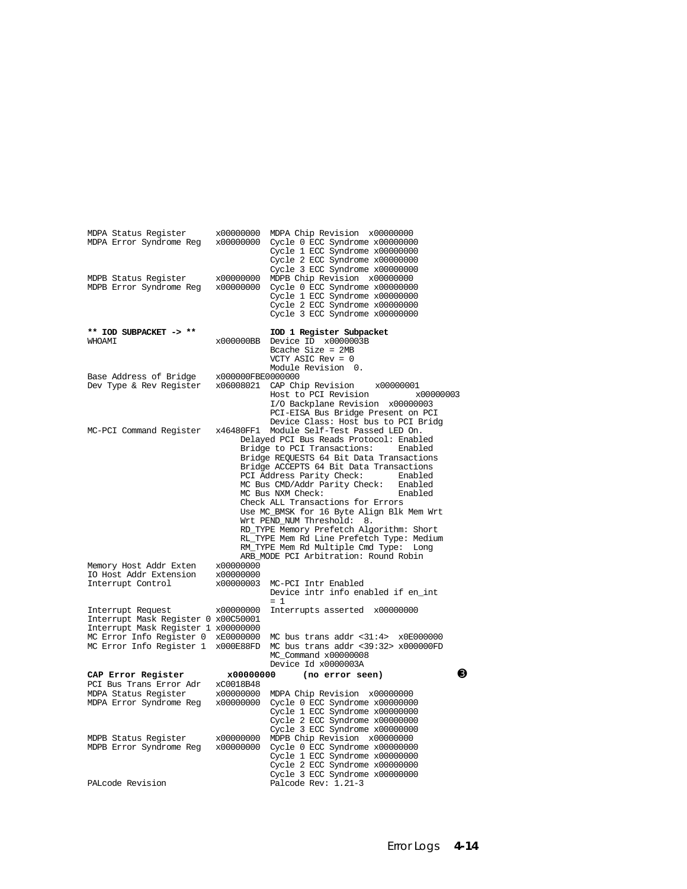| MDPA Status Register<br>MDPA Error Syndrome Reg x00000000<br>MDPB Status Register                                                                                           | x00000000<br>x00000000              | MDPA Chip Revision x00000000<br>Cycle 0 ECC Syndrome x00000000<br>Cycle 1 ECC Syndrome x00000000<br>Cycle 2 ECC Syndrome x00000000<br>Cycle 3 ECC Syndrome x00000000<br>MDPB Chip Revision x00000000                                                                                                                                                                                                                                                                                                                                                                                                                        |
|-----------------------------------------------------------------------------------------------------------------------------------------------------------------------------|-------------------------------------|-----------------------------------------------------------------------------------------------------------------------------------------------------------------------------------------------------------------------------------------------------------------------------------------------------------------------------------------------------------------------------------------------------------------------------------------------------------------------------------------------------------------------------------------------------------------------------------------------------------------------------|
| MDPB Error Syndrome Reg x00000000                                                                                                                                           |                                     | Cycle 0 ECC Syndrome x00000000<br>Cycle 1 ECC Syndrome x00000000<br>Cycle 2 ECC Syndrome x00000000<br>Cycle 3 ECC Syndrome x00000000                                                                                                                                                                                                                                                                                                                                                                                                                                                                                        |
| ** IOD SUBPACKET -> **<br>NHOAMI                                                                                                                                            | x000000BB                           | IOD 1 Register Subpacket<br>Device ID x0000003B<br>Boache Size = $2MB$<br>VCTY ASIC Rev = $0$<br>Module Revision 0.                                                                                                                                                                                                                                                                                                                                                                                                                                                                                                         |
| Base Address of Bridge<br>Dev Type & Rev Register                                                                                                                           | x000000FBE0000000                   | x06008021 CAP Chip Revision<br>x00000001<br>Host to PCI Revision<br>x00000003<br>I/O Backplane Revision x00000003<br>PCI-EISA Bus Bridge Present on PCI<br>Device Class: Host bus to PCI Bridg                                                                                                                                                                                                                                                                                                                                                                                                                              |
| MC-PCI Command Register                                                                                                                                                     | x46480FF1                           | Module Self-Test Passed LED On.<br>Delayed PCI Bus Reads Protocol: Enabled<br>Bridge to PCI Transactions:<br>Enabled<br>Bridge REQUESTS 64 Bit Data Transactions<br>Bridge ACCEPTS 64 Bit Data Transactions<br>PCI Address Parity Check:<br>Enabled<br>MC Bus CMD/Addr Parity Check: Enabled<br>MC Bus NXM Check:<br>Enabled<br>Check ALL Transactions for Errors<br>Use MC_BMSK for 16 Byte Align Blk Mem Wrt<br>Wrt PEND_NUM Threshold:<br>8.<br>RD_TYPE Memory Prefetch Algorithm: Short<br>RL_TYPE Mem Rd Line Prefetch Type: Medium<br>RM_TYPE Mem Rd Multiple Cmd Type: Long<br>ARB MODE PCI Arbitration: Round Robin |
| Memory Host Addr Exten<br>IO Host Addr Extension<br>Interrupt Control                                                                                                       | x00000000<br>x00000000<br>x00000003 | MC-PCI Intr Enabled<br>Device intr info enabled if en int<br>$=$ 1                                                                                                                                                                                                                                                                                                                                                                                                                                                                                                                                                          |
| Interrupt Request<br>Interrupt Mask Register 0 x00C50001<br>Interrupt Mask Register 1 x00000000<br>MC Error Info Register 0 xE0000000<br>MC Error Info Register 1 x000E88FD | x00000000                           | Interrupts asserted x00000000<br>MC bus trans addr <31:4> x0E000000<br>MC bus trans addr <39:32> x000000FD<br>MC_Command x00000008<br>Device Id x0000003A                                                                                                                                                                                                                                                                                                                                                                                                                                                                   |
| CAP Error Register                                                                                                                                                          | x00000000                           | ❸<br>(no error seen)                                                                                                                                                                                                                                                                                                                                                                                                                                                                                                                                                                                                        |
| PCI Bus Trans Error Adr<br>MDPA Status Register<br>MDPA Error Syndrome Reg                                                                                                  | xC0018B48<br>x00000000<br>x00000000 | MDPA Chip Revision x00000000<br>Cycle 0 ECC Syndrome x00000000<br>Cycle 1 ECC Syndrome x00000000<br>Cycle 2 ECC Syndrome x00000000<br>Cycle 3 ECC Syndrome x00000000                                                                                                                                                                                                                                                                                                                                                                                                                                                        |
| MDPB Status Register<br>MDPB Error Syndrome Reg                                                                                                                             | x00000000<br>x00000000              | MDPB Chip Revision x00000000<br>Cycle 0 ECC Syndrome x00000000<br>Cycle 1 ECC Syndrome x00000000<br>Cycle 2 ECC Syndrome x00000000<br>Cycle 3 ECC Syndrome x00000000                                                                                                                                                                                                                                                                                                                                                                                                                                                        |
| PALcode Revision                                                                                                                                                            |                                     | Palcode Rev: 1.21-3                                                                                                                                                                                                                                                                                                                                                                                                                                                                                                                                                                                                         |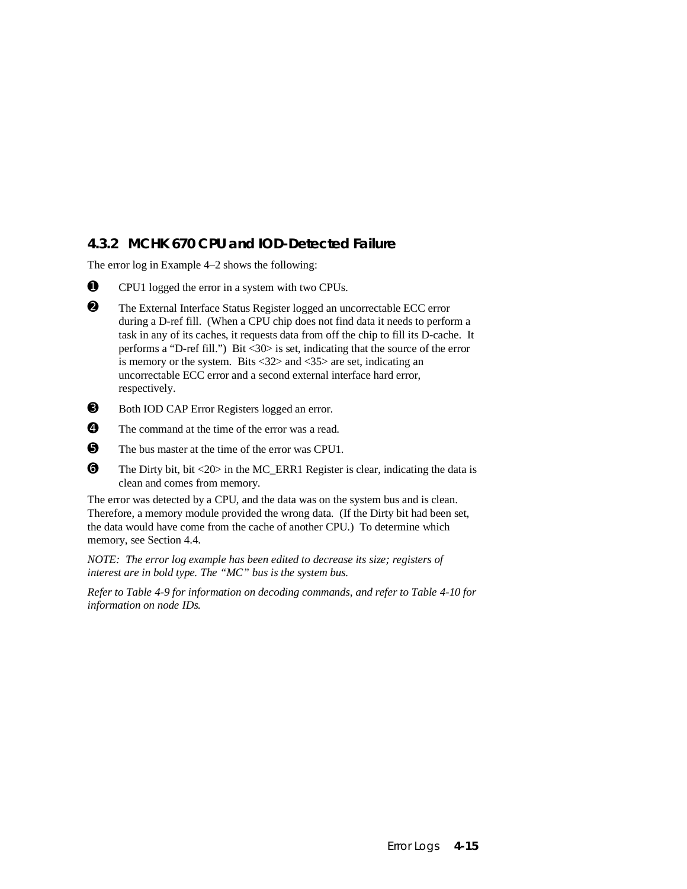### **4.3.2 MCHK 670 CPU and IOD-Detected Failure**

The error log in Example 4–2 shows the following:

- ➊ CPU1 logged the error in a system with two CPUs.
- ➋ The External Interface Status Register logged an uncorrectable ECC error during a D-ref fill. (When a CPU chip does not find data it needs to perform a task in any of its caches, it requests data from off the chip to fill its D-cache. It performs a "D-ref fill.") Bit <30> is set, indicating that the source of the error is memory or the system. Bits <32> and <35> are set, indicating an uncorrectable ECC error and a second external interface hard error, respectively.
- ➌ Both IOD CAP Error Registers logged an error.
- ➍ The command at the time of the error was a read.
- ➎ The bus master at the time of the error was CPU1.
- ➏ The Dirty bit, bit <20> in the MC\_ERR1 Register is clear, indicating the data is clean and comes from memory.

The error was detected by a CPU, and the data was on the system bus and is clean. Therefore, a memory module provided the wrong data. (If the Dirty bit had been set, the data would have come from the cache of another CPU.) To determine which memory, see Section 4.4.

*NOTE: The error log example has been edited to decrease its size; registers of interest are in bold type. The "MC" bus is the system bus.*

*Refer to Table 4-9 for information on decoding commands, and refer to Table 4-10 for information on node IDs.*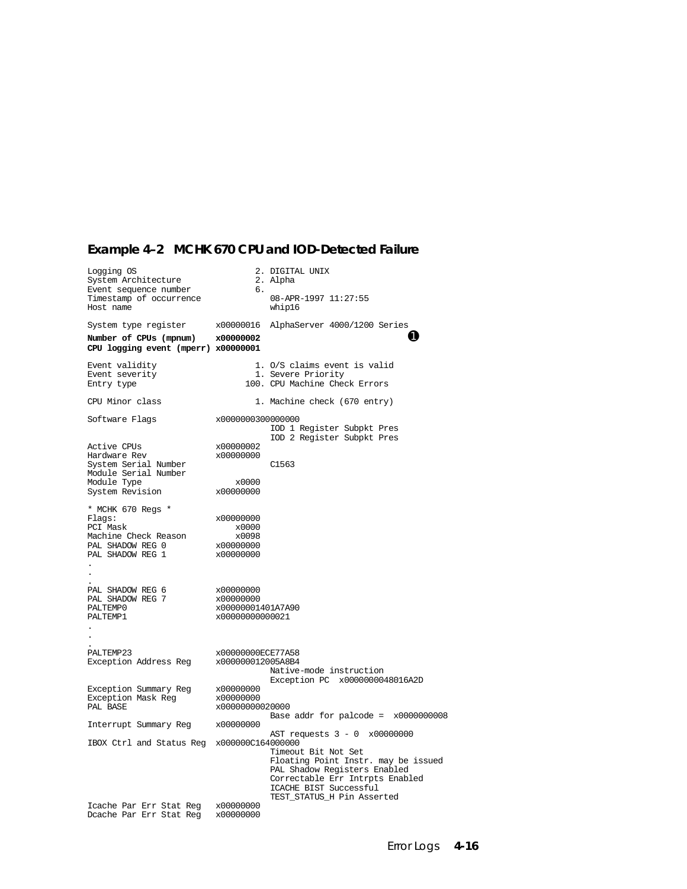# **Example 4–2 MCHK 670 CPU and IOD-Detected Failure**

| Logging OS<br>System Architecture                                                                                    |                                                                | 2. DIGITAL UNIX<br>2. Alpha                                                                                                                                                           |
|----------------------------------------------------------------------------------------------------------------------|----------------------------------------------------------------|---------------------------------------------------------------------------------------------------------------------------------------------------------------------------------------|
| Event sequence number<br>Timestamp of occurrence<br>Host name                                                        | б.                                                             | 08-APR-1997 11:27:55<br>whip16                                                                                                                                                        |
| System type register<br>Number of CPUs (mpnum)<br>CPU logging event (mperr) x00000001                                | x00000016<br>x00000002                                         | AlphaServer 4000/1200 Series<br>O                                                                                                                                                     |
| Event validity<br>Event severity<br>Entry type                                                                       |                                                                | 1. O/S claims event is valid<br>1. Severe Priority<br>100. CPU Machine Check Errors                                                                                                   |
| CPU Minor class                                                                                                      |                                                                | 1. Machine check (670 entry)                                                                                                                                                          |
| Software Flags                                                                                                       | x0000000300000000                                              | IOD 1 Register Subpkt Pres                                                                                                                                                            |
| Active CPUs<br>Hardware Rev<br>System Serial Number<br>Module Serial Number<br>Module Type                           | x00000002<br>x00000000<br>x0000                                | IOD 2 Register Subpkt Pres<br>C1563                                                                                                                                                   |
| System Revision                                                                                                      | x00000000                                                      |                                                                                                                                                                                       |
| * MCHK 670 Regs *<br>Flags:<br>PCI Mask<br>Machine Check Reason<br>PAL SHADOW REG 0<br>PAL SHADOW REG 1<br>$\bullet$ | x00000000<br>x0000<br>x0098<br>x00000000<br>x00000000          |                                                                                                                                                                                       |
| PAL SHADOW REG 6<br>PAL SHADOW REG 7<br>PALTEMP0<br>PALTEMP1<br>$\cdot$                                              | x00000000<br>x00000000<br>x00000001401A7A90<br>x00000000000021 |                                                                                                                                                                                       |
| PALTEMP23<br>Exception Address Reg                                                                                   | x00000000ECE77A58<br>x000000012005A8B4                         | Native-mode instruction<br>Exception PC x0000000048016A2D                                                                                                                             |
| Exception Summary Reg<br>Exception Mask Reg<br>PAL BASE                                                              | x00000000<br>x00000000<br>x00000000020000                      | Base addr for palcode = $x0000000008$                                                                                                                                                 |
| Interrupt Summary Reg x00000000                                                                                      |                                                                | AST requests 3 - 0 x00000000                                                                                                                                                          |
| IBOX Ctrl and Status Reg x000000C164000000                                                                           |                                                                | Timeout Bit Not Set<br>Floating Point Instr. may be issued<br>PAL Shadow Registers Enabled<br>Correctable Err Intrpts Enabled<br>ICACHE BIST Successful<br>TEST_STATUS_H Pin Asserted |
| Icache Par Err Stat Reg<br>Dcache Par Err Stat Reg                                                                   | x00000000<br>x00000000                                         |                                                                                                                                                                                       |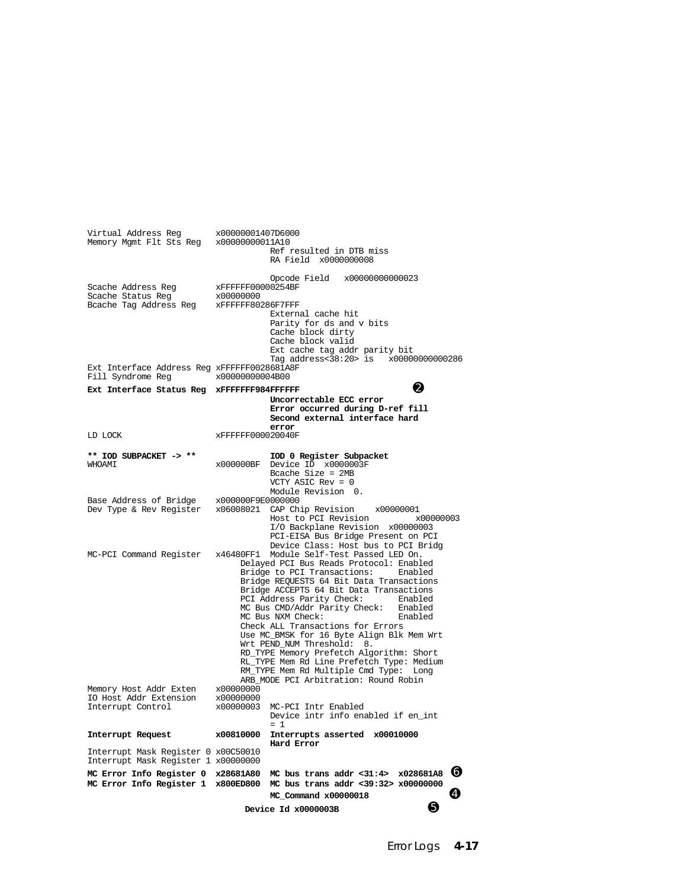Virtual Address Reg x00000001407D6000 Memory Mgmt Flt Sts Reg x00000000011A10 Ref resulted in DTB miss RA Field x0000000008 Opcode Field x00000000000023<br>xFFFFFF00000254BF Scache Address Reg  $x$ FFFFFFF000<br>Scache Status Reg  $x00000000$ Scache Status Reg x00000000 Bcache Tag Address Reg External cache hit Parity for ds and v bits Cache block dirty Cache block valid Ext cache tag addr parity bit Tag address<38:20> is x00000000000286 Ext Interface Address Reg xFFFFFF0028681A8F<br>Fill Syndrome Reg x00000000004B00 Fill Syndrome Reg **Ext Interface Status Reg xFFFFFFF984FFFFFF** ➋  **Uncorrectable ECC error Error occurred during D-ref fill Second external interface hard error**<br>LD LOCK xFFFFFF0000200401 LD LOCK xFFFFFF000020040F **\*\* IOD SUBPACKET -> \*\* IOD 0 Register Subpacket** x000000BF Device ID x0000003F Bcache Size = 2MB VCTY ASIC Rev = 0 Module Revision 0.<br>x000000F9E0000000 Base Address of Bridge<br>Dev Type & Rev Register  $x06008021$  CAP Chip Revision  $x00000001$ <br>Host to PCI Revision  $x000000003$ Host to PCI Revision I/O Backplane Revision x00000003 PCI-EISA Bus Bridge Present on PCI Device Class: Host bus to PCI Bridg<br>MC-PCI Command Register x46480FF1 Module Self-Test Passed LED On. x46480FF1 Module Self-Test Passed LED On. Delayed PCI Bus Reads Protocol: Enabled Bridge to PCI Transactions: Bridge REQUESTS 64 Bit Data Transactions Bridge ACCEPTS 64 Bit Data Transactions<br>PCI Address Parity Check: Enabled PCI Address Parity Check: Enabled roc Bus CMD/Addr Parity Check: Enabled<br>MC Bus NXM Check: Enabled MC Bus NXM Check: Check ALL Transactions for Errors Use MC\_BMSK for 16 Byte Align Blk Mem Wrt Wrt PEND\_NUM Threshold: 8. RD\_TYPE Memory Prefetch Algorithm: Short RL\_TYPE Mem Rd Line Prefetch Type: Medium RM\_TYPE Mem Rd Multiple Cmd Type: Long ARB\_MODE PCI Arbitration: Round Robin<br>x00000000 Memory Host Addr Exten x00000000<br>TO Host Addr Extension x000000000 IO Host Addr Extension Interrupt Control x00000003 MC-PCI Intr Enabled Device intr info enabled if en\_int  $= 1$  $= 1$ **Interrupt Request x00810000 Interrupts asserted x00010000 Hard Error** Interrupt Mask Register 0 x00C50010 Interrupt Mask Register 1 x00000000 **MC Error Info Register 0 x28681A80 MC bus trans addr <31:4> x028681A8** ➏ **MC Error Info Register 1 x800ED800 MC bus trans addr <39:32> x00000000 MC\_Command x00000018** ➍ **Device Id x0000003B a**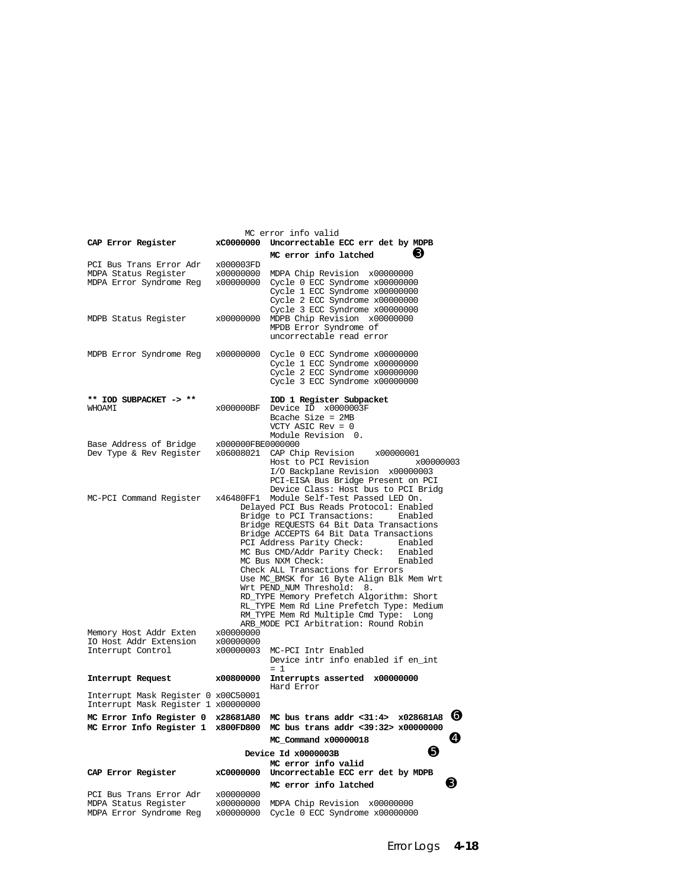| MC error info valid                                                        |                                                                                                                                                                                                                                                                                                                                                                                                                                                                                                                                                                                                                                          |                                                                                                                                                                                                |  |
|----------------------------------------------------------------------------|------------------------------------------------------------------------------------------------------------------------------------------------------------------------------------------------------------------------------------------------------------------------------------------------------------------------------------------------------------------------------------------------------------------------------------------------------------------------------------------------------------------------------------------------------------------------------------------------------------------------------------------|------------------------------------------------------------------------------------------------------------------------------------------------------------------------------------------------|--|
| CAP Error Register                                                         |                                                                                                                                                                                                                                                                                                                                                                                                                                                                                                                                                                                                                                          | xC0000000 Uncorrectable ECC err det by MDPB                                                                                                                                                    |  |
| PCI Bus Trans Error Adr                                                    | x000003FD                                                                                                                                                                                                                                                                                                                                                                                                                                                                                                                                                                                                                                | ⊌<br>MC error info latched                                                                                                                                                                     |  |
| MDPA Status Register<br>MDPA Error Syndrome Reg                            | x00000000<br>x00000000                                                                                                                                                                                                                                                                                                                                                                                                                                                                                                                                                                                                                   | MDPA Chip Revision x00000000<br>Cycle 0 ECC Syndrome x00000000<br>Cycle 1 ECC Syndrome x00000000<br>Cycle 2 ECC Syndrome x00000000<br>Cycle 3 ECC Syndrome x00000000                           |  |
| MDPB Status Register                                                       | x00000000                                                                                                                                                                                                                                                                                                                                                                                                                                                                                                                                                                                                                                | MDPB Chip Revision x00000000<br>MPDB Error Syndrome of<br>uncorrectable read error                                                                                                             |  |
|                                                                            |                                                                                                                                                                                                                                                                                                                                                                                                                                                                                                                                                                                                                                          | MDPB Error Syndrome Reg x00000000 Cycle 0 ECC Syndrome x00000000<br>Cycle 1 ECC Syndrome x00000000<br>Cycle 2 ECC Syndrome x00000000<br>Cycle 3 ECC Syndrome x00000000                         |  |
| ** IOD SUBPACKET -> **<br><b>TMAOHW</b>                                    | x000000BF                                                                                                                                                                                                                                                                                                                                                                                                                                                                                                                                                                                                                                | IOD 1 Register Subpacket<br>Device ID x0000003F<br>Bcache Size = $2MB$<br>VCTY ASIC $Rev = 0$<br>Module Revision 0.                                                                            |  |
| Base Address of Bridge                                                     | x000000FBE0000000                                                                                                                                                                                                                                                                                                                                                                                                                                                                                                                                                                                                                        |                                                                                                                                                                                                |  |
| Dev Type & Rev Register                                                    |                                                                                                                                                                                                                                                                                                                                                                                                                                                                                                                                                                                                                                          | x06008021 CAP Chip Revision<br>x00000001<br>Host to PCI Revision<br>x00000003<br>I/O Backplane Revision x00000003<br>PCI-EISA Bus Bridge Present on PCI<br>Device Class: Host bus to PCI Bridg |  |
| MC-PCI Command Register                                                    | x46480FF1 Module Self-Test Passed LED On.<br>Delayed PCI Bus Reads Protocol: Enabled<br>Bridge to PCI Transactions:<br>Enabled<br>Bridge REQUESTS 64 Bit Data Transactions<br>Bridge ACCEPTS 64 Bit Data Transactions<br>PCI Address Parity Check:<br>Enabled<br>MC Bus CMD/Addr Parity Check: Enabled<br>MC Bus NXM Check:<br>Enabled<br>Check ALL Transactions for Errors<br>Use MC_BMSK for 16 Byte Align Blk Mem Wrt<br>Wrt PEND_NUM Threshold:<br>8.<br>RD_TYPE Memory Prefetch Algorithm: Short<br>RL_TYPE Mem Rd Line Prefetch Type: Medium<br>RM_TYPE Mem Rd Multiple Cmd Type:<br>Long<br>ARB MODE PCI Arbitration: Round Robin |                                                                                                                                                                                                |  |
| Memory Host Addr Exten<br>IO Host Addr Extension                           | x00000000<br>x00000000                                                                                                                                                                                                                                                                                                                                                                                                                                                                                                                                                                                                                   |                                                                                                                                                                                                |  |
| Interrupt Control                                                          | x00000003                                                                                                                                                                                                                                                                                                                                                                                                                                                                                                                                                                                                                                | MC-PCI Intr Enabled<br>Device intr info enabled if en_int<br>$= 1$                                                                                                                             |  |
| Interrupt Request                                                          | x00800000                                                                                                                                                                                                                                                                                                                                                                                                                                                                                                                                                                                                                                | Interrupts asserted x00000000<br>Hard Error                                                                                                                                                    |  |
| Interrupt Mask Register 0 x00C50001<br>Interrupt Mask Register 1 x00000000 |                                                                                                                                                                                                                                                                                                                                                                                                                                                                                                                                                                                                                                          |                                                                                                                                                                                                |  |
| MC Error Info Register 0 x28681A80                                         |                                                                                                                                                                                                                                                                                                                                                                                                                                                                                                                                                                                                                                          | MC bus trans addr <31:4> $x028681A8$ $\bullet$                                                                                                                                                 |  |
|                                                                            |                                                                                                                                                                                                                                                                                                                                                                                                                                                                                                                                                                                                                                          | MC Error Info Register 1 x800FD800 MC bus trans addr <39:32> x00000000<br>Ø<br>MC Command x00000018                                                                                            |  |
|                                                                            |                                                                                                                                                                                                                                                                                                                                                                                                                                                                                                                                                                                                                                          | Device Id x0000003B                                                                                                                                                                            |  |
|                                                                            |                                                                                                                                                                                                                                                                                                                                                                                                                                                                                                                                                                                                                                          | MC error info valid                                                                                                                                                                            |  |
| CAP Error Register                                                         | xC0000000                                                                                                                                                                                                                                                                                                                                                                                                                                                                                                                                                                                                                                | Uncorrectable ECC err det by MDPB                                                                                                                                                              |  |
| PCI Bus Trans Error Adr                                                    | x00000000                                                                                                                                                                                                                                                                                                                                                                                                                                                                                                                                                                                                                                | U<br>MC error info latched                                                                                                                                                                     |  |
| MDPA Status Register<br>MDPA Error Syndrome Reg                            | x00000000<br>x00000000                                                                                                                                                                                                                                                                                                                                                                                                                                                                                                                                                                                                                   | MDPA Chip Revision x00000000<br>Cycle 0 ECC Syndrome x00000000                                                                                                                                 |  |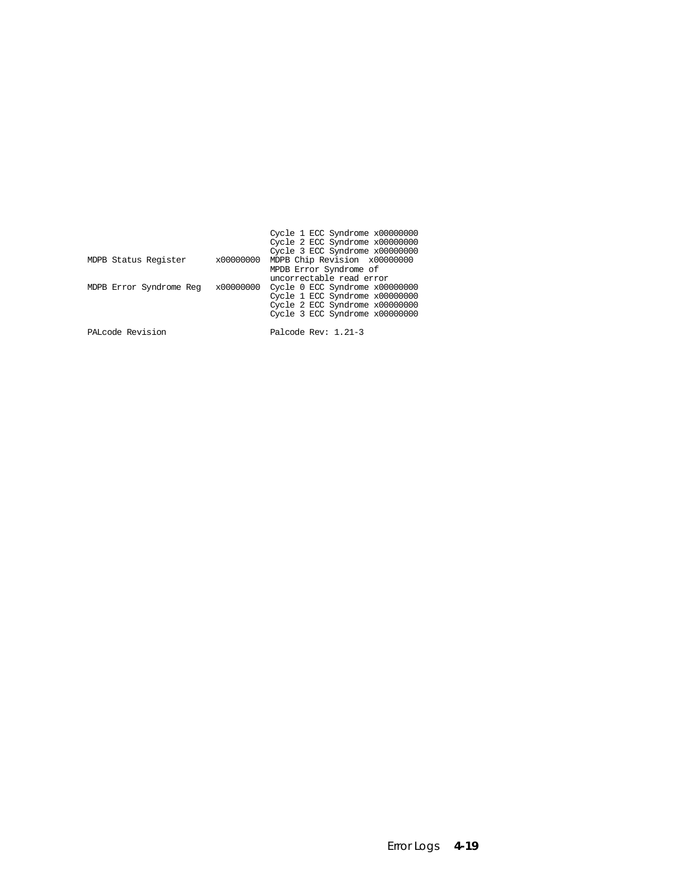|                         |           | Cycle 1 ECC Syndrome x00000000 |
|-------------------------|-----------|--------------------------------|
|                         |           | Cycle 2 ECC Syndrome x00000000 |
|                         |           | Cycle 3 ECC Syndrome x00000000 |
| MDPB Status Register    | x00000000 | MDPB Chip Revision x00000000   |
|                         |           | MPDB Error Syndrome of         |
|                         |           | uncorrectable read error       |
| MDPB Error Syndrome Reg | x00000000 | Cycle 0 ECC Syndrome x00000000 |
|                         |           | Cycle 1 ECC Syndrome x00000000 |
|                         |           | Cycle 2 ECC Syndrome x00000000 |
|                         |           | Cycle 3 ECC Syndrome x00000000 |
|                         |           |                                |
| PALcode Revision        |           | Palcode Rev: 1.21-3            |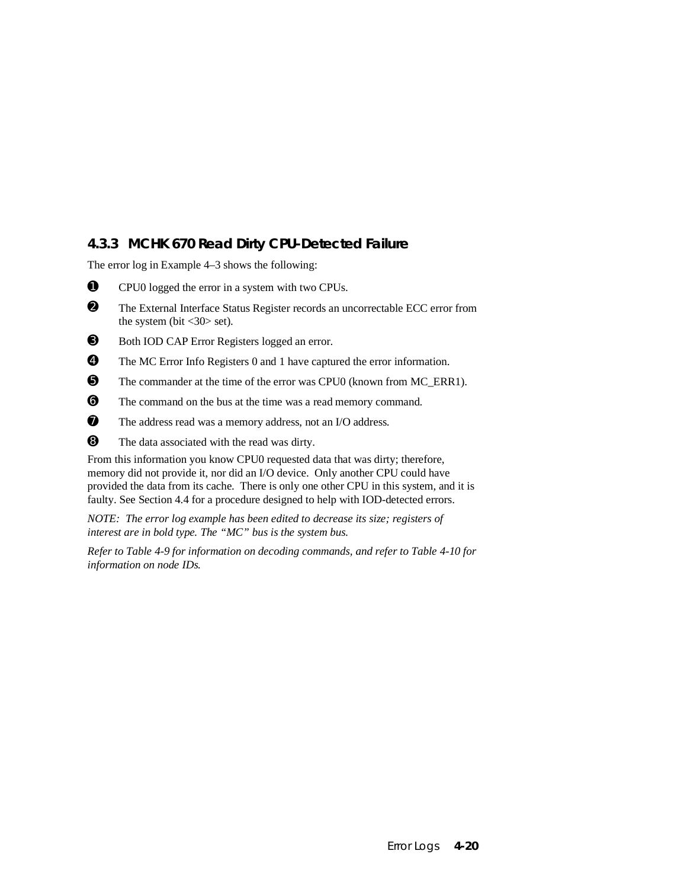### **4.3.3 MCHK 670 Read Dirty CPU-Detected Failure**

The error log in Example 4–3 shows the following:

- ➊ CPU0 logged the error in a system with two CPUs.
- ➋ The External Interface Status Register records an uncorrectable ECC error from the system (bit  $\langle 30 \rangle$  set).
- ➌ Both IOD CAP Error Registers logged an error.
- ➍ The MC Error Info Registers 0 and 1 have captured the error information.
- ➎ The commander at the time of the error was CPU0 (known from MC\_ERR1).
- ➏ The command on the bus at the time was a read memory command.
- $\nabla$  The address read was a memory address, not an I/O address.
- ➑ The data associated with the read was dirty.

From this information you know CPU0 requested data that was dirty; therefore, memory did not provide it, nor did an I/O device. Only another CPU could have provided the data from its cache. There is only one other CPU in this system, and it is faulty. See Section 4.4 for a procedure designed to help with IOD-detected errors.

*NOTE: The error log example has been edited to decrease its size; registers of interest are in bold type. The "MC" bus is the system bus.*

*Refer to Table 4-9 for information on decoding commands, and refer to Table 4-10 for information on node IDs.*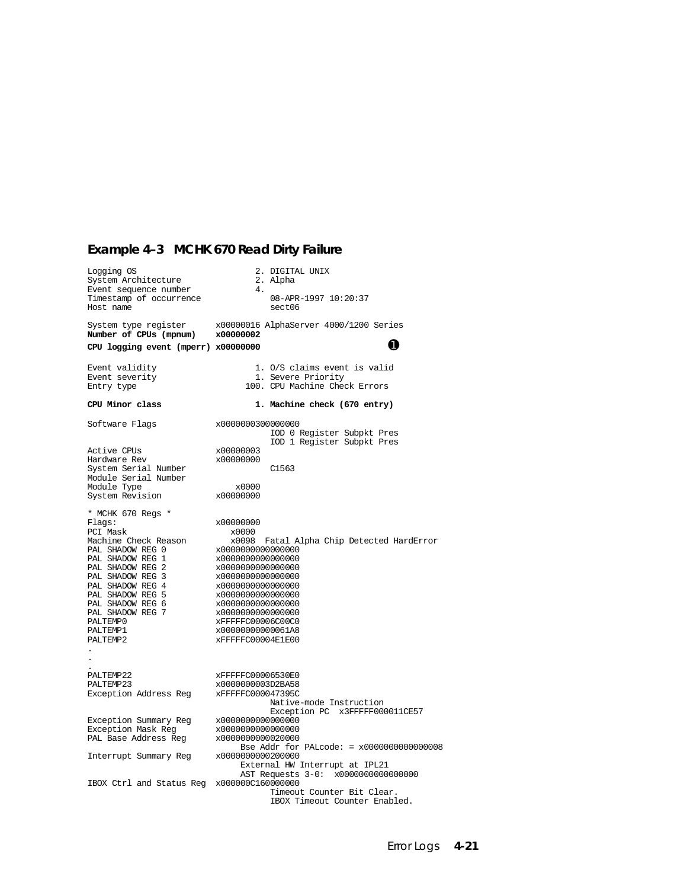# **Example 4–3 MCHK 670 Read Dirty Failure**

| Logging OS<br>System Architecture<br>Event sequence number                                                                                                                                                                                                          | 4.                                                                                                                                                                                                                                                                 | 2. DIGITAL UNIX<br>2. Alpha                                           |
|---------------------------------------------------------------------------------------------------------------------------------------------------------------------------------------------------------------------------------------------------------------------|--------------------------------------------------------------------------------------------------------------------------------------------------------------------------------------------------------------------------------------------------------------------|-----------------------------------------------------------------------|
| Timestamp of occurrence<br>Host name                                                                                                                                                                                                                                |                                                                                                                                                                                                                                                                    | 08-APR-1997 10:20:37<br>sect06                                        |
| System type register<br>Number of CPUs (mpnum)                                                                                                                                                                                                                      | x00000002                                                                                                                                                                                                                                                          | x00000016 AlphaServer 4000/1200 Series                                |
| CPU logging event (mperr) x00000000                                                                                                                                                                                                                                 |                                                                                                                                                                                                                                                                    | O                                                                     |
| Event validity                                                                                                                                                                                                                                                      |                                                                                                                                                                                                                                                                    | 1. O/S claims event is valid                                          |
| Event severity<br>Entry type                                                                                                                                                                                                                                        |                                                                                                                                                                                                                                                                    | 1. Severe Priority<br>100. CPU Machine Check Errors                   |
| CPU Minor class                                                                                                                                                                                                                                                     |                                                                                                                                                                                                                                                                    | 1. Machine check (670 entry)                                          |
| Software Flags                                                                                                                                                                                                                                                      | x0000000300000000                                                                                                                                                                                                                                                  | IOD 0 Register Subpkt Pres<br>IOD 1 Register Subpkt Pres              |
| Active CPUs<br>Hardware Rev<br>System Serial Number<br>Module Serial Number                                                                                                                                                                                         | x00000003<br>x00000000                                                                                                                                                                                                                                             | C1563                                                                 |
| Module Type<br>System Revision                                                                                                                                                                                                                                      | x0000<br>x00000000                                                                                                                                                                                                                                                 |                                                                       |
| * MCHK 670 Regs *<br>Flags:<br>PCI Mask<br>Machine Check Reason<br>PAL SHADOW REG 0<br>PAL SHADOW REG 1<br>PAL SHADOW REG 2<br>PAL SHADOW REG 3<br>PAL SHADOW REG 4<br>PAL SHADOW REG 5<br>PAL SHADOW REG 6<br>PAL SHADOW REG 7<br>PALTEMP0<br>PALTEMP1<br>PALTEMP2 | x00000000<br>x0000<br>x0098<br>x0000000000000000<br>x0000000000000000<br>x0000000000000000<br>x0000000000000000<br>x0000000000000000<br>x0000000000000000<br>x0000000000000000<br>x0000000000000000<br>xFFFFFC00006C00C0<br>x00000000000061A8<br>xFFFFFC00004E1E00 | Fatal Alpha Chip Detected HardError                                   |
| PALTEMP22<br>PALTEMP23<br>Exception Address Reg                                                                                                                                                                                                                     | xFFFFFC00006530E0<br>x0000000003D2BA58<br>xFFFFFC000047395C<br>x0000000000000000                                                                                                                                                                                   | Native-mode Instruction<br>Exception PC x3FFFFF000011CE57             |
| Exception Summary Reg<br>Exception Mask Reg<br>PAL Base Address Reg                                                                                                                                                                                                 | x0000000000000000<br>x0000000000020000                                                                                                                                                                                                                             | Bse Addr for PALcode: = $x000000000000008$                            |
| Interrupt Summary Reg                                                                                                                                                                                                                                               | x0000000000200000                                                                                                                                                                                                                                                  | External HW Interrupt at IPL21<br>AST Requests 3-0: x0000000000000000 |
| IBOX Ctrl and Status Reg x000000C160000000                                                                                                                                                                                                                          |                                                                                                                                                                                                                                                                    | Timeout Counter Bit Clear.<br>IBOX Timeout Counter Enabled.           |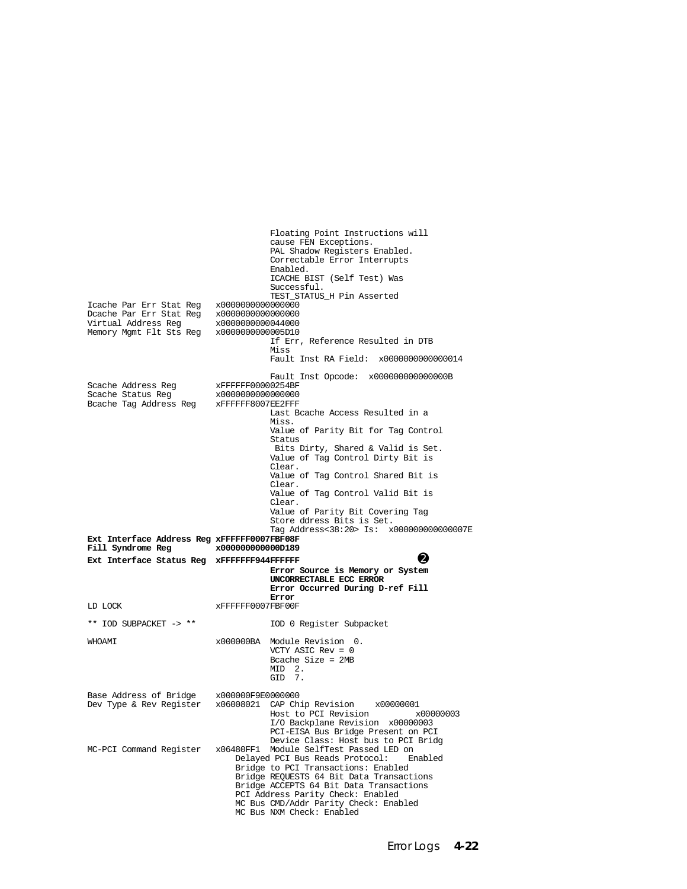Floating Point Instructions will cause FEN Exceptions. PAL Shadow Registers Enabled. Correctable Error Interrupts Enabled. ICACHE BIST (Self Test) Was Successful. TEST\_STATUS\_H Pin Asserted Icache Par Err Stat Reg x0000000000000000 Dcache Par Err Stat Reg x0000000000000000 Virtual Address Reg x0000000000044000<br>Memory Mgmt Flt Sts Reg x0000000000005D10 Memory Mgmt Flt Sts Reg If Err, Reference Resulted in DTB Miss Fault Inst RA Field: x0000000000000014 Fault Inst Opcode: x00000000000000000000B<br>xFFFFFF00000254BF Scache Address Reg  $x$ FFFFFF00000254BF<br>Scache Status Reg  $x0000000000000000$ Scache Status Reg x0000000000000000 Bcache Tag Address Reg Last Bcache Access Resulted in a Miss. Value of Parity Bit for Tag Control Status Bits Dirty, Shared & Valid is Set. Value of Tag Control Dirty Bit is Clear. Value of Tag Control Shared Bit is Clear. Value of Tag Control Valid Bit is Clear. Value of Parity Bit Covering Tag Store ddress Bits is Set. Tag Address<38:20> Is: x000000000000007E **Ext Interface Address Reg xFFFFFF0007FBF08F** Fill Syndrome Reg **Ext Interface Status Reg xFFFFFFF944FFFFFFF**  $\bullet$  **Error Source is Memory or System UNCORRECTABLE ECC ERROR Error Occurred During D-ref Fill Error** LD LOCK xFFFFFF0007FBF00F \*\* IOD SUBPACKET -> \*\* IOD 0 Register Subpacket WHOAMI x000000BA Module Revision 0. VCTY ASIC Rev = 0 Bcache Size = 2MB MID 2. GID 7. Base Address of Bridge x000000F9E0000000<br>Dev Type & Rev Register x06008021 CAP Ch  $x06008021$  CAP Chip Revision  $x00000001$ <br>Host to PCI Revision  $x000000003$ Host to PCI Revision I/O Backplane Revision x00000003 PCI-EISA Bus Bridge Present on PCI Device Class: Host bus to PCI Bridg<br>MC-PCI Command Register x06480FF1 Module SelfTest Passed LED on x06480FF1 Module SelfTest Passed LED on<br>Delaved PCI Bus Reads Protocol: Enabled Delayed PCI Bus Reads Protocol: Bridge to PCI Transactions: Enabled Bridge REQUESTS 64 Bit Data Transactions Bridge ACCEPTS 64 Bit Data Transactions PCI Address Parity Check: Enabled MC Bus CMD/Addr Parity Check: Enabled MC Bus NXM Check: Enabled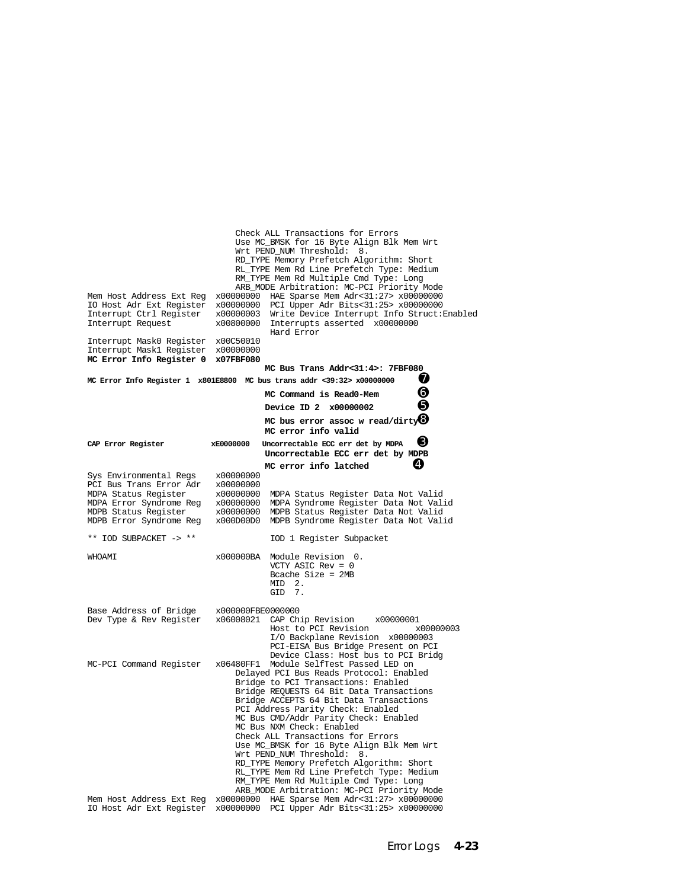| Mem Host Address Ext Reg<br>IO Host Adr Ext Register<br>Interrupt Ctrl Register<br>Interrupt Request<br>Interrupt MaskO Register<br>Interrupt Mask1 Register x00000000<br>MC Error Info Register 0 | x00800000<br>x00C50010<br>x07FBF080              | Check ALL Transactions for Errors<br>Use MC_BMSK for 16 Byte Align Blk Mem Wrt<br>Wrt PEND_NUM Threshold: 8.<br>RD_TYPE Memory Prefetch Algorithm: Short<br>RL_TYPE Mem Rd Line Prefetch Type: Medium<br>RM_TYPE Mem Rd Multiple Cmd Type: Long<br>ARB_MODE Arbitration: MC-PCI Priority Mode<br>x00000000 HAE Sparse Mem Adr<31:27> x00000000<br>x00000000 PCI Upper Adr Bits<31:25> x00000000<br>x00000003 Write Device Interrupt Info Struct: Enabled<br>Interrupts asserted x00000000<br>Hard Error<br>MC Bus Trans Addr<31:4>: 7FBF080                                                                                                                            |
|----------------------------------------------------------------------------------------------------------------------------------------------------------------------------------------------------|--------------------------------------------------|------------------------------------------------------------------------------------------------------------------------------------------------------------------------------------------------------------------------------------------------------------------------------------------------------------------------------------------------------------------------------------------------------------------------------------------------------------------------------------------------------------------------------------------------------------------------------------------------------------------------------------------------------------------------|
|                                                                                                                                                                                                    |                                                  | Ø<br>MC Error Info Register 1 x801E8800 MC bus trans addr <39:32> x00000000                                                                                                                                                                                                                                                                                                                                                                                                                                                                                                                                                                                            |
|                                                                                                                                                                                                    |                                                  | ❻<br>MC Command is Read0-Mem                                                                                                                                                                                                                                                                                                                                                                                                                                                                                                                                                                                                                                           |
|                                                                                                                                                                                                    |                                                  | ❺<br>Device ID 2 x00000002                                                                                                                                                                                                                                                                                                                                                                                                                                                                                                                                                                                                                                             |
|                                                                                                                                                                                                    |                                                  | MC bus error assoc w read/dirty $\bm{\Theta}$                                                                                                                                                                                                                                                                                                                                                                                                                                                                                                                                                                                                                          |
| CAP Error Register                                                                                                                                                                                 | xE0000000                                        | MC error info valid<br>6<br>Uncorrectable ECC err det by MDPA<br>Uncorrectable ECC err det by MDPB                                                                                                                                                                                                                                                                                                                                                                                                                                                                                                                                                                     |
|                                                                                                                                                                                                    |                                                  | Ø<br>MC error info latched                                                                                                                                                                                                                                                                                                                                                                                                                                                                                                                                                                                                                                             |
| Sys Environmental Regs<br>PCI Bus Trans Error Adr<br>MDPA Status Register<br>MDPA Error Syndrome Reg<br>MDPB Status Register<br>MDPB Error Syndrome Reg                                            | x00000000<br>x00000000<br>x00000000<br>x00000000 | MDPA Status Register Data Not Valid<br>MDPA Syndrome Register Data Not Valid<br>x00000000 MDPB Status Register Data Not Valid<br>x000D00D0 MDPB Syndrome Register Data Not Valid                                                                                                                                                                                                                                                                                                                                                                                                                                                                                       |
| ** IOD SUBPACKET -> **                                                                                                                                                                             |                                                  | IOD 1 Register Subpacket                                                                                                                                                                                                                                                                                                                                                                                                                                                                                                                                                                                                                                               |
| WHOAMI                                                                                                                                                                                             |                                                  | x000000BA Module Revision 0.<br>VCTY ASIC $Rev = 0$<br>Bcache Size = $2MB$<br>MID <sub>2</sub> .<br>GID 7.                                                                                                                                                                                                                                                                                                                                                                                                                                                                                                                                                             |
| Base Address of Bridge                                                                                                                                                                             | x000000FBE0000000                                |                                                                                                                                                                                                                                                                                                                                                                                                                                                                                                                                                                                                                                                                        |
| Dev Type & Rev Register x06008021 CAP Chip Revision                                                                                                                                                |                                                  | x00000001<br>Host to PCI Revision<br>x00000003<br>I/O Backplane Revision x00000003<br>PCI-EISA Bus Bridge Present on PCI<br>Device Class: Host bus to PCI Bridg                                                                                                                                                                                                                                                                                                                                                                                                                                                                                                        |
| MC-PCI Command Register<br>Mem Host Address Ext Req                                                                                                                                                | x00000000                                        | x06480FF1 Module SelfTest Passed LED on<br>Delayed PCI Bus Reads Protocol: Enabled<br>Bridge to PCI Transactions: Enabled<br>Bridge REQUESTS 64 Bit Data Transactions<br>Bridge ACCEPTS 64 Bit Data Transactions<br>PCI Address Parity Check: Enabled<br>MC Bus CMD/Addr Parity Check: Enabled<br>MC Bus NXM Check: Enabled<br>Check ALL Transactions for Errors<br>Use MC_BMSK for 16 Byte Align Blk Mem Wrt<br>Wrt PEND_NUM Threshold:<br>8.<br>RD_TYPE Memory Prefetch Algorithm: Short<br>RL_TYPE Mem Rd Line Prefetch Type: Medium<br>RM_TYPE Mem Rd Multiple Cmd Type: Long<br>ARB_MODE Arbitration: MC-PCI Priority Mode<br>HAE Sparse Mem Adr<31:27> x00000000 |
| IO Host Adr Ext Register                                                                                                                                                                           | x00000000                                        | PCI Upper Adr Bits<31:25> x00000000                                                                                                                                                                                                                                                                                                                                                                                                                                                                                                                                                                                                                                    |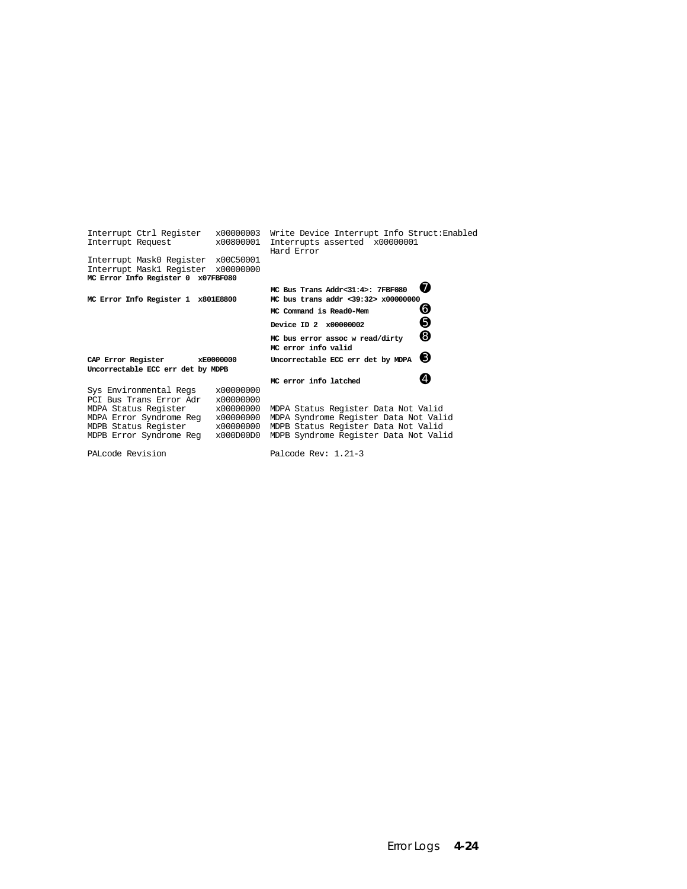| Interrupt Ctrl Register<br>Interrupt Request                                                                                                            | x00000003<br>x00800001                                                     | Write Device Interrupt Info Struct: Enabled<br>Interrupts asserted x00000001<br>Hard Error                                                                   |
|---------------------------------------------------------------------------------------------------------------------------------------------------------|----------------------------------------------------------------------------|--------------------------------------------------------------------------------------------------------------------------------------------------------------|
| Interrupt Mask0 Register x00C50001<br>Interrupt Maskl Register<br>MC Error Info Register 0 x07FBF080                                                    | x00000000                                                                  |                                                                                                                                                              |
|                                                                                                                                                         |                                                                            | w<br>MC Bus Trans Addr<31:4>: 7FBF080                                                                                                                        |
| MC Error Info Register 1 x801E8800                                                                                                                      |                                                                            | MC bus trans addr <39:32> x00000000                                                                                                                          |
|                                                                                                                                                         |                                                                            | O<br>MC Command is Read0-Mem                                                                                                                                 |
|                                                                                                                                                         |                                                                            | Θ<br>Device ID 2 x00000002                                                                                                                                   |
|                                                                                                                                                         |                                                                            | ❸<br>MC bus error assoc w read/dirty<br>MC error info valid                                                                                                  |
| CAP Error Register<br>Uncorrectable ECC err det by MDPB                                                                                                 | xE0000000                                                                  | ❸<br>Uncorrectable ECC err det by MDPA                                                                                                                       |
|                                                                                                                                                         |                                                                            | MC error info latched                                                                                                                                        |
| Sys Environmental Regs<br>PCI Bus Trans Error Adr<br>MDPA Status Register<br>MDPA Error Syndrome Req<br>MDPB Status Register<br>MDPB Error Syndrome Reg | x00000000<br>x00000000<br>x00000000<br>x00000000<br>x00000000<br>x000D00D0 | MDPA Status Register Data Not Valid<br>MDPA Syndrome Register Data Not Valid<br>MDPB Status Register Data Not Valid<br>MDPB Syndrome Register Data Not Valid |

PALcode Revision Palcode Rev: 1.21-3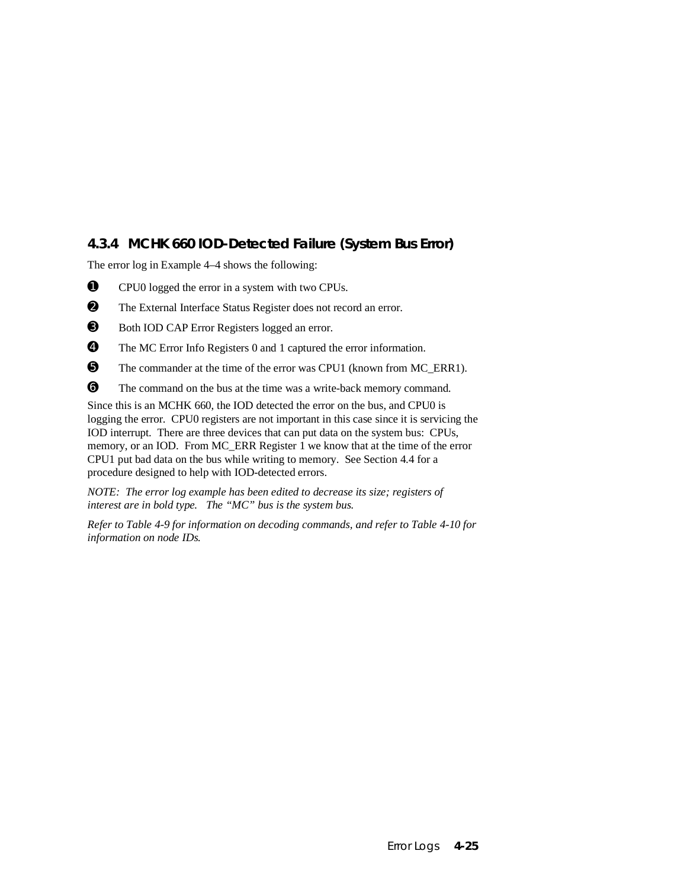## **4.3.4 MCHK 660 IOD-Detected Failure (System Bus Error)**

The error log in Example 4–4 shows the following:

- ➊ CPU0 logged the error in a system with two CPUs.
- ➋ The External Interface Status Register does not record an error.
- ➌ Both IOD CAP Error Registers logged an error.
- ➍ The MC Error Info Registers 0 and 1 captured the error information.
- ➎ The commander at the time of the error was CPU1 (known from MC\_ERR1).
- ➏ The command on the bus at the time was a write-back memory command.

Since this is an MCHK 660, the IOD detected the error on the bus, and CPU0 is logging the error. CPU0 registers are not important in this case since it is servicing the IOD interrupt. There are three devices that can put data on the system bus: CPUs, memory, or an IOD. From MC\_ERR Register 1 we know that at the time of the error CPU1 put bad data on the bus while writing to memory. See Section 4.4 for a procedure designed to help with IOD-detected errors.

*NOTE: The error log example has been edited to decrease its size; registers of interest are in bold type. The "MC" bus is the system bus.*

*Refer to Table 4-9 for information on decoding commands, and refer to Table 4-10 for information on node IDs.*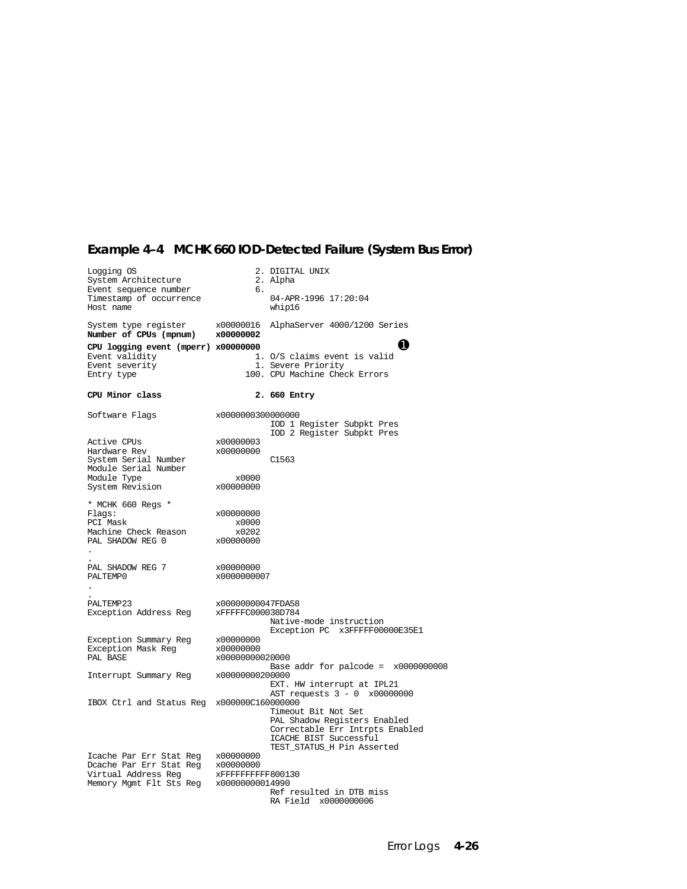# **Example 4–4 MCHK 660 IOD-Detected Failure (System Bus Error)**

| Logging OS<br>System Architecture<br>Event sequence number | б.                       | 2. DIGITAL UNIX<br>2. Alpha                          |
|------------------------------------------------------------|--------------------------|------------------------------------------------------|
| Timestamp of occurrence<br>Host name                       |                          | 04-APR-1996 17:20:04<br>whip16                       |
| System type register<br>Number of CPUs (mpnum)             | x00000016<br>x00000002   | AlphaServer 4000/1200 Series                         |
| CPU logging event (mperr) x00000000                        |                          | Ω                                                    |
| Event validity                                             |                          | 1. O/S claims event is valid                         |
| Event severity<br>Entry type                               |                          | 1. Severe Priority<br>100. CPU Machine Check Errors  |
| CPU Minor class                                            |                          | 2. 660 Entry                                         |
| Software Flags                                             | x0000000300000000        | IOD 1 Register Subpkt Pres                           |
|                                                            |                          | IOD 2 Register Subpkt Pres                           |
| Active CPUs                                                | x00000003                |                                                      |
| Hardware Rev<br>System Serial Number                       | x00000000                | C1563                                                |
| Module Serial Number                                       |                          |                                                      |
| Module Type                                                | x0000                    |                                                      |
| System Revision                                            | x00000000                |                                                      |
| * MCHK 660 Regs *                                          |                          |                                                      |
| Flags:                                                     | x00000000                |                                                      |
| PCI Mask                                                   | x0000                    |                                                      |
| Machine Check Reason<br>PAL SHADOW REG 0                   | x0202<br>x00000000       |                                                      |
|                                                            |                          |                                                      |
|                                                            |                          |                                                      |
| PAL SHADOW REG 7<br>PALTEMP0                               | x00000000<br>x0000000007 |                                                      |
|                                                            |                          |                                                      |
|                                                            |                          |                                                      |
| PALTEMP23                                                  | x00000000047FDA58        |                                                      |
| Exception Address Reg                                      | xFFFFFC000038D784        | Native-mode instruction                              |
|                                                            |                          | Exception PC x3FFFFF00000E35E1                       |
| Exception Summary Reg                                      | x00000000                |                                                      |
| Exception Mask Reg                                         | x00000000                |                                                      |
| PAL BASE                                                   | x00000000020000          | Base addr for palcode = $x0000000008$                |
| Interrupt Summary Reg                                      | x00000000200000          |                                                      |
|                                                            |                          | EXT. HW interrupt at IPL21                           |
| IBOX Ctrl and Status Reg x000000C160000000                 |                          | AST requests 3 - 0 x00000000                         |
|                                                            |                          | Timeout Bit Not Set                                  |
|                                                            |                          | PAL Shadow Registers Enabled                         |
|                                                            |                          | Correctable Err Intrpts Enabled                      |
|                                                            |                          | ICACHE BIST Successful<br>TEST_STATUS_H Pin Asserted |
| Icache Par Err Stat Reg x00000000                          |                          |                                                      |
|                                                            |                          |                                                      |
| Memory Mgmt Flt Sts Reg x00000000014990                    |                          |                                                      |
|                                                            |                          | Ref resulted in DTB miss                             |
|                                                            |                          | RA Field x0000000006                                 |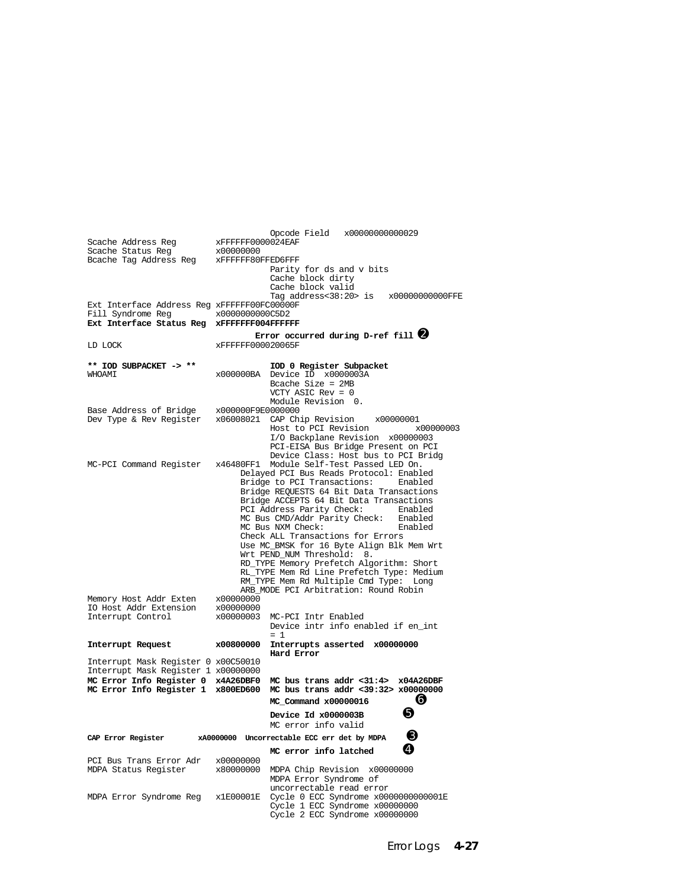Opcode Field x00000000000029<br>xFFFFFFF0000024EAF Scache Address Reg  $x$ FFFFFF000<br>Scache Status Reg  $x00000000$ Scache Status Reg x00000000<br>Bcache Tag Address Reg xFFFFFF80FFED6FFF Bcache Tag Address Reg Parity for ds and v bits Cache block dirty Cache block valid Tag address<38:20> is x00000000000FFE Ext Interface Address Reg xFFFFFF00FC00000F<br>Fill Syndrome Reg x00000000000C5D2 Fill Syndrome Reg **Ext Interface Status Reg xFFFFFFF004FFFFFF Error occurred during D-ref fill** ➋ LD LOCK xFFFFFF000020065F **\*\* IOD SUBPACKET -> \*\* IOD 0 Register Subpacket** x000000BA Device ID x0000003A Bcache Size = 2MB VCTY ASIC Rev = 0 Module Revision 0.<br>x000000F9E0000000 Base Address of Bridge<br>Dev Type & Rev Register x06008021 CAP Chip Revision x00000001<br>Host to PCI Revision x000000003 Host to PCI Revision I/O Backplane Revision x00000003 PCI-EISA Bus Bridge Present on PCI Device Class: Host bus to PCI Bridg<br>MC-PCI Command Register x46480FF1 Module Self-Test Passed LED On. x46480FF1 Module Self-Test Passed LED On. Delayed PCI Bus Reads Protocol: Enabled Bridge to PCI Transactions: Bridge REQUESTS 64 Bit Data Transactions Bridge ACCEPTS 64 Bit Data Transactions<br>PCI Address Parity Check: Enabled PCI Address Parity Check: Enabled MC Bus CMD/Addr Parity Check: Enabled<br>MC Bus NXM Check: Enabled MC Bus NXM Check: Check ALL Transactions for Errors Use MC\_BMSK for 16 Byte Align Blk Mem Wrt Wrt PEND\_NUM Threshold: 8. RD\_TYPE Memory Prefetch Algorithm: Short RL\_TYPE Mem Rd Line Prefetch Type: Medium RM\_TYPE Mem Rd Multiple Cmd Type: Long ARE\_MODE PCI Arbitration: Round Robin<br>x00000000 Memory Host Addr Exten x00000000<br>IO Host Addr Extension x00000000 IO Host Addr Extension x00000000 MC-PCI Intr Enabled Device intr info enabled if en\_int  $= 1$ **Interrupt Request x00800000 Interrupts asserted x00000000 Hard Error** Interrupt Mask Register 0 x00C50010 Interrupt Mask Register 1 x00000000 **MC Error Info Register 0 x4A26DBF0 MC bus trans addr <31:4> x04A26DBF MC Error Info Register 1 x800ED600 MC bus trans addr <39:32> x00000000 MC\_Command x00000016** ➏ **Device Id x0000003B ①**  MC error info valid **CAP Error Register xA0000000 Uncorrectable ECC err det by MDPA** ➌ **MC** error info latched **Q** PCI Bus Trans Error Adr x00000000<br>MDPA Status Register x80000000 MDPA Chip Revision x00000000 MDPA Error Syndrome of uncorrectable read error MDPA Error Syndrome Reg x1E00001E Cycle 0 ECC Syndrome x0000000000001E Cycle 1 ECC Syndrome x00000000 Cycle 2 ECC Syndrome x00000000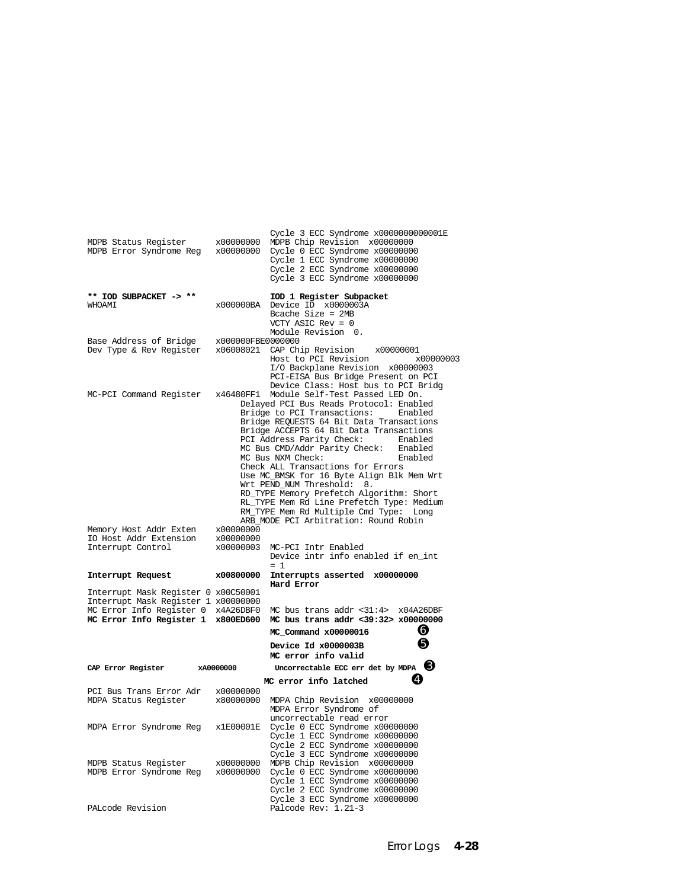| MDPB Status Register<br>MDPB Error Syndrome Reg                            | x00000000                           | Cycle 3 ECC Syndrome x0000000000001E<br>MDPB Chip Revision x00000000<br>x00000000 Cycle 0 ECC Syndrome x00000000<br>Cycle 1 ECC Syndrome x00000000<br>Cycle 2 ECC Syndrome x00000000<br>Cycle 3 ECC Syndrome x00000000                                                                                                                                                                                                                                                                                                                                                                                                                                                |
|----------------------------------------------------------------------------|-------------------------------------|-----------------------------------------------------------------------------------------------------------------------------------------------------------------------------------------------------------------------------------------------------------------------------------------------------------------------------------------------------------------------------------------------------------------------------------------------------------------------------------------------------------------------------------------------------------------------------------------------------------------------------------------------------------------------|
| ** IOD SUBPACKET -> **<br><b>WHOAMI</b>                                    | x000000BA                           | IOD 1 Register Subpacket<br>Device ID x0000003A<br>Bcache Size = $2MB$<br>VCTY ASIC Rev = $0$<br>Module Revision 0.                                                                                                                                                                                                                                                                                                                                                                                                                                                                                                                                                   |
| Base Address of Bridge<br>Dev Type & Rev Register                          | x000000FBE0000000                   | x06008021 CAP Chip Revision<br>x00000001<br>Host to PCI Revision<br>x00000003<br>I/O Backplane Revision x00000003<br>PCI-EISA Bus Bridge Present on PCI                                                                                                                                                                                                                                                                                                                                                                                                                                                                                                               |
| MC-PCI Command Register                                                    | x46480FF1                           | Device Class: Host bus to PCI Bridg<br>Module Self-Test Passed LED On.<br>Delayed PCI Bus Reads Protocol: Enabled<br>Bridge to PCI Transactions:<br>Enabled<br>Bridge REQUESTS 64 Bit Data Transactions<br>Bridge ACCEPTS 64 Bit Data Transactions<br>PCI Address Parity Check:<br>Enabled<br>Enabled<br>MC Bus CMD/Addr Parity Check:<br>MC Bus NXM Check:<br>Enabled<br>Check ALL Transactions for Errors<br>Use MC_BMSK for 16 Byte Align Blk Mem Wrt<br>Wrt PEND_NUM Threshold:<br>8.<br>RD_TYPE Memory Prefetch Algorithm: Short<br>RL_TYPE Mem Rd Line Prefetch Type: Medium<br>RM_TYPE Mem Rd Multiple Cmd Type: Long<br>ARB MODE PCI Arbitration: Round Robin |
| Memory Host Addr Exten<br>IO Host Addr Extension<br>Interrupt Control      | x00000000<br>x00000000<br>x00000003 | MC-PCI Intr Enabled<br>Device intr info enabled if en_int                                                                                                                                                                                                                                                                                                                                                                                                                                                                                                                                                                                                             |
| Interrupt Request                                                          | x00800000                           | $= 1$<br>Interrupts asserted x00000000                                                                                                                                                                                                                                                                                                                                                                                                                                                                                                                                                                                                                                |
| Interrupt Mask Register 0 x00C50001<br>Interrupt Mask Register 1 x00000000 |                                     | Hard Error                                                                                                                                                                                                                                                                                                                                                                                                                                                                                                                                                                                                                                                            |
| MC Error Info Register 0 x4A26DBF0<br>MC Error Info Register 1 x800ED600   |                                     | MC bus trans addr <31:4> x04A26DBF<br>MC bus trans addr <39:32> x00000000<br>❺<br>MC_Command x00000016                                                                                                                                                                                                                                                                                                                                                                                                                                                                                                                                                                |
|                                                                            |                                     | ❺<br>Device Id x0000003B<br>MC error info valid                                                                                                                                                                                                                                                                                                                                                                                                                                                                                                                                                                                                                       |
| CAP Error Register                                                         | xA0000000                           | Uncorrectable ECC err det by MDPA $\Theta$                                                                                                                                                                                                                                                                                                                                                                                                                                                                                                                                                                                                                            |
|                                                                            |                                     | Ø<br>MC error info latched                                                                                                                                                                                                                                                                                                                                                                                                                                                                                                                                                                                                                                            |
| PCI Bus Trans Error Adr<br>MDPA Status Register                            | x00000000<br>x80000000              | MDPA Chip Revision x00000000<br>MDPA Error Syndrome of<br>uncorrectable read error                                                                                                                                                                                                                                                                                                                                                                                                                                                                                                                                                                                    |
| MDPA Error Syndrome Reg                                                    | x1E00001E                           | Cycle 0 ECC Syndrome x00000000<br>Cycle 1 ECC Syndrome x00000000<br>Cycle 2 ECC Syndrome x00000000<br>Cycle 3 ECC Syndrome x00000000                                                                                                                                                                                                                                                                                                                                                                                                                                                                                                                                  |
| MDPB Status Register<br>MDPB Error Syndrome Reg                            | x00000000<br>x00000000              | MDPB Chip Revision x00000000<br>Cycle 0 ECC Syndrome x00000000<br>Cycle 1 ECC Syndrome x00000000<br>Cycle 2 ECC Syndrome x00000000<br>Cycle 3 ECC Syndrome x00000000                                                                                                                                                                                                                                                                                                                                                                                                                                                                                                  |
| PALcode Revision                                                           |                                     | Palcode Rev: 1.21-3                                                                                                                                                                                                                                                                                                                                                                                                                                                                                                                                                                                                                                                   |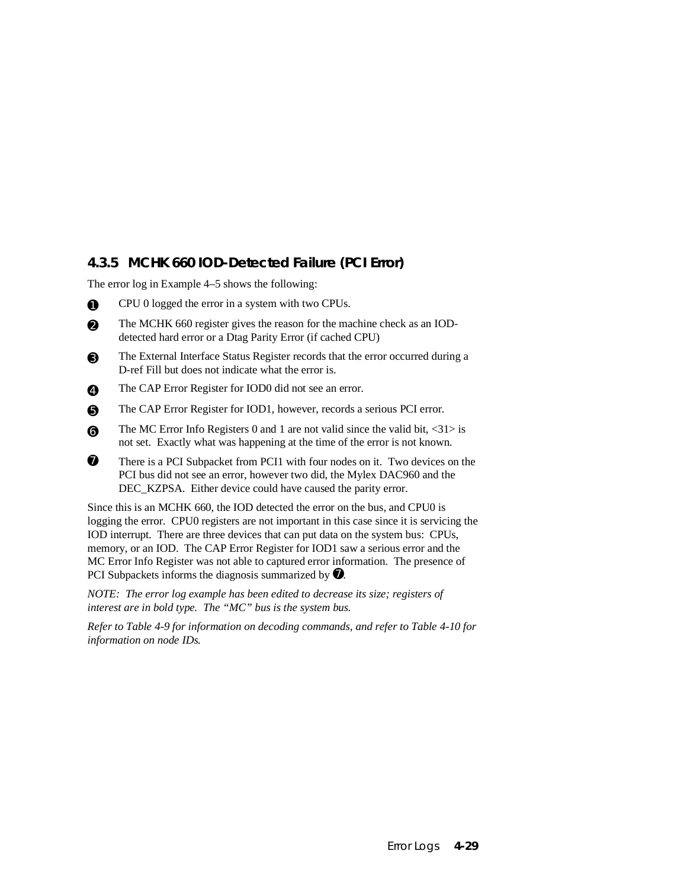## **4.3.5 MCHK 660 IOD-Detected Failure (PCI Error)**

The error log in Example 4–5 shows the following:

- ➊ CPU 0 logged the error in a system with two CPUs.
- ➋ The MCHK 660 register gives the reason for the machine check as an IODdetected hard error or a Dtag Parity Error (if cached CPU)
- ➌ The External Interface Status Register records that the error occurred during a D-ref Fill but does not indicate what the error is.
- ➍ The CAP Error Register for IOD0 did not see an error.
- ➎ The CAP Error Register for IOD1, however, records a serious PCI error.
- $\Theta$  The MC Error Info Registers 0 and 1 are not valid since the valid bit, <31> is not set. Exactly what was happening at the time of the error is not known.
- $\bullet$  There is a PCI Subpacket from PCI1 with four nodes on it. Two devices on the PCI bus did not see an error, however two did, the Mylex DAC960 and the DEC\_KZPSA. Either device could have caused the parity error.

Since this is an MCHK 660, the IOD detected the error on the bus, and CPU0 is logging the error. CPU0 registers are not important in this case since it is servicing the IOD interrupt. There are three devices that can put data on the system bus: CPUs, memory, or an IOD. The CAP Error Register for IOD1 saw a serious error and the MC Error Info Register was not able to captured error information. The presence of PCI Subpackets informs the diagnosis summarized by  $\bullet$ .

*NOTE: The error log example has been edited to decrease its size; registers of interest are in bold type. The "MC" bus is the system bus.*

*Refer to Table 4-9 for information on decoding commands, and refer to Table 4-10 for information on node IDs.*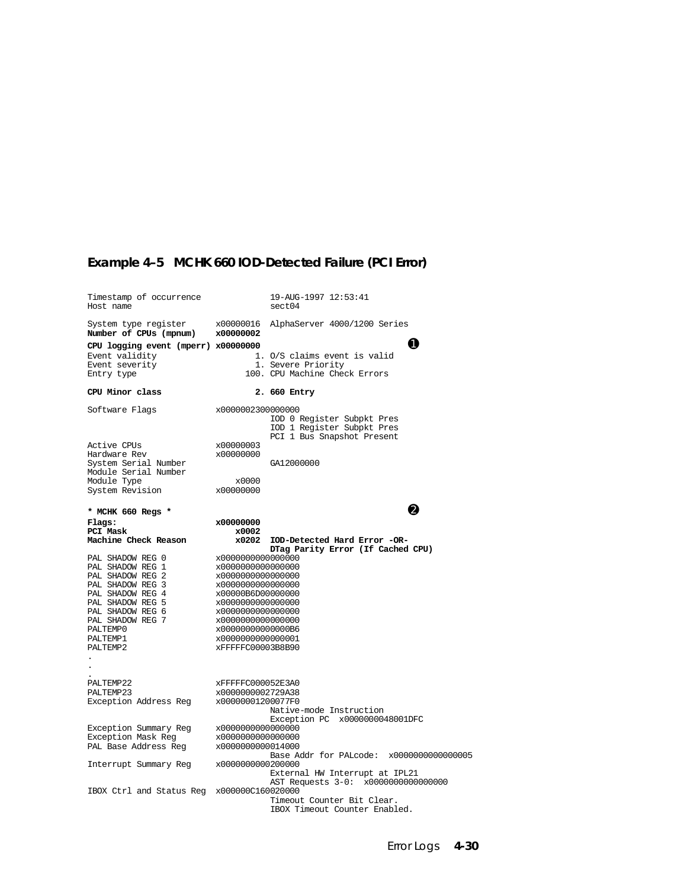## **Example 4–5 MCHK 660 IOD-Detected Failure (PCI Error)**

| Timestamp of occurrence<br>Host name                                                                                                                                                             |                                                                                                                                                                                                                                     | 19-AUG-1997 12:53:41<br>sect04                                                           |
|--------------------------------------------------------------------------------------------------------------------------------------------------------------------------------------------------|-------------------------------------------------------------------------------------------------------------------------------------------------------------------------------------------------------------------------------------|------------------------------------------------------------------------------------------|
| System type register<br>Number of CPUs (mpnum)                                                                                                                                                   | x00000016<br>x00000002                                                                                                                                                                                                              | AlphaServer 4000/1200 Series                                                             |
| CPU logging event (mperr) x00000000<br>Event validity<br>Event severity<br>Entry type                                                                                                            |                                                                                                                                                                                                                                     | O<br>1. O/S claims event is valid<br>1. Severe Priority<br>100. CPU Machine Check Errors |
| CPU Minor class                                                                                                                                                                                  |                                                                                                                                                                                                                                     | 2. 660 Entry                                                                             |
| Software Flags                                                                                                                                                                                   | x0000002300000000                                                                                                                                                                                                                   | IOD 0 Register Subpkt Pres<br>IOD 1 Register Subpkt Pres<br>PCI 1 Bus Snapshot Present   |
| Active CPUs<br>Hardware Rev                                                                                                                                                                      | x00000003<br>x00000000                                                                                                                                                                                                              |                                                                                          |
| System Serial Number<br>Module Serial Number                                                                                                                                                     |                                                                                                                                                                                                                                     | GA12000000                                                                               |
| Module Type<br>System Revision                                                                                                                                                                   | x0000<br>x00000000                                                                                                                                                                                                                  |                                                                                          |
| * MCHK 660 Regs *                                                                                                                                                                                |                                                                                                                                                                                                                                     | 2                                                                                        |
| $_{\rm Flags}$ :                                                                                                                                                                                 | x00000000                                                                                                                                                                                                                           |                                                                                          |
| PCI Mask<br>Machine Check Reason                                                                                                                                                                 | x0002<br>x0202                                                                                                                                                                                                                      | IOD-Detected Hard Error -OR-<br>DTag Parity Error (If Cached CPU)                        |
| PAL SHADOW REG 0<br>PAL SHADOW REG 1<br>PAL SHADOW REG 2<br>PAL SHADOW REG 3<br>PAL SHADOW REG 4<br>PAL SHADOW REG 5<br>PAL SHADOW REG 6<br>PAL SHADOW REG 7<br>PALTEMP0<br>PALTEMP1<br>PALTEMP2 | x0000000000000000<br>x0000000000000000<br>x0000000000000000<br>x0000000000000000<br>x00000B6D00000000<br>x0000000000000000<br>x0000000000000000<br>x0000000000000000<br>x00000000000000B6<br>x0000000000000001<br>xFFFFFC00003B8B90 |                                                                                          |
| PALTEMP22<br>PALTEMP23<br>Exception Address Reg                                                                                                                                                  | xFFFFFC000052E3A0<br>x0000000002729A38<br>x00000001200077F0                                                                                                                                                                         | Native-mode Instruction<br>Exception PC x0000000048001DFC                                |
| Exception Summary Reg<br>Exception Mask Reg<br>PAL Base Address Reg                                                                                                                              | x0000000000000000<br>x0000000000000000<br>x0000000000014000                                                                                                                                                                         | Base Addr for PALcode: x0000000000000005                                                 |
| Interrupt Summary Reg                                                                                                                                                                            | x0000000000200000                                                                                                                                                                                                                   | External HW Interrupt at IPL21<br>AST Requests 3-0: x0000000000000000                    |
| IBOX Ctrl and Status Reg x000000C160020000                                                                                                                                                       |                                                                                                                                                                                                                                     | Timeout Counter Bit Clear.<br>IBOX Timeout Counter Enabled.                              |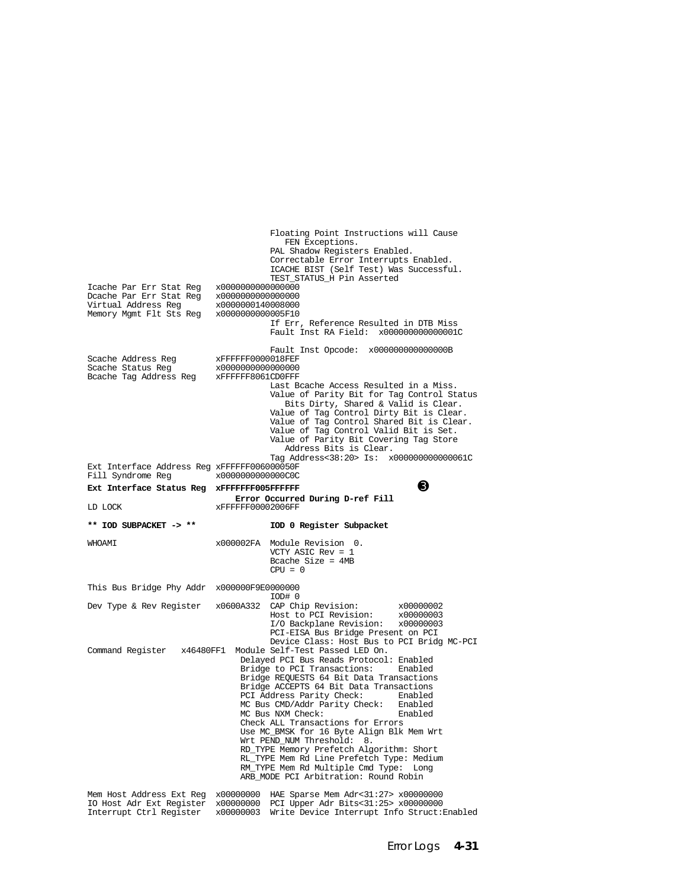Floating Point Instructions will Cause FEN Exceptions. PAL Shadow Registers Enabled. Correctable Error Interrupts Enabled. ICACHE BIST (Self Test) Was Successful. TEST\_STATUS\_H Pin Asserted Icache Par Err Stat Reg x0000000000000000 Dcache Par Err Stat Reg x0000000000000000 Virtual Address Reg x0000000140008000<br>Memory Mgmt Flt Sts Reg x0000000000005F10 Memory Mgmt Flt Sts Reg If Err, Reference Resulted in DTB Miss Fault Inst RA Field: x000000000000001C Fault Inst Opcode: x000000000000000B xFFFFFF0000018FEF<br>x000000000000000 Scache Status Reg x0000000000000000 Bcache Tag Address Reg Last Bcache Access Resulted in a Miss. Value of Parity Bit for Tag Control Status Bits Dirty, Shared & Valid is Clear.<br>Value of Tag Control Dirty Bit is Clear.<br>Value of Tag Control Shared Bit is Clear. Value of Tag Control Valid Bit is Set. Value of Parity Bit Covering Tag Store Address Bits is Clear. Tag Address<38:20> Is: x000000000000061C Ext Interface Address Reg xFFFFFF006000050F<br>Fill Syndrome Reg x00000000000000000 Fill Syndrome Req **Ext Interface Status Reg xFFFFFFF005FFFFFFF Error Occurred During D-ref Fill** LD LOCK  $x$ FFFFFF00002006FF  $xFFFFFF00002006FF$ **\*\* IOD SUBPACKET -> \*\* IOD 0 Register Subpacket** WHOAMI x000002FA Module Revision 0. VCTY ASIC Rev = 1 Bcache Size = 4MB  $CPIJ = 0$ This Bus Bridge Phy Addr x000000F9E00000000<br>TOD# 0 IOD# 0 Dev Type & Rev Register x0600A332 CAP Chip Revision: x00000002 Host to PCI Revision: x00000003 I/O Backplane Revision: x00000003 PCI-EISA Bus Bridge Present on PCI Device Class: Host Bus to PCI Bridg MC-PCI Command Register x46480FF1 Module Self-Test Passed LED On. Delayed PCI Bus Reads Protocol: Enabled Bridge to PCI Transactions: Enabled Bridge REQUESTS 64 Bit Data Transactions Bridge ACCEPTS 64 Bit Data Transactions<br>PCI Address Parity Check: Enabled PCI Address Parity Check: Enabled<br>MC Bus CMD/Addr Parity Check: Enabled MC Bus CMD/Addr Parity Check: Enabled MC Bus NXM Check: Check ALL Transactions for Errors Use MC\_BMSK for 16 Byte Align Blk Mem Wrt Wrt PEND\_NUM Threshold: 8. RD\_TYPE Memory Prefetch Algorithm: Short RL\_TYPE Mem Rd Line Prefetch Type: Medium RM\_TYPE Mem Rd Multiple Cmd Type: Long ARB\_MODE PCI Arbitration: Round Robin Mem Host Address Ext Reg x00000000 HAE Sparse Mem Adr<31:27> x00000000 IO Host Adr Ext Register x00000000 PCI Upper Adr Bits<31:25> x00000000 x00000003 Write Device Interrupt Info Struct: Enabled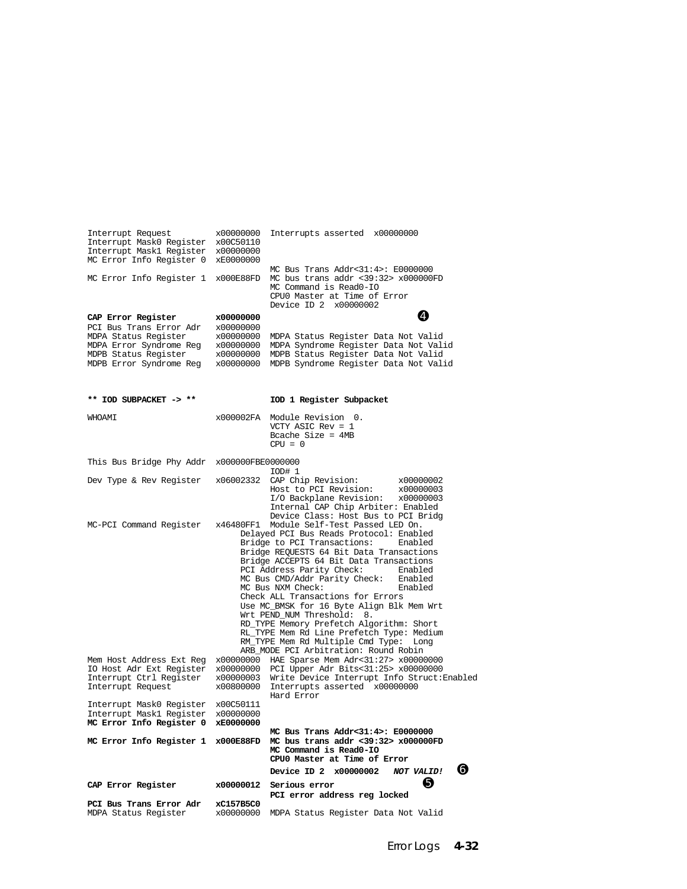| Interrupt Request<br>Interrupt Mask0 Register x00C50110<br>Interrupt Mask1 Register x00000000                                                                           | x00000000                                        | Interrupts asserted x00000000                                                                                                                                                                                                                                                                                                                                                                                                                                                                                                                                                                                                                                                                                                                                                                                                       |
|-------------------------------------------------------------------------------------------------------------------------------------------------------------------------|--------------------------------------------------|-------------------------------------------------------------------------------------------------------------------------------------------------------------------------------------------------------------------------------------------------------------------------------------------------------------------------------------------------------------------------------------------------------------------------------------------------------------------------------------------------------------------------------------------------------------------------------------------------------------------------------------------------------------------------------------------------------------------------------------------------------------------------------------------------------------------------------------|
| MC Error Info Register 0 xE0000000<br>MC Error Info Register 1 x000E88FD                                                                                                |                                                  | MC Bus Trans Addr<31:4>: E0000000<br>MC bus trans addr <39:32> x000000FD<br>MC Command is Read0-IO<br>CPU0 Master at Time of Error<br>Device ID 2 x00000002                                                                                                                                                                                                                                                                                                                                                                                                                                                                                                                                                                                                                                                                         |
| CAP Error Register<br>PCI Bus Trans Error Adr<br>MDPA Status Register<br>MDPA Error Syndrome Reg x00000000<br>MDPB Status Register<br>MDPB Error Syndrome Reg x00000000 | x00000000<br>x00000000<br>x00000000<br>x00000000 | Ø<br>MDPA Status Register Data Not Valid<br>MDPA Syndrome Register Data Not Valid<br>MDPB Status Register Data Not Valid<br>MDPB Syndrome Register Data Not Valid                                                                                                                                                                                                                                                                                                                                                                                                                                                                                                                                                                                                                                                                   |
| ** IOD SUBPACKET -> **                                                                                                                                                  |                                                  | IOD 1 Register Subpacket                                                                                                                                                                                                                                                                                                                                                                                                                                                                                                                                                                                                                                                                                                                                                                                                            |
| IMACHW                                                                                                                                                                  |                                                  | x000002FA Module Revision 0.<br>VCTY ASIC Rev = $1$<br>Bcache Size = $4MB$<br>$CPU = 0$                                                                                                                                                                                                                                                                                                                                                                                                                                                                                                                                                                                                                                                                                                                                             |
| This Bus Bridge Phy Addr x000000FBE0000000                                                                                                                              |                                                  | 10D# 1                                                                                                                                                                                                                                                                                                                                                                                                                                                                                                                                                                                                                                                                                                                                                                                                                              |
| Dev Type & Rev Register x06002332                                                                                                                                       |                                                  | CAP Chip Revision:<br>x00000002<br>Host to PCI Revision:<br>x00000003<br>I/O Backplane Revision: x00000003<br>Internal CAP Chip Arbiter: Enabled<br>Device Class: Host Bus to PCI Bridg                                                                                                                                                                                                                                                                                                                                                                                                                                                                                                                                                                                                                                             |
| MC-PCI Command Register<br>Mem Host Address Ext Reg<br>Interrupt Ctrl Register<br>Interrupt Request                                                                     | x46480FF1<br>x00000003<br>x00800000              | Module Self-Test Passed LED On.<br>Delayed PCI Bus Reads Protocol: Enabled<br>Bridge to PCI Transactions:<br>Enabled<br>Bridge REQUESTS 64 Bit Data Transactions<br>Bridge ACCEPTS 64 Bit Data Transactions<br>PCI Address Parity Check:<br>Enabled<br>MC Bus CMD/Addr Parity Check: Enabled<br>MC Bus NXM Check:<br>Enabled<br>Check ALL Transactions for Errors<br>Use MC_BMSK for 16 Byte Align Blk Mem Wrt<br>Wrt PEND_NUM Threshold: 8.<br>RD_TYPE Memory Prefetch Algorithm: Short<br>RL_TYPE Mem Rd Line Prefetch Type: Medium<br>RM_TYPE Mem Rd Multiple Cmd Type: Long<br>ARB_MODE PCI Arbitration: Round Robin<br>x00000000 HAE Sparse Mem Adr<31:27> x00000000<br>IO Host Adr Ext Register x00000000 PCI Upper Adr Bits<31:25> x00000000<br>Write Device Interrupt Info Struct: Enabled<br>Interrupts asserted x00000000 |
| Interrupt Mask0 Register x00C50111<br>Interrupt Maskl Register<br>MC Error Info Register 0                                                                              | x00000000<br>xE0000000                           | Hard Error                                                                                                                                                                                                                                                                                                                                                                                                                                                                                                                                                                                                                                                                                                                                                                                                                          |
| MC Error Info Register 1 x000E88FD                                                                                                                                      |                                                  | $MC$ Bus Trans $Addr < 31:4>$ : $E0000000$<br>MC bus trans addr <39:32> x000000FD<br>MC Command is Read0-IO<br>CPU0 Master at Time of Error                                                                                                                                                                                                                                                                                                                                                                                                                                                                                                                                                                                                                                                                                         |
|                                                                                                                                                                         |                                                  | G<br>Device ID 2 x00000002<br>NOT VALID!                                                                                                                                                                                                                                                                                                                                                                                                                                                                                                                                                                                                                                                                                                                                                                                            |
| CAP Error Register                                                                                                                                                      | x00000012                                        | Ø<br>Serious error<br>PCI error address reg locked                                                                                                                                                                                                                                                                                                                                                                                                                                                                                                                                                                                                                                                                                                                                                                                  |
| PCI Bus Trans Error Adr<br>MDPA Status Register                                                                                                                         | xC157B5C0                                        | x00000000 MDPA Status Register Data Not Valid                                                                                                                                                                                                                                                                                                                                                                                                                                                                                                                                                                                                                                                                                                                                                                                       |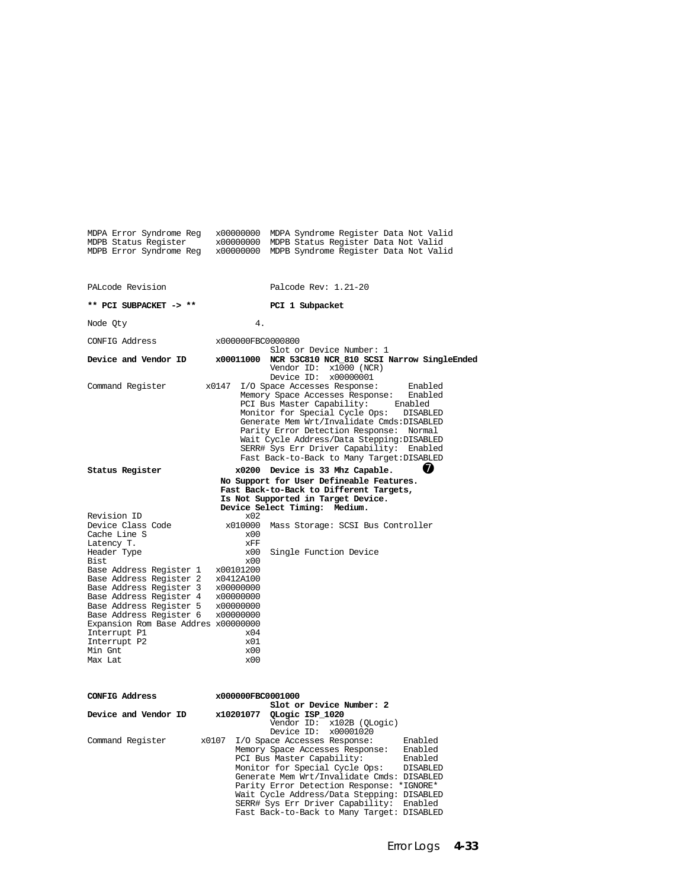| MDPB Status Register                                                                                                                                                                                                                                                                                                                                                                                   |                                                                          | x00000000 MDPB Status Register Data Not Valid<br>MDPB Error Syndrome Reg x00000000 MDPB Syndrome Register Data Not Valid                                                                                                                                                                                                                                                                                                             |
|--------------------------------------------------------------------------------------------------------------------------------------------------------------------------------------------------------------------------------------------------------------------------------------------------------------------------------------------------------------------------------------------------------|--------------------------------------------------------------------------|--------------------------------------------------------------------------------------------------------------------------------------------------------------------------------------------------------------------------------------------------------------------------------------------------------------------------------------------------------------------------------------------------------------------------------------|
| PALcode Revision                                                                                                                                                                                                                                                                                                                                                                                       |                                                                          | Palcode Rev: 1.21-20                                                                                                                                                                                                                                                                                                                                                                                                                 |
| ** PCI SUBPACKET -> **                                                                                                                                                                                                                                                                                                                                                                                 |                                                                          | PCI 1 Subpacket                                                                                                                                                                                                                                                                                                                                                                                                                      |
| Node Qty                                                                                                                                                                                                                                                                                                                                                                                               | 4.                                                                       |                                                                                                                                                                                                                                                                                                                                                                                                                                      |
| CONFIG Address                                                                                                                                                                                                                                                                                                                                                                                         | x000000FBC0000800                                                        |                                                                                                                                                                                                                                                                                                                                                                                                                                      |
| Device and Vendor ID                                                                                                                                                                                                                                                                                                                                                                                   | x00011000                                                                | Slot or Device Number: 1<br>NCR 53C810 NCR 810 SCSI Narrow SingleEnded<br>Vendor ID: $x1000$ (NCR)<br>Device ID: x00000001                                                                                                                                                                                                                                                                                                           |
| Command Register                                                                                                                                                                                                                                                                                                                                                                                       | x0147                                                                    | I/O Space Accesses Response:<br>Enabled<br>Memory Space Accesses Response: Enabled<br>PCI Bus Master Capability: Enabled<br>Monitor for Special Cycle Ops: DISABLED<br>Generate Mem Wrt/Invalidate Cmds: DISABLED<br>Parity Error Detection Response:<br>Normal<br>Wait Cycle Address/Data Stepping: DISABLED<br>SERR# Sys Err Driver Capability:<br>Enabled<br>Fast Back-to-Back to Many Target: DISABLED                           |
| Status Register                                                                                                                                                                                                                                                                                                                                                                                        |                                                                          | Ø<br>x0200 Device is 33 Mhz Capable.<br>No Support for User Defineable Features.<br>Fast Back-to-Back to Different Targets,<br>Is Not Supported in Target Device.<br>Device Select Timing: Medium.                                                                                                                                                                                                                                   |
| Revision ID<br>Device Class Code<br>Cache Line S<br>Latency T.<br>Header Type<br>Bist<br>Base Address Register 1 x00101200<br>Base Address Register 2 x0412A100<br>Base Address Register 3 x00000000<br>Base Address Register 4 x00000000<br>Base Address Register 5<br>Base Address Register 6 x00000000<br>Expansion Rom Base Addres x00000000<br>Interrupt P1<br>Interrupt P2<br>Min Gnt<br>Max Lat | x02<br>x00<br>xFF<br>x00<br>x00<br>x00000000<br>x04<br>x01<br>x00<br>x00 | x010000 Mass Storage: SCSI Bus Controller<br>Single Function Device                                                                                                                                                                                                                                                                                                                                                                  |
| CONFIG Address                                                                                                                                                                                                                                                                                                                                                                                         | x000000FBC0001000                                                        | Slot or Device Number: 2                                                                                                                                                                                                                                                                                                                                                                                                             |
| Device and Vendor ID                                                                                                                                                                                                                                                                                                                                                                                   | x10201077                                                                | QLogic ISP_1020<br>Vendor ID: x102B (QLogic)                                                                                                                                                                                                                                                                                                                                                                                         |
| Command Register                                                                                                                                                                                                                                                                                                                                                                                       | x0107                                                                    | Device ID: x00001020<br>I/O Space Accesses Response:<br>Enabled<br>Memory Space Accesses Response: Enabled<br>PCI Bus Master Capability:<br>Enabled<br>Monitor for Special Cycle Ops:<br>DISABLED<br>Generate Mem Wrt/Invalidate Cmds: DISABLED<br>Parity Error Detection Response: *IGNORE*<br>Wait Cycle Address/Data Stepping: DISABLED<br>SERR# Sys Err Driver Capability: Enabled<br>Fast Back-to-Back to Many Target: DISABLED |

MDPA Error Syndrome Reg x00000000 MDPA Syndrome Register Data Not Valid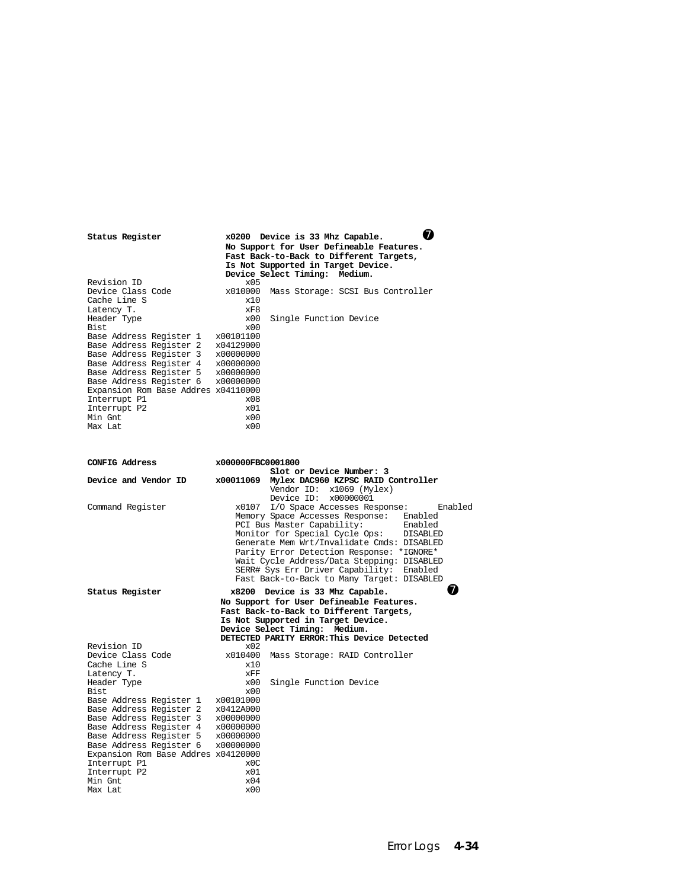| Status Register                                                                                             |                        | x0200 Device is 33 Mhz Capable.                                                        |                                    | 74       |
|-------------------------------------------------------------------------------------------------------------|------------------------|----------------------------------------------------------------------------------------|------------------------------------|----------|
|                                                                                                             |                        | No Support for User Defineable Features.                                               |                                    |          |
|                                                                                                             |                        | Fast Back-to-Back to Different Targets,<br>Is Not Supported in Target Device.          |                                    |          |
|                                                                                                             |                        | Device Select Timing: Medium.                                                          |                                    |          |
| Revision ID                                                                                                 | x05                    |                                                                                        |                                    |          |
| Device Class Code                                                                                           | x010000                |                                                                                        | Mass Storage: SCSI Bus Controller  |          |
| Cache Line S                                                                                                | x10                    |                                                                                        |                                    |          |
| Latency T.<br>Header Type                                                                                   | xF8<br>x00             | Single Function Device                                                                 |                                    |          |
| Bist                                                                                                        | x00                    |                                                                                        |                                    |          |
| Base Address Register 1 x00101100<br>Base Address Register 2 x04129000<br>Base Address Register 3 x00000000 |                        |                                                                                        |                                    |          |
|                                                                                                             |                        |                                                                                        |                                    |          |
|                                                                                                             |                        |                                                                                        |                                    |          |
| Base Address Register 4 x00000000<br>Base Address Register 5                                                | x00000000              |                                                                                        |                                    |          |
| Base Address Register 5<br>Base Address Register 6<br>Register 6                                            | x00000000              |                                                                                        |                                    |          |
| Expansion Rom Base Addres x04110000                                                                         |                        |                                                                                        |                                    |          |
| Interrupt P1                                                                                                | x08                    |                                                                                        |                                    |          |
| Interrupt P2                                                                                                | x01                    |                                                                                        |                                    |          |
| Min Gnt                                                                                                     | x00                    |                                                                                        |                                    |          |
| Max Lat                                                                                                     | x00                    |                                                                                        |                                    |          |
|                                                                                                             |                        |                                                                                        |                                    |          |
|                                                                                                             |                        |                                                                                        |                                    |          |
| CONFIG Address                                                                                              | x000000FBC0001800      |                                                                                        |                                    |          |
|                                                                                                             |                        | Slot or Device Number: 3                                                               |                                    |          |
| Device and Vendor ID                                                                                        | x00011069              |                                                                                        | Mylex DAC960 KZPSC RAID Controller |          |
|                                                                                                             |                        | Vendor ID: x1069 (Mylex)<br>Device ID: x00000001                                       |                                    |          |
| Command Register                                                                                            |                        | x0107 I/O Space Accesses Response:                                                     |                                    | Enabled  |
|                                                                                                             |                        | Memory Space Accesses Response: Enabled                                                |                                    |          |
|                                                                                                             |                        | PCI Bus Master Capability:                                                             |                                    | Enabled  |
|                                                                                                             |                        | Monitor for Special Cycle Ops:                                                         |                                    | DISABLED |
|                                                                                                             |                        | Generate Mem Wrt/Invalidate Cmds: DISABLED                                             |                                    |          |
|                                                                                                             |                        | Parity Error Detection Response: *IGNORE*                                              |                                    |          |
|                                                                                                             |                        | Wait Cycle Address/Data Stepping: DISABLED<br>SERR# Sys Err Driver Capability: Enabled |                                    |          |
|                                                                                                             |                        | Fast Back-to-Back to Many Target: DISABLED                                             |                                    |          |
| Status Register                                                                                             |                        | x8200 Device is 33 Mhz Capable.                                                        |                                    | Z        |
|                                                                                                             |                        | No Support for User Defineable Features.                                               |                                    |          |
|                                                                                                             |                        | Fast Back-to-Back to Different Targets,                                                |                                    |          |
|                                                                                                             |                        | Is Not Supported in Target Device.                                                     |                                    |          |
|                                                                                                             |                        | Device Select Timing: Medium.                                                          |                                    |          |
| Revision ID                                                                                                 |                        | DETECTED PARITY ERROR: This Device Detected                                            |                                    |          |
| Device Class Code                                                                                           | x02                    | x010400 Mass Storage: RAID Controller                                                  |                                    |          |
| Cache Line S                                                                                                | x10                    |                                                                                        |                                    |          |
| Latency T.                                                                                                  | XFF                    |                                                                                        |                                    |          |
| Header Type                                                                                                 | x00                    | Single Function Device                                                                 |                                    |          |
| Bist                                                                                                        | x00                    |                                                                                        |                                    |          |
| Base Address Register 1 x00101000                                                                           |                        |                                                                                        |                                    |          |
| Base Address Register 2                                                                                     | x0412A000<br>x00000000 |                                                                                        |                                    |          |
| Base Address Register 3<br>Base Address Register 4 x00000000                                                |                        |                                                                                        |                                    |          |
| Base Address Register 5                                                                                     | x00000000              |                                                                                        |                                    |          |
| Base Address Register 6                                                                                     | x00000000              |                                                                                        |                                    |          |
| Expansion Rom Base Addres x04120000                                                                         |                        |                                                                                        |                                    |          |
| Interrupt P1                                                                                                | x0C                    |                                                                                        |                                    |          |
| Interrupt P2                                                                                                | x01                    |                                                                                        |                                    |          |
| Min Gnt                                                                                                     | x04<br>x00             |                                                                                        |                                    |          |
| Max Lat                                                                                                     |                        |                                                                                        |                                    |          |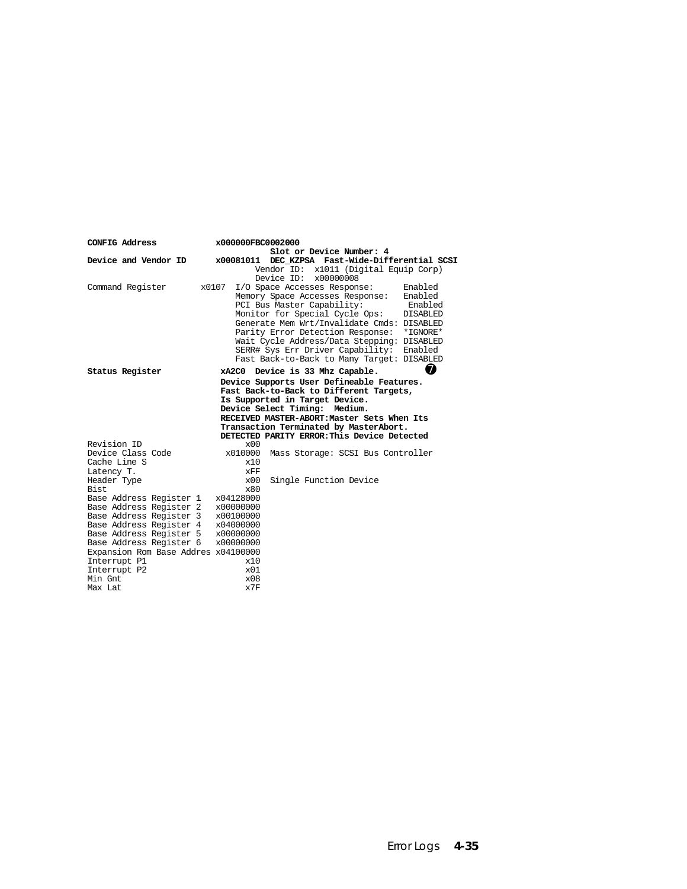| CONFIG Address                                     | x000000FBC0002000      | Slot or Device Number: 4                                        |                 |
|----------------------------------------------------|------------------------|-----------------------------------------------------------------|-----------------|
| Device and Vendor ID                               |                        | x00081011 DEC KZPSA Fast-Wide-Differential SCSI                 |                 |
|                                                    |                        | Vendor ID: x1011 (Digital Equip Corp)<br>Device $ID: x00000008$ |                 |
| Command Register                                   | x0107                  | I/O Space Accesses Response:                                    | Enabled         |
|                                                    |                        | Memory Space Accesses Response:                                 | Enabled         |
|                                                    |                        | PCI Bus Master Capability:                                      | Enabled         |
|                                                    |                        | Monitor for Special Cycle Ops:                                  | <b>DISABLED</b> |
|                                                    |                        | Generate Mem Wrt/Invalidate Cmds: DISABLED                      |                 |
|                                                    |                        | Parity Error Detection Response:                                | *IGNORE*        |
|                                                    |                        | Wait Cycle Address/Data Stepping: DISABLED                      |                 |
|                                                    |                        | SERR# Sys Err Driver Capability:                                | Enabled         |
|                                                    |                        | Fast Back-to-Back to Many Target: DISABLED                      |                 |
| Status Register                                    |                        | xA2C0 Device is 33 Mhz Capable.                                 | ⋒               |
|                                                    |                        | Device Supports User Defineable Features.                       |                 |
|                                                    |                        | Fast Back-to-Back to Different Targets,                         |                 |
|                                                    |                        | Is Supported in Target Device.                                  |                 |
|                                                    |                        | Device Select Timing: Medium.                                   |                 |
|                                                    |                        | RECEIVED MASTER-ABORT:Master Sets When Its                      |                 |
|                                                    |                        | Transaction Terminated by MasterAbort.                          |                 |
|                                                    |                        | DETECTED PARITY ERROR: This Device Detected                     |                 |
| Revision ID                                        | x00                    |                                                                 |                 |
| Device Class Code                                  | x010000                | Mass Storage: SCSI Bus Controller                               |                 |
| Cache Line S                                       | x10                    |                                                                 |                 |
| Latency T.                                         | xFF                    |                                                                 |                 |
| Header Type                                        | $\times$ 0.0           | Single Function Device                                          |                 |
| Bist.                                              | x80                    |                                                                 |                 |
| Base Address Register 1                            | x04128000              |                                                                 |                 |
| Base Address Register 2                            | x00000000<br>x00100000 |                                                                 |                 |
| Base Address Register 3<br>Base Address Register 4 | x04000000              |                                                                 |                 |
| Base Address Register 5                            | x00000000              |                                                                 |                 |
| Base Address Register 6                            | x00000000              |                                                                 |                 |
| Expansion Rom Base Addres x04100000                |                        |                                                                 |                 |
| Interrupt P1                                       | x10                    |                                                                 |                 |
| Interrupt P2                                       | $\times 01$            |                                                                 |                 |
| Min Gnt                                            | x08                    |                                                                 |                 |
| Max Lat                                            | x7F                    |                                                                 |                 |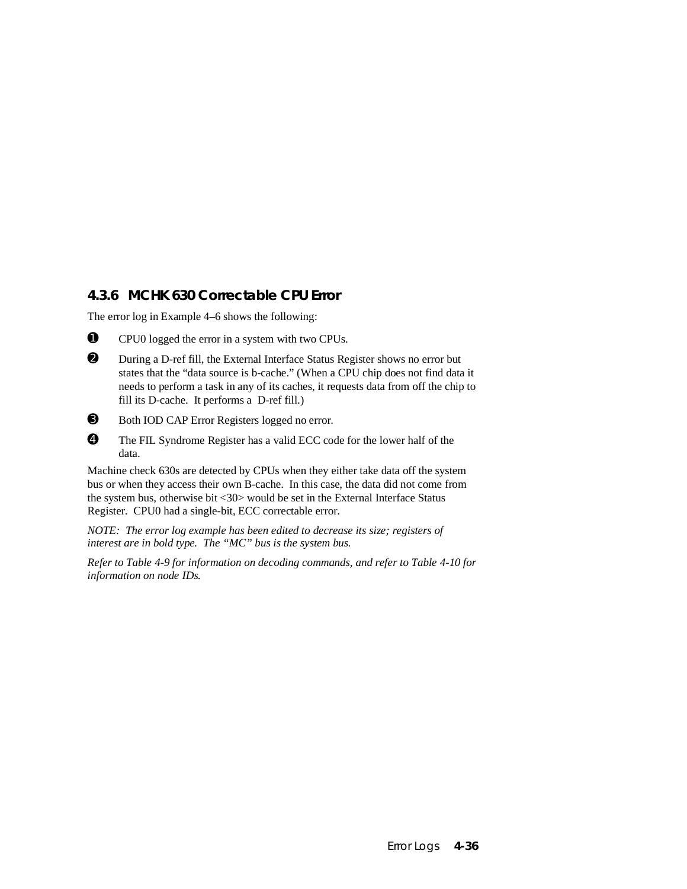## **4.3.6 MCHK 630 Correctable CPU Error**

The error log in Example 4–6 shows the following:



➊ CPU0 logged the error in a system with two CPUs.

- ➋ During a D-ref fill, the External Interface Status Register shows no error but states that the "data source is b-cache." (When a CPU chip does not find data it needs to perform a task in any of its caches, it requests data from off the chip to fill its D-cache. It performs a D-ref fill.)
- ➌ Both IOD CAP Error Registers logged no error.
- ➍ The FIL Syndrome Register has a valid ECC code for the lower half of the data.

Machine check 630s are detected by CPUs when they either take data off the system bus or when they access their own B-cache. In this case, the data did not come from the system bus, otherwise bit <30> would be set in the External Interface Status Register. CPU0 had a single-bit, ECC correctable error.

*NOTE: The error log example has been edited to decrease its size; registers of interest are in bold type. The "MC" bus is the system bus.*

*Refer to Table 4-9 for information on decoding commands, and refer to Table 4-10 for information on node IDs.*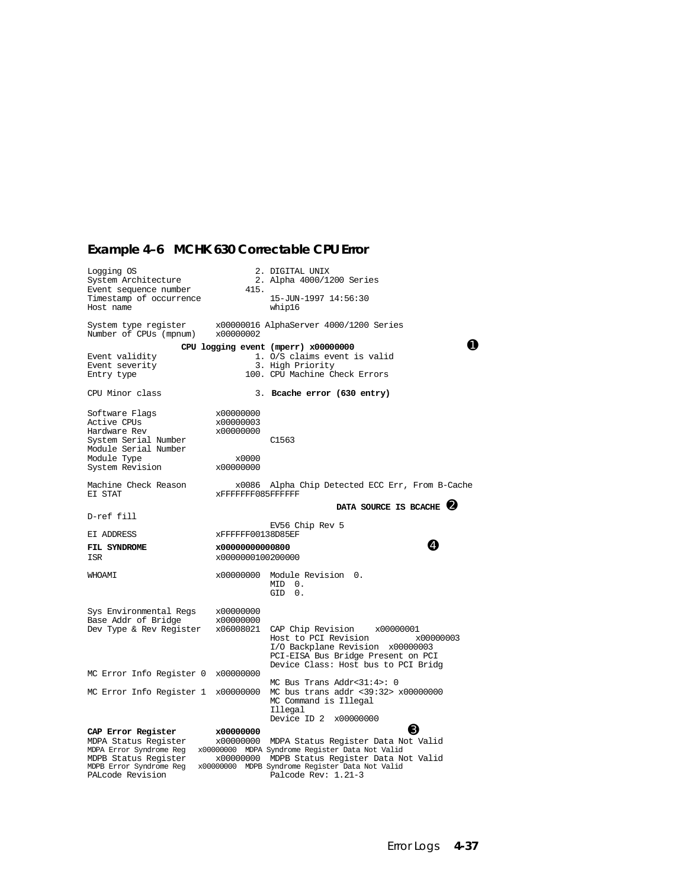# **Example 4–6 MCHK 630 Correctable CPU Error**

| Logging OS<br>System Architecture<br>Event sequence number<br>Timestamp of occurrence                                           | 415.                                                      | 2. DIGITAL UNIX<br>2. Alpha 4000/1200 Series<br>15-JUN-1997 14:56:30                                                                                                                                                                      |
|---------------------------------------------------------------------------------------------------------------------------------|-----------------------------------------------------------|-------------------------------------------------------------------------------------------------------------------------------------------------------------------------------------------------------------------------------------------|
| Host name<br>System type register                                                                                               |                                                           | whip16<br>x00000016 AlphaServer 4000/1200 Series                                                                                                                                                                                          |
| Number of CPUs (mpnum)                                                                                                          | x00000002                                                 |                                                                                                                                                                                                                                           |
| Event validity<br>Event severity<br>Entry type                                                                                  |                                                           | CPU logging event (mperr) x00000000<br>1. O/S claims event is valid<br>3. High Priority<br>100. CPU Machine Check Errors                                                                                                                  |
| CPU Minor class                                                                                                                 |                                                           | 3. Boache error (630 entry)                                                                                                                                                                                                               |
| Software Flags<br>Active CPUs<br>Hardware Rev<br>System Serial Number<br>Module Serial Number<br>Module Type<br>System Revision | x00000000<br>x00000003<br>x00000000<br>x0000<br>x00000000 | C <sub>1563</sub>                                                                                                                                                                                                                         |
| Machine Check Reason<br>EI STAT                                                                                                 | x0086<br>xFFFFFFF085FFFFFF                                | Alpha Chip Detected ECC Err, From B-Cache                                                                                                                                                                                                 |
|                                                                                                                                 |                                                           | DATA SOURCE IS BCACHE 2                                                                                                                                                                                                                   |
| D-ref fill                                                                                                                      |                                                           | EV56 Chip Rev 5                                                                                                                                                                                                                           |
| EI ADDRESS                                                                                                                      | xFFFFFF00138D85EF                                         | Ø                                                                                                                                                                                                                                         |
| FIL SYNDROME<br>ISR                                                                                                             | x00000000000800<br>x0000000100200000                      |                                                                                                                                                                                                                                           |
| WHOAMI                                                                                                                          |                                                           | x00000000 Module Revision 0.<br>MID 0.<br>GID 0.                                                                                                                                                                                          |
| Sys Environmental Regs<br>Base Addr of Bridge<br>Dev Type & Rev Register                                                        | x00000000<br>x00000000<br>x06008021                       | CAP Chip Revision<br>x00000001<br>Host to PCI Revision<br>x00000003<br>I/O Backplane Revision x00000003<br>PCI-EISA Bus Bridge Present on PCI<br>Device Class: Host bus to PCI Bridg                                                      |
| MC Error Info Register 0 x00000000                                                                                              |                                                           | MC Bus Trans Addr<31:4>: 0                                                                                                                                                                                                                |
| MC Error Info Register 1 x00000000                                                                                              |                                                           | MC bus trans addr <39:32> x00000000<br>MC Command is Illegal<br>Illegal<br>Device ID 2 x00000000                                                                                                                                          |
| CAP Error Register                                                                                                              | x00000000                                                 | K)                                                                                                                                                                                                                                        |
| MDPA Status Register<br>MDPB Status Register<br>MDPB Error Syndrome Reg<br>PALcode Revision                                     | x00000000                                                 | x00000000 MDPA Status Register Data Not Valid<br>MDPA Error Syndrome Reg x00000000 MDPA Syndrome Register Data Not Valid<br>MDPB Status Register Data Not Valid<br>x00000000 MDPB Syndrome Register Data Not Valid<br>Palcode Rev: 1.21-3 |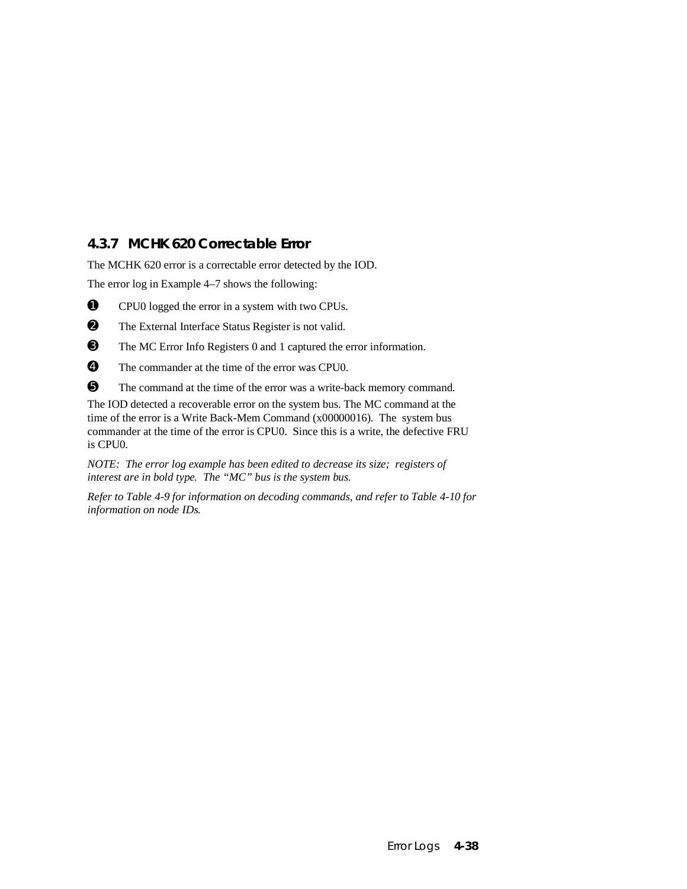## **4.3.7 MCHK 620 Correctable Error**

The MCHK 620 error is a correctable error detected by the IOD.

The error log in Example 4–7 shows the following:

➊ CPU0 logged the error in a system with two CPUs.

➋ The External Interface Status Register is not valid.

- ➌ The MC Error Info Registers 0 and 1 captured the error information.
- ➍ The commander at the time of the error was CPU0.

➎ The command at the time of the error was a write-back memory command.

The IOD detected a recoverable error on the system bus. The MC command at the time of the error is a Write Back-Mem Command (x00000016). The system bus commander at the time of the error is CPU0. Since this is a write, the defective FRU is CPU0.

*NOTE: The error log example has been edited to decrease its size; registers of interest are in bold type. The "MC" bus is the system bus.*

*Refer to Table 4-9 for information on decoding commands, and refer to Table 4-10 for information on node IDs.*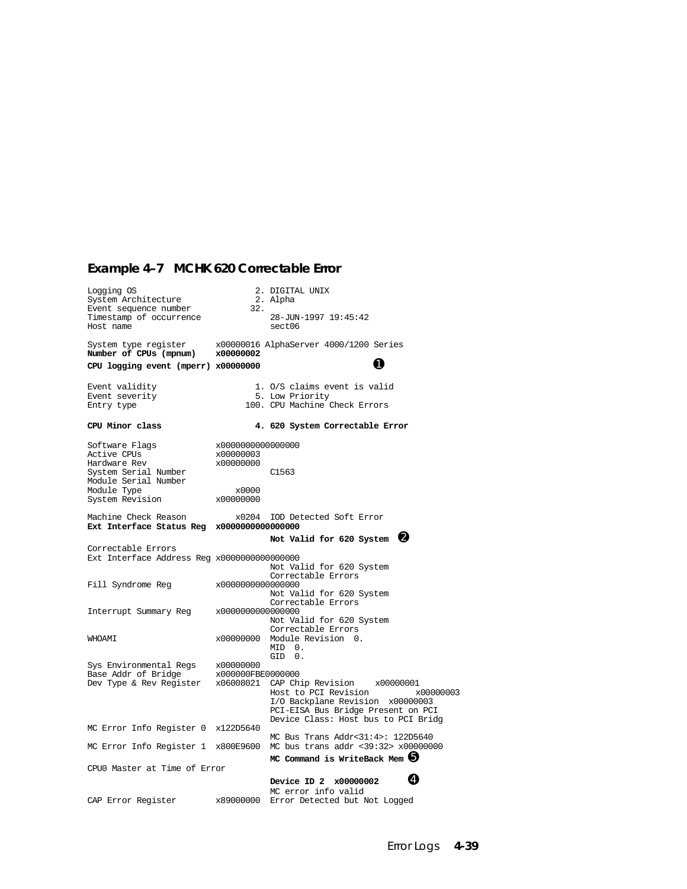#### **Example 4–7 MCHK 620 Correctable Error**

Logging OS 2. DIGITAL UNIX System Architecture 2. Alpha System Architecture 2. Alpha<br>Event sequence number 32. Timestamp of occurrence 28-JUN-1997 19:45:42<br>Host name sect06 Host name System type register x00000016 AlphaServer 4000/1200 Series **Number of CPUs (mpnum) x00000002 CPU logging event (mperr) x00000000** ➊ Event validity 1. 0/S claims event is valid<br>Event severity 5. Low Priority Event severity 5. Low Priority<br>Entry type 100. CPU Machine 100. CPU Machine Check Errors **CPU Minor class 4. 620 System Correctable Error** Software Flags  $x0000000000000000$ <br>Active CPUs  $x000000003$ Active CPUs x00000003 Hardware Rev System Serial Number C1563 Module Serial Number Module Type  $x0000$ <br>System Revision  $x00000000$ System Revision Machine Check Reason  $x0204$  IOD Detected Soft Error **Ext Interface Status Reg x0000000000000000** Not Valid for 620 System <sup>0</sup> Correctable Errors Ext Interface Address Reg x0000000000000000 Not Valid for 620 System Correctable Errors<br>Fill Syndrome Req  $x00000000000000000$  $x0000000000000000$  Not Valid for 620 System Correctable Errors Interrupt Summary Reg x0000000000000000 Not Valid for 620 System Correctable Errors<br>
200000000 Module Revision 0 vertical value of the vertices x00000000 Module Revision 0. MID 0.  $x00000000$  GID 0. Sys Environmental Regs x00000000<br>Base Addr of Bridge x000000FBE0000000 Base Addr of Bridge<br>Dev Type & Rev Register  $x06008021$  CAP Chip Revision  $x00000001$ <br>Host to PCI Revision  $x000000003$ Host to PCI Revision I/O Backplane Revision x00000003 PCI-EISA Bus Bridge Present on PCI Device Class: Host bus to PCI Bridg MC Error Info Register 0 x122D5640 MC Bus Trans Addr<31:4>: 122D5640<br>MC bus trans addr <39:32> x00000000 MC Error Info Register 1 x800E9600 **MC Command is WriteBack Mem**  $\Theta$ CPU0 Master at Time of Error **Device ID 2 x00000002** MC error info valid<br>CAP Error Register x89000000 Error Detected but I x89000000 Error Detected but Not Logged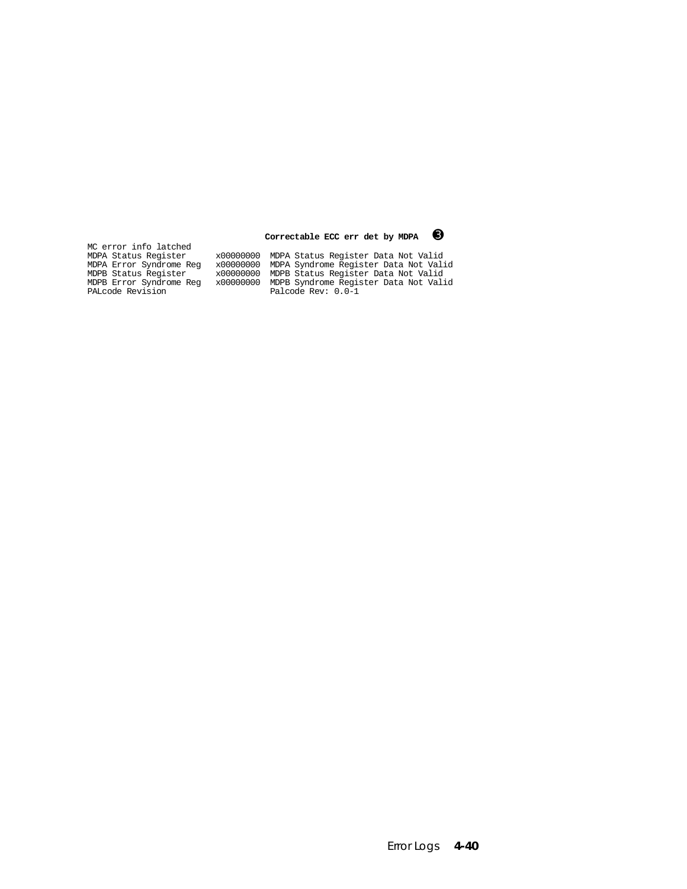MC error info latched<br>MDPA Status Register

 **Correctable ECC err det by MDPA** ➌

MDPA Status Register x00000000 MDPA Status Register Data Not Valid MDPA Error Syndrome Reg x00000000 MDPA Syndrome Register Data Not Valid MDPB Status Register x00000000 MDPB Status Register Data Not Valid MDPB Error Syndrome Reg x00000000 MDPB Syndrome Register Data Not Valid PALcode Revision Palcode Rev: 0.0-1

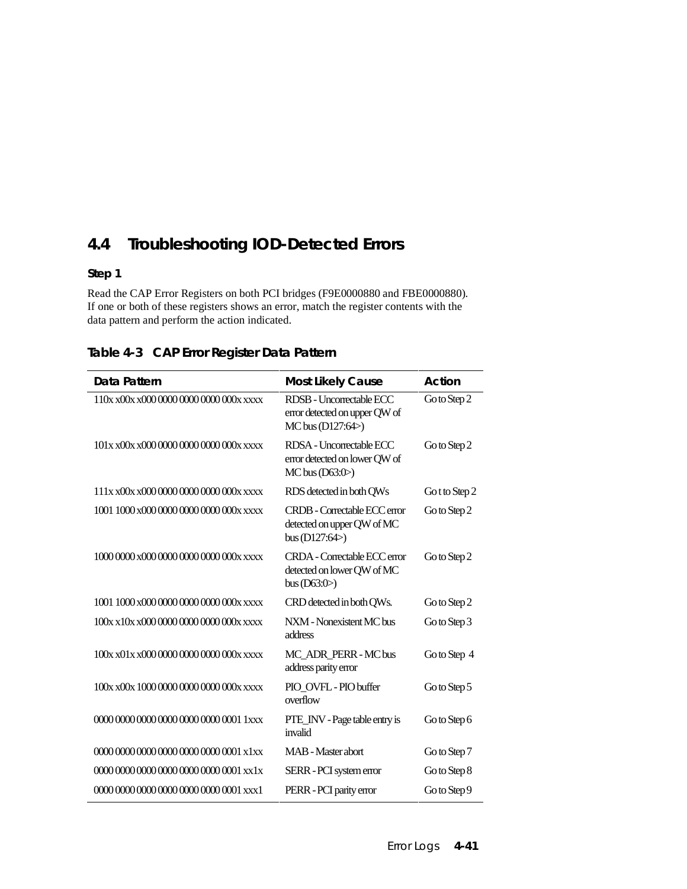# **4.4 Troubleshooting IOD-Detected Errors**

#### **Step 1**

Read the CAP Error Registers on both PCI bridges (F9E0000880 and FBE0000880). If one or both of these registers shows an error, match the register contents with the data pattern and perform the action indicated.

| Data Pattern                            | <b>Most Likely Cause</b>                                                        | Action         |
|-----------------------------------------|---------------------------------------------------------------------------------|----------------|
| 110x x00x x000 0000 0000 0000 000x xxxx | RDSB - Uncorrectable ECC<br>error detected on upper QW of<br>MC bus (D127:64>)  | Go to Step 2   |
| 101x x00x x000 0000 0000 0000 000x xxxx | RDSA - Uncorrectable ECC<br>error detected on lower QW of<br>$MC$ bus $(D63:0)$ | Go to Step 2   |
| 111x x00x x000 0000 0000 0000 000x xxxx | RDS detected in both QWs                                                        | Go t to Step 2 |
| 1001 1000 x000 0000 0000 0000 000x xxxx | CRDB - Correctable ECC error<br>detected on upper QW of MC<br>bus $(D127:64)$   | Go to Step 2   |
| 1000 0000 x000 0000 0000 0000 000x xxxx | CRDA - Correctable ECC error<br>detected on lower QW of MC<br>bus $(D63:0)$     | Go to Step 2   |
| 1001 1000 x000 0000 0000 0000 000x xxxx | CRD detected in both QWs.                                                       | Go to Step 2   |
| 100x x10x x000 0000 0000 0000 000x xxxx | NXM - Nonexistent MC bus<br>address                                             | Go to Step 3   |
| 100x x01x x000 0000 0000 0000 000x xxxx | MC_ADR_PERR - MC bus<br>address parity error                                    | Go to Step 4   |
| 100x x00x 1000 0000 0000 0000 000x xxxx | PIO OVFL - PIO buffer<br>overflow                                               | Go to Step 5   |
| $00000000000000000000000000011$ xxx     | PTE_INV - Page table entry is<br>invalid                                        | Go to Step 6   |
| 0000 0000 0000 0000 0000 0000 0001 x1xx | <b>MAB</b> - Master abort                                                       | Go to Step 7   |
| 0000 0000 0000 0000 0000 0000 0001 xx1x | SERR - PCI system error                                                         | Go to Step 8   |
| $000000000000000000000000000001$ xxx1   | PERR - PCI parity error                                                         | Go to Step 9   |

**Table 4-3 CAP Error Register Data Pattern**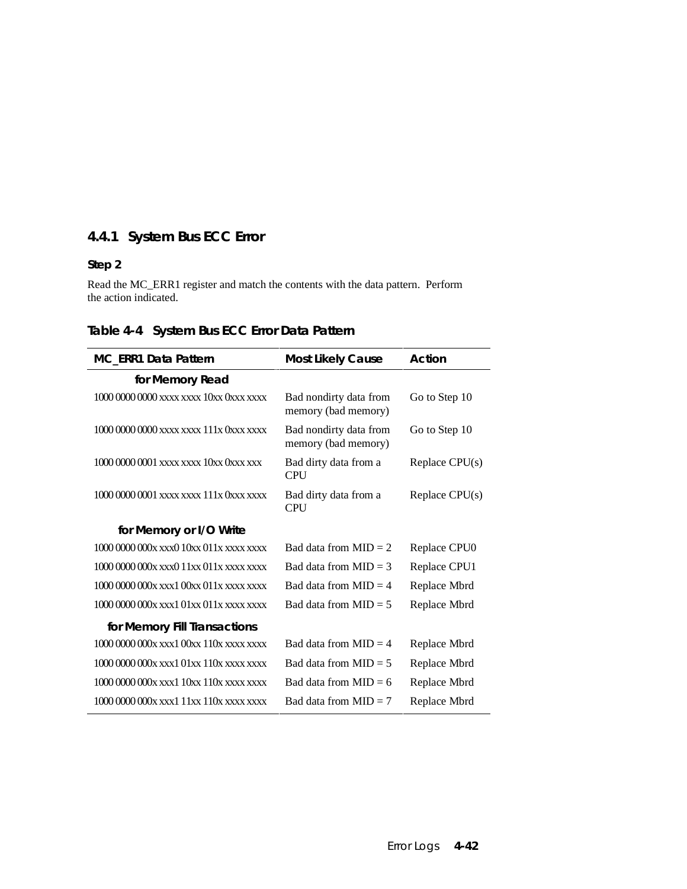## **4.4.1 System Bus ECC Error**

#### **Step 2**

Read the MC\_ERR1 register and match the contents with the data pattern. Perform the action indicated.

| <b>MC_ERR1 Data Pattern</b>             | <b>Most Likely Cause</b>                      | Action           |
|-----------------------------------------|-----------------------------------------------|------------------|
| for Memory Read                         |                                               |                  |
| 1000 0000 0000 xxxx xxxx 10xx 0xxx xxxx | Bad nondirty data from<br>memory (bad memory) | Go to Step 10    |
| 1000 0000 0000 xxxx xxxx 111x 0xxx xxxx | Bad nondirty data from<br>memory (bad memory) | Go to Step 10    |
| 1000 0000 0001 xxxx xxxx 10xx 0xxx xxx  | Bad dirty data from a<br><b>CPU</b>           | Replace $CPU(s)$ |
| 1000 0000 0001 xxxx xxxx 111x 0xxx xxxx | Bad dirty data from a<br><b>CPU</b>           | Replace $CPU(s)$ |
| for Memory or I/O Write                 |                                               |                  |
|                                         | Bad data from $MID = 2$                       | Replace CPU0     |
|                                         | Bad data from $MID = 3$                       | Replace CPU1     |
|                                         | Bad data from $MID = 4$                       | Replace Mbrd     |
|                                         | Bad data from $MID = 5$                       | Replace Mbrd     |
| for Memory Fill Transactions            |                                               |                  |
|                                         | Bad data from $MID = 4$                       | Replace Mbrd     |
|                                         | Bad data from $MID = 5$                       | Replace Mbrd     |
|                                         | Bad data from $MID = 6$                       | Replace Mbrd     |
|                                         | Bad data from $MID = 7$                       | Replace Mbrd     |

## **Table 4-4 System Bus ECC Error Data Pattern**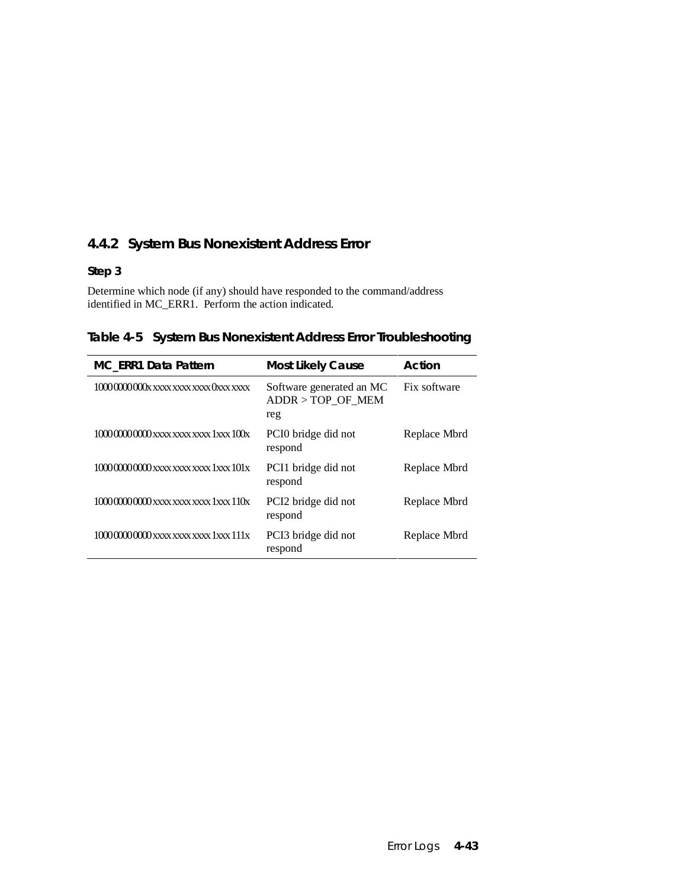## **4.4.2 System Bus Nonexistent Address Error**

#### **Step 3**

Determine which node (if any) should have responded to the command/address identified in MC\_ERR1. Perform the action indicated.

**Table 4-5 System Bus Nonexistent Address Error Troubleshooting**

| <b>MC_ERR1 Data Pattern</b>            | <b>Most Likely Cause</b>                               | Action       |
|----------------------------------------|--------------------------------------------------------|--------------|
| 10000000000 x xxxx xxxx xxxx 0xxx xxxx | Software generated an MC<br>$ADDR > TOP_OF_MEM$<br>reg | Fix software |
|                                        | PCIO bridge did not<br>respond                         | Replace Mbrd |
|                                        | PCI1 bridge did not<br>respond                         | Replace Mbrd |
|                                        | PCI <sub>2</sub> bridge did not<br>respond             | Replace Mbrd |
|                                        | PCI3 bridge did not<br>respond                         | Replace Mbrd |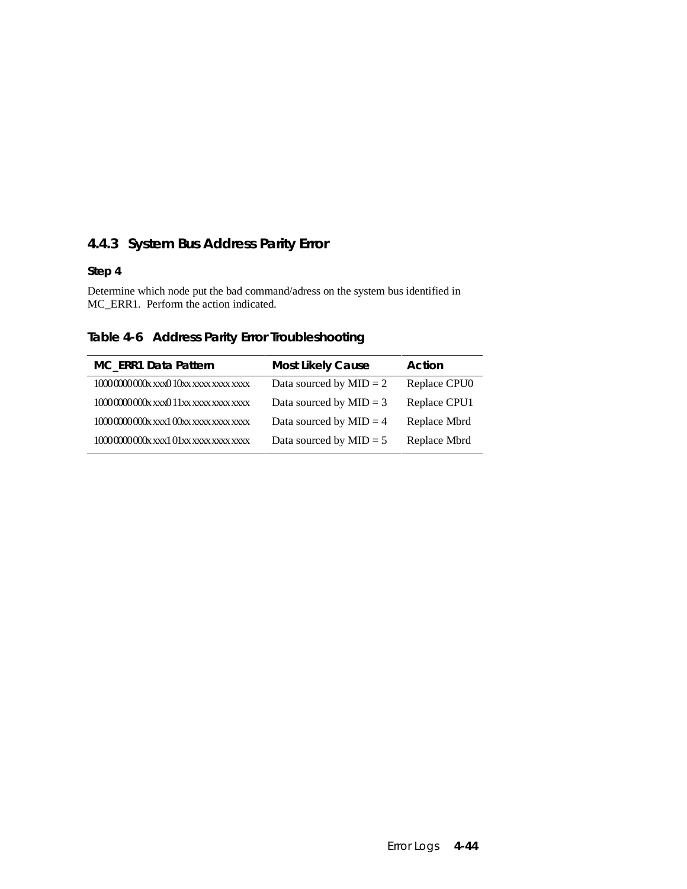## **4.4.3 System Bus Address Parity Error**

#### **Step 4**

Determine which node put the bad command/adress on the system bus identified in MC\_ERR1. Perform the action indicated.

**Table 4-6 Address Parity Error Troubleshooting**

| MC_ERR1 Data Pattern                        | <b>Most Likely Cause</b>  | Action       |
|---------------------------------------------|---------------------------|--------------|
| $10000000000$ x xxx $010$ xx xxxx xxxx xxxx | Data sourced by $MID = 2$ | Replace CPU0 |
| $10000000000$ x xxx $011$ xx xxxx xxxx xxxx | Data sourced by $MID = 3$ | Replace CPU1 |
| 1000000000xxxx100xxxxxxxxxxxxxx             | Data sourced by $MID = 4$ | Replace Mbrd |
| 10000000000xxxx101xxxxxxxxxxxxxx            | Data sourced by $MID = 5$ | Replace Mbrd |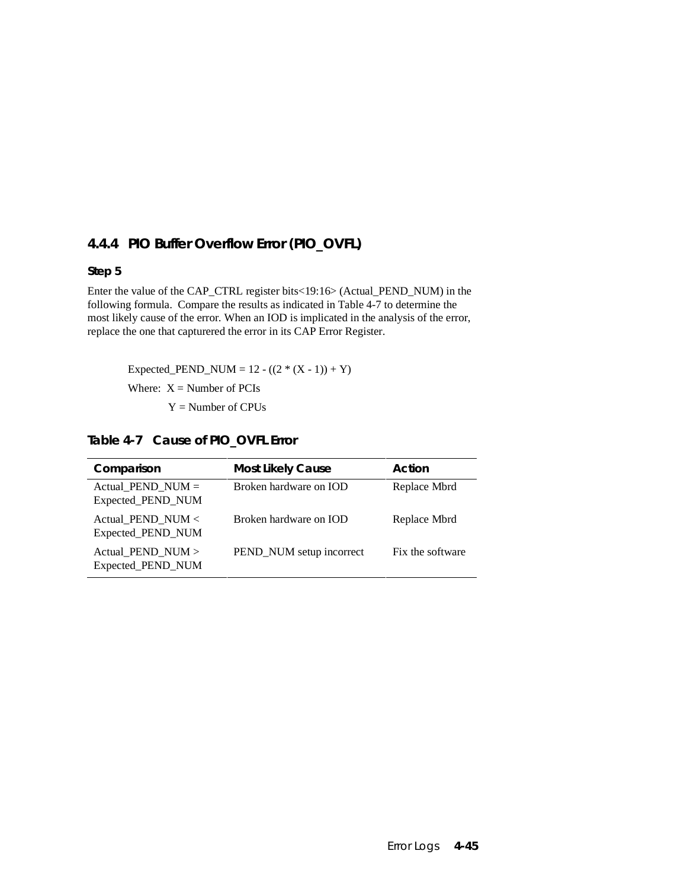## **4.4.4 PIO Buffer Overflow Error (PIO\_OVFL)**

#### **Step 5**

Enter the value of the CAP\_CTRL register bits<19:16> (Actual\_PEND\_NUM) in the following formula. Compare the results as indicated in Table 4-7 to determine the most likely cause of the error. When an IOD is implicated in the analysis of the error, replace the one that capturered the error in its CAP Error Register.

Expected\_PEND\_NUM =  $12 - ((2 * (X - 1)) + Y)$ 

Where:  $X =$  Number of PCIs

 $Y =$  Number of CPUs

**Table 4-7 Cause of PIO\_OVFL Error**

| Comparison                               | <b>Most Likely Cause</b> | Action           |
|------------------------------------------|--------------------------|------------------|
| Actual PEND NUM $=$<br>Expected_PEND_NUM | Broken hardware on IOD   | Replace Mbrd     |
| Actual PEND NUM $<$<br>Expected_PEND_NUM | Broken hardware on IOD   | Replace Mbrd     |
| Actual_PEND_NUM ><br>Expected_PEND_NUM   | PEND_NUM setup incorrect | Fix the software |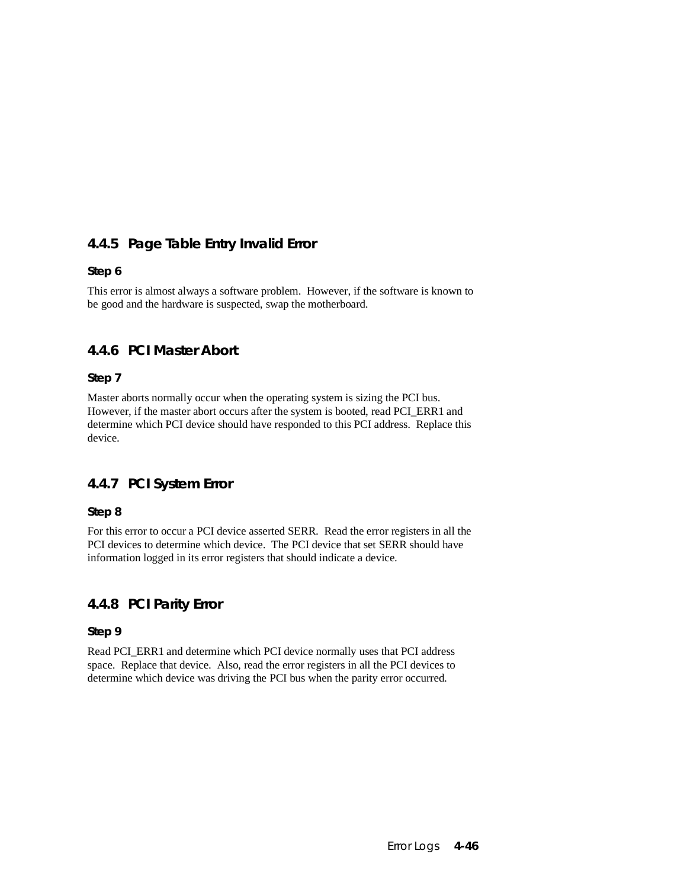## **4.4.5 Page Table Entry Invalid Error**

#### **Step 6**

This error is almost always a software problem. However, if the software is known to be good and the hardware is suspected, swap the motherboard.

## **4.4.6 PCI Master Abort**

#### **Step 7**

Master aborts normally occur when the operating system is sizing the PCI bus. However, if the master abort occurs after the system is booted, read PCI ERR1 and determine which PCI device should have responded to this PCI address. Replace this device.

## **4.4.7 PCI System Error**

#### **Step 8**

For this error to occur a PCI device asserted SERR. Read the error registers in all the PCI devices to determine which device. The PCI device that set SERR should have information logged in its error registers that should indicate a device.

## **4.4.8 PCI Parity Error**

#### **Step 9**

Read PCI\_ERR1 and determine which PCI device normally uses that PCI address space. Replace that device. Also, read the error registers in all the PCI devices to determine which device was driving the PCI bus when the parity error occurred.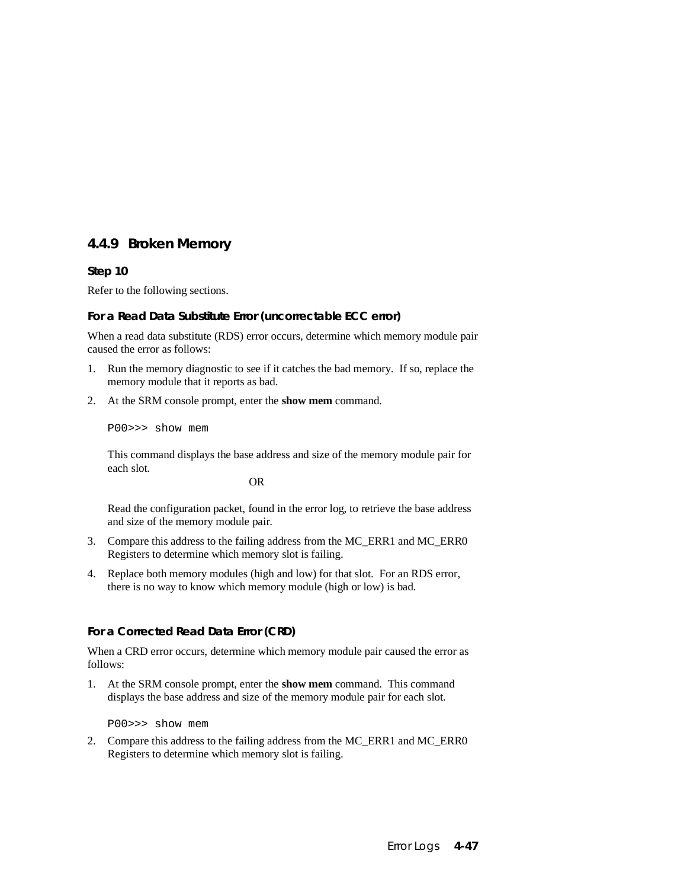## **4.4.9 Broken Memory**

#### **Step 10**

Refer to the following sections.

#### **For a Read Data Substitute Error (uncorrectable ECC error)**

When a read data substitute (RDS) error occurs, determine which memory module pair caused the error as follows:

- 1. Run the memory diagnostic to see if it catches the bad memory. If so, replace the memory module that it reports as bad.
- 2. At the SRM console prompt, enter the **show mem** command.

P00>>> show mem

This command displays the base address and size of the memory module pair for each slot.

OR

Read the configuration packet, found in the error log, to retrieve the base address and size of the memory module pair.

- 3. Compare this address to the failing address from the MC\_ERR1 and MC\_ERR0 Registers to determine which memory slot is failing.
- 4. Replace both memory modules (high and low) for that slot. For an RDS error, there is no way to know which memory module (high or low) is bad.

#### **For a Corrected Read Data Error (CRD)**

When a CRD error occurs, determine which memory module pair caused the error as follows:

1. At the SRM console prompt, enter the **show mem** command. This command displays the base address and size of the memory module pair for each slot.

P00>>> show mem

2. Compare this address to the failing address from the MC\_ERR1 and MC\_ERR0 Registers to determine which memory slot is failing.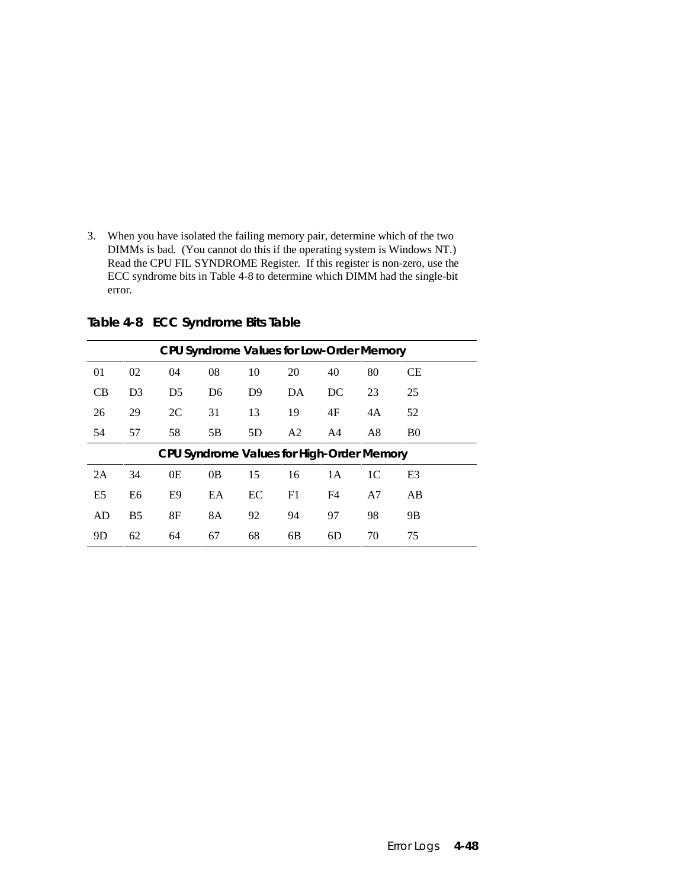3. When you have isolated the failing memory pair, determine which of the two DIMMs is bad. (You cannot do this if the operating system is Windows NT.) Read the CPU FIL SYNDROME Register. If this register is non-zero, use the ECC syndrome bits in Table 4-8 to determine which DIMM had the single-bit error.

| CPU Syndrome Values for Low-Order Memory |                |                |                |                |                                           |     |    |                |  |
|------------------------------------------|----------------|----------------|----------------|----------------|-------------------------------------------|-----|----|----------------|--|
| 01                                       | 02             | 04             | 08             | 10             | 20                                        | 40  | 80 | <b>CE</b>      |  |
| CB                                       | D <sub>3</sub> | D <sub>5</sub> | D <sub>6</sub> | D <sup>9</sup> | DA                                        | DC  | 23 | 25             |  |
| 26                                       | 29             | 2C             | 31             | 13             | 19                                        | 4F  | 4A | 52             |  |
| 54                                       | 57             | 58             | 5B             | 5D             | A <sub>2</sub>                            | A4  | A8 | B <sub>0</sub> |  |
|                                          |                |                |                |                | CPU Syndrome Values for High-Order Memory |     |    |                |  |
| 2A                                       | 34             | 0E             | 0B             | 15             | 16                                        | 1 A | 1C | E <sub>3</sub> |  |
| E <sub>5</sub>                           | E6             | E9             | EA             | EC             | F1                                        | F4  | A7 | AB             |  |
| AD                                       | B <sub>5</sub> | 8F             | <b>8A</b>      | 92             | 94                                        | 97  | 98 | <b>9B</b>      |  |
| 9D                                       | 62             | 64             | 67             | 68             | 6 <sub>B</sub>                            | 6D  | 70 | 75             |  |

**Table 4-8 ECC Syndrome Bits Table**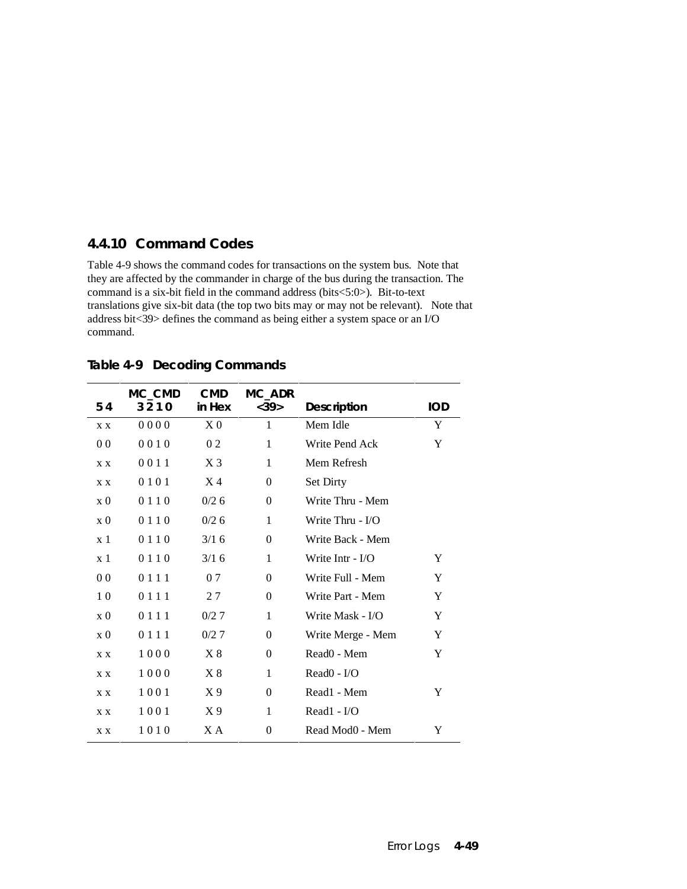### **4.4.10 Command Codes**

Table 4-9 shows the command codes for transactions on the system bus. Note that they are affected by the commander in charge of the bus during the transaction. The command is a six-bit field in the command address (bits<5:0>). Bit-to-text translations give six-bit data (the top two bits may or may not be relevant). Note that address bit<39> defines the command as being either a system space or an I/O command.

|                         | MC_CMD  | <b>CMD</b> | MC_ADR         |                         |            |
|-------------------------|---------|------------|----------------|-------------------------|------------|
| 54                      | 3210    | in Hex     | <39>           | <b>Description</b>      | <b>IOD</b> |
| X X                     | 0000    | $X_{0}$    | 1              | Mem Idle                | Y          |
| 0 <sub>0</sub>          | 0010    | 02         | 1              | Write Pend Ack          | Y          |
| X X                     | 0011    | $X_3$      | 1              | Mem Refresh             |            |
| X X                     | 0101    | $X_4$      | $\mathbf{0}$   | Set Dirty               |            |
| $\mathbf{x} \mathbf{0}$ | 0110    | 0/26       | $\overline{0}$ | Write Thru - Mem        |            |
| $\ge 0$                 | 0 1 1 0 | 0/26       | 1              | Write Thru - I/O        |            |
| $x_1$                   | 0 1 1 0 | 3/16       | $\Omega$       | Write Back - Mem        |            |
| x <sub>1</sub>          | 0 1 1 0 | 3/16       | 1              | Write Intr - $I/O$      | Y          |
| 0 <sub>0</sub>          | 0 1 1 1 | 0.7        | $\Omega$       | Write Full - Mem        | Y          |
| 1 <sub>0</sub>          | 0 1 1 1 | 27         | $\Omega$       | Write Part - Mem        | Y          |
| $\ge 0$                 | 0 1 1 1 | 0/27       | 1              | Write Mask - I/O        | Y          |
| $\ge 0$                 | 0 1 1 1 | 0/27       | $\Omega$       | Write Merge - Mem       | Y          |
| X X                     | 1000    | X8         | $\Omega$       | Read <sub>0</sub> - Mem | Y          |
| X X                     | 1000    | X8         | 1              | $Read0 - I/O$           |            |
| X X                     | 1001    | X 9        | $\Omega$       | Read1 - Mem             | Y          |
| X X                     | 1001    | X 9        | 1              | Read1 - I/O             |            |
| X X                     | 1010    | ХA         | 0              | Read Mod0 - Mem         | Y          |

**Table 4-9 Decoding Commands**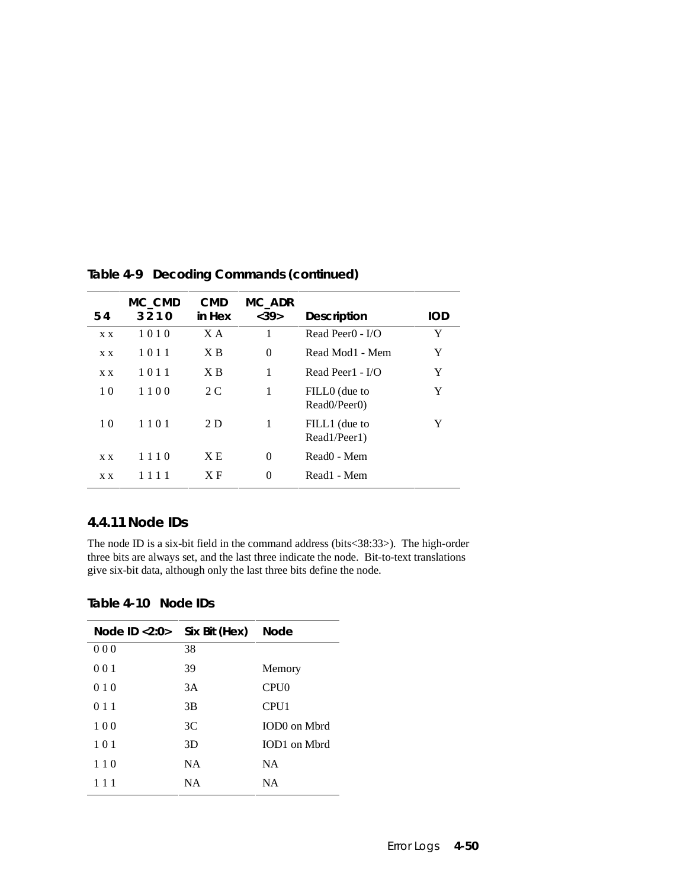| 54             | MC_CMD<br>3210 | <b>CMD</b><br>in Hex | MC_ADR<br><39> | <b>Description</b>                     | <b>IOD</b> |
|----------------|----------------|----------------------|----------------|----------------------------------------|------------|
|                |                |                      |                |                                        |            |
| X X            | 1010           | X A                  | 1              | Read Peer $0 - I/O$                    | Y          |
| X X            | 1011           | X B                  | $\theta$       | Read Mod1 - Mem                        | Y          |
| X X            | 1011           | X B                  | 1              | Read Peer1 - $I/O$                     | Y          |
| 10             | 1100           | 2 C                  | 1              | FILLO (due to                          | Y          |
|                |                |                      |                | Read <sub>0</sub> /Peer <sub>0</sub> ) |            |
| 1 <sub>0</sub> | 1101           | 2 D                  | 1              | FILL1 (due to                          | Y          |
|                |                |                      |                | Read1/Peer1)                           |            |
| X X            | 1110           | XE                   | $\Omega$       | Read <sub>0</sub> - Mem                |            |
|                |                | X F                  |                | Read1 - Mem                            |            |
| X X            |                |                      | $\theta$       |                                        |            |

**Table 4-9 Decoding Commands (continued)**

#### **4.4.11 Node IDs**

The node ID is a six-bit field in the command address (bits<38:33>). The high-order three bits are always set, and the last three indicate the node. Bit-to-text translations give six-bit data, although only the last three bits define the node.

**Table 4-10 Node IDs**

| Node ID <2:0> | Six Bit (Hex) | <b>Node</b>      |
|---------------|---------------|------------------|
| 000           | 38            |                  |
| 001           | 39            | Memory           |
| 010           | 3A            | CPU0             |
| 011           | 3B            | CPU <sub>1</sub> |
| 100           | 3C            | IOD0 on Mbrd     |
| 101           | 3D            | IOD1 on Mbrd     |
| 110           | NA.           | <b>NA</b>        |
| 111           | NΑ            | <b>NA</b>        |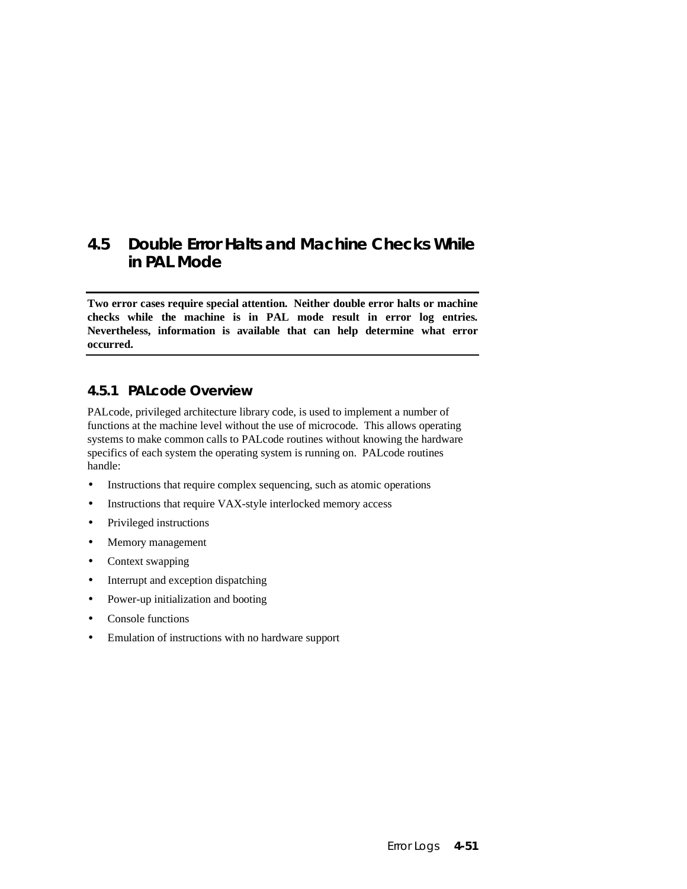## **4.5 Double Error Halts and Machine Checks While in PAL Mode**

**Two error cases require special attention. Neither double error halts or machine checks while the machine is in PAL mode result in error log entries. Nevertheless, information is available that can help determine what error occurred.**

## **4.5.1 PALcode Overview**

PALcode, privileged architecture library code, is used to implement a number of functions at the machine level without the use of microcode. This allows operating systems to make common calls to PALcode routines without knowing the hardware specifics of each system the operating system is running on. PALcode routines handle:

- Instructions that require complex sequencing, such as atomic operations
- Instructions that require VAX-style interlocked memory access
- Privileged instructions
- Memory management
- Context swapping
- Interrupt and exception dispatching
- Power-up initialization and booting
- Console functions
- Emulation of instructions with no hardware support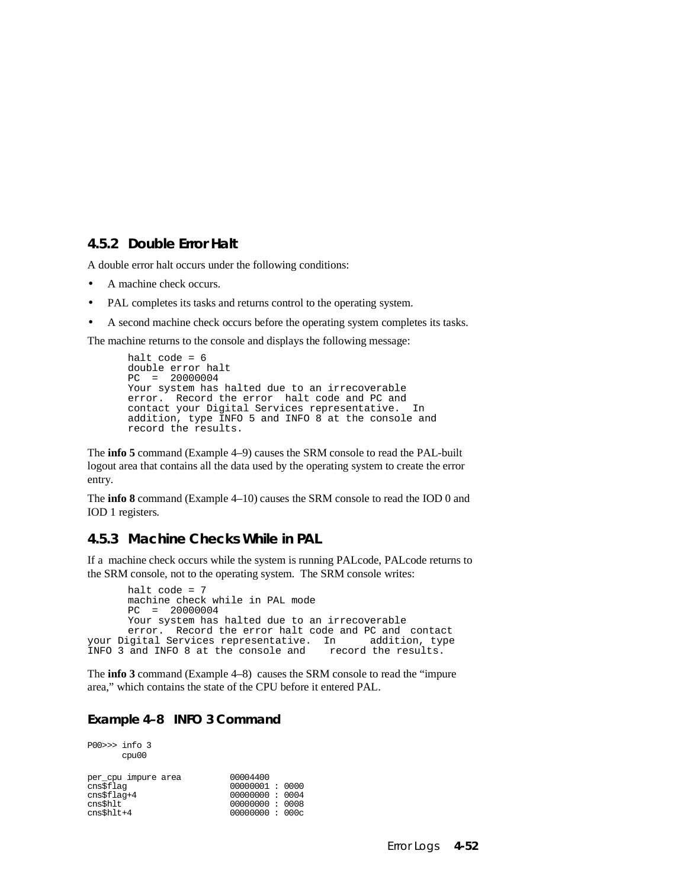#### **4.5.2 Double Error Halt**

A double error halt occurs under the following conditions:

- A machine check occurs.
- PAL completes its tasks and returns control to the operating system.
- A second machine check occurs before the operating system completes its tasks.

The machine returns to the console and displays the following message:

```
halt code = 6double error halt
PC = 20000004
Your system has halted due to an irrecoverable 
error. Record the error halt code and PC and<br>contact your Digital Services representative. In
contact your Digital Services representative.
addition, type INFO 5 and INFO 8 at the console and 
record the results.
```
The **info 5** command (Example 4–9) causes the SRM console to read the PAL-built logout area that contains all the data used by the operating system to create the error entry.

The **info 8** command (Example 4–10) causes the SRM console to read the IOD 0 and IOD 1 registers.

## **4.5.3 Machine Checks While in PAL**

If a machine check occurs while the system is running PALcode, PALcode returns to the SRM console, not to the operating system. The SRM console writes:

```
halt code = 7machine check while in PAL mode
       PC = 20000004
       Your system has halted due to an irrecoverable 
       error. Record the error halt code and PC and contact
your Digital Services representative. In addition, type INFO 3 and INFO 8 at the console and record the results.
INFO 3 and INFO 8 at the console and
```
The **info 3** command (Example 4–8) causes the SRM console to read the "impure area," which contains the state of the CPU before it entered PAL.

#### **Example 4–8 INFO 3 Command**

| $PO0>>$ info 3                                           | cpu00               |                                                                                  |  |
|----------------------------------------------------------|---------------------|----------------------------------------------------------------------------------|--|
| cns\$flaq<br>$cns$flag+4$<br>cns\$hlt<br>$cns$ shl $t+4$ | per cpu impure area | 00004400<br>00000001:0000<br>00000000: 0004<br>00000000: 0008<br>00000000 : 000c |  |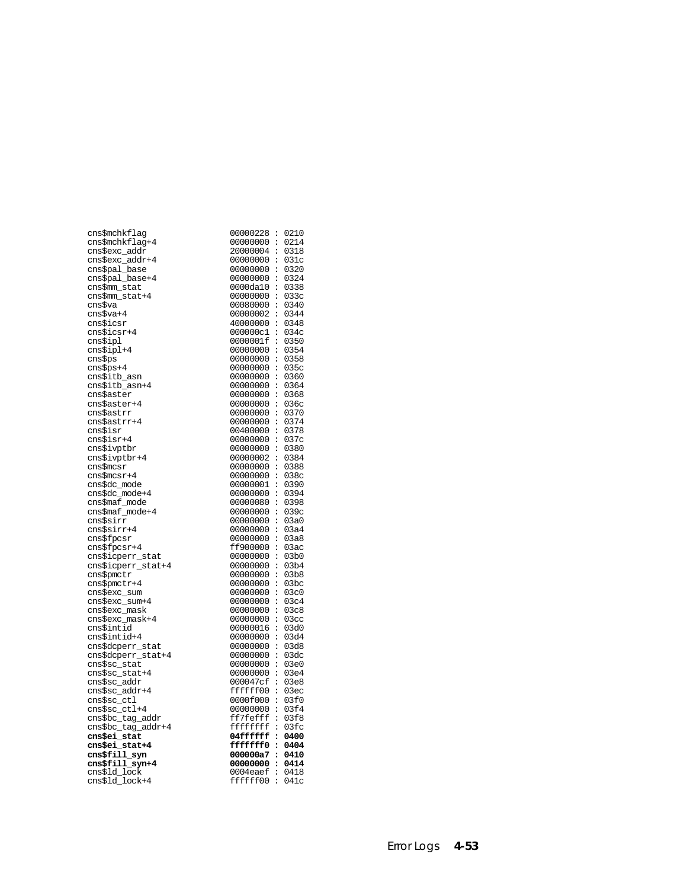| cns\$mchkflag                  | 00000228:                 | 0210             |
|--------------------------------|---------------------------|------------------|
| cns\$mchkflag+4                | 00000000:                 | 0214             |
| cns\$exc_addr                  | 20000004:                 | 0318             |
| cns\$exc_addr+4                | 00000000:                 | 031c             |
| cns\$pal_base                  | 00000000:                 | 0320             |
| cns\$pal_base+4                | $00000000$ :              | 0324             |
| cns\$mm_stat                   | $0000da10$ :              | 0338             |
| cns\$mm_stat+4                 | 00000000:                 | 033c             |
| cns\$va                        | 00080000:                 | 0340             |
| cns\$va+4                      | 00000002 :                | 0344             |
| cns\$icsr                      | 40000000:                 | 0348             |
| cns\$icsr+4                    | 000000c1:                 | 034c             |
| cns\$ipl                       | 0000001f:                 | 0350             |
| cns\$ipl+4                     | 00000000:                 | 0354             |
| cns\$ps                        | $00000000$ :              | 0358             |
| cns\$ps+4                      | 00000000:                 | 035c             |
| cns\$itb_asn                   | 00000000:<br>00000000:    | 0360<br>0364     |
| cns\$itb_asn+4                 | 00000000:                 | 0368             |
| cns\$aster<br>cns\$aster+4     | 00000000:                 | 036c             |
| cns\$astrr                     | 00000000:                 | 0370             |
| cns\$astrr+4                   | 00000000:                 | 0374             |
| cns\$isr                       | 00400000:                 | 0378             |
| cns\$isr+4                     | 00000000:                 | 037c             |
| cns\$ivptbr                    | 00000000:                 | 0380             |
| cns\$ivptbr+4                  | 00000002 :                | 0384             |
| cns\$mcsr                      | 00000000:                 | 0388             |
| cns\$mcsr+4                    | 00000000:                 | 038c             |
| cns\$dc_mode                   | 00000001:                 | 0390             |
| cns\$dc_mode+4                 | 00000000:                 | 0394             |
| cns\$maf_mode                  | 00000080 :                | 0398             |
| cns\$maf_mode+4                | $00000000$ :              | 039c             |
| cns\$sirr                      | 00000000:                 | 03a0             |
| cns\$sirr+4                    | 00000000:                 | 03a4             |
| cns\$fpcsr                     | 00000000:                 | 03a8             |
| cns\$fpcsr+4                   | ff900000:                 | 03ac             |
| cns\$icperr_stat               | $00000000$ :              | 03b0             |
| cns\$icperr_stat+4             | $00000000$ :              | 03b4             |
| cns\$pmctr                     | 00000000:                 | 03b8             |
| cns\$pmctr+4                   | 00000000:                 | 03bc             |
| cns\$exc_sum                   | 00000000:                 | 03c0             |
| cns\$exc_sum+4                 | 00000000:                 | 03c4             |
| cns\$exc_mask                  | 00000000:                 | 03c8             |
| cns\$exc_mask+4                | 00000000:                 | 03 <sub>cc</sub> |
| cns\$intid                     | 00000016 :                | 03d0             |
| cns\$intid+4                   | 00000000:                 | 03d4             |
| cns\$dcperr_stat               | 00000000:                 | 03d8             |
| cns\$dcperr_stat+4             | 00000000:                 | 03dc             |
| cns\$sc_stat                   | $00000000$ :<br>00000000: | 03e0             |
| cns\$sc_stat+4<br>cns\$sc_addr | 000047cf :                | 03e4<br>03e8     |
| cns\$sc_addr+4                 | ffffff00:                 | 03ec             |
| cns\$sc_ctl                    | 0000f000:                 | 03f0             |
| cns\$sc_ctl+4                  | 00000000:                 | 03f4             |
| cns\$bc_tag_addr               | ff7feff:                  | 03f8             |
| cns\$bc_tag_addr+4             | $ffffffff$ :              | 03fc             |
| cns\$ei_stat                   | 04fffffff:                | 0400             |
| cns\$ei_stat+4                 | fffffff0 :                | 0404             |
| cns\$fill_syn                  | 000000a7:                 | 0410             |
| cns\$fill syn+4                | 00000000:                 | 0414             |
| cns\$1d_1ock                   | $0004eaef$ :              | 0418             |
| cns\$1d_lock+4                 | ffffff00:                 | 041c             |
|                                |                           |                  |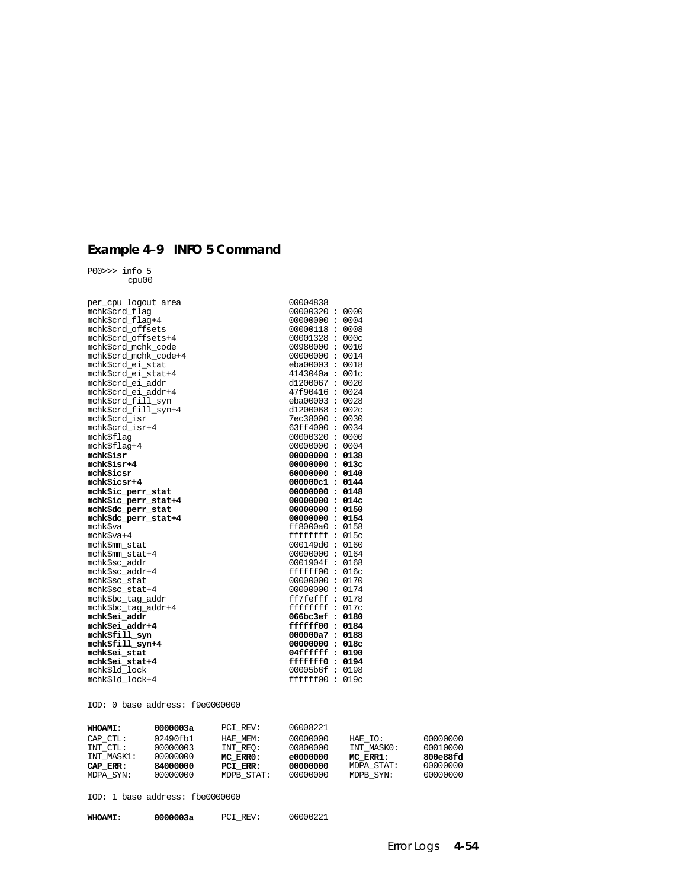## **Example 4–9 INFO 5 Command**

P00>>> info 5 cpu00

| per cpu logout area   | 00004838          |  |
|-----------------------|-------------------|--|
| mchk\$crd flag        | 00000320:0000     |  |
| mchk\$crd flag+4      | 00000000: 0004    |  |
| mchk\$crd offsets     | 00000118: 0008    |  |
| mchk\$crd offsets+4   | 00001328 : 000c   |  |
| mchk\$crd mchk code   | 00980000: 0010    |  |
| mchk\$crd mchk code+4 | 00000000: 0014    |  |
| mchk\$crd ei stat     | eba00003 : 0018   |  |
| mchk\$crd_ei_stat+4   | 4143040a : 001c   |  |
| mchk\$crd_ei_addr     | d1200067 : 0020   |  |
| mchk\$crd ei addr+4   | 47f90416 : 0024   |  |
| mchk\$crd fill syn    | eba00003 : 0028   |  |
| mchk\$crd fill syn+4  | d1200068 : 002c   |  |
| mchk\$crd isr         | 7ec38000: 0030    |  |
| mchk\$crd isr+4       | 63ff4000: 0034    |  |
| mchk\$flaq            | 00000320 : 0000   |  |
| mchk\$flaq+4          | 00000000 : 0004   |  |
| mchkSisr              | 00000000: 0138    |  |
| mchkSisr+4            | 00000000: 013c    |  |
| mchkSicsr             | 60000000: 0140    |  |
| mchk\$icsr+4          | 000000c1: 0144    |  |
| mchk\$ic perr stat    | 00000000: 0148    |  |
| mchk\$ic_perr_stat+4  | 00000000: 014c    |  |
| mchk\$dc_perr_stat    | 00000000: 0150    |  |
| mchk\$dc_perr_stat+4  | 00000000: 0154    |  |
| mchk\$va              | ff8000a0 : 0158   |  |
| mchk\$va+4            | $ffffffff$ : 015c |  |
| mchk\$mm stat         | 000149d0:0160     |  |
| mchk\$mm stat+4       | 00000000: 0164    |  |
| mchk\$sc addr         | 0001904f: 0168    |  |
| mchk\$sc_addr+4       | ffffff00:016c     |  |
| mchk\$sc_stat         | 00000000: 0170    |  |
| mchk\$sc stat+4       | 00000000 : 0174   |  |
| mchk\$bc tag addr     | ff7feff: 0178     |  |
| mchk\$bc_taq_addr+4   | $ffffffff$ : 017c |  |
| mchk\$ei addr         | 066bc3ef : 0180   |  |
| mchk\$ei_addr+4       | effff00:0184      |  |
| mchk\$fill syn        | 000000a7: 0188    |  |
| mchk\$fill syn+4      | 00000000: 018c    |  |
| mchkSei stat          | 04fffffff: 0190   |  |
| mchk\$ei stat+4       | ffffffff0: 0194   |  |
| mchk\$1d_lock         | 00005b6f: 0198    |  |
| mchk\$1d lock+4       | ffffff00:019c     |  |

IOD: 0 base address: f9e0000000

| <b>WHOAMI:</b> | 0000003a | PCI REV:   | 06008221 |            |          |
|----------------|----------|------------|----------|------------|----------|
| CAP CTL:       | 02490fb1 | HAE MEM:   | 00000000 | HAE IO:    | 00000000 |
| INT CTL:       | 00000003 | INT REO:   | 00800000 | INT MASKO: | 00010000 |
| INT MASK1:     | 00000000 | MC ERRO:   | e0000000 | MC ERR1:   | 800e88fd |
| CAP ERR:       | 84000000 | PCI ERR:   | 00000000 | MDPA STAT: | 00000000 |
| MDPA SYN:      | 00000000 | MDPB STAT: | 00000000 | MDPB SYN:  | 00000000 |

IOD: 1 base address: fbe0000000

| 0000003a<br><b>WHOAMI:</b> | PCI REV: | 06000221 |
|----------------------------|----------|----------|
|----------------------------|----------|----------|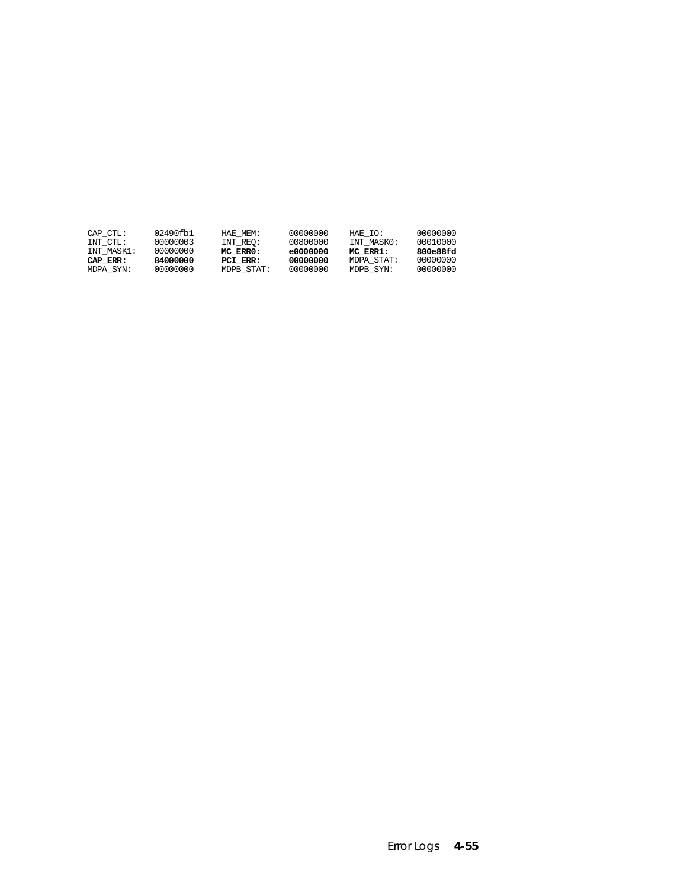| CAP CTL:   | 02490fb1 | HAE MEM:   | 00000000 | HAE IO:    | 00000000 |
|------------|----------|------------|----------|------------|----------|
| INT CTL:   | 00000003 | INT REO:   | 00800000 | INT MASKO: | 00010000 |
| INT MASK1: | 00000000 | MC ERRO:   | e0000000 | MC ERR1:   | 800e88fd |
| CAP ERR:   | 84000000 | PCI ERR:   | 00000000 | MDPA STAT: | 00000000 |
| MDPA SYN:  | 00000000 | MDPB STAT: | 00000000 | MDPB SYN:  | 00000000 |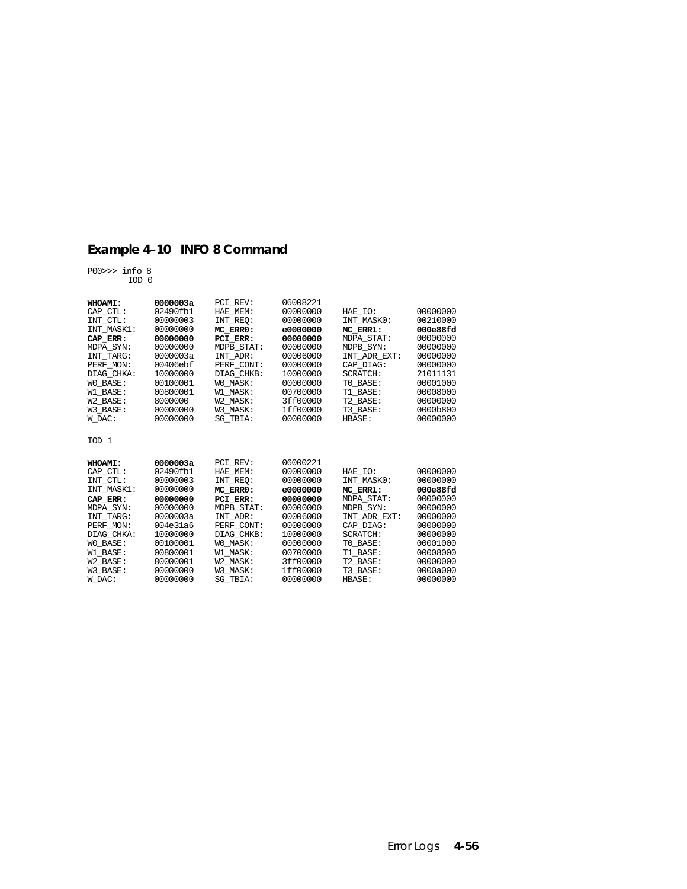## **Example 4–10 INFO 8 Command**

P00>>> info 8 IOD 0

| WHOAMI:            | 0000003a             | PCI REV:                    | 06008221             |                           |                      |
|--------------------|----------------------|-----------------------------|----------------------|---------------------------|----------------------|
| CAP CTL:           | 02490fb1             | HAE MEM:                    | 00000000             | HAE IO:                   | 00000000             |
| INT CTL:           | 00000003             | INT REO:                    | 00000000             | INT MASKO:                | 00210000             |
| INT MASK1:         | 00000000             | MC ERRO:                    | e0000000             | MC ERR1:                  | 000e88fd             |
| CAP ERR:           | 00000000             | PCI ERR:                    | 00000000             | <b>MDPA STAT:</b>         | 00000000             |
| MDPA SYN:          | 00000000             | MDPB STAT:                  | 00000000             | MDPB SYN:                 | 00000000             |
| INT TARG:          | 0000003a             | INT ADR:                    | 00006000             | INT ADR EXT:              | 00000000             |
| PERF_MON:          | 00406ebf             | PERF CONT:                  | 00000000             | CAP DIAG:                 | 00000000             |
| DIAG CHKA:         | 10000000             | DIAG CHKB:                  | 10000000             | <b>SCRATCH:</b>           | 21011131             |
| WO BASE:           | 00100001             | WO MASK:                    | 00000000             | TO BASE:                  | 00001000             |
| W1 BASE:           | 00800001             | W1 MASK:                    | 00700000             | T1 BASE:                  | 00008000             |
| W2 BASE:           | 8000000              | W2 MASK:                    | 3ff00000             | T2 BASE:                  | 00000000             |
| W3 BASE:           | 00000000             | W3 MASK:                    | 1ff00000             | T3 BASE:                  | 0000b800             |
| W DAC:             | 00000000             | SG TBIA:                    | 00000000             | <b>HBASE:</b>             | 00000000             |
| IOD <sub>1</sub>   |                      |                             |                      |                           |                      |
|                    |                      |                             |                      |                           |                      |
| WHOAMI:            | 0000003a             | PCI REV:                    | 06000221             |                           |                      |
| CAP CTL:           | 02490fb1             | HAE MEM:                    | 00000000             | HAE IO:                   | 00000000             |
| INT CTL:           | 00000003             | INT REO:                    | 00000000             | INT MASKO:                | 00000000             |
| INT MASK1:         | 00000000             | MC ERRO:                    | e0000000             | MC ERR1:                  | 000e88fd             |
| CAP ERR:           | 00000000             | PCI ERR:                    | 00000000             | <b>MDPA STAT:</b>         | 00000000             |
| MDPA SYN:          | 00000000             | MDPB_STAT:                  | 00000000             | MDPB SYN:                 | 00000000             |
| INT TARG:          | 0000003a             | INT ADR:                    | 00006000             | INT ADR EXT:              | 00000000             |
| PERF MON:          | 004e31a6             | PERF CONT:                  | 00000000             | CAP DIAG:                 | 00000000             |
| DIAG CHKA:         | 10000000             | DIAG CHKB:                  | 10000000             | <b>SCRATCH:</b>           | 00000000             |
| WO BASE:           | 00100001             | WO MASK:                    | 00000000             | TO BASE:                  | 00001000             |
| W1 BASE:           | 00800001             | W1 MASK:                    | 00700000             | T1 BASE:                  | 00008000             |
| W2 BASE:           | 80000001             | W2 MASK:                    | 3ff00000             | T2 BASE:                  | 00000000             |
| W3 BASE:<br>W DAC: | 00000000<br>00000000 | W3 MASK:<br><b>SG TBIA:</b> | 1ff00000<br>00000000 | T3 BASE:<br><b>HBASE:</b> | 0000a000<br>00000000 |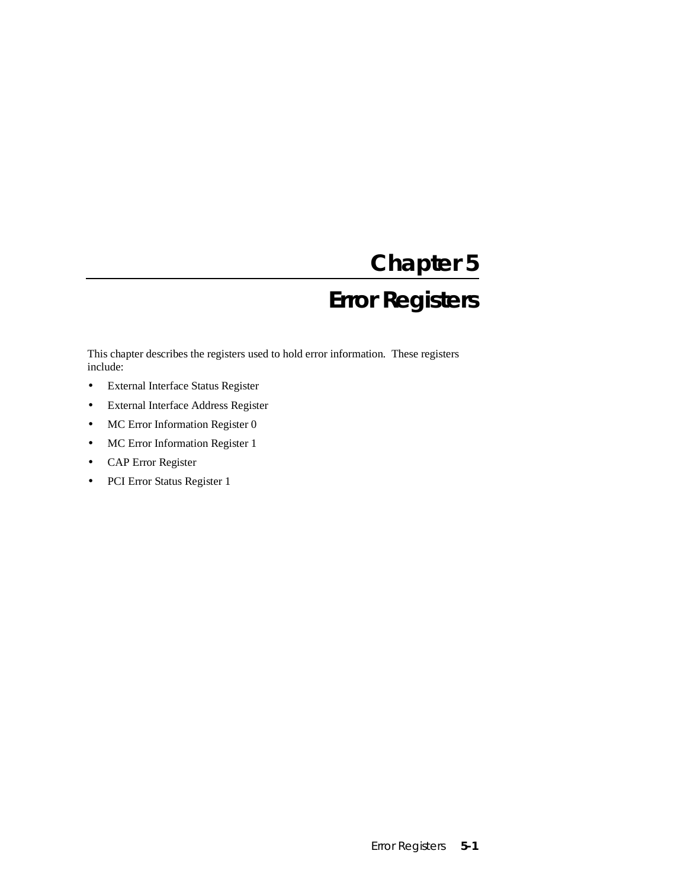# **Chapter 5 Error Registers**

This chapter describes the registers used to hold error information. These registers include:

- External Interface Status Register
- External Interface Address Register
- MC Error Information Register 0
- MC Error Information Register 1
- CAP Error Register
- PCI Error Status Register 1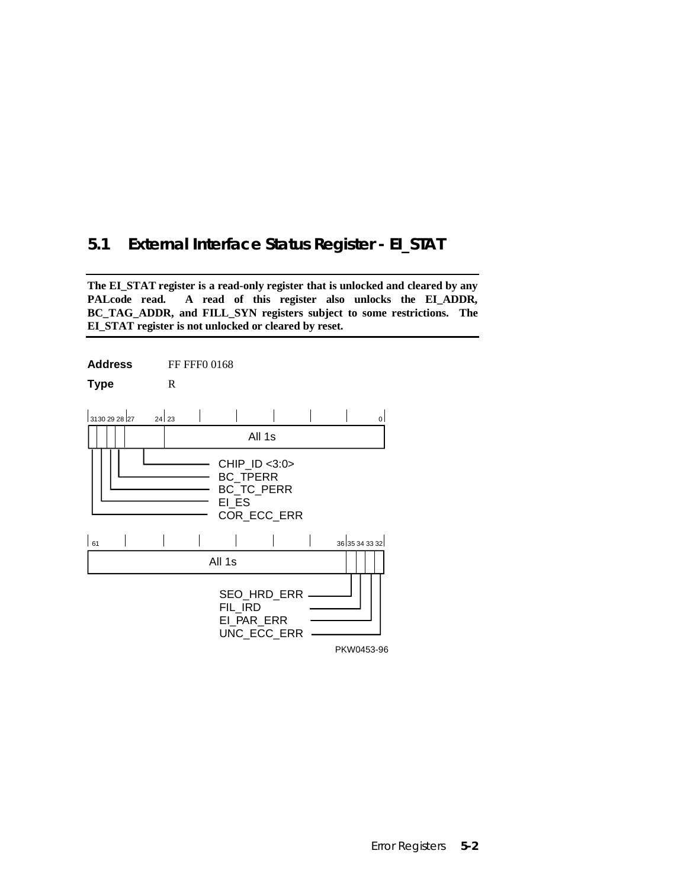### **5.1 External Interface Status Register - EI\_STAT**

**The EI\_STAT register is a read-only register that is unlocked and cleared by any PALcode read. A read of this register also unlocks the EI\_ADDR, BC\_TAG\_ADDR, and FILL\_SYN registers subject to some restrictions. The EI\_STAT register is not unlocked or cleared by reset.**

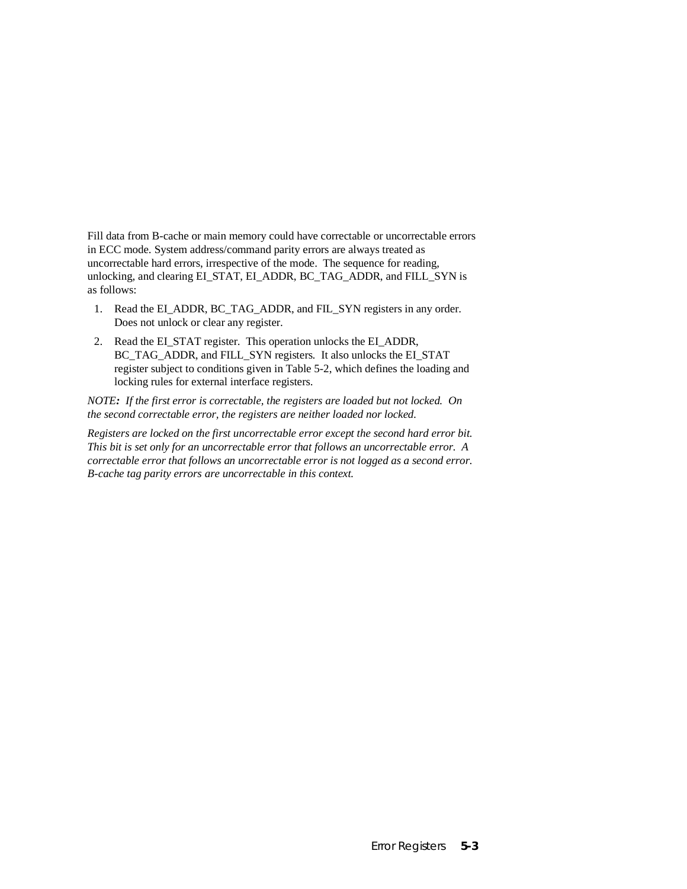Fill data from B-cache or main memory could have correctable or uncorrectable errors in ECC mode. System address/command parity errors are always treated as uncorrectable hard errors, irrespective of the mode. The sequence for reading, unlocking, and clearing EI\_STAT, EI\_ADDR, BC\_TAG\_ADDR, and FILL\_SYN is as follows:

- 1. Read the EI\_ADDR, BC\_TAG\_ADDR, and FIL\_SYN registers in any order. Does not unlock or clear any register.
- 2. Read the EI\_STAT register. This operation unlocks the EI\_ADDR, BC\_TAG\_ADDR, and FILL\_SYN registers. It also unlocks the EI\_STAT register subject to conditions given in Table 5-2, which defines the loading and locking rules for external interface registers.

*NOTE: If the first error is correctable, the registers are loaded but not locked. On the second correctable error, the registers are neither loaded nor locked.*

*Registers are locked on the first uncorrectable error except the second hard error bit. This bit is set only for an uncorrectable error that follows an uncorrectable error. A correctable error that follows an uncorrectable error is not logged as a second error. B-cache tag parity errors are uncorrectable in this context.*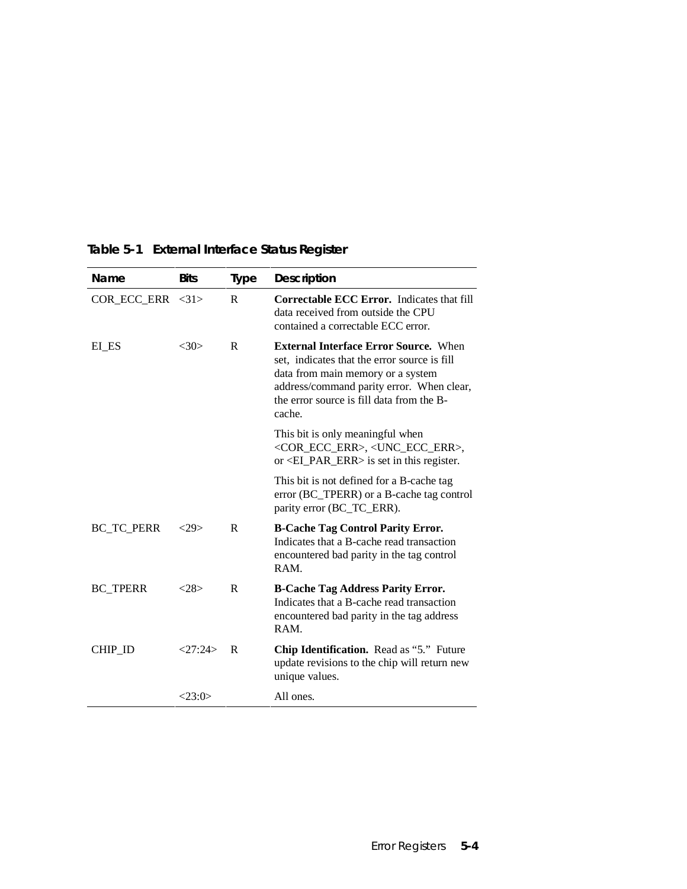| Name                   | <b>Bits</b> | <b>Type</b>  | <b>Description</b>                                                                                                                                                                                                                    |
|------------------------|-------------|--------------|---------------------------------------------------------------------------------------------------------------------------------------------------------------------------------------------------------------------------------------|
| $COR\_ECC\_ERR \le 31$ |             | R            | <b>Correctable ECC Error.</b> Indicates that fill<br>data received from outside the CPU<br>contained a correctable ECC error.                                                                                                         |
| EI_ES                  | <30>        | R            | <b>External Interface Error Source.</b> When<br>set, indicates that the error source is fill<br>data from main memory or a system<br>address/command parity error. When clear,<br>the error source is fill data from the B-<br>cache. |
|                        |             |              | This bit is only meaningful when<br><cor_ecc_err>, <unc_ecc_err>,<br/>or <math>\leq</math>EL_PAR_ERR<math>&gt;</math> is set in this register.</unc_ecc_err></cor_ecc_err>                                                            |
|                        |             |              | This bit is not defined for a B-cache tag<br>error (BC_TPERR) or a B-cache tag control<br>parity error (BC_TC_ERR).                                                                                                                   |
| <b>BC_TC_PERR</b>      | <29         | R            | <b>B-Cache Tag Control Parity Error.</b><br>Indicates that a B-cache read transaction<br>encountered bad parity in the tag control<br>RAM.                                                                                            |
| <b>BC_TPERR</b>        | <28>        | $\mathbf{R}$ | <b>B-Cache Tag Address Parity Error.</b><br>Indicates that a B-cache read transaction<br>encountered bad parity in the tag address<br>RAM.                                                                                            |
| CHIP ID                | <27:24>     | $\mathbf{R}$ | Chip Identification. Read as "5." Future<br>update revisions to the chip will return new<br>unique values.                                                                                                                            |
|                        | <23:0>      |              | All ones.                                                                                                                                                                                                                             |

### **Table 5-1 External Interface Status Register**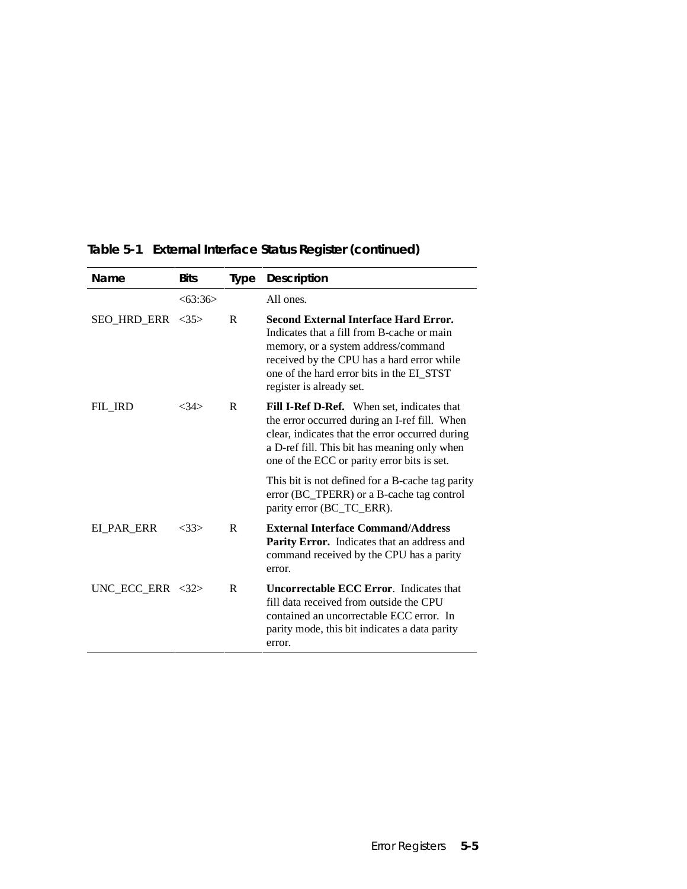| Name                             | <b>Bits</b> | <b>Type</b> | Description                                                                                                                                                                                                                                              |
|----------------------------------|-------------|-------------|----------------------------------------------------------------------------------------------------------------------------------------------------------------------------------------------------------------------------------------------------------|
|                                  | <63:36>     |             | All ones.                                                                                                                                                                                                                                                |
| SEO HRD ERR <35>                 |             | R           | <b>Second External Interface Hard Error.</b><br>Indicates that a fill from B-cache or main<br>memory, or a system address/command<br>received by the CPU has a hard error while<br>one of the hard error bits in the EI STST<br>register is already set. |
| FIL IRD                          | <34>        | R           | <b>Fill I-Ref D-Ref.</b> When set, indicates that<br>the error occurred during an I-ref fill. When<br>clear, indicates that the error occurred during<br>a D-ref fill. This bit has meaning only when<br>one of the ECC or parity error bits is set.     |
|                                  |             |             | This bit is not defined for a B-cache tag parity<br>error (BC_TPERR) or a B-cache tag control<br>parity error (BC_TC_ERR).                                                                                                                               |
| EI PAR ERR                       | <33>        | $\mathbf R$ | <b>External Interface Command/Address</b><br>Parity Error. Indicates that an address and<br>command received by the CPU has a parity<br>error.                                                                                                           |
| UNC ECC ERR $\langle 32 \rangle$ |             | R           | <b>Uncorrectable ECC Error.</b> Indicates that<br>fill data received from outside the CPU<br>contained an uncorrectable ECC error. In<br>parity mode, this bit indicates a data parity<br>error.                                                         |

# **Table 5-1 External Interface Status Register (continued)**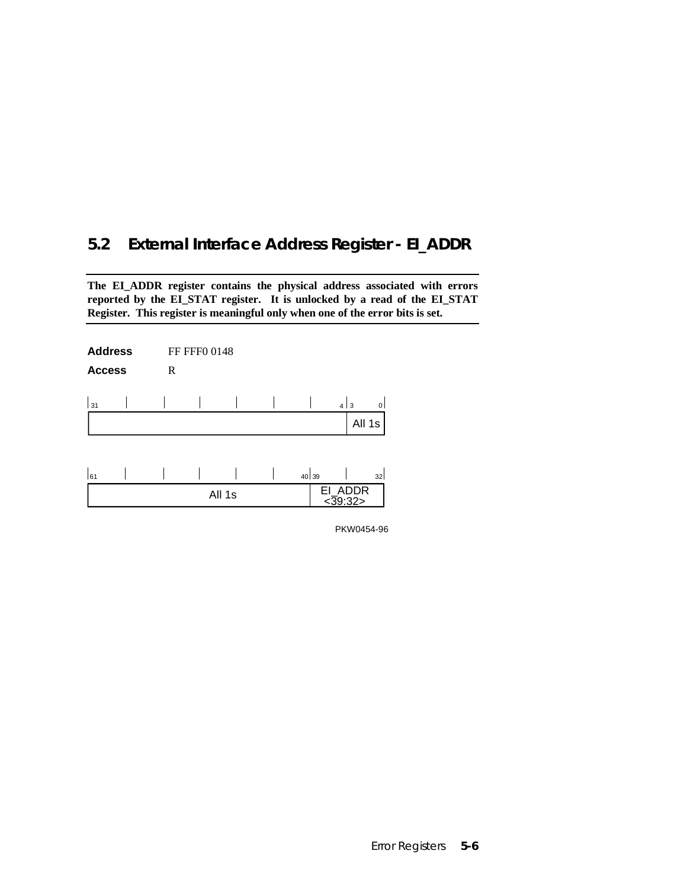# **5.2 External Interface Address Register - EI\_ADDR**

**The EI\_ADDR register contains the physical address associated with errors reported by the EI\_STAT register. It is unlocked by a read of the EI\_STAT Register. This register is meaningful only when one of the error bits is set.**

| <b>Address</b><br><b>Access</b> | R | FF FFF0 0148 |        |       |                               |        |
|---------------------------------|---|--------------|--------|-------|-------------------------------|--------|
| 31                              |   |              |        |       | 4 3                           | 0      |
|                                 |   |              |        |       |                               | All 1s |
|                                 |   |              |        |       |                               |        |
| 61                              |   |              |        | 40 39 |                               | 32     |
|                                 |   |              | All 1s |       | EI_ADDR<br>$\frac{239.32}{2}$ |        |

PKW0454-96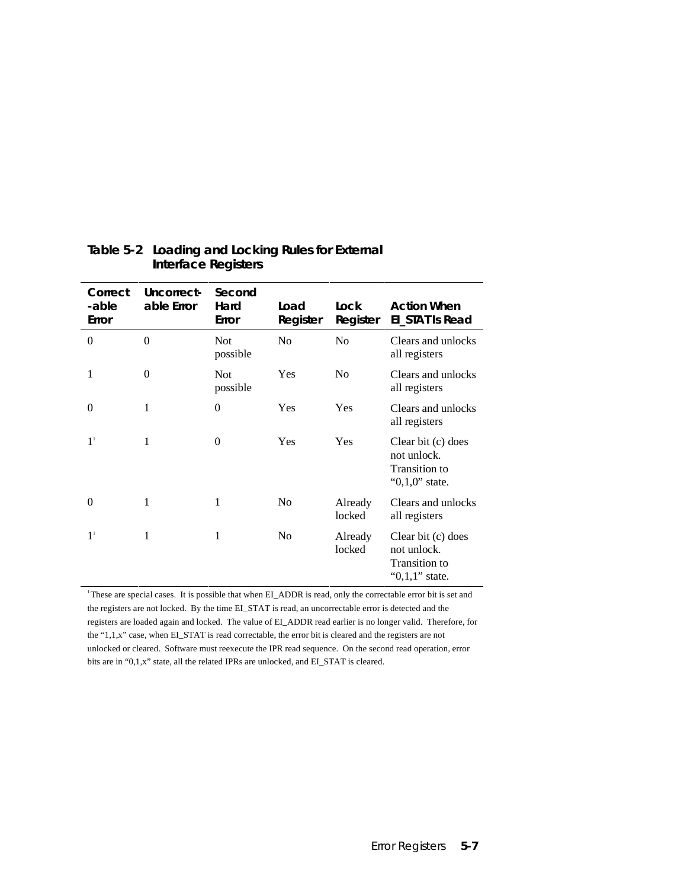| Correct<br>-able<br>Error | Uncorrect-<br>able Error | Second<br>Hard<br>Error | Load<br>Register | Lock<br>Register  | <b>Action When</b><br>EI_STAT Is Read                                           |
|---------------------------|--------------------------|-------------------------|------------------|-------------------|---------------------------------------------------------------------------------|
| $\theta$                  | $\theta$                 | <b>Not</b><br>possible  | N <sub>0</sub>   | N <sub>0</sub>    | Clears and unlocks<br>all registers                                             |
| 1                         | $\overline{0}$           | <b>Not</b><br>possible  | Yes              | N <sub>0</sub>    | Clears and unlocks<br>all registers                                             |
| $\Omega$                  | 1                        | $\theta$                | Yes              | Yes               | Clears and unlocks<br>all registers                                             |
| 1 <sup>1</sup>            | 1                        | $\mathbf{0}$            | Yes              | Yes               | Clear bit (c) does<br>not unlock.<br><b>Transition to</b><br>" $0,1,0$ " state. |
| $\theta$                  | 1                        | 1                       | N <sub>0</sub>   | Already<br>locked | Clears and unlocks<br>all registers                                             |
| 1 <sup>1</sup>            | 1                        | 1                       | No               | Already<br>locked | Clear bit (c) does<br>not unlock.<br>Transition to<br>" $0,1,1$ " state.        |

### **Table 5-2 Loading and Locking Rules for External Interface Registers**

<sup>1</sup>These are special cases. It is possible that when EI\_ADDR is read, only the correctable error bit is set and the registers are not locked. By the time EI\_STAT is read, an uncorrectable error is detected and the registers are loaded again and locked. The value of EI\_ADDR read earlier is no longer valid. Therefore, for the "1,1,x" case, when EI\_STAT is read correctable, the error bit is cleared and the registers are not unlocked or cleared. Software must reexecute the IPR read sequence. On the second read operation, error bits are in "0,1,x" state, all the related IPRs are unlocked, and EI\_STAT is cleared.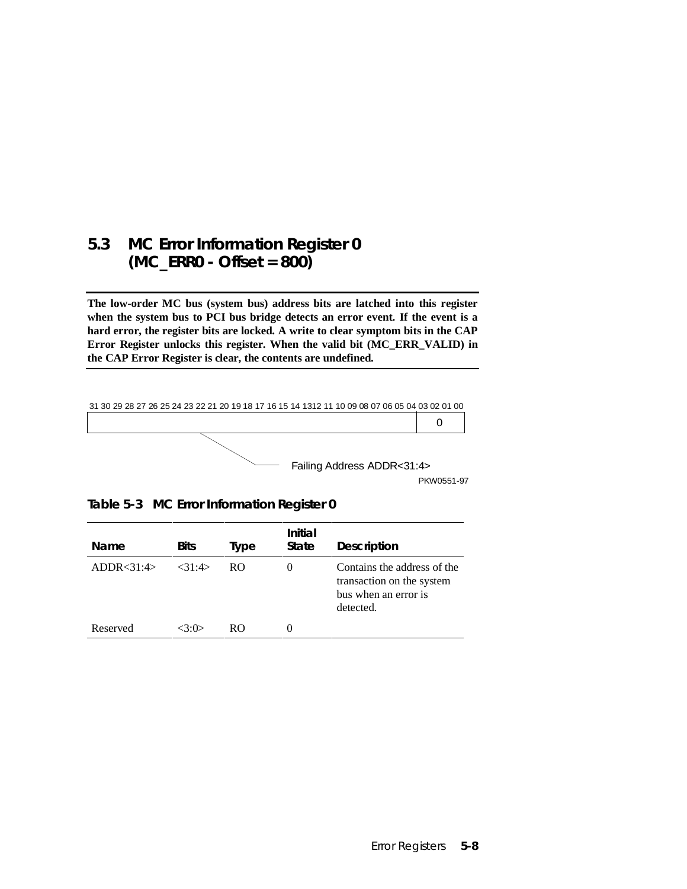### **5.3 MC Error Information Register 0 (MC\_ERR0 - Offset = 800)**

**The low-order MC bus (system bus) address bits are latched into this register when the system bus to PCI bus bridge detects an error event. If the event is a hard error, the register bits are locked. A write to clear symptom bits in the CAP Error Register unlocks this register. When the valid bit (MC\_ERR\_VALID) in the CAP Error Register is clear, the contents are undefined.**



PKW0551-97

**Table 5-3 MC Error Information Register 0**

| Name         | <b>Bits</b> | Type | Initial<br>State | <b>Description</b>                                                                            |
|--------------|-------------|------|------------------|-----------------------------------------------------------------------------------------------|
| ADDR < 31:4> | $<$ 31.4>   | RO.  | $_{0}$           | Contains the address of the<br>transaction on the system<br>bus when an error is<br>detected. |
| Reserved     | <イ・イ)>      | RO.  | $\theta$         |                                                                                               |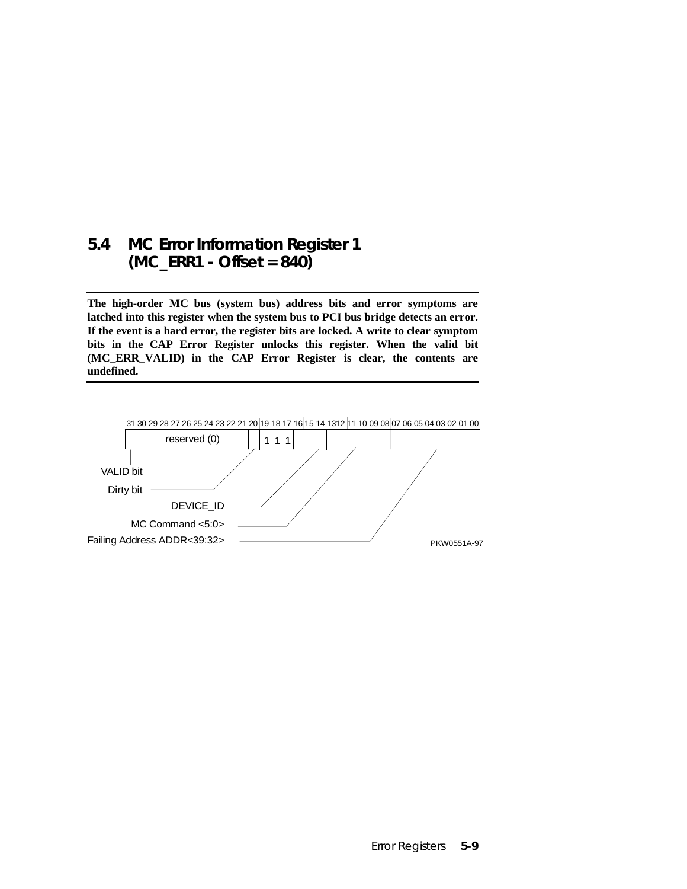### **5.4 MC Error Information Register 1 (MC\_ERR1 - Offset = 840)**

**The high-order MC bus (system bus) address bits and error symptoms are latched into this register when the system bus to PCI bus bridge detects an error. If the event is a hard error, the register bits are locked. A write to clear symptom bits in the CAP Error Register unlocks this register. When the valid bit (MC\_ERR\_VALID) in the CAP Error Register is clear, the contents are undefined.**

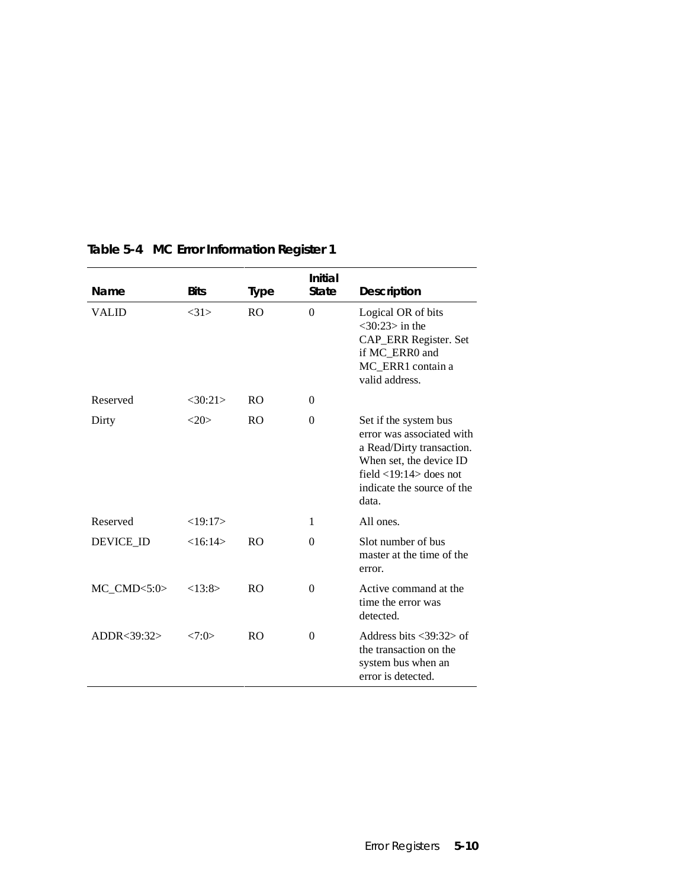| Name           | <b>Bits</b> | <b>Type</b>    | Initial<br><b>State</b> | <b>Description</b>                                                                                                                                                                |
|----------------|-------------|----------------|-------------------------|-----------------------------------------------------------------------------------------------------------------------------------------------------------------------------------|
| VALID          | <31>        | R <sub>O</sub> | $\theta$                | Logical OR of bits<br>$<$ 30:23 $>$ in the<br>CAP_ERR Register. Set<br>if MC ERR0 and<br>MC_ERR1 contain a<br>valid address.                                                      |
| Reserved       | <30:21>     | R <sub>O</sub> | $\theta$                |                                                                                                                                                                                   |
| Dirty          | <20>        | R <sub>O</sub> | $\theta$                | Set if the system bus<br>error was associated with<br>a Read/Dirty transaction.<br>When set, the device ID<br>field $<$ 19:14 $>$ does not<br>indicate the source of the<br>data. |
| Reserved       | <19:17>     |                | 1                       | All ones.                                                                                                                                                                         |
| DEVICE_ID      | <16:14>     | R <sub>O</sub> | $\theta$                | Slot number of bus<br>master at the time of the<br>error.                                                                                                                         |
| $MC\_CMD<5:0>$ | <13:8>      | R <sub>O</sub> | $\theta$                | Active command at the<br>time the error was<br>detected.                                                                                                                          |
| ADDR < 39:32>  | <7:0>       | <b>RO</b>      | $\theta$                | Address bits $\langle 39:32 \rangle$ of<br>the transaction on the<br>system bus when an<br>error is detected.                                                                     |

### **Table 5-4 MC Error Information Register 1**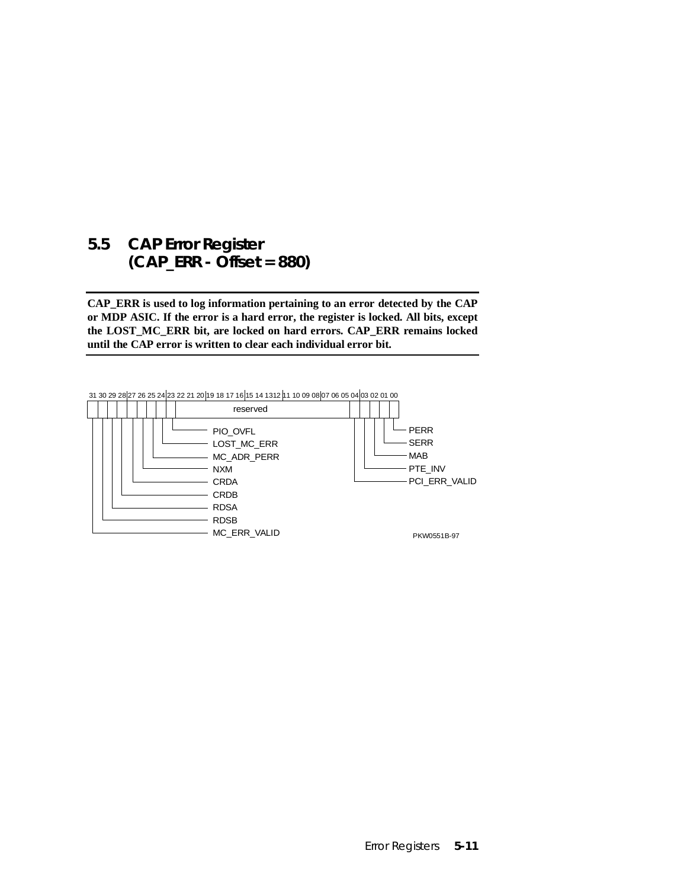### **5.5 CAP Error Register (CAP\_ERR - Offset = 880)**

**CAP\_ERR is used to log information pertaining to an error detected by the CAP or MDP ASIC. If the error is a hard error, the register is locked. All bits, except the LOST\_MC\_ERR bit, are locked on hard errors. CAP\_ERR remains locked until the CAP error is written to clear each individual error bit.**

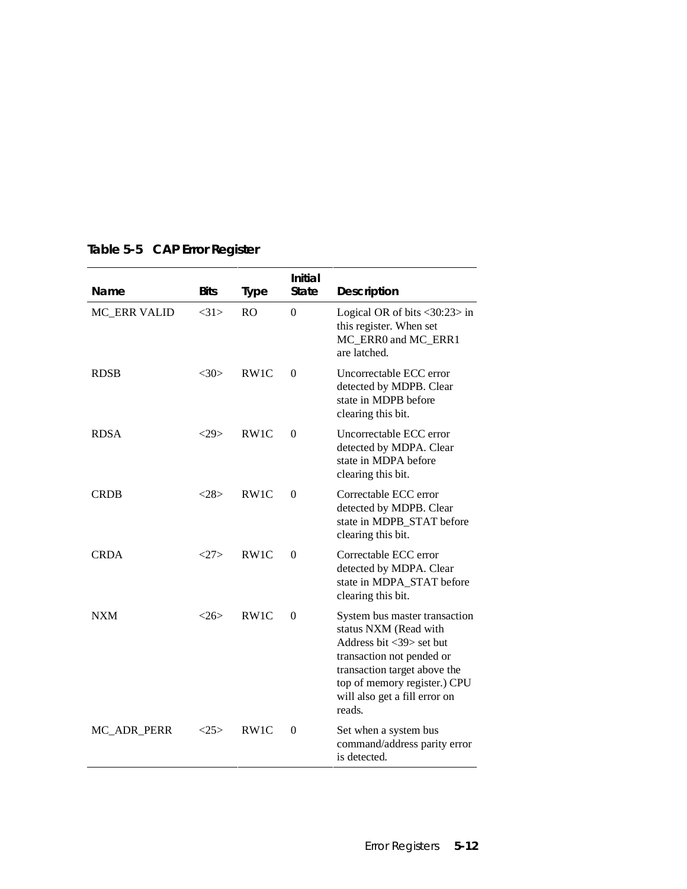| Name         | <b>Bits</b> | <b>Type</b>       | <b>Initial</b><br><b>State</b> | Description                                                                                                                                                                                                                                |
|--------------|-------------|-------------------|--------------------------------|--------------------------------------------------------------------------------------------------------------------------------------------------------------------------------------------------------------------------------------------|
| MC ERR VALID | <31>        | R <sub>O</sub>    | $\Omega$                       | Logical OR of bits $\langle 30:23 \rangle$ in<br>this register. When set<br>MC_ERR0 and MC_ERR1<br>are latched.                                                                                                                            |
| <b>RDSB</b>  | $<$ 30 $>$  | RW1C              | $\Omega$                       | Uncorrectable ECC error<br>detected by MDPB. Clear<br>state in MDPB before<br>clearing this bit.                                                                                                                                           |
| <b>RDSA</b>  | <29         | RW1C              | $\Omega$                       | Uncorrectable ECC error<br>detected by MDPA. Clear<br>state in MDPA before<br>clearing this bit.                                                                                                                                           |
| <b>CRDB</b>  | <28>        | RW1C              | $\Omega$                       | Correctable ECC error<br>detected by MDPB. Clear<br>state in MDPB STAT before<br>clearing this bit.                                                                                                                                        |
| CRDA         | 27          | RW <sub>1</sub> C | $\theta$                       | Correctable ECC error<br>detected by MDPA. Clear<br>state in MDPA STAT before<br>clearing this bit.                                                                                                                                        |
| <b>NXM</b>   | $<$ 26>     | RW1C              | $\theta$                       | System bus master transaction<br>status NXM (Read with<br>Address bit $\langle 39 \rangle$ set but<br>transaction not pended or<br>transaction target above the<br>top of memory register.) CPU<br>will also get a fill error on<br>reads. |
| MC_ADR_PERR  | $<$ 25 $>$  | RW1C              | $\Omega$                       | Set when a system bus<br>command/address parity error<br>is detected.                                                                                                                                                                      |

### **Table 5-5 CAP Error Register**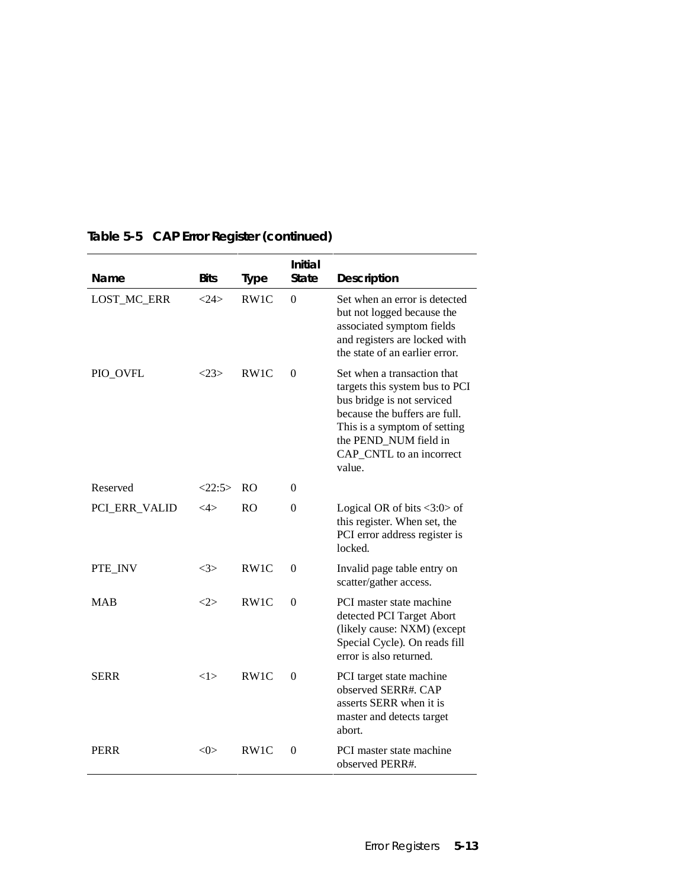| Name          | <b>Bits</b>   | <b>Type</b>       | <b>Initial</b><br><b>State</b> | <b>Description</b>                                                                                                                                                                                                          |
|---------------|---------------|-------------------|--------------------------------|-----------------------------------------------------------------------------------------------------------------------------------------------------------------------------------------------------------------------------|
| LOST_MC_ERR   | 24>           | RW1C              | $\boldsymbol{0}$               | Set when an error is detected<br>but not logged because the<br>associated symptom fields<br>and registers are locked with<br>the state of an earlier error.                                                                 |
| PIO_OVFL      | $<$ 23>       | RW1C              | $\Omega$                       | Set when a transaction that<br>targets this system bus to PCI<br>bus bridge is not serviced<br>because the buffers are full.<br>This is a symptom of setting<br>the PEND_NUM field in<br>CAP_CNTL to an incorrect<br>value. |
| Reserved      | <22:5>        | R <sub>O</sub>    | $\Omega$                       |                                                                                                                                                                                                                             |
| PCI_ERR_VALID | ${<}4{>}$     | R <sub>O</sub>    | $\Omega$                       | Logical OR of bits $\langle 3:0 \rangle$ of<br>this register. When set, the<br>PCI error address register is<br>locked.                                                                                                     |
| PTE_INV       | <3>           | RW <sub>1</sub> C | $\Omega$                       | Invalid page table entry on<br>scatter/gather access.                                                                                                                                                                       |
| <b>MAR</b>    | <2>           | RW1C              | $\Omega$                       | PCI master state machine<br>detected PCI Target Abort<br>(likely cause: NXM) (except<br>Special Cycle). On reads fill<br>error is also returned.                                                                            |
| <b>SERR</b>   | <1>           | RW1C              | $\Omega$                       | PCI target state machine<br>observed SERR#. CAP<br>asserts SERR when it is<br>master and detects target<br>abort.                                                                                                           |
| PERR          | $<\!\!0\!\!>$ | RW <sub>1</sub> C | $\Omega$                       | PCI master state machine<br>observed PERR#.                                                                                                                                                                                 |

### **Table 5-5 CAP Error Register (continued)**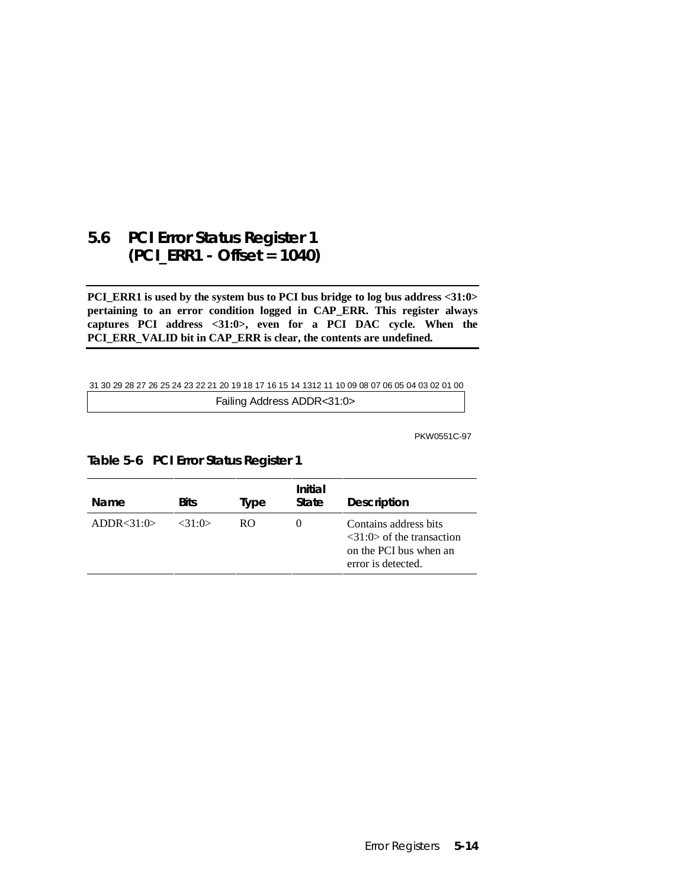### **5.6 PCI Error Status Register 1 (PCI\_ERR1 - Offset = 1040)**

**PCI\_ERR1 is used by the system bus to PCI bus bridge to log bus address <31:0> pertaining to an error condition logged in CAP\_ERR. This register always captures PCI address <31:0>, even for a PCI DAC cycle. When the PCI\_ERR\_VALID bit in CAP\_ERR is clear, the contents are undefined.**

#### 31 30 29 28 27 26 25 24 23 22 21 20 19 18 17 16 15 14 1312 11 10 09 08 07 06 05 04 03 02 01 00

Failing Address ADDR<31:0>

PKW0551C-97

| Name         | <b>Bits</b> | Type | Initial<br><b>State</b> | <b>Description</b>                                                                                                 |
|--------------|-------------|------|-------------------------|--------------------------------------------------------------------------------------------------------------------|
| ADDR < 31:0> | $<$ 31:0>   | RO.  | $\theta$                | Contains address bits<br>$\langle 31:0 \rangle$ of the transaction<br>on the PCI bus when an<br>error is detected. |

**Table 5-6 PCI Error Status Register 1**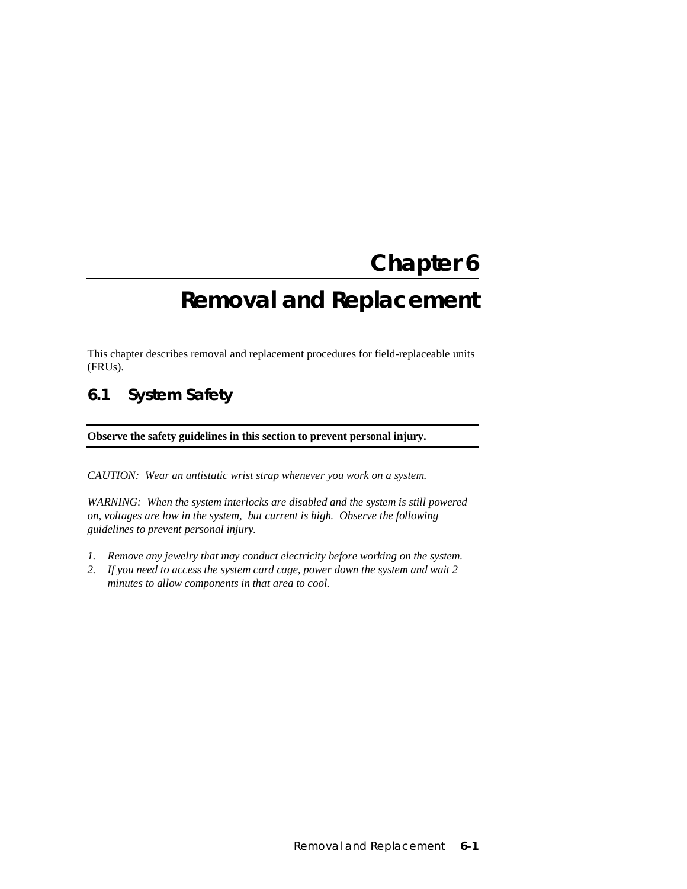# **Chapter 6 Removal and Replacement**

This chapter describes removal and replacement procedures for field-replaceable units (FRUs).

### **6.1 System Safety**

**Observe the safety guidelines in this section to prevent personal injury.**

*CAUTION: Wear an antistatic wrist strap whenever you work on a system.*

*WARNING: When the system interlocks are disabled and the system is still powered on, voltages are low in the system, but current is high. Observe the following guidelines to prevent personal injury.*

- *1. Remove any jewelry that may conduct electricity before working on the system.*
- *2. If you need to access the system card cage, power down the system and wait 2 minutes to allow components in that area to cool.*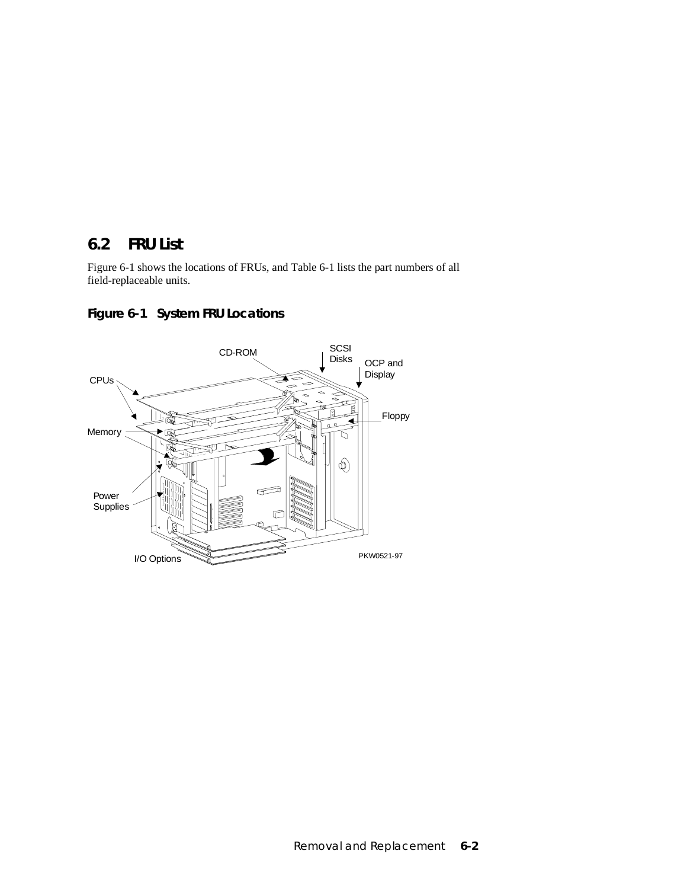### **6.2 FRU List**

Figure 6-1 shows the locations of FRUs, and Table 6-1 lists the part numbers of all field-replaceable units.



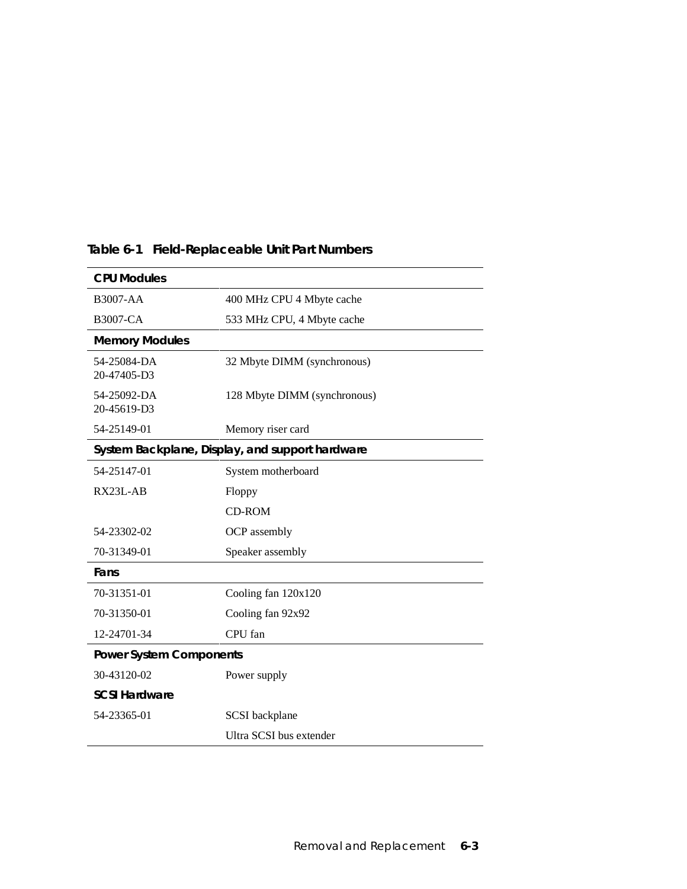| <b>CPU Modules</b>             |                                                 |  |  |  |
|--------------------------------|-------------------------------------------------|--|--|--|
| <b>B3007-AA</b>                | 400 MHz CPU 4 Mbyte cache                       |  |  |  |
| <b>B3007-CA</b>                | 533 MHz CPU, 4 Mbyte cache                      |  |  |  |
| <b>Memory Modules</b>          |                                                 |  |  |  |
| 54-25084-DA<br>20-47405-D3     | 32 Mbyte DIMM (synchronous)                     |  |  |  |
| 54-25092-DA<br>20-45619-D3     | 128 Mbyte DIMM (synchronous)                    |  |  |  |
| 54-25149-01                    | Memory riser card                               |  |  |  |
|                                | System Backplane, Display, and support hardware |  |  |  |
| 54-25147-01                    | System motherboard                              |  |  |  |
| RX23L-AB                       | Floppy                                          |  |  |  |
|                                | <b>CD-ROM</b>                                   |  |  |  |
| 54-23302-02                    | OCP assembly                                    |  |  |  |
| 70-31349-01                    | Speaker assembly                                |  |  |  |
| Fans                           |                                                 |  |  |  |
| 70-31351-01                    | Cooling fan 120x120                             |  |  |  |
| 70-31350-01                    | Cooling fan 92x92                               |  |  |  |
| 12-24701-34                    | CPU fan                                         |  |  |  |
| <b>Power System Components</b> |                                                 |  |  |  |
| 30-43120-02                    | Power supply                                    |  |  |  |
| <b>SCSI Hardware</b>           |                                                 |  |  |  |
| 54-23365-01                    | SCSI backplane                                  |  |  |  |
|                                | Ultra SCSI bus extender                         |  |  |  |

### **Table 6-1 Field-Replaceable Unit Part Numbers**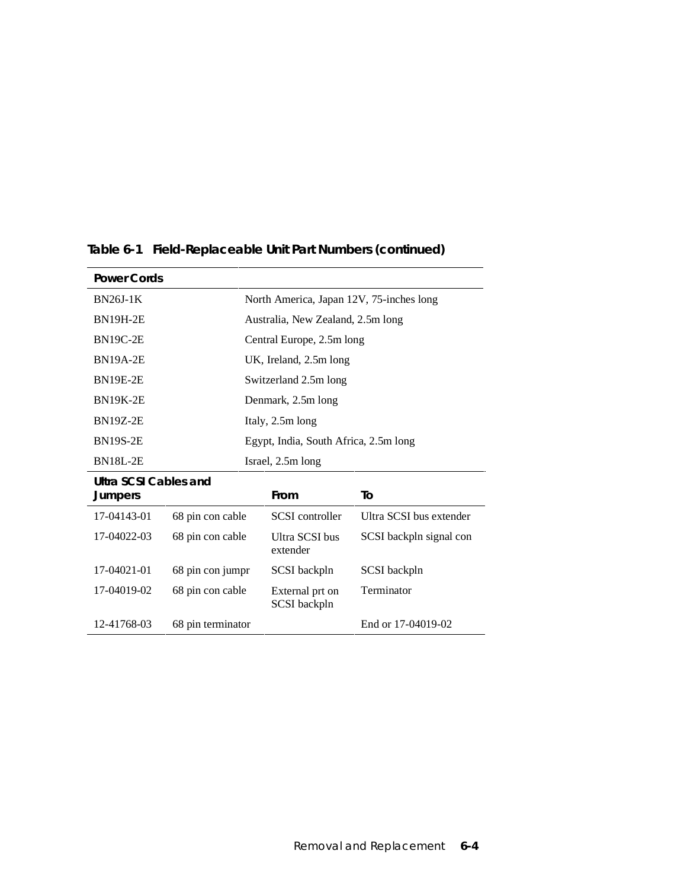| <b>Power Cords</b>           |                                       |                                          |                         |
|------------------------------|---------------------------------------|------------------------------------------|-------------------------|
| <b>BN26J-1K</b>              |                                       | North America, Japan 12V, 75-inches long |                         |
| <b>BN19H-2E</b>              |                                       | Australia, New Zealand, 2.5m long        |                         |
| <b>BN19C-2E</b>              |                                       | Central Europe, 2.5m long                |                         |
| <b>BN19A-2E</b>              |                                       | UK, Ireland, 2.5m long                   |                         |
| <b>BN19E-2E</b>              |                                       | Switzerland 2.5m long                    |                         |
| <b>BN19K-2E</b>              |                                       | Denmark, 2.5m long                       |                         |
| <b>BN19Z-2E</b>              |                                       | Italy, 2.5m long                         |                         |
| <b>BN19S-2E</b>              | Egypt, India, South Africa, 2.5m long |                                          |                         |
| <b>BN18L-2E</b>              | Israel, 2.5m long                     |                                          |                         |
| <b>Ultra SCSI Cables and</b> |                                       |                                          |                         |
| <b>Jumpers</b>               |                                       | From                                     | To                      |
| 17-04143-01                  | 68 pin con cable                      | <b>SCSI</b> controller                   | Ultra SCSI bus extender |
| 17-04022-03                  | 68 pin con cable                      | Ultra SCSI bus<br>extender               | SCSI backpln signal con |
| 17-04021-01                  | 68 pin con jumpr                      | SCSI backpln                             | SCSI backpln            |
| 17-04019-02                  | 68 pin con cable                      | External prt on<br>SCSI backpln          | Terminator              |
| 12-41768-03                  | 68 pin terminator                     |                                          | End or 17-04019-02      |

**Table 6-1 Field-Replaceable Unit Part Numbers (continued)**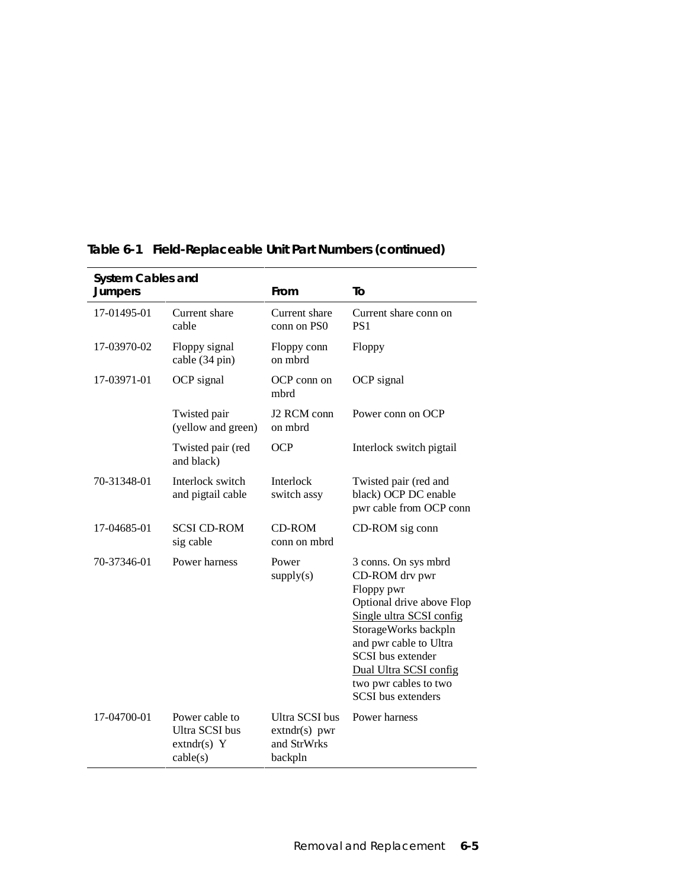| <b>System Cables and</b><br><b>Jumpers</b> |                                                                      | From                                                               | To                                                                                                                                                                                                                                                                          |
|--------------------------------------------|----------------------------------------------------------------------|--------------------------------------------------------------------|-----------------------------------------------------------------------------------------------------------------------------------------------------------------------------------------------------------------------------------------------------------------------------|
| 17-01495-01                                | Current share<br>cable                                               | Current share<br>conn on PS0                                       | Current share conn on<br>PS <sub>1</sub>                                                                                                                                                                                                                                    |
| 17-03970-02                                | Floppy signal<br>cable (34 pin)                                      | Floppy conn<br>on mbrd                                             | Floppy                                                                                                                                                                                                                                                                      |
| 17-03971-01                                | OCP signal                                                           | OCP conn on<br>mbrd                                                | OCP signal                                                                                                                                                                                                                                                                  |
|                                            | Twisted pair<br>(yellow and green)                                   | J2 RCM conn<br>on mbrd                                             | Power conn on OCP                                                                                                                                                                                                                                                           |
|                                            | Twisted pair (red<br>and black)                                      | <b>OCP</b>                                                         | Interlock switch pigtail                                                                                                                                                                                                                                                    |
| 70-31348-01                                | Interlock switch<br>and pigtail cable                                | Interlock<br>switch assy                                           | Twisted pair (red and<br>black) OCP DC enable<br>pwr cable from OCP conn                                                                                                                                                                                                    |
| 17-04685-01                                | <b>SCSI CD-ROM</b><br>sig cable                                      | <b>CD-ROM</b><br>conn on mbrd                                      | CD-ROM sig conn                                                                                                                                                                                                                                                             |
| 70-37346-01                                | Power harness                                                        | Power<br>supply(s)                                                 | 3 conns. On sys mbrd<br>CD-ROM drv pwr<br>Floppy pwr<br>Optional drive above Flop<br>Single ultra SCSI config<br>StorageWorks backpln<br>and pwr cable to Ultra<br><b>SCSI</b> bus extender<br>Dual Ultra SCSI config<br>two pwr cables to two<br><b>SCSI</b> bus extenders |
| 17-04700-01                                | Power cable to<br><b>Ultra SCSI</b> bus<br>$extndr(s)$ Y<br>cable(s) | <b>Ultra SCSI</b> bus<br>$extndr(s)$ pwr<br>and StrWrks<br>backpln | Power harness                                                                                                                                                                                                                                                               |

### **Table 6-1 Field-Replaceable Unit Part Numbers (continued)**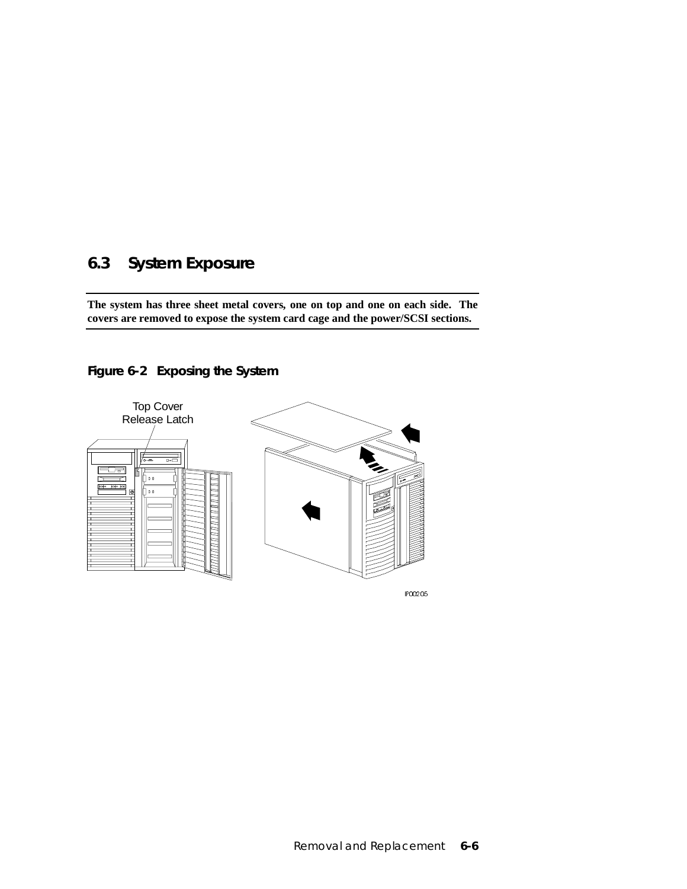### **6.3 System Exposure**

**The system has three sheet metal covers, one on top and one on each side. The covers are removed to expose the system card cage and the power/SCSI sections.**



### **Figure 6-2 Exposing the System**

IP00205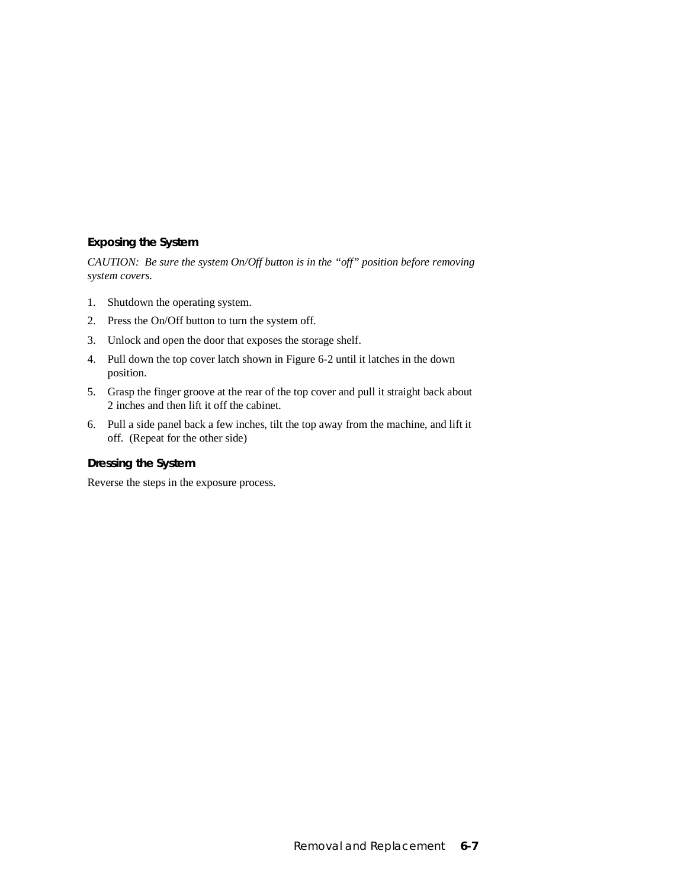### **Exposing the System**

*CAUTION: Be sure the system On/Off button is in the "off" position before removing system covers.*

- 1. Shutdown the operating system.
- 2. Press the On/Off button to turn the system off.
- 3. Unlock and open the door that exposes the storage shelf.
- 4. Pull down the top cover latch shown in Figure 6-2 until it latches in the down position.
- 5. Grasp the finger groove at the rear of the top cover and pull it straight back about 2 inches and then lift it off the cabinet.
- 6. Pull a side panel back a few inches, tilt the top away from the machine, and lift it off. (Repeat for the other side)

### **Dressing the System**

Reverse the steps in the exposure process.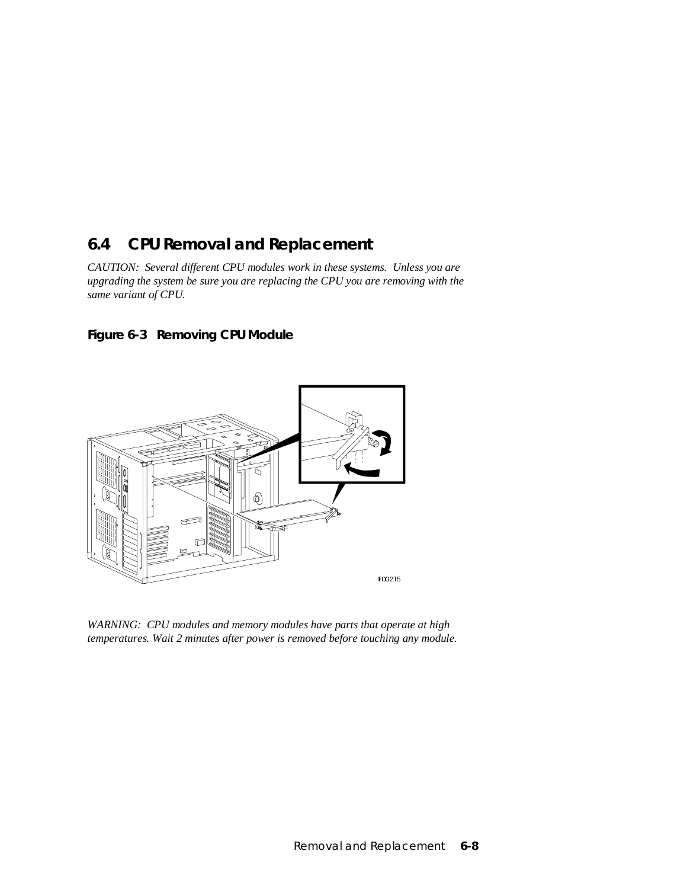### **6.4 CPU Removal and Replacement**

*CAUTION: Several different CPU modules work in these systems. Unless you are upgrading the system be sure you are replacing the CPU you are removing with the same variant of CPU.*





*WARNING: CPU modules and memory modules have parts that operate at high temperatures. Wait 2 minutes after power is removed before touching any module.*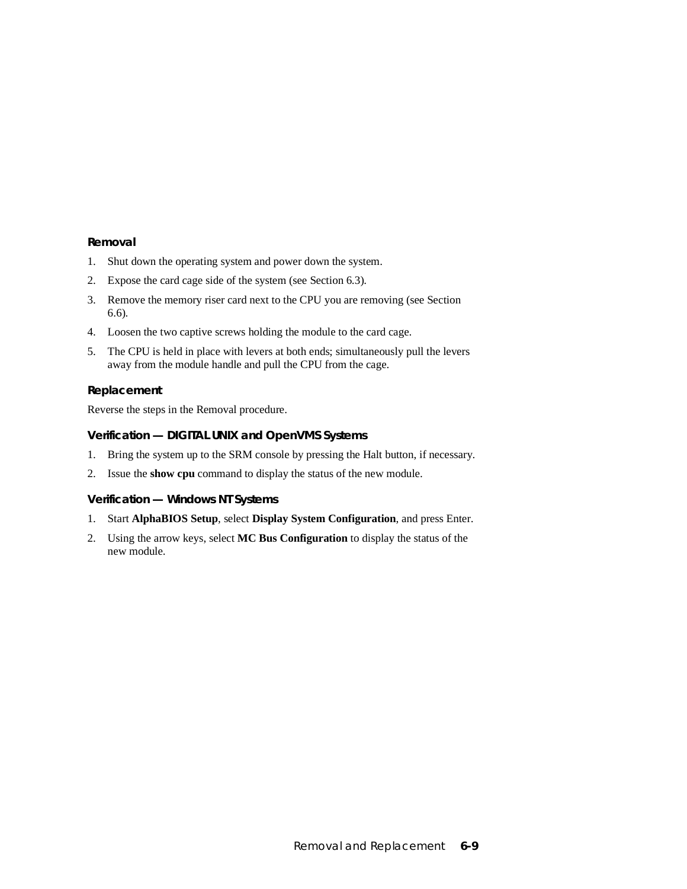- 1. Shut down the operating system and power down the system.
- 2. Expose the card cage side of the system (see Section 6.3).
- 3. Remove the memory riser card next to the CPU you are removing (see Section 6.6).
- 4. Loosen the two captive screws holding the module to the card cage.
- 5. The CPU is held in place with levers at both ends; simultaneously pull the levers away from the module handle and pull the CPU from the cage.

#### **Replacement**

Reverse the steps in the Removal procedure.

### **Verification — DIGITAL UNIX and OpenVMS Systems**

- 1. Bring the system up to the SRM console by pressing the Halt button, if necessary.
- 2. Issue the **show cpu** command to display the status of the new module.

### **Verification — Windows NT Systems**

- 1. Start **AlphaBIOS Setup**, select **Display System Configuration**, and press Enter.
- 2. Using the arrow keys, select **MC Bus Configuration** to display the status of the new module.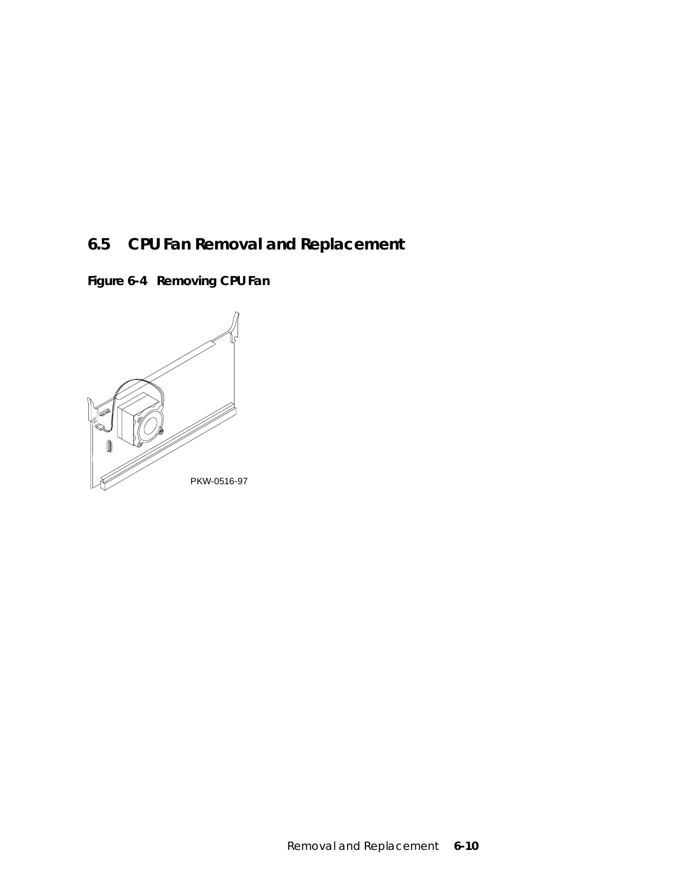# **6.5 CPU Fan Removal and Replacement**

**Figure 6-4 Removing CPU Fan**

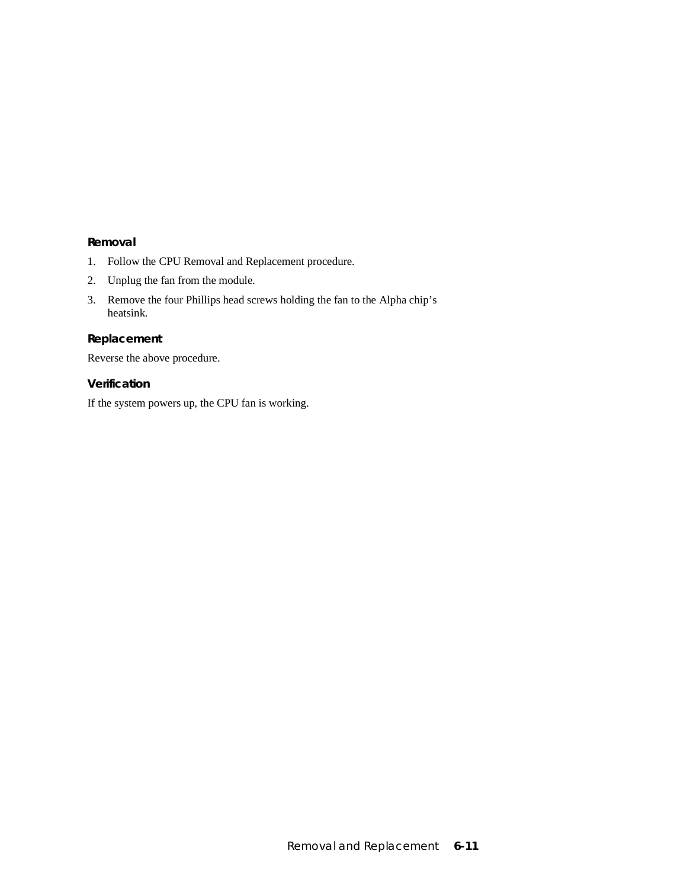- 1. Follow the CPU Removal and Replacement procedure.
- 2. Unplug the fan from the module.
- 3. Remove the four Phillips head screws holding the fan to the Alpha chip's heatsink.

### **Replacement**

Reverse the above procedure.

### **Verification**

If the system powers up, the CPU fan is working.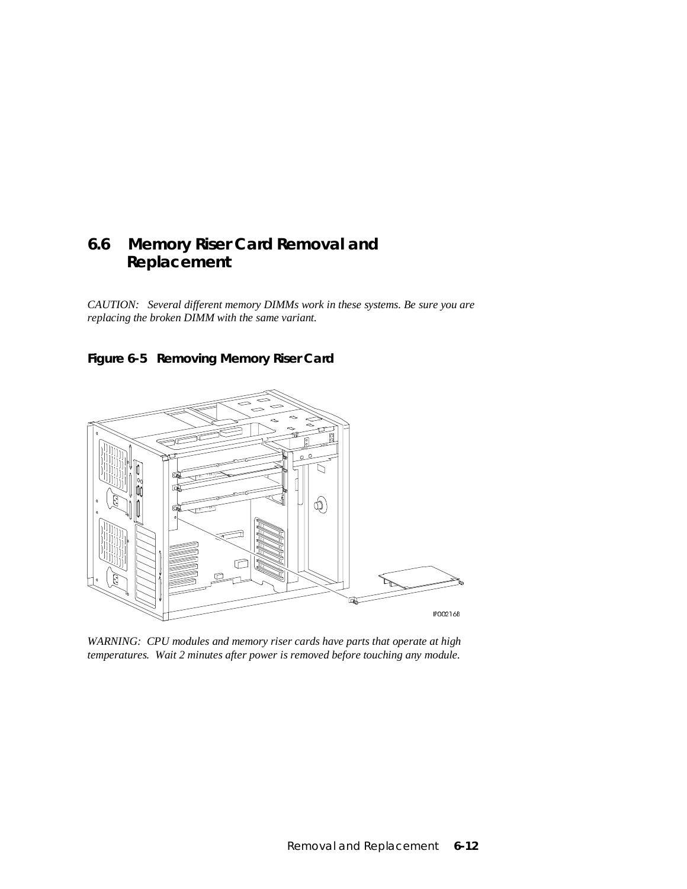### **6.6 Memory Riser Card Removal and Replacement**

*CAUTION: Several different memory DIMMs work in these systems. Be sure you are replacing the broken DIMM with the same variant.*





*WARNING: CPU modules and memory riser cards have parts that operate at high temperatures. Wait 2 minutes after power is removed before touching any module.*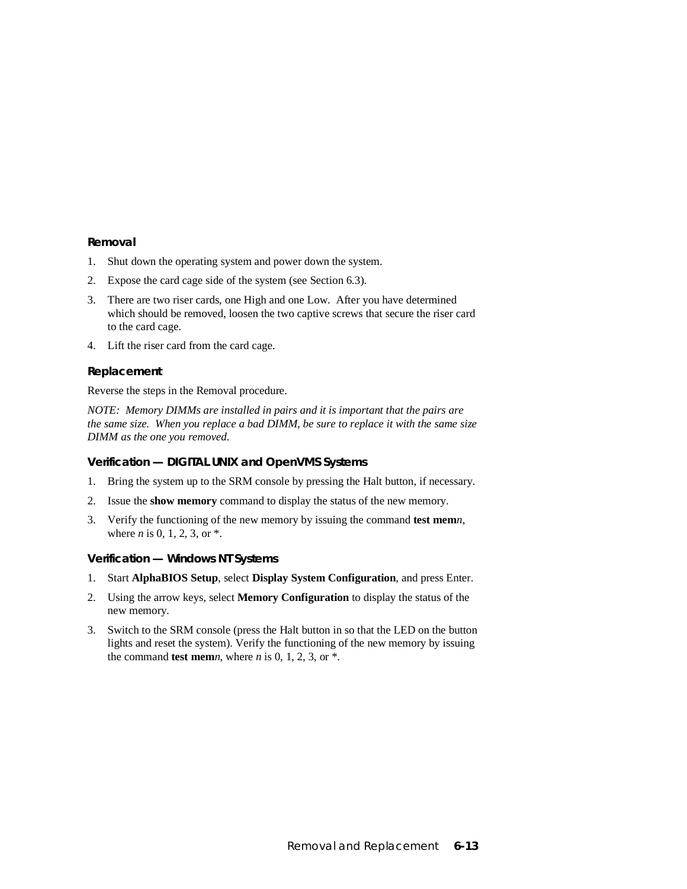- 1. Shut down the operating system and power down the system.
- 2. Expose the card cage side of the system (see Section 6.3).
- 3. There are two riser cards, one High and one Low. After you have determined which should be removed, loosen the two captive screws that secure the riser card to the card cage.
- 4. Lift the riser card from the card cage.

#### **Replacement**

Reverse the steps in the Removal procedure.

*NOTE: Memory DIMMs are installed in pairs and it is important that the pairs are the same size. When you replace a bad DIMM, be sure to replace it with the same size DIMM as the one you removed.*

### **Verification — DIGITAL UNIX and OpenVMS Systems**

- 1. Bring the system up to the SRM console by pressing the Halt button, if necessary.
- 2. Issue the **show memory** command to display the status of the new memory.
- 3. Verify the functioning of the new memory by issuing the command **test mem***n*, where *n* is 0, 1, 2, 3, or  $*$ .

#### **Verification — Windows NT Systems**

- 1. Start **AlphaBIOS Setup**, select **Display System Configuration**, and press Enter.
- 2. Using the arrow keys, select **Memory Configuration** to display the status of the new memory.
- 3. Switch to the SRM console (press the Halt button in so that the LED on the button lights and reset the system). Verify the functioning of the new memory by issuing the command **test mem***n*, where *n* is 0, 1, 2, 3, or  $*$ .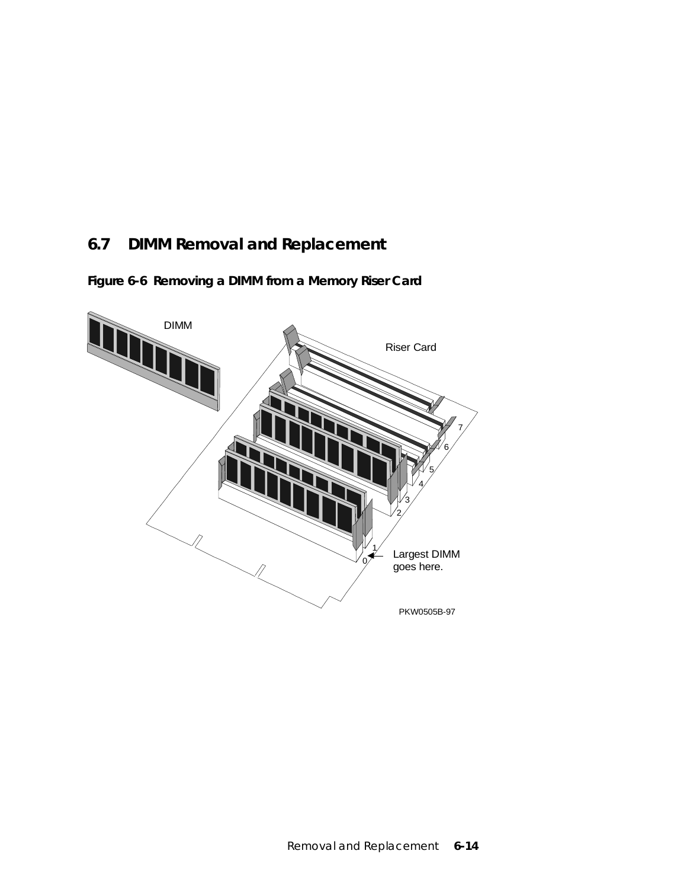# **6.7 DIMM Removal and Replacement**

**Figure 6-6 Removing a DIMM from a Memory Riser Card**

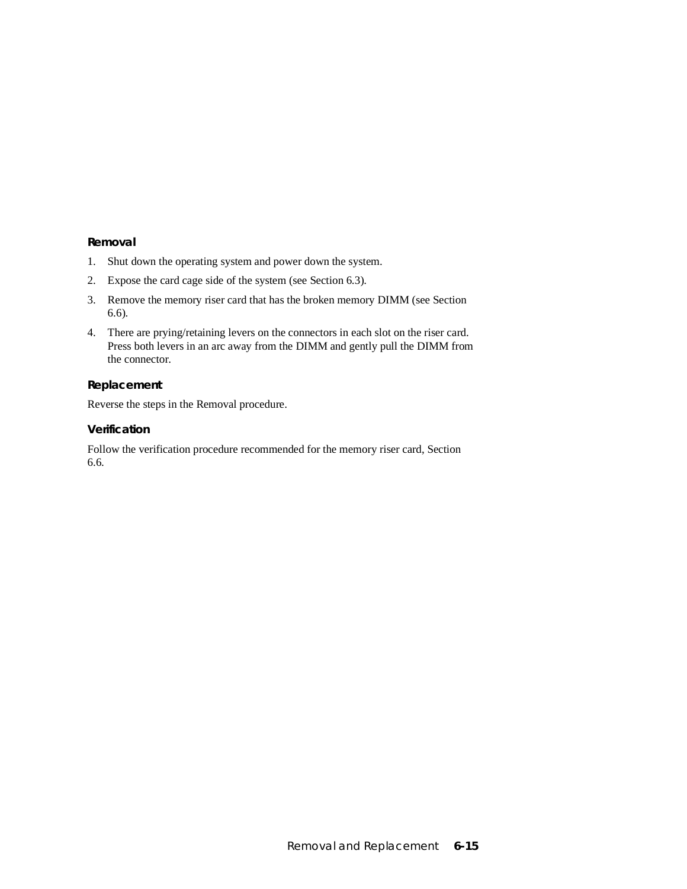- 1. Shut down the operating system and power down the system.
- 2. Expose the card cage side of the system (see Section 6.3).
- 3. Remove the memory riser card that has the broken memory DIMM (see Section 6.6).
- 4. There are prying/retaining levers on the connectors in each slot on the riser card. Press both levers in an arc away from the DIMM and gently pull the DIMM from the connector.

#### **Replacement**

Reverse the steps in the Removal procedure.

#### **Verification**

Follow the verification procedure recommended for the memory riser card, Section 6.6.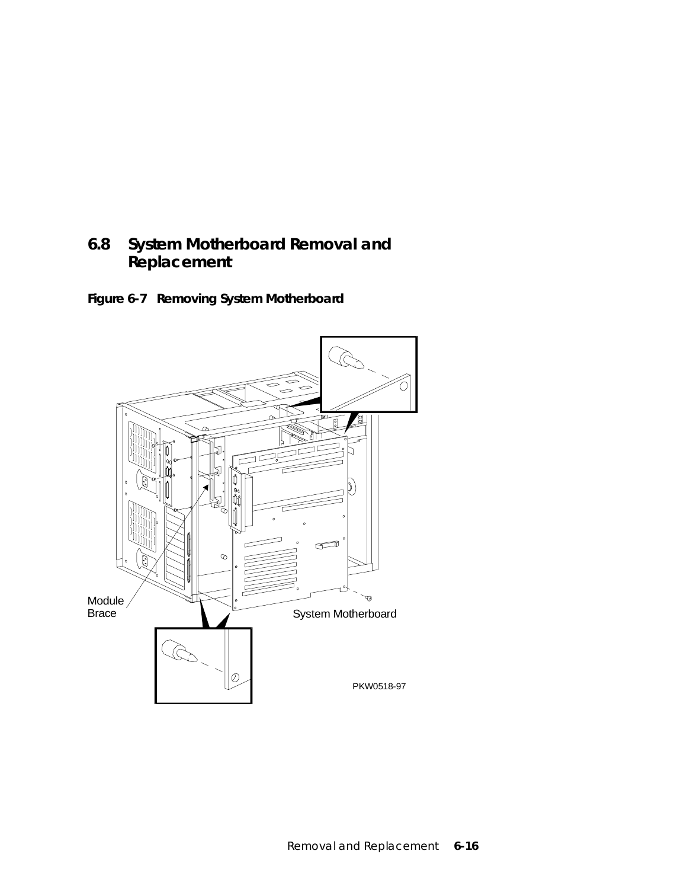### **6.8 System Motherboard Removal and Replacement**

**Figure 6-7 Removing System Motherboard**

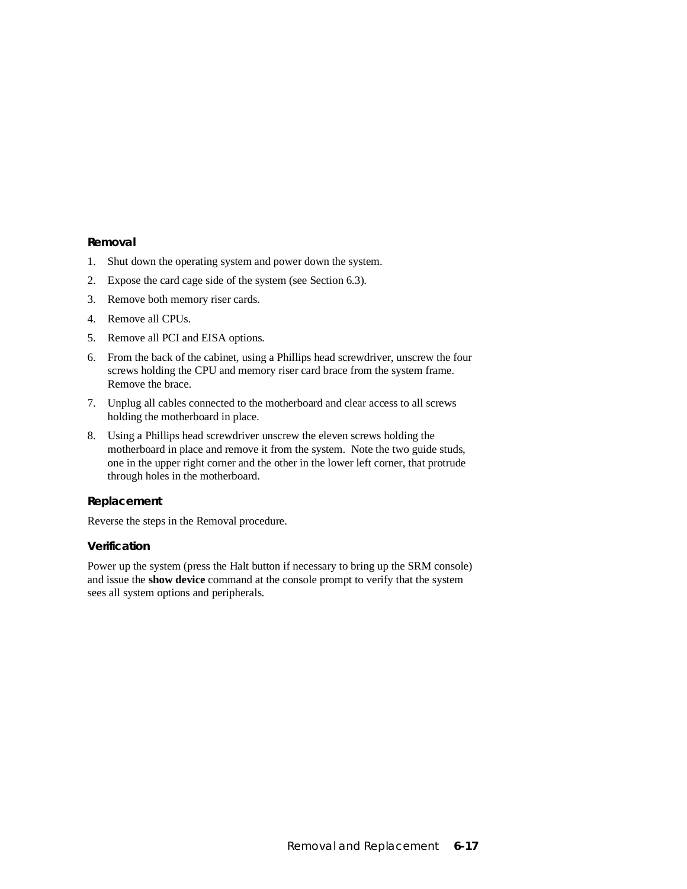- 1. Shut down the operating system and power down the system.
- 2. Expose the card cage side of the system (see Section 6.3).
- 3. Remove both memory riser cards.
- 4. Remove all CPUs.
- 5. Remove all PCI and EISA options.
- 6. From the back of the cabinet, using a Phillips head screwdriver, unscrew the four screws holding the CPU and memory riser card brace from the system frame. Remove the brace.
- 7. Unplug all cables connected to the motherboard and clear access to all screws holding the motherboard in place.
- 8. Using a Phillips head screwdriver unscrew the eleven screws holding the motherboard in place and remove it from the system. Note the two guide studs, one in the upper right corner and the other in the lower left corner, that protrude through holes in the motherboard.

### **Replacement**

Reverse the steps in the Removal procedure.

### **Verification**

Power up the system (press the Halt button if necessary to bring up the SRM console) and issue the **show device** command at the console prompt to verify that the system sees all system options and peripherals.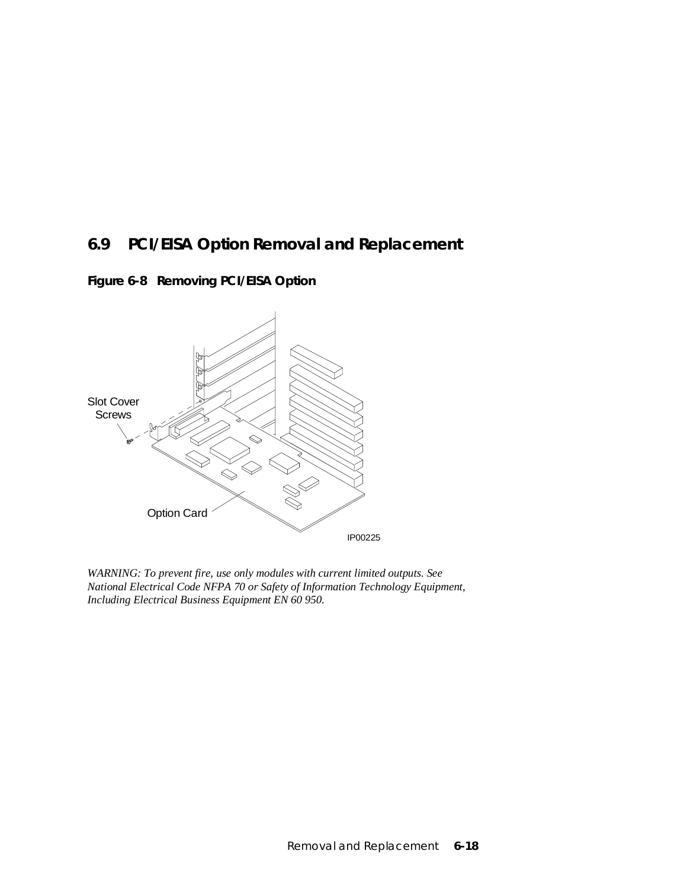### **6.9 PCI/EISA Option Removal and Replacement**

**Figure 6-8 Removing PCI/EISA Option**



*WARNING: To prevent fire, use only modules with current limited outputs. See National Electrical Code NFPA 70 or Safety of Information Technology Equipment, Including Electrical Business Equipment EN 60 950.*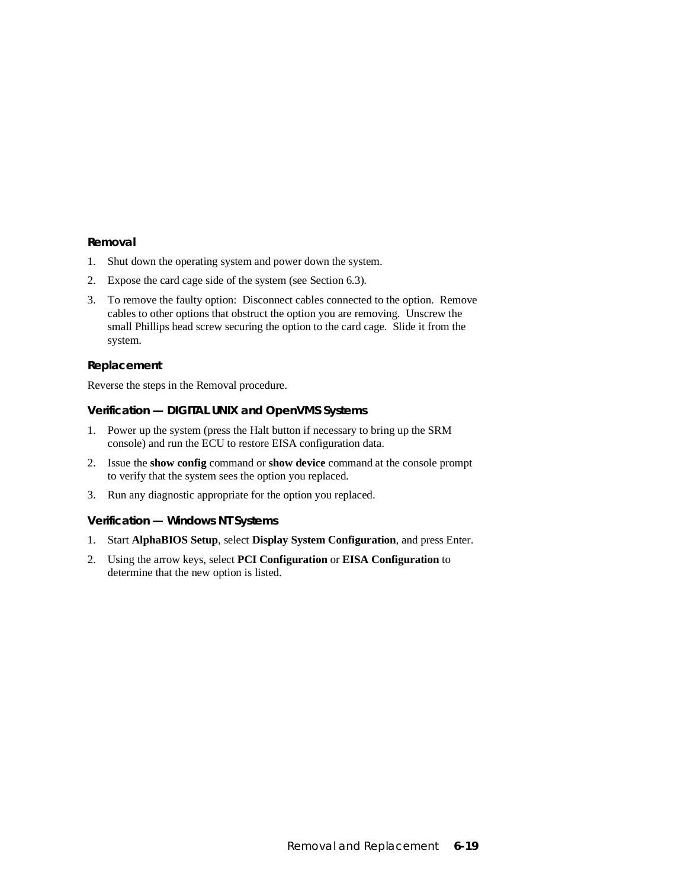- 1. Shut down the operating system and power down the system.
- 2. Expose the card cage side of the system (see Section 6.3).
- 3. To remove the faulty option: Disconnect cables connected to the option. Remove cables to other options that obstruct the option you are removing. Unscrew the small Phillips head screw securing the option to the card cage. Slide it from the system.

#### **Replacement**

Reverse the steps in the Removal procedure.

### **Verification — DIGITAL UNIX and OpenVMS Systems**

- 1. Power up the system (press the Halt button if necessary to bring up the SRM console) and run the ECU to restore EISA configuration data.
- 2. Issue the **show config** command or **show device** command at the console prompt to verify that the system sees the option you replaced.
- 3. Run any diagnostic appropriate for the option you replaced.

#### **Verification — Windows NT Systems**

- 1. Start **AlphaBIOS Setup**, select **Display System Configuration**, and press Enter.
- 2. Using the arrow keys, select **PCI Configuration** or **EISA Configuration** to determine that the new option is listed.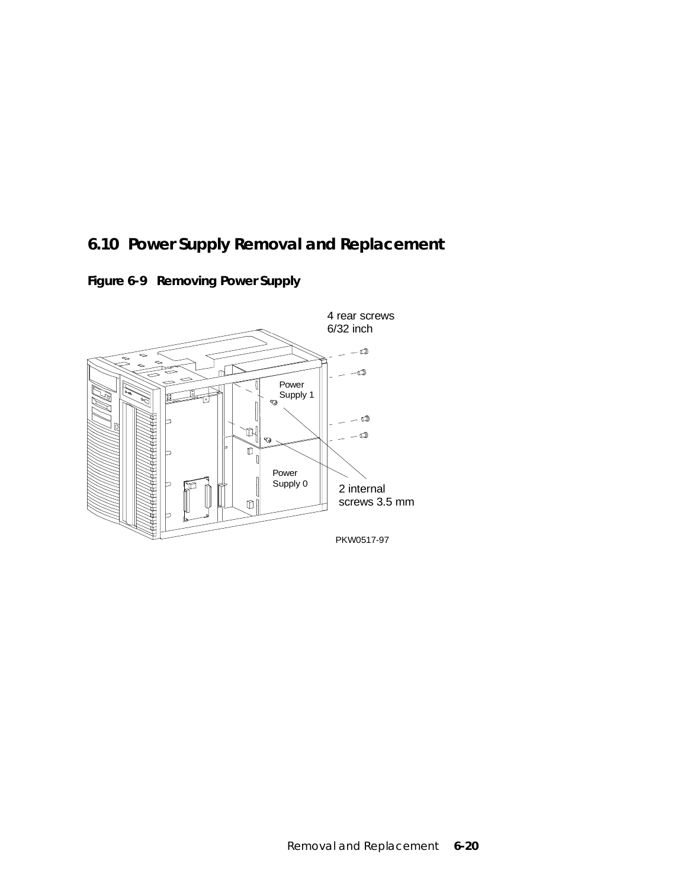# **6.10 Power Supply Removal and Replacement**

**Figure 6-9 Removing Power Supply**

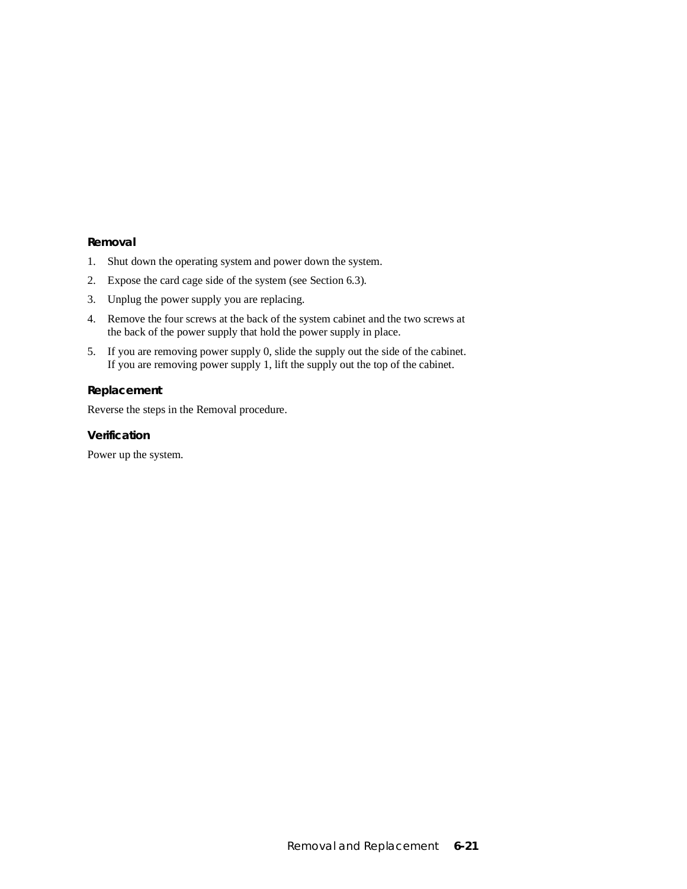- 1. Shut down the operating system and power down the system.
- 2. Expose the card cage side of the system (see Section 6.3).
- 3. Unplug the power supply you are replacing.
- 4. Remove the four screws at the back of the system cabinet and the two screws at the back of the power supply that hold the power supply in place.
- 5. If you are removing power supply 0, slide the supply out the side of the cabinet. If you are removing power supply 1, lift the supply out the top of the cabinet.

#### **Replacement**

Reverse the steps in the Removal procedure.

### **Verification**

Power up the system.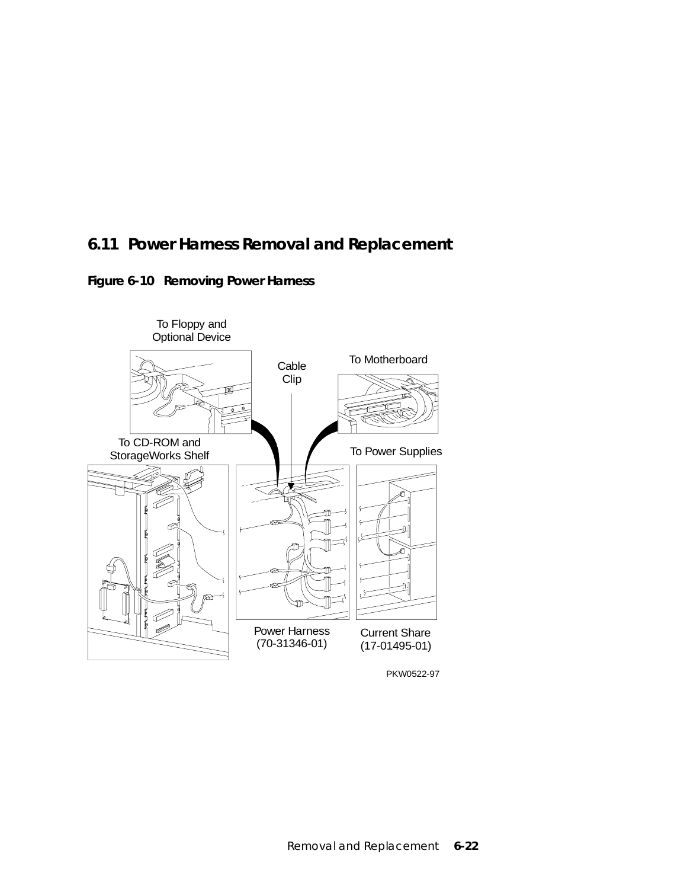## **6.11 Power Harness Removal and Replacement**





PKW0522-97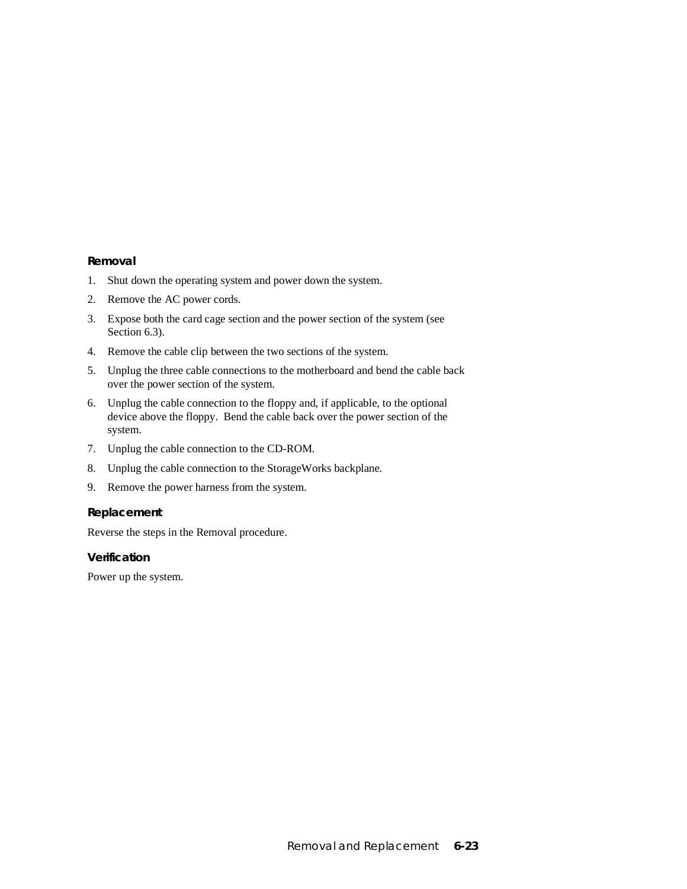- 1. Shut down the operating system and power down the system.
- 2. Remove the AC power cords.
- 3. Expose both the card cage section and the power section of the system (see Section 6.3).
- 4. Remove the cable clip between the two sections of the system.
- 5. Unplug the three cable connections to the motherboard and bend the cable back over the power section of the system.
- 6. Unplug the cable connection to the floppy and, if applicable, to the optional device above the floppy. Bend the cable back over the power section of the system.
- 7. Unplug the cable connection to the CD-ROM.
- 8. Unplug the cable connection to the StorageWorks backplane.
- 9. Remove the power harness from the system.

### **Replacement**

Reverse the steps in the Removal procedure.

#### **Verification**

Power up the system.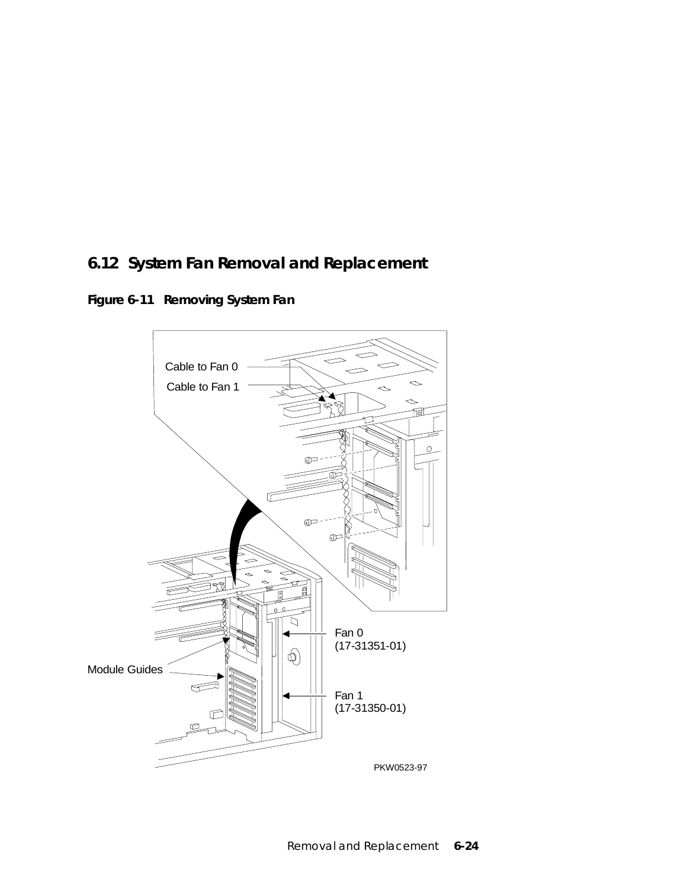## **6.12 System Fan Removal and Replacement**



**Figure 6-11 Removing System Fan**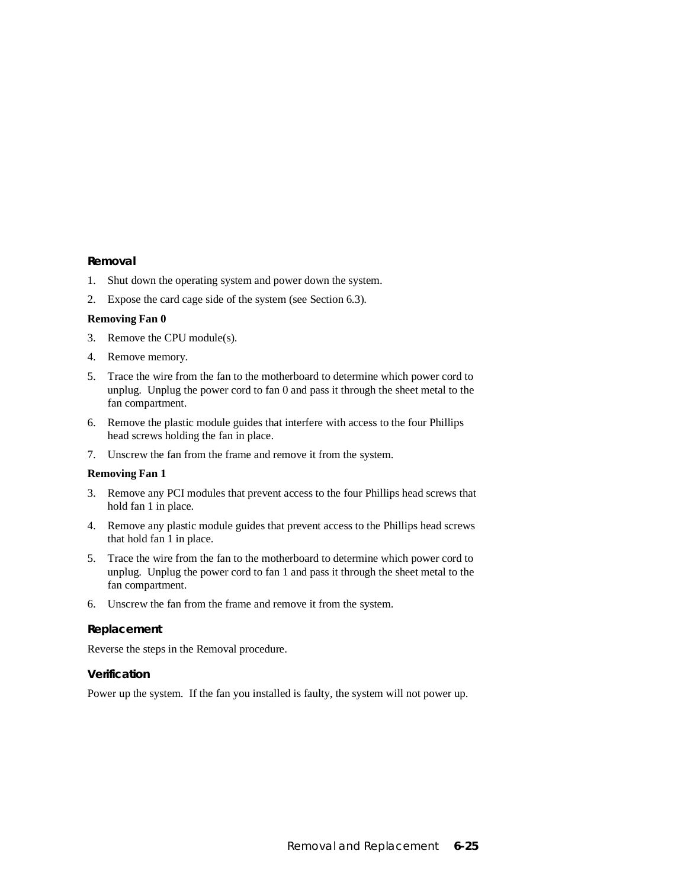- 1. Shut down the operating system and power down the system.
- 2. Expose the card cage side of the system (see Section 6.3).

#### **Removing Fan 0**

- 3. Remove the CPU module(s).
- 4. Remove memory.
- 5. Trace the wire from the fan to the motherboard to determine which power cord to unplug. Unplug the power cord to fan 0 and pass it through the sheet metal to the fan compartment.
- 6. Remove the plastic module guides that interfere with access to the four Phillips head screws holding the fan in place.
- 7. Unscrew the fan from the frame and remove it from the system.

#### **Removing Fan 1**

- 3. Remove any PCI modules that prevent access to the four Phillips head screws that hold fan 1 in place.
- 4. Remove any plastic module guides that prevent access to the Phillips head screws that hold fan 1 in place.
- 5. Trace the wire from the fan to the motherboard to determine which power cord to unplug. Unplug the power cord to fan 1 and pass it through the sheet metal to the fan compartment.
- 6. Unscrew the fan from the frame and remove it from the system.

#### **Replacement**

Reverse the steps in the Removal procedure.

#### **Verification**

Power up the system. If the fan you installed is faulty, the system will not power up.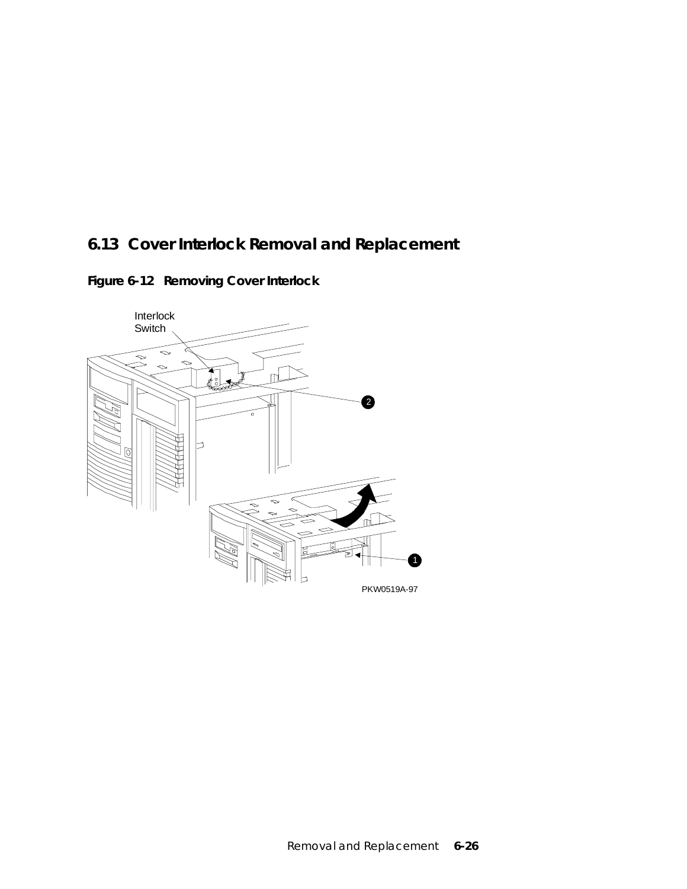## **6.13 Cover Interlock Removal and Replacement**

**Figure 6-12 Removing Cover Interlock**

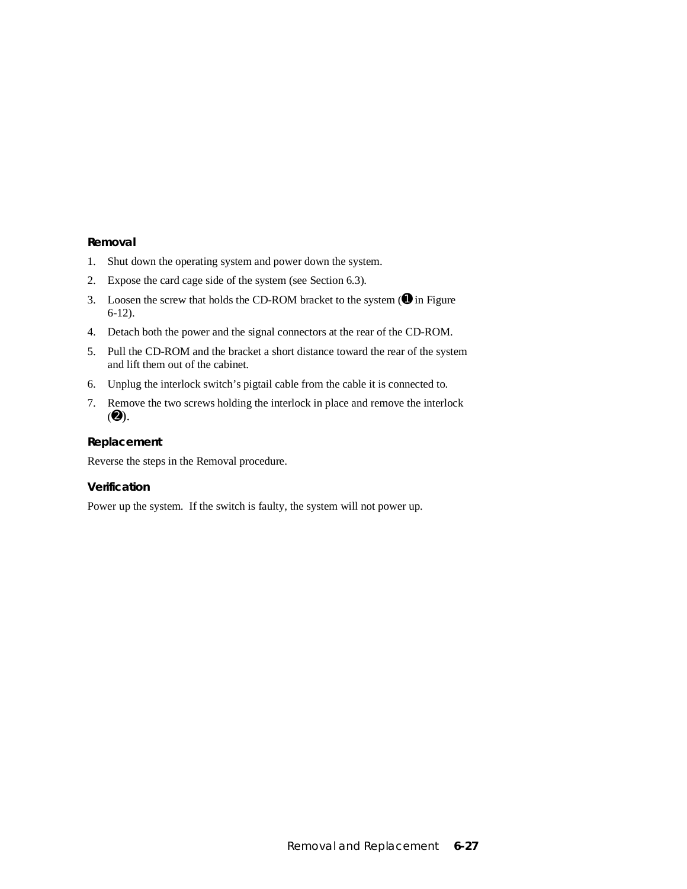- 1. Shut down the operating system and power down the system.
- 2. Expose the card cage side of the system (see Section 6.3).
- 3. Loosen the screw that holds the CD-ROM bracket to the system  $(\mathbf{0})$  in Figure 6-12).
- 4. Detach both the power and the signal connectors at the rear of the CD-ROM.
- 5. Pull the CD-ROM and the bracket a short distance toward the rear of the system and lift them out of the cabinet.
- 6. Unplug the interlock switch's pigtail cable from the cable it is connected to.
- 7. Remove the two screws holding the interlock in place and remove the interlock  $(②)$ .

#### **Replacement**

Reverse the steps in the Removal procedure.

#### **Verification**

Power up the system. If the switch is faulty, the system will not power up.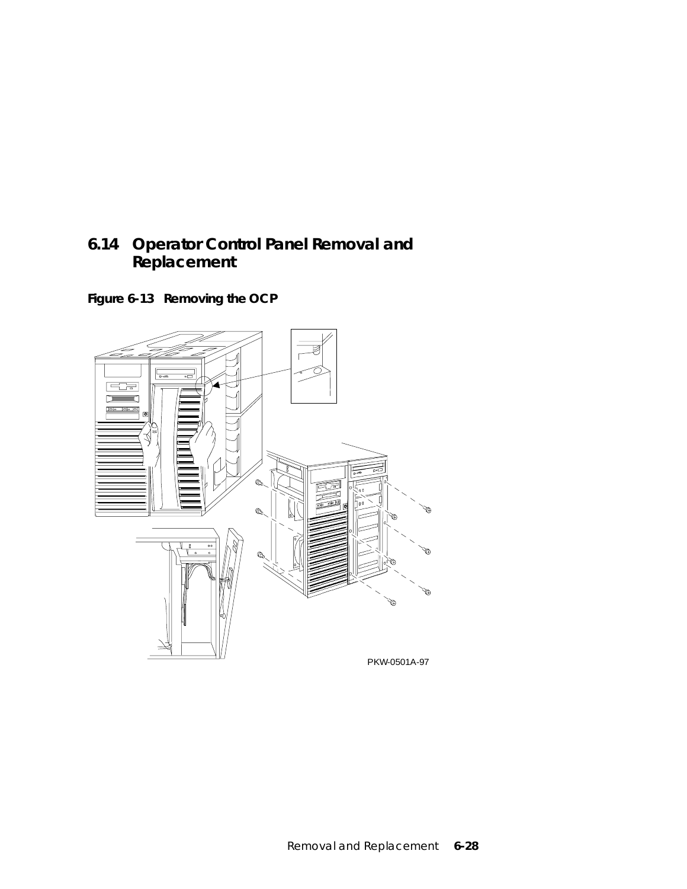## **6.14 Operator Control Panel Removal and Replacement**

**Figure 6-13 Removing the OCP**

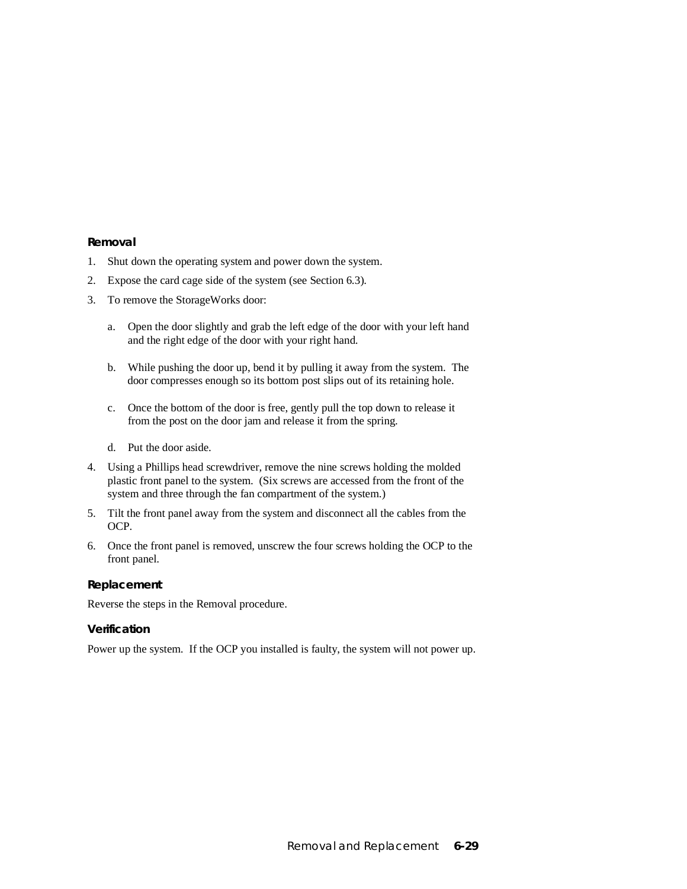- 1. Shut down the operating system and power down the system.
- 2. Expose the card cage side of the system (see Section 6.3).
- 3. To remove the StorageWorks door:
	- a. Open the door slightly and grab the left edge of the door with your left hand and the right edge of the door with your right hand.
	- b. While pushing the door up, bend it by pulling it away from the system. The door compresses enough so its bottom post slips out of its retaining hole.
	- c. Once the bottom of the door is free, gently pull the top down to release it from the post on the door jam and release it from the spring.
	- d. Put the door aside.
- 4. Using a Phillips head screwdriver, remove the nine screws holding the molded plastic front panel to the system. (Six screws are accessed from the front of the system and three through the fan compartment of the system.)
- 5. Tilt the front panel away from the system and disconnect all the cables from the OCP.
- 6. Once the front panel is removed, unscrew the four screws holding the OCP to the front panel.

#### **Replacement**

Reverse the steps in the Removal procedure.

#### **Verification**

Power up the system. If the OCP you installed is faulty, the system will not power up.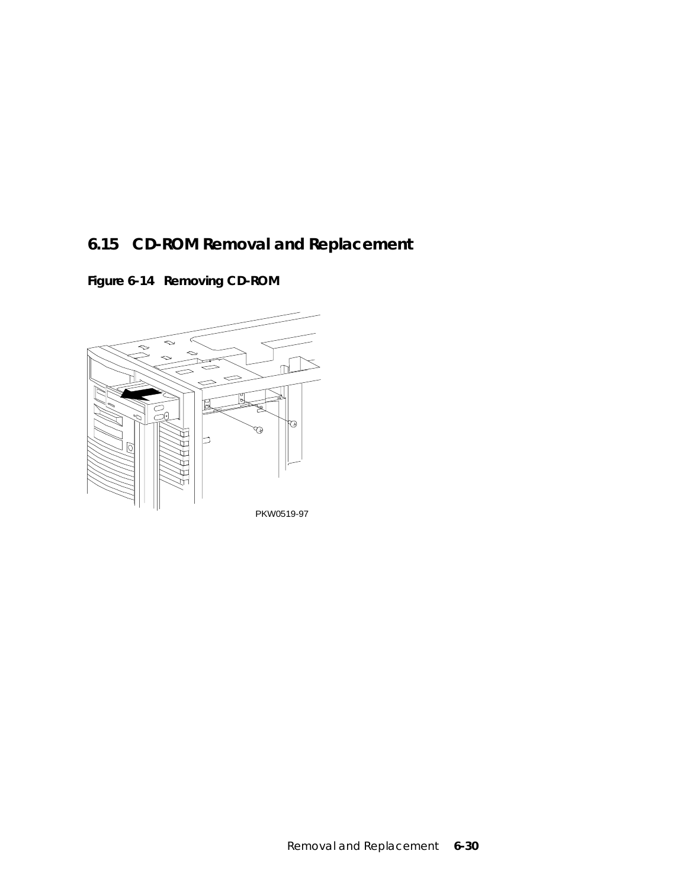## **6.15 CD-ROM Removal and Replacement**

**Figure 6-14 Removing CD-ROM**

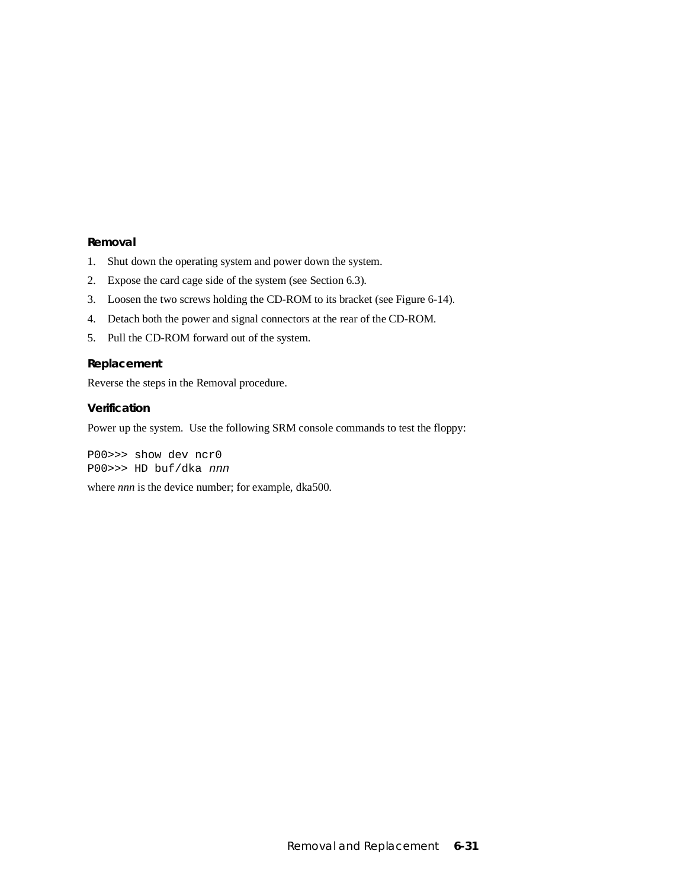- 1. Shut down the operating system and power down the system.
- 2. Expose the card cage side of the system (see Section 6.3).
- 3. Loosen the two screws holding the CD-ROM to its bracket (see Figure 6-14).
- 4. Detach both the power and signal connectors at the rear of the CD-ROM.
- 5. Pull the CD-ROM forward out of the system.

#### **Replacement**

Reverse the steps in the Removal procedure.

#### **Verification**

Power up the system. Use the following SRM console commands to test the floppy:

P00>>> show dev ncr0 P00>>> HD buf/dka nnn

where *nnn* is the device number; for example, dka500.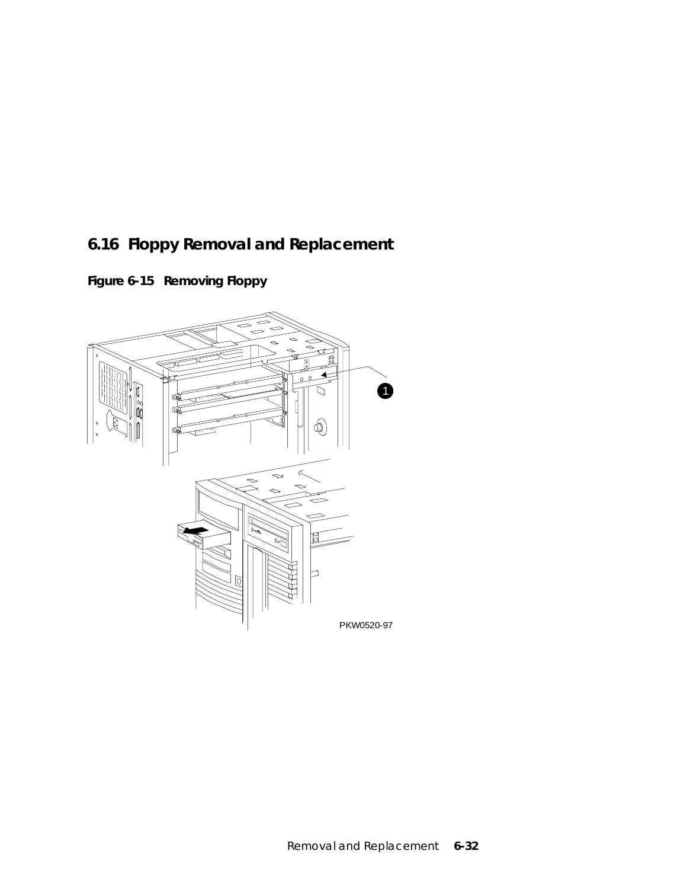## **6.16 Floppy Removal and Replacement**

**Figure 6-15 Removing Floppy**

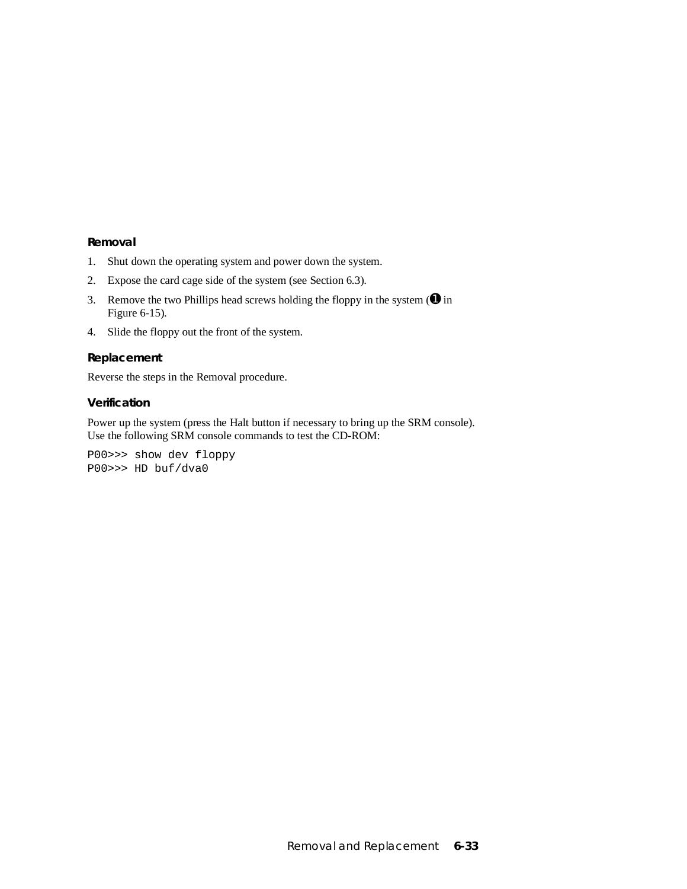- 1. Shut down the operating system and power down the system.
- 2. Expose the card cage side of the system (see Section 6.3).
- 3. Remove the two Phillips head screws holding the floppy in the system  $(\mathbf{0})$  in Figure 6-15).
- 4. Slide the floppy out the front of the system.

#### **Replacement**

Reverse the steps in the Removal procedure.

#### **Verification**

Power up the system (press the Halt button if necessary to bring up the SRM console). Use the following SRM console commands to test the CD-ROM:

P00>>> show dev floppy P00>>> HD buf/dva0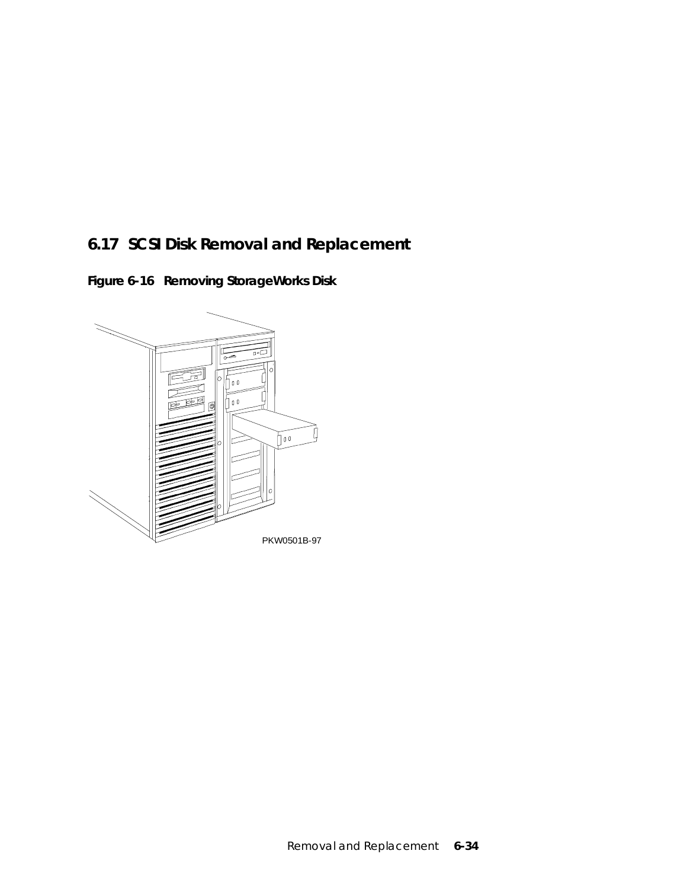## **6.17 SCSI Disk Removal and Replacement**

**Figure 6-16 Removing StorageWorks Disk**

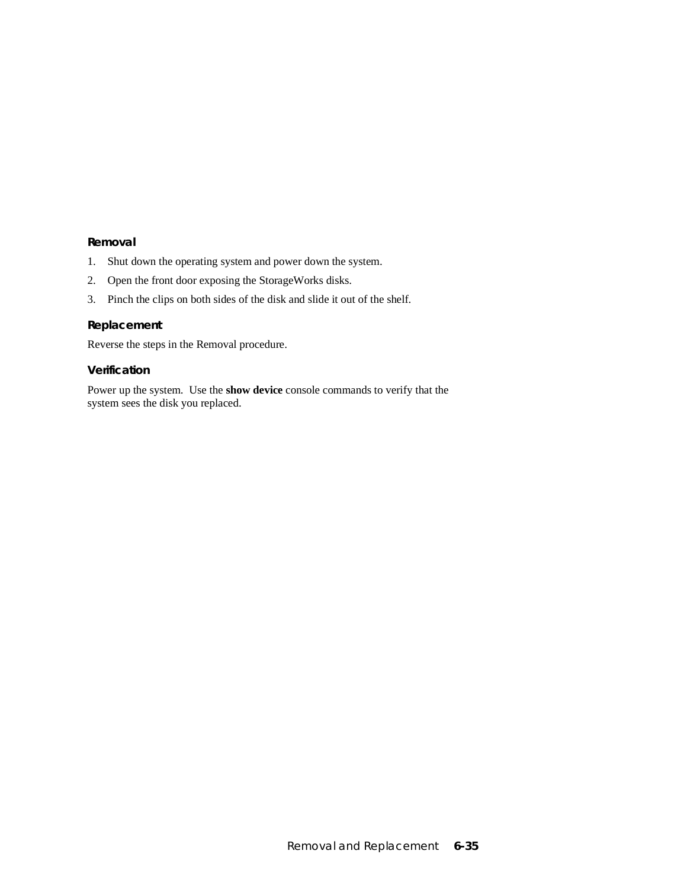- 1. Shut down the operating system and power down the system.
- 2. Open the front door exposing the StorageWorks disks.
- 3. Pinch the clips on both sides of the disk and slide it out of the shelf.

#### **Replacement**

Reverse the steps in the Removal procedure.

#### **Verification**

Power up the system. Use the **show device** console commands to verify that the system sees the disk you replaced.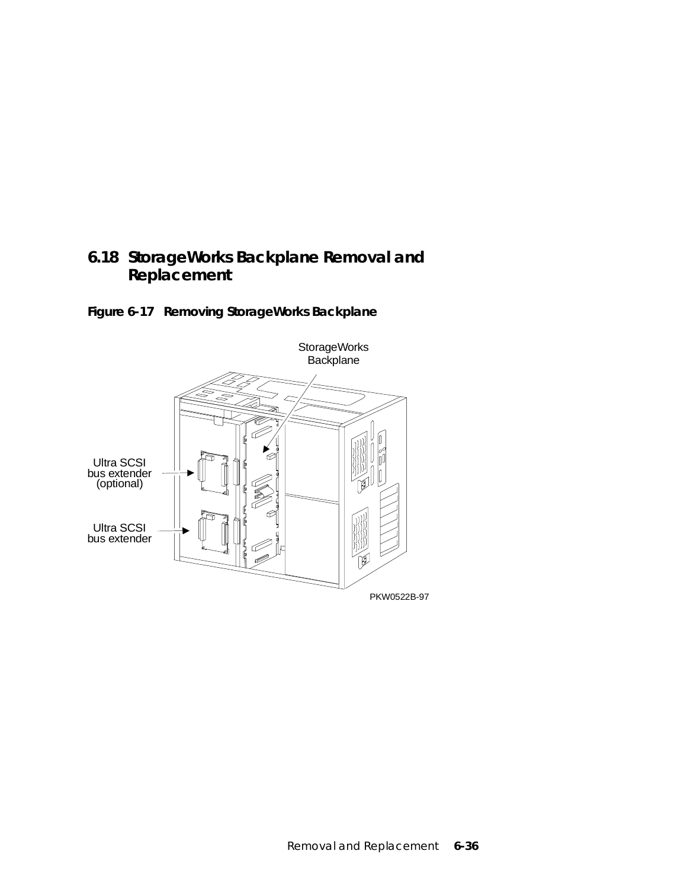## **6.18 StorageWorks Backplane Removal and Replacement**



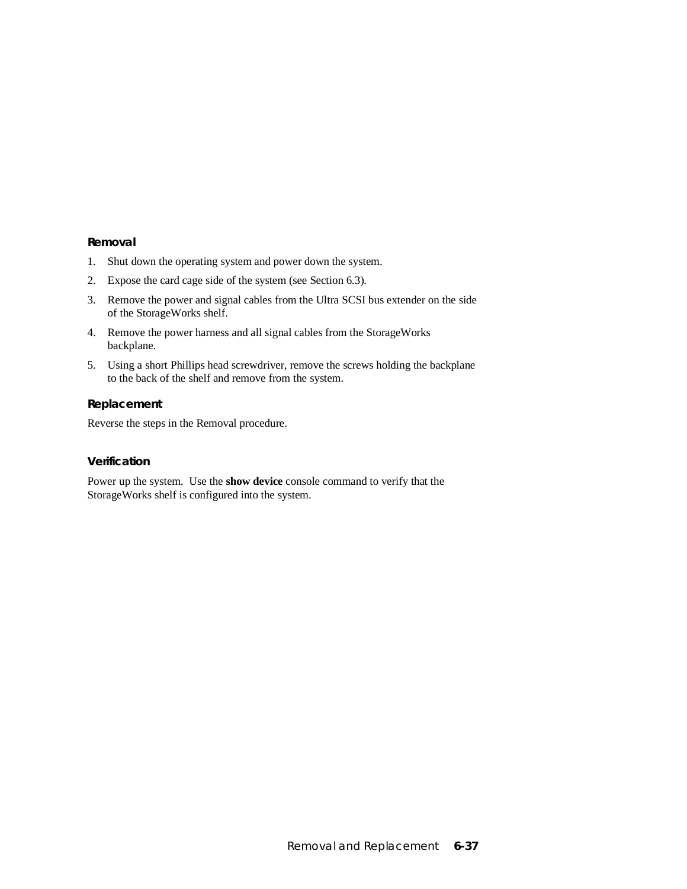- 1. Shut down the operating system and power down the system.
- 2. Expose the card cage side of the system (see Section 6.3).
- 3. Remove the power and signal cables from the Ultra SCSI bus extender on the side of the StorageWorks shelf.
- 4. Remove the power harness and all signal cables from the StorageWorks backplane.
- 5. Using a short Phillips head screwdriver, remove the screws holding the backplane to the back of the shelf and remove from the system.

#### **Replacement**

Reverse the steps in the Removal procedure.

#### **Verification**

Power up the system. Use the **show device** console command to verify that the StorageWorks shelf is configured into the system.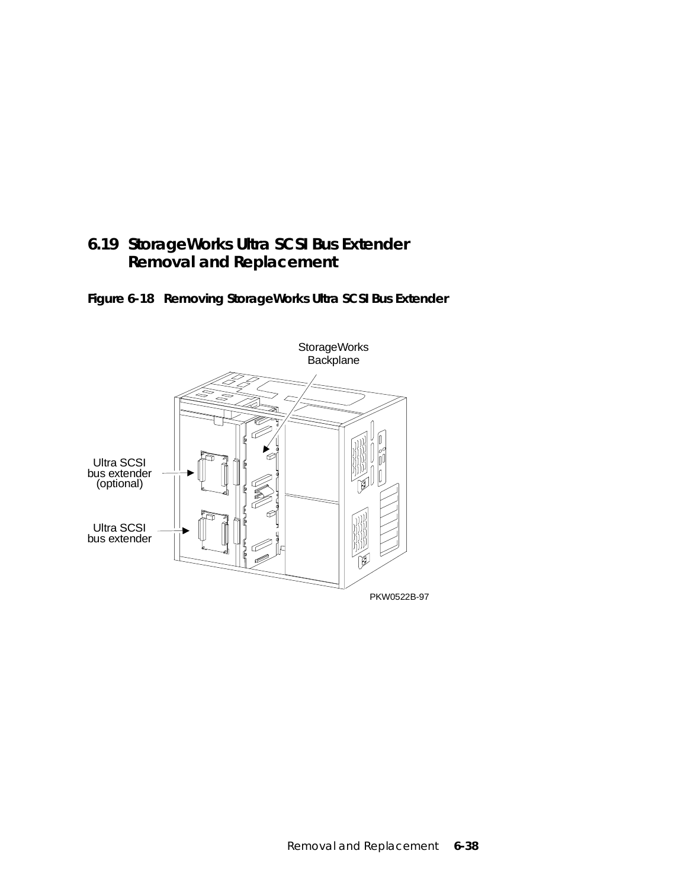## **6.19 StorageWorks Ultra SCSI Bus Extender Removal and Replacement**

**Figure 6-18 Removing StorageWorks Ultra SCSI Bus Extender**

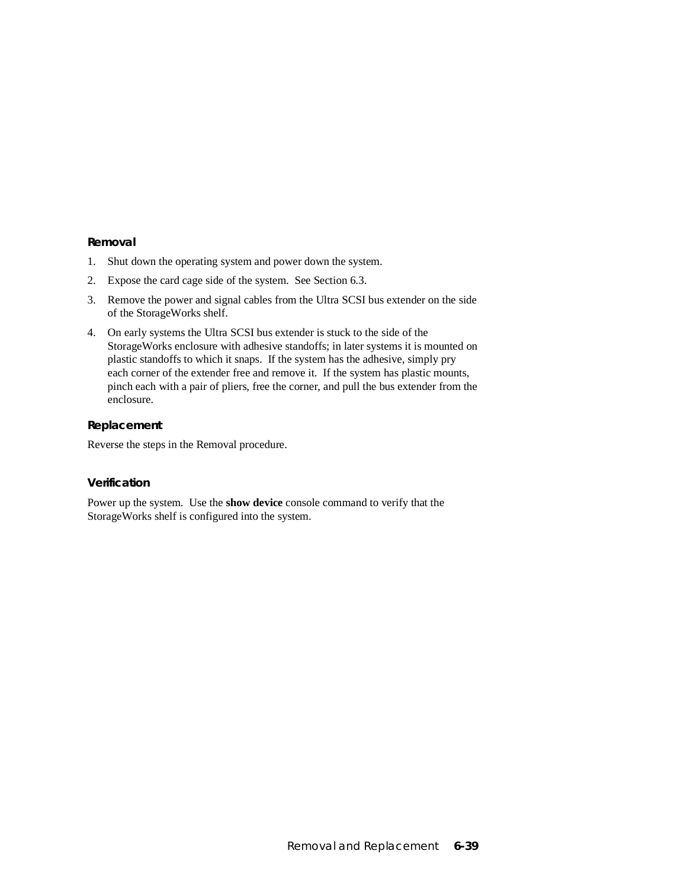- 1. Shut down the operating system and power down the system.
- 2. Expose the card cage side of the system. See Section 6.3.
- 3. Remove the power and signal cables from the Ultra SCSI bus extender on the side of the StorageWorks shelf.
- 4. On early systems the Ultra SCSI bus extender is stuck to the side of the StorageWorks enclosure with adhesive standoffs; in later systems it is mounted on plastic standoffs to which it snaps. If the system has the adhesive, simply pry each corner of the extender free and remove it. If the system has plastic mounts, pinch each with a pair of pliers, free the corner, and pull the bus extender from the enclosure.

#### **Replacement**

Reverse the steps in the Removal procedure.

#### **Verification**

Power up the system. Use the **show device** console command to verify that the StorageWorks shelf is configured into the system.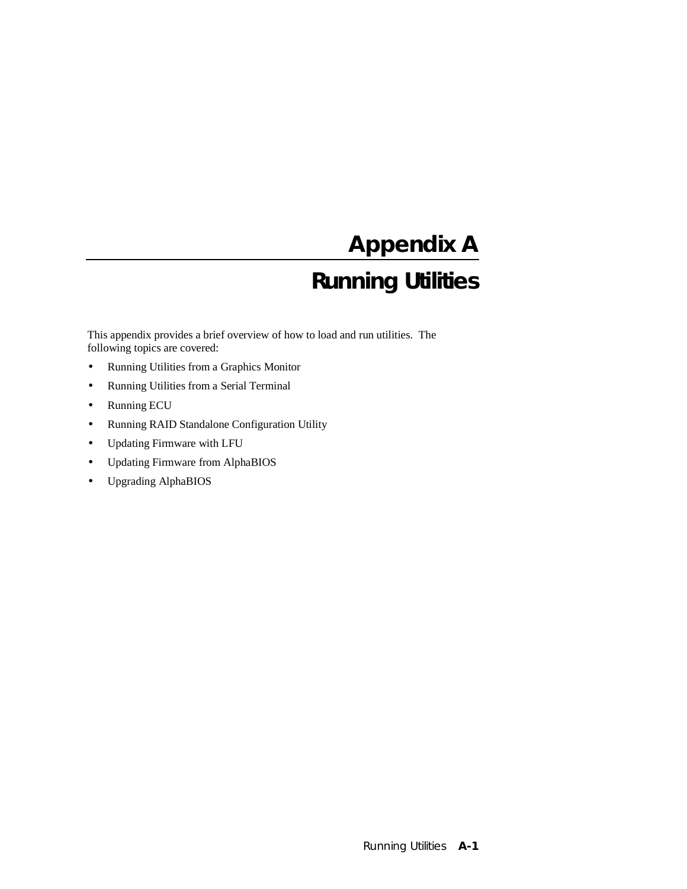# **Appendix A**

## **Running Utilities**

This appendix provides a brief overview of how to load and run utilities. The following topics are covered:

- Running Utilities from a Graphics Monitor
- Running Utilities from a Serial Terminal
- Running ECU
- Running RAID Standalone Configuration Utility
- Updating Firmware with LFU
- Updating Firmware from AlphaBIOS
- Upgrading AlphaBIOS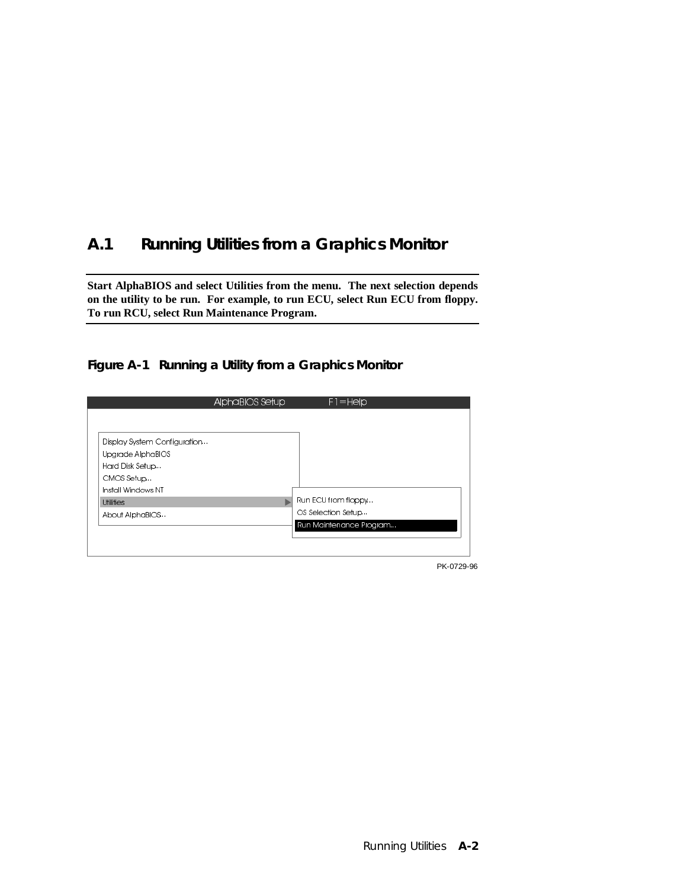## **A.1 Running Utilities from a Graphics Monitor**

**Start AlphaBIOS and select Utilities from the menu. The next selection depends on the utility to be run. For example, to run ECU, select Run ECU from floppy. To run RCU, select Run Maintenance Program.**

#### **Figure A-1 Running a Utility from a Graphics Monitor**



PK-0729-96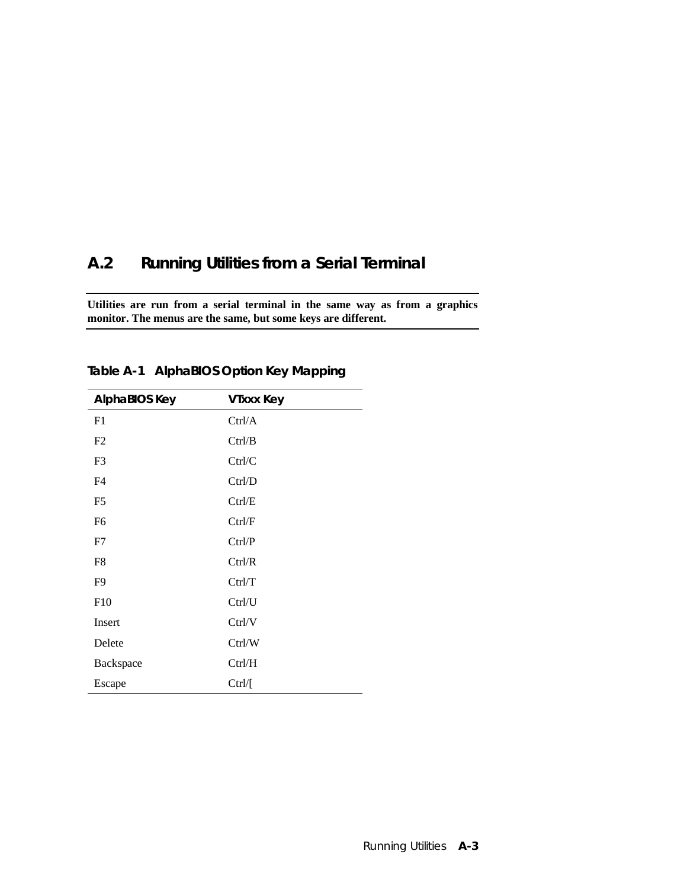## **A.2 Running Utilities from a Serial Terminal**

**Utilities are run from a serial terminal in the same way as from a graphics monitor. The menus are the same, but some keys are different.**

| AlphaBIOS Key  | <b>VIxxx Key</b> |
|----------------|------------------|
| F1             | Ctrl/A           |
| F2             | Ctrl/B           |
| F <sub>3</sub> | Ctrl/C           |
| F <sub>4</sub> | Ctrl/D           |
| F <sub>5</sub> | Ctrl/E           |
| F <sub>6</sub> | Ctrl/F           |
| F7             | Ctrl/P           |
| F8             | Ctrl/R           |
| F9             | Ctrl/T           |
| F10            | Ctrl/U           |
| Insert         | Ctrl/V           |
| Delete         | Ctrl/W           |
| Backspace      | Ctrl/H           |
| Escape         | Ctrl/[           |

**Table A-1 AlphaBIOS Option Key Mapping**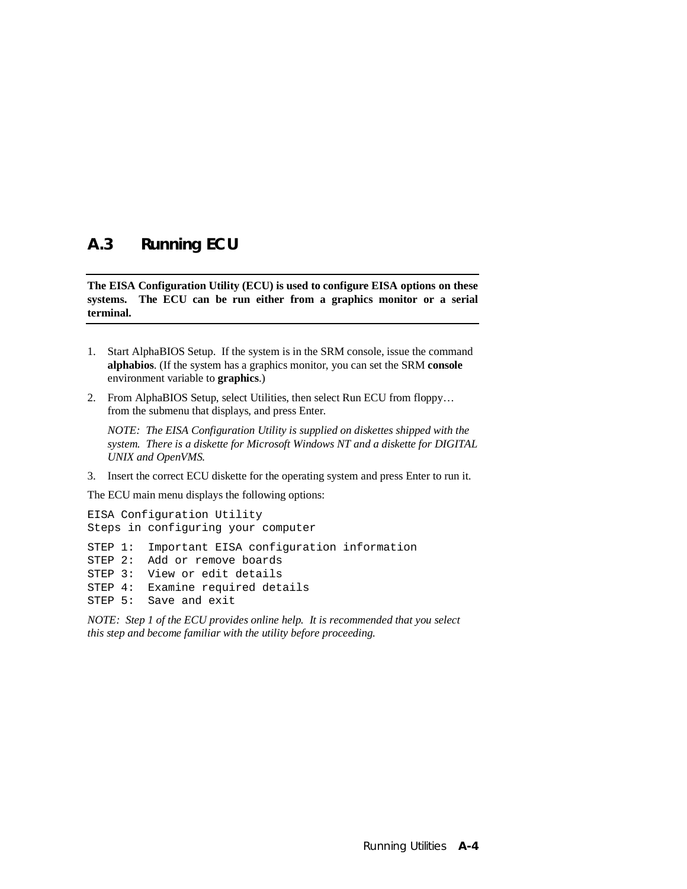### **A.3 Running ECU**

**The EISA Configuration Utility (ECU) is used to configure EISA options on these systems. The ECU can be run either from a graphics monitor or a serial terminal.**

- 1. Start AlphaBIOS Setup. If the system is in the SRM console, issue the command **alphabios**. (If the system has a graphics monitor, you can set the SRM **console** environment variable to **graphics**.)
- 2. From AlphaBIOS Setup, select Utilities, then select Run ECU from floppy… from the submenu that displays, and press Enter.

*NOTE: The EISA Configuration Utility is supplied on diskettes shipped with the system. There is a diskette for Microsoft Windows NT and a diskette for DIGITAL UNIX and OpenVMS.*

3. Insert the correct ECU diskette for the operating system and press Enter to run it.

The ECU main menu displays the following options:

```
EISA Configuration Utility
Steps in configuring your computer
STEP 1: Important EISA configuration information
STEP 2: Add or remove boards
STEP 3: View or edit details
STEP 4: Examine required details
STEP 5: Save and exit
```
*NOTE: Step 1 of the ECU provides online help. It is recommended that you select this step and become familiar with the utility before proceeding.*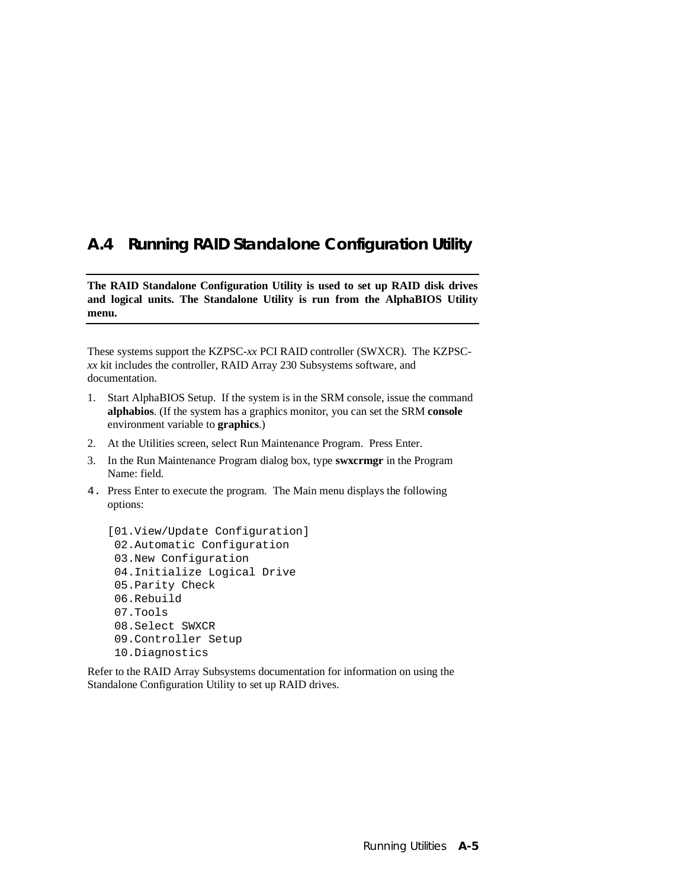## **A.4 Running RAID Standalone Configuration Utility**

**The RAID Standalone Configuration Utility is used to set up RAID disk drives and logical units. The Standalone Utility is run from the AlphaBIOS Utility menu.**

These systems support the KZPSC-*xx* PCI RAID controller (SWXCR). The KZPSC*xx* kit includes the controller, RAID Array 230 Subsystems software, and documentation.

- 1. Start AlphaBIOS Setup. If the system is in the SRM console, issue the command **alphabios**. (If the system has a graphics monitor, you can set the SRM **console** environment variable to **graphics**.)
- 2. At the Utilities screen, select Run Maintenance Program. Press Enter.
- 3. In the Run Maintenance Program dialog box, type **swxcrmgr** in the Program Name: field.
- 4. Press Enter to execute the program. The Main menu displays the following options:

```
[01.View/Update Configuration]
 02.Automatic Configuration
 03.New Configuration
 04.Initialize Logical Drive
 05.Parity Check
 06.Rebuild
 07.Tools
 08.Select SWXCR
  09.Controller Setup
 10.Diagnostics
```
Refer to the RAID Array Subsystems documentation for information on using the Standalone Configuration Utility to set up RAID drives.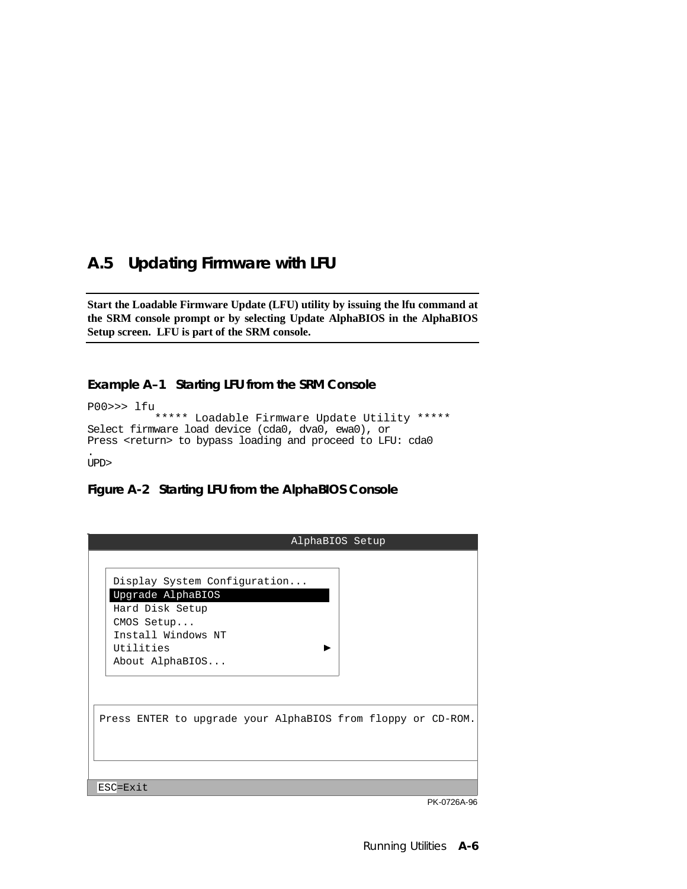## **A.5 Updating Firmware with LFU**

**Start the Loadable Firmware Update (LFU) utility by issuing the lfu command at the SRM console prompt or by selecting Update AlphaBIOS in the AlphaBIOS Setup screen. LFU is part of the SRM console.**

#### **Example A–1 Starting LFU from the SRM Console**

P00>>> lfu

```
 ***** Loadable Firmware Update Utility *****
Select firmware load device (cda0, dva0, ewa0), or
Press <return> to bypass loading and proceed to LFU: cda0
.
```
UPD>

#### **Figure A-2 Starting LFU from the AlphaBIOS Console**

| AlphaBIOS Setup                                                                                                                          |
|------------------------------------------------------------------------------------------------------------------------------------------|
| Display System Configuration<br>Upgrade AlphaBIOS<br>Hard Disk Setup<br>CMOS Setup<br>Install Windows NT<br>Utilities<br>About AlphaBIOS |
| Press ENTER to upgrade your AlphaBIOS from floppy or CD-ROM.                                                                             |
| ESC=Exit                                                                                                                                 |

PK-0726A-96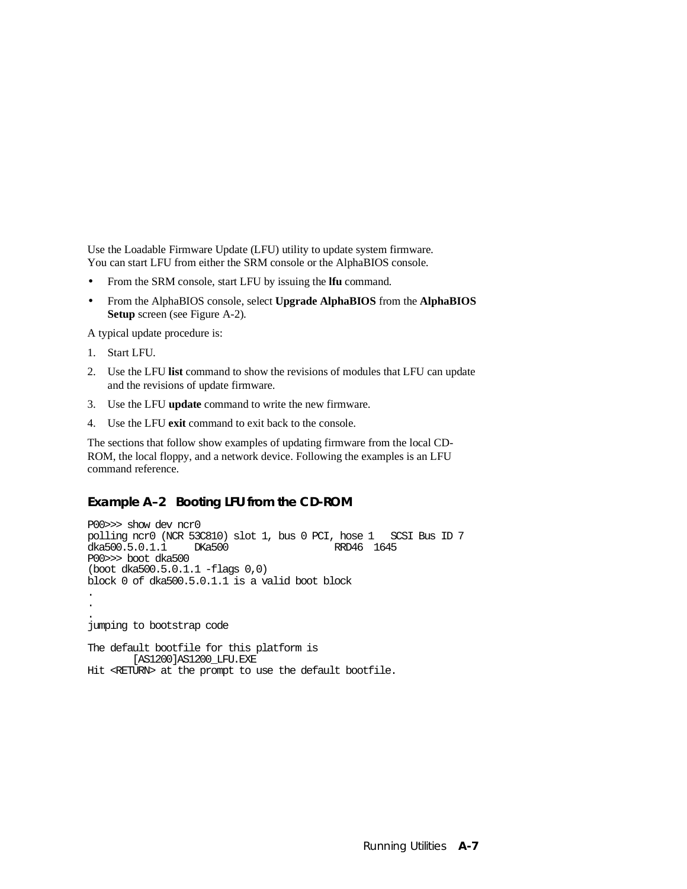Use the Loadable Firmware Update (LFU) utility to update system firmware. You can start LFU from either the SRM console or the AlphaBIOS console.

- From the SRM console, start LFU by issuing the **lfu** command.
- From the AlphaBIOS console, select **Upgrade AlphaBIOS** from the **AlphaBIOS Setup** screen (see Figure A-2).

A typical update procedure is:

- 1. Start LFU.
- 2. Use the LFU **list** command to show the revisions of modules that LFU can update and the revisions of update firmware.
- 3. Use the LFU **update** command to write the new firmware.
- 4. Use the LFU **exit** command to exit back to the console.

The sections that follow show examples of updating firmware from the local CD-ROM, the local floppy, and a network device. Following the examples is an LFU command reference.

#### **Example A–2 Booting LFU from the CD-ROM**

```
P00>>> show dev ncr0
polling ncr0 (NCR 53C810) slot 1, bus 0 PCI, hose 1 SCSI Bus ID 7
dka500.5.0.1.1 DKa500 RRD46 1645
P00>>> boot dka500
(boot dka500.5.0.1.1 -flags 0,0)
block 0 of dka500.5.0.1.1 is a valid boot block
.
.
.
jumping to bootstrap code
The default bootfile for this platform is
        [AS1200]AS1200_LFU.EXE
```
Hit <RETURN> at the prompt to use the default bootfile.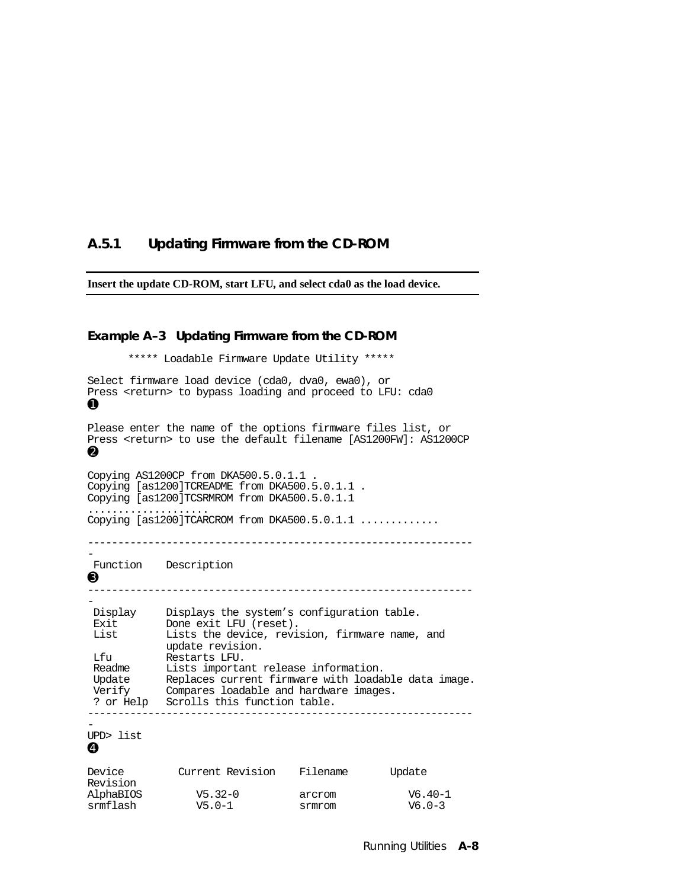#### **A.5.1 Updating Firmware from the CD-ROM**

**Insert the update CD-ROM, start LFU, and select cda0 as the load device.**

#### **Example A–3 Updating Firmware from the CD-ROM**

\*\*\*\*\* Loadable Firmware Update Utility \*\*\*\*\* Select firmware load device (cda0, dva0, ewa0), or Press <return> to bypass loading and proceed to LFU: cda0 ➊ Please enter the name of the options firmware files list, or Press <return> to use the default filename [AS1200FW]: AS1200CP ➋ Copying AS1200CP from DKA500.5.0.1.1 . Copying [as1200]TCREADME from DKA500.5.0.1.1 . Copying [as1200]TCSRMROM from DKA500.5.0.1.1 .................... Copying [as1200]TCARCROM from DKA500.5.0.1.1 ............. ---------------------------------------------------------------- - Function Description ➌ ---------------------------------------------------------------- - Display Displays the system's configuration table. Exit Done exit LFU (reset). List Lists the device, revision, firmware name, and update revision. Lfu Restarts LFU. Readme Lists important release information. Update Replaces current firmware with loadable data image. Verify Compares loadable and hardware images. ? or Help Scrolls this function table. ---------------------------------------------------------------- - UPD> list ➍ Device Current Revision Filename Update Revision AlphaBIOS V5.32-0 arcrom V6.40-1

srmflash  $V5.0-1$  srmrom  $V6.0-3$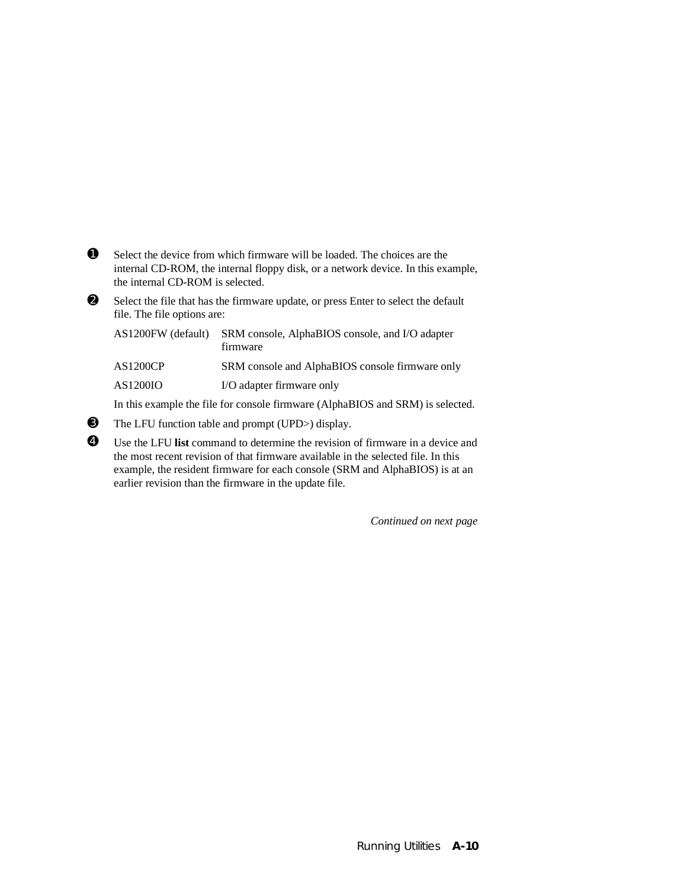- ➊ Select the device from which firmware will be loaded. The choices are the internal CD-ROM, the internal floppy disk, or a network device. In this example, the internal CD-ROM is selected.
- ➋ Select the file that has the firmware update, or press Enter to select the default file. The file options are:

| AS1200FW (default) | SRM console, AlphaBIOS console, and I/O adapter<br>firmware |
|--------------------|-------------------------------------------------------------|
| <b>AS1200CP</b>    | SRM console and AlphaBIOS console firmware only             |
| AS1200IO           | I/O adapter firmware only                                   |
|                    |                                                             |

In this example the file for console firmware (AlphaBIOS and SRM) is selected.

- ➌ The LFU function table and prompt (UPD>) display.
- ➍ Use the LFU **list** command to determine the revision of firmware in a device and the most recent revision of that firmware available in the selected file. In this example, the resident firmware for each console (SRM and AlphaBIOS) is at an earlier revision than the firmware in the update file.

*Continued on next page*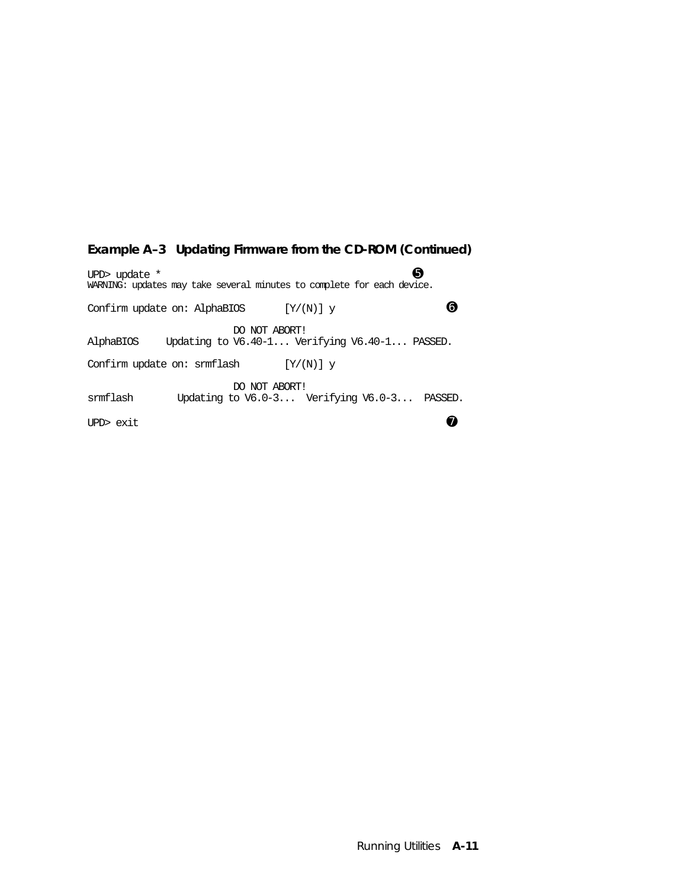#### **Example A–3 Updating Firmware from the CD-ROM (Continued)**

UPD> update  $*$   $\qquad \qquad \bullet$ WARNING: updates may take several minutes to complete for each device. Confirm update on: AlphaBIOS  $[Y/(N)]$  y  $\qquad \qquad \bullet$ DO NOT ABORT!<br>AlphaBIOS Updating to V6.40-1... Ver Updating to V6.40-1... Verifying V6.40-1... PASSED. Confirm update on: srmflash  $[Y/(N)]$  y DO NOT ABORT!<br>smmflash Updating to V6.0-3... Updating to V6.0-3... Verifying V6.0-3... PASSED. UPD> exit  $\bullet$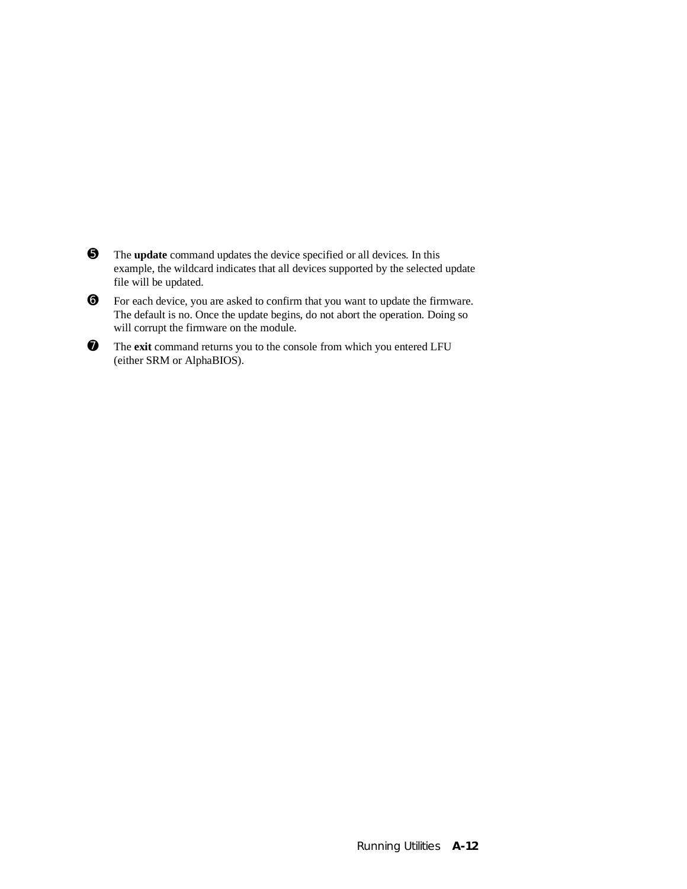- ➎ The **update** command updates the device specified or all devices. In this example, the wildcard indicates that all devices supported by the selected update file will be updated.
- ➏ For each device, you are asked to confirm that you want to update the firmware. The default is no. Once the update begins, do not abort the operation. Doing so will corrupt the firmware on the module.
- ➐ The **exit** command returns you to the console from which you entered LFU (either SRM or AlphaBIOS).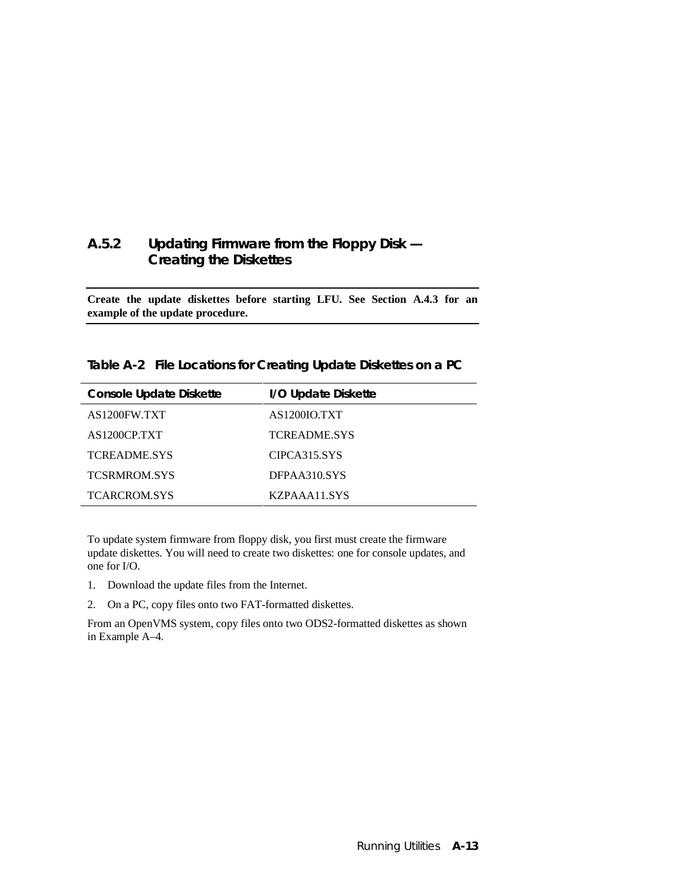### **A.5.2 Updating Firmware from the Floppy Disk — Creating the Diskettes**

**Create the update diskettes before starting LFU. See Section A.4.3 for an example of the update procedure.**

**Table A-2 File Locations for Creating Update Diskettes on a PC**

| <b>Console Update Diskette</b> | I/O Update Diskette |
|--------------------------------|---------------------|
| AS1200FW.TXT                   | AS1200IO.TXT        |
| AS1200CP.TXT                   | TCREADME.SYS        |
| <b>TCREADME.SYS</b>            | CIPCA315.SYS        |
| <b>TCSRMROM.SYS</b>            | DFPAA310.SYS        |
| <b>TCARCROM.SYS</b>            | KZPAAA11.SYS        |

To update system firmware from floppy disk, you first must create the firmware update diskettes. You will need to create two diskettes: one for console updates, and one for I/O.

- 1. Download the update files from the Internet.
- 2. On a PC, copy files onto two FAT-formatted diskettes.

From an OpenVMS system, copy files onto two ODS2-formatted diskettes as shown in Example A–4.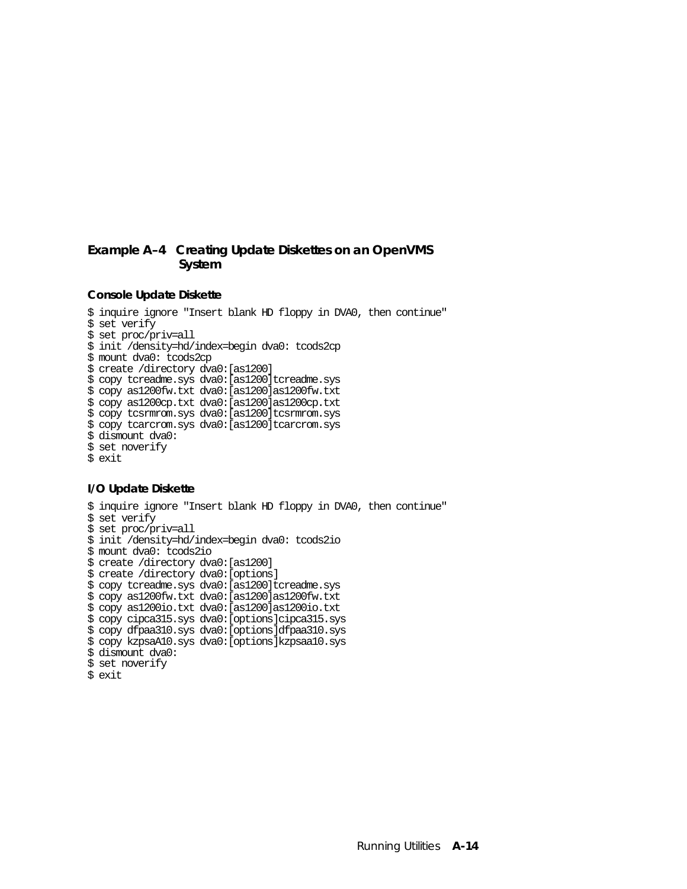#### **Example A–4 Creating Update Diskettes on an OpenVMS System**

#### **Console Update Diskette**

```
$ inquire ignore "Insert blank HD floppy in DVA0, then continue"
$ set verify
$ set proc/priv=all
$ init /density=hd/index=begin dva0: tcods2cp
$ mount dva0: tcods2cp
$ create /directory dva0:[as1200]
$ copy tcreadme.sys dva0:[as1200]tcreadme.sys
$ copy as1200fw.txt dva0:[as1200]as1200fw.txt
$ copy as1200cp.txt dva0:[as1200]as1200cp.txt
$ copy tcsrmrom.sys dva0:[as1200]tcsrmrom.sys
$ copy tcarcrom.sys dva0:[as1200]tcarcrom.sys
$ dismount dva0:
$ set noverify
$ exit
```
#### **I/O Update Diskette**

```
$ inquire ignore "Insert blank HD floppy in DVA0, then continue"
$ set verify
$ set proc/priv=all
$ init /density=hd/index=begin dva0: tcods2io
$ mount dva0: tcods2io
$ create /directory dva0:[as1200]
$ create /directory dva0:[options]
$ copy tcreadme.sys dva0:[as1200]tcreadme.sys
$ copy as1200fw.txt dva0:[as1200]as1200fw.txt
$ copy as1200io.txt dva0:[as1200]as1200io.txt
$ copy cipca315.sys dva0:[options]cipca315.sys
$ copy dfpaa310.sys dva0:[options]dfpaa310.sys
$ copy kzpsaA10.sys dva0:[options]kzpsaa10.sys
$ dismount dva0:
$ set noverify
```
\$ exit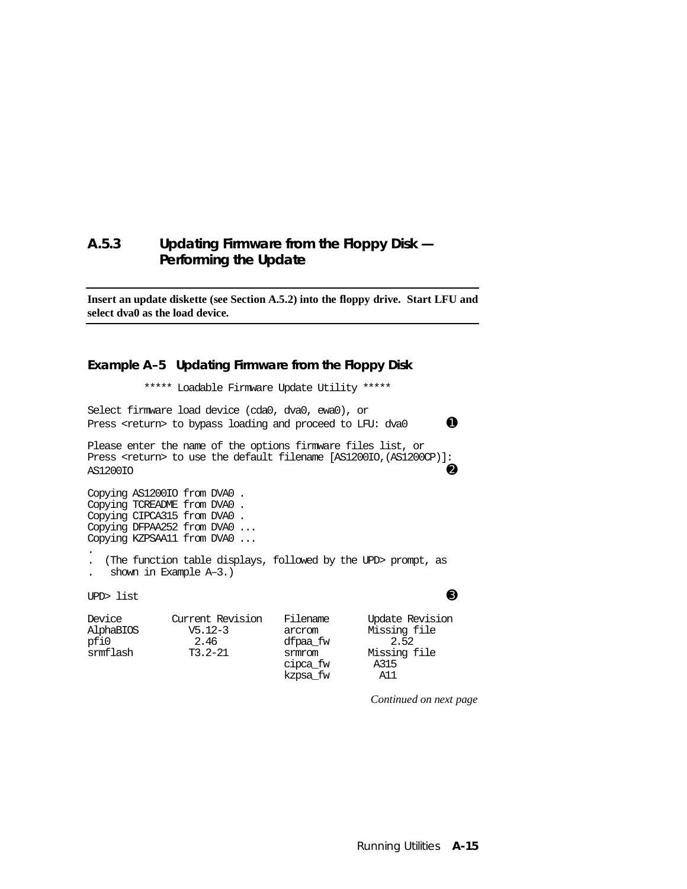#### **A.5.3 Updating Firmware from the Floppy Disk — Performing the Update**

**Insert an update diskette (see Section A.5.2) into the floppy drive. Start LFU and select dva0 as the load device.**

#### **Example A–5 Updating Firmware from the Floppy Disk**

\*\*\*\*\* Loadable Firmware Update Utility \*\*\*\*\*

Select firmware load device (cda0, dva0, ewa0), or Press <return> to bypass loading and proceed to LFU: dva0  $\bullet$ 

Please enter the name of the options firmware files list, or Press <return> to use the default filename [AS1200IO, (AS1200CP)]: AS1200IO **O** 

Copying AS1200IO from DVA0 . Copying TCREADME from DVA0 . Copying CIPCA315 from DVA0 . Copying DFPAA252 from DVA0 ... Copying KZPSAA11 from DVA0 ...

. . (The function table displays, followed by the UPD> prompt, as

shown in Example A-3.)

UPD> list  $\qquad \qquad \bullet$ 

| Device<br>AlphaBIOS<br>pfi0<br>srmflash | Current Revision<br>$V5.12-3$<br>2.46<br>$T3.2 - 21$ | Filename<br>arcrom<br>dfpaa fw<br>smmcom<br>cipca_fw<br>kzpsa_fw | Update Revision<br>Missing file<br>2.52<br>Missing file<br>A315<br>A11 |
|-----------------------------------------|------------------------------------------------------|------------------------------------------------------------------|------------------------------------------------------------------------|
|                                         |                                                      |                                                                  |                                                                        |

*Continued on next page*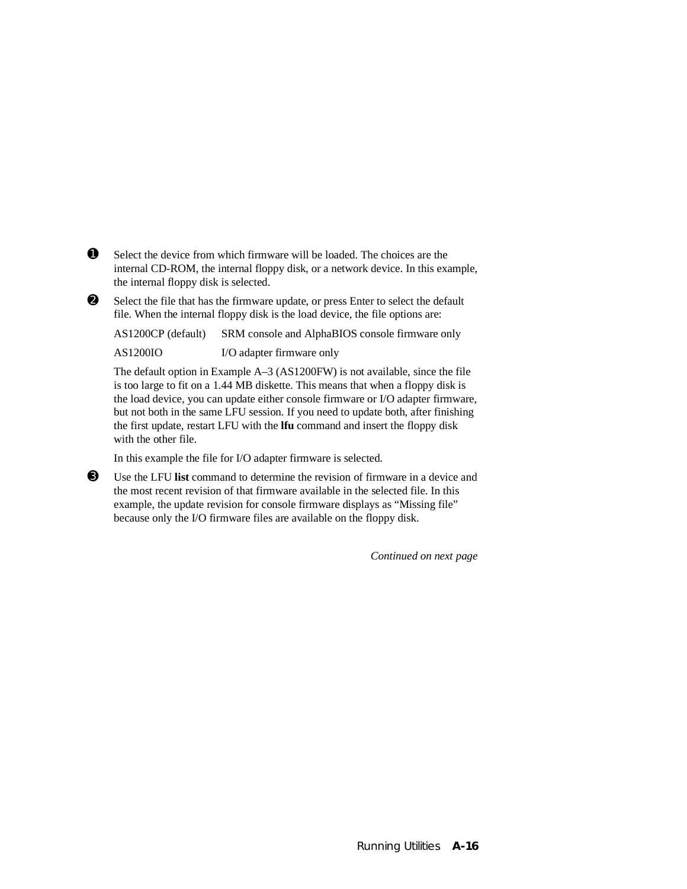- $\bullet$  Select the device from which firmware will be loaded. The choices are the internal CD-ROM, the internal floppy disk, or a network device. In this example, the internal floppy disk is selected.
- ➋ Select the file that has the firmware update, or press Enter to select the default file. When the internal floppy disk is the load device, the file options are:

AS1200CP (default) SRM console and AlphaBIOS console firmware only AS1200IO I/O adapter firmware only

The default option in Example A–3 (AS1200FW) is not available, since the file is too large to fit on a 1.44 MB diskette. This means that when a floppy disk is the load device, you can update either console firmware or I/O adapter firmware, but not both in the same LFU session. If you need to update both, after finishing the first update, restart LFU with the **lfu** command and insert the floppy disk with the other file.

In this example the file for I/O adapter firmware is selected.

➌ Use the LFU **list** command to determine the revision of firmware in a device and the most recent revision of that firmware available in the selected file. In this example, the update revision for console firmware displays as "Missing file" because only the I/O firmware files are available on the floppy disk.

*Continued on next page*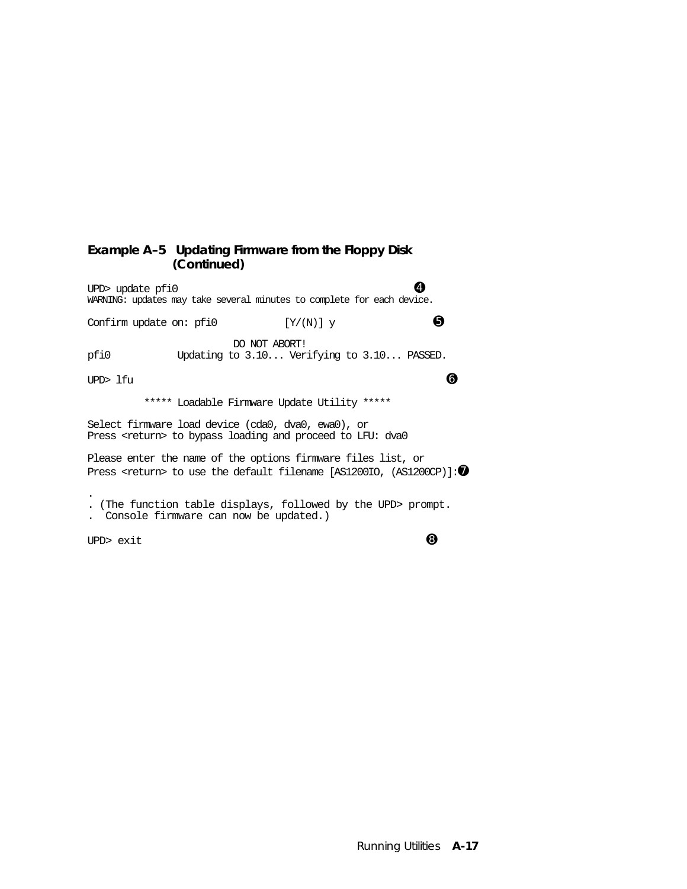#### **Example A–5 Updating Firmware from the Floppy Disk (Continued)**

UPD> update pfi0 ➍ WARNING: updates may take several minutes to complete for each device. Confirm update on: pfi0  $[Y/(N)]$  y  $\qquad \qquad \bullet$ DO NOT ABORT!<br>poil both Updating to 3.10... Ver Updating to 3.10... Verifying to 3.10... PASSED. UPD> lfu  $\bullet$  \*\*\*\*\* Loadable Firmware Update Utility \*\*\*\*\* Select firmware load device (cda0, dva0, ewa0), or Press <return> to bypass loading and proceed to LFU: dva0 Please enter the name of the options firmware files list, or Press <return> to use the default filename [AS1200IO, (AS1200CP)]: $\bullet$ .

. (The function table displays, followed by the UPD> prompt.

. Console firmware can now be updated.)

UPD>  $ext$   $\Theta$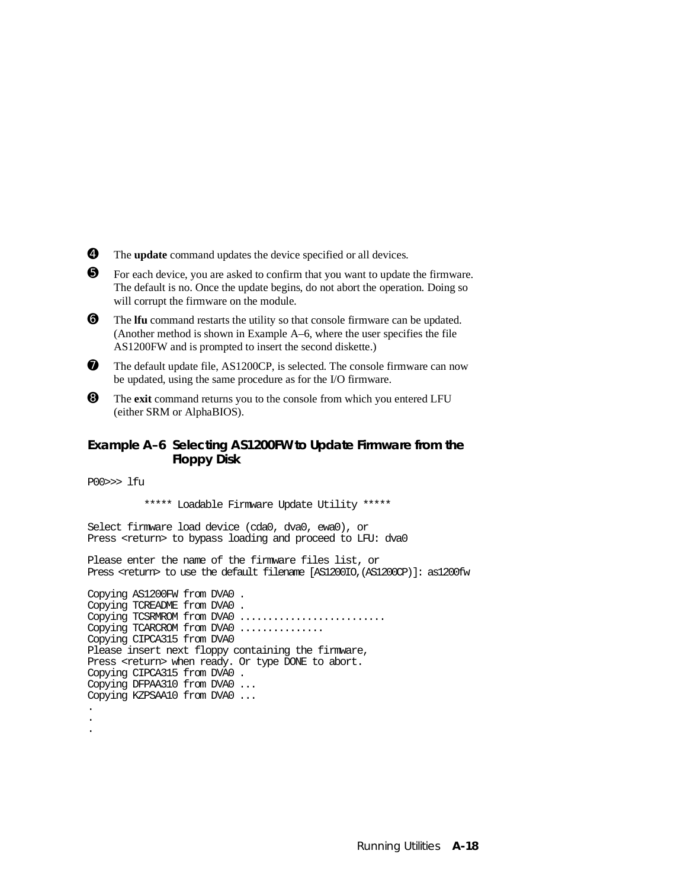- ➍ The **update** command updates the device specified or all devices.
- ➎ For each device, you are asked to confirm that you want to update the firmware. The default is no. Once the update begins, do not abort the operation. Doing so will corrupt the firmware on the module.
- ➏ The **lfu** command restarts the utility so that console firmware can be updated. (Another method is shown in Example A–6, where the user specifies the file AS1200FW and is prompted to insert the second diskette.)
- $\bullet$  The default update file, AS1200CP, is selected. The console firmware can now be updated, using the same procedure as for the I/O firmware.
- ➑ The **exit** command returns you to the console from which you entered LFU (either SRM or AlphaBIOS).

#### **Example A–6 Selecting AS1200FW to Update Firmware from the Floppy Disk**

P00>>> lfu

. .

\*\*\*\*\* Loadable Firmware Update Utility \*\*\*\*\*

Select firmware load device (cda0, dva0, ewa0), or Press <return> to bypass loading and proceed to LFU: dva0

Please enter the name of the firmware files list, or Press <return> to use the default filename [AS1200IO,(AS1200CP)]: as1200fw

Copying AS1200FW from DVA0 . Copying TCREADME from DVA0 . Copying TCSRMROM from DVA0 ........................... Copying TCARCROM from DVA0 .............. Copying CIPCA315 from DVA0 Please insert next floppy containing the firmware, Press <return> when ready. Or type DONE to abort. Copying CIPCA315 from DVA0 . Copying DFPAA310 from DVA0 ... Copying KZPSAA10 from DVA0 ... .

Running Utilities **A-18**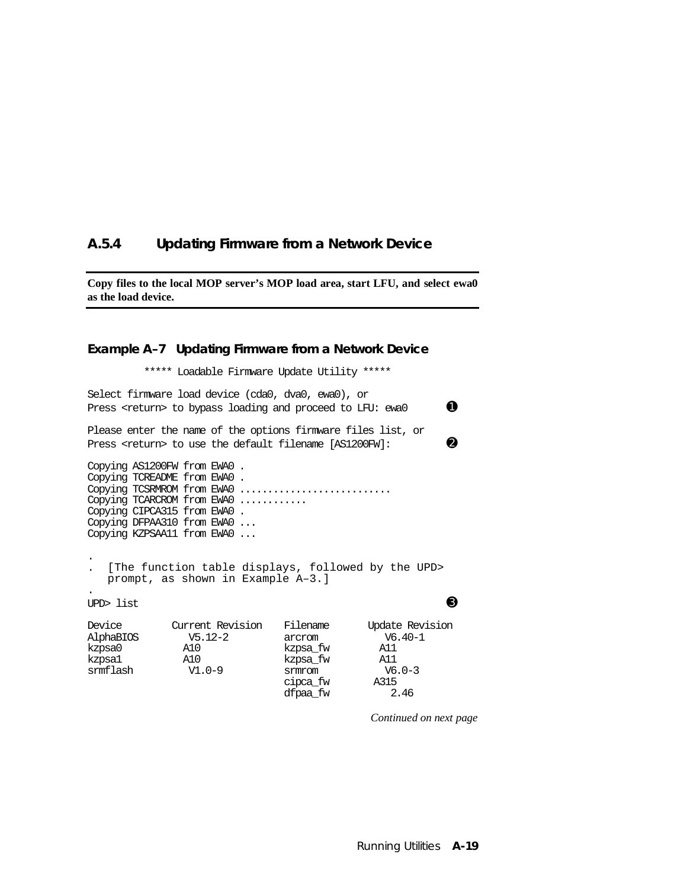#### **A.5.4 Updating Firmware from a Network Device**

**Copy files to the local MOP server's MOP load area, start LFU, and select ewa0 as the load device.**

#### **Example A–7 Updating Firmware from a Network Device** \*\*\*\*\* Loadable Firmware Update Utility \*\*\*\*\* Select firmware load device (cda0, dva0, ewa0), or Press <return> to bypass loading and proceed to LFU: ewa0  $\bullet$ Please enter the name of the options firmware files list, or Press <return> to use the default filename  $[AS1200FW]:$ Copying AS1200FW from EWA0 . Copying TCREADME from EWA0 . Copying TCSRMROM from EWA0 ............................ Copying TCARCROM from EWA0 ........... Copying CIPCA315 from EWA0 . Copying DFPAA310 from EWA0 ... Copying KZPSAA11 from EWA0 ... . . [The function table displays, followed by the UPD> prompt, as shown in Example A–3.] . UPD> list  $\qquad \qquad \bullet$ Device Current Revision Filename Update Revision AlphaBIOS V5.12-2 arcrom V6.40-1 A10 kzpsa\_fw<br>A10 kzpsa\_fw kzpsa1 A10 kzpsa\_fw A11 v1.0-9 srmrom v6<br>cipca fw A315 cipca\_fw A315

dfpaa\_fw 2.46

*Continued on next page*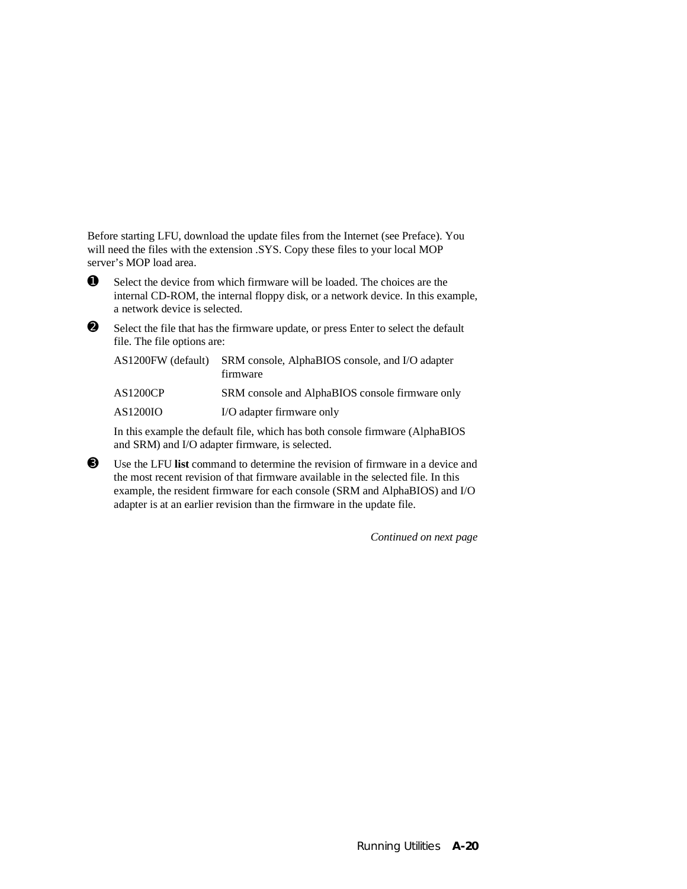Before starting LFU, download the update files from the Internet (see Preface). You will need the files with the extension .SYS. Copy these files to your local MOP server's MOP load area.



 $\bullet$  Select the device from which firmware will be loaded. The choices are the internal CD-ROM, the internal floppy disk, or a network device. In this example, a network device is selected.

➋ Select the file that has the firmware update, or press Enter to select the default file. The file options are:

| AS1200FW (default) | SRM console, AlphaBIOS console, and I/O adapter<br>firmware |
|--------------------|-------------------------------------------------------------|
| <b>AS1200CP</b>    | SRM console and AlphaBIOS console firmware only             |
| AS1200IO           | I/O adapter firmware only                                   |

In this example the default file, which has both console firmware (AlphaBIOS and SRM) and I/O adapter firmware, is selected.

➌ Use the LFU **list** command to determine the revision of firmware in a device and the most recent revision of that firmware available in the selected file. In this example, the resident firmware for each console (SRM and AlphaBIOS) and I/O adapter is at an earlier revision than the firmware in the update file.

*Continued on next page*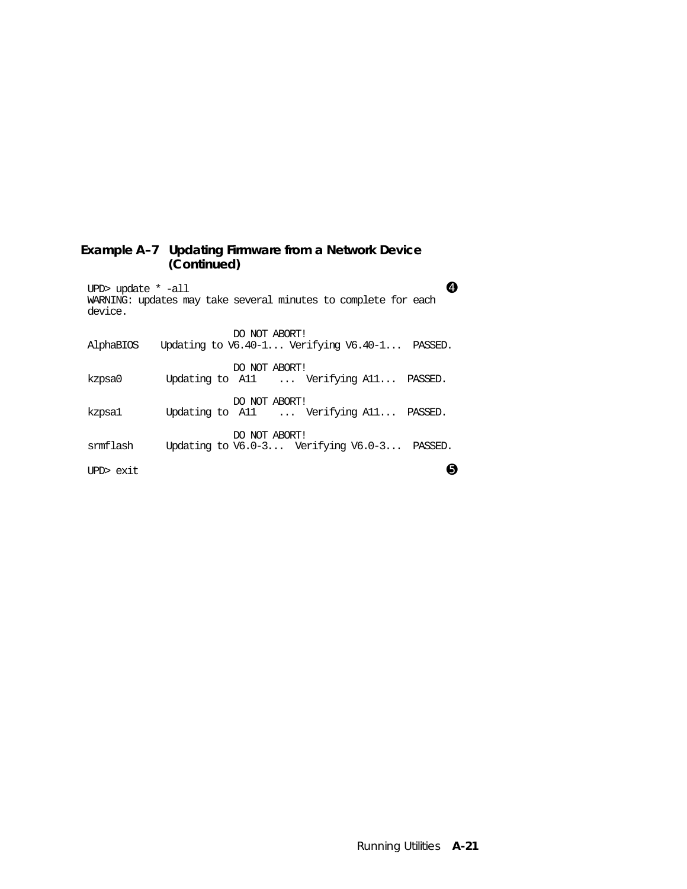#### **Example A–7 Updating Firmware from a Network Device (Continued)**

| UPD> update $*$ -all<br>WARNING: updates may take several minutes to complete for each<br>device. |                                                                    |  |
|---------------------------------------------------------------------------------------------------|--------------------------------------------------------------------|--|
| AlphaBIOS                                                                                         | DO NOT ABORT!<br>Updating to $V6.40-1$ Verifying $V6.40-1$ PASSED. |  |
| kzpsa0                                                                                            | DO NOT ABORT!<br>Updating to All  Verifying All PASSED.            |  |
| kzpsa1                                                                                            | DO NOT ABORT!<br>Updating to All  Verifying All PASSED.            |  |
| srmflash                                                                                          | DO NOT ABORT!<br>Updating to $V6.0-3$ Verifying $V6.0-3$ PASSED.   |  |
| IPD> exit                                                                                         |                                                                    |  |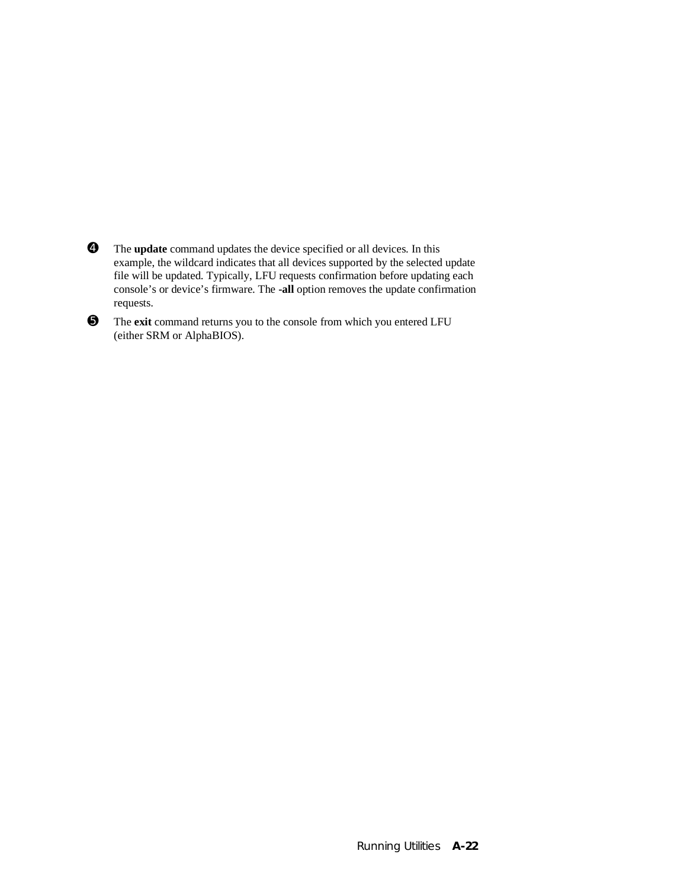- ➍ The **update** command updates the device specified or all devices. In this example, the wildcard indicates that all devices supported by the selected update file will be updated. Typically, LFU requests confirmation before updating each console's or device's firmware. The **-all** option removes the update confirmation requests.
- ➎ The **exit** command returns you to the console from which you entered LFU (either SRM or AlphaBIOS).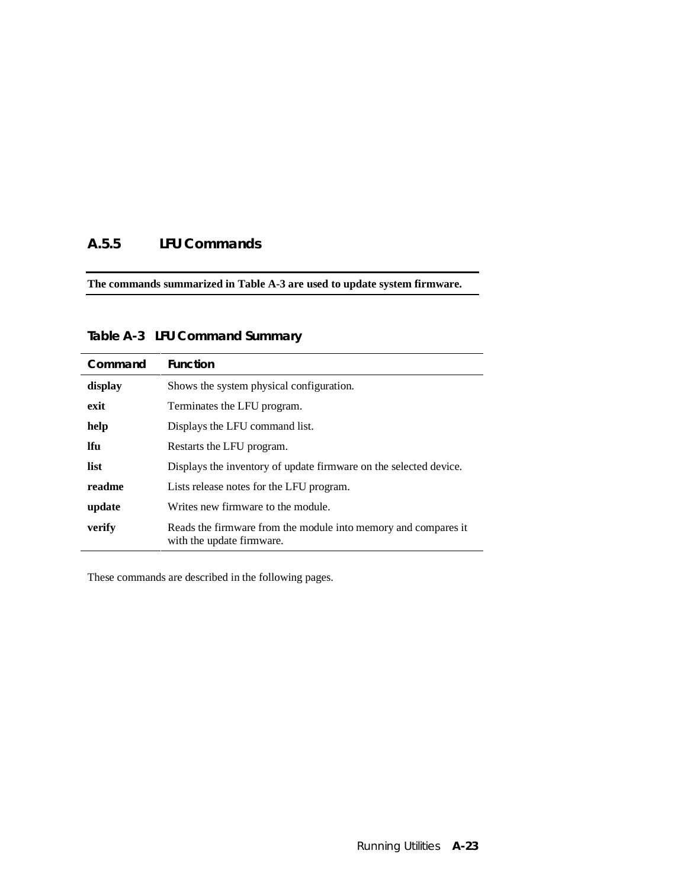## **A.5.5 LFU Commands**

**The commands summarized in Table A-3 are used to update system firmware.**

| Command    | <b>Function</b>                                                                             |  |
|------------|---------------------------------------------------------------------------------------------|--|
| display    | Shows the system physical configuration.                                                    |  |
| exit       | Terminates the LFU program.                                                                 |  |
| help       | Displays the LFU command list.                                                              |  |
| <b>Ifu</b> | Restarts the LFU program.                                                                   |  |
| list       | Displays the inventory of update firmware on the selected device.                           |  |
| readme     | Lists release notes for the LFU program.                                                    |  |
| update     | Writes new firmware to the module.                                                          |  |
| verify     | Reads the firmware from the module into memory and compares it<br>with the update firmware. |  |

**Table A-3 LFU Command Summary**

These commands are described in the following pages.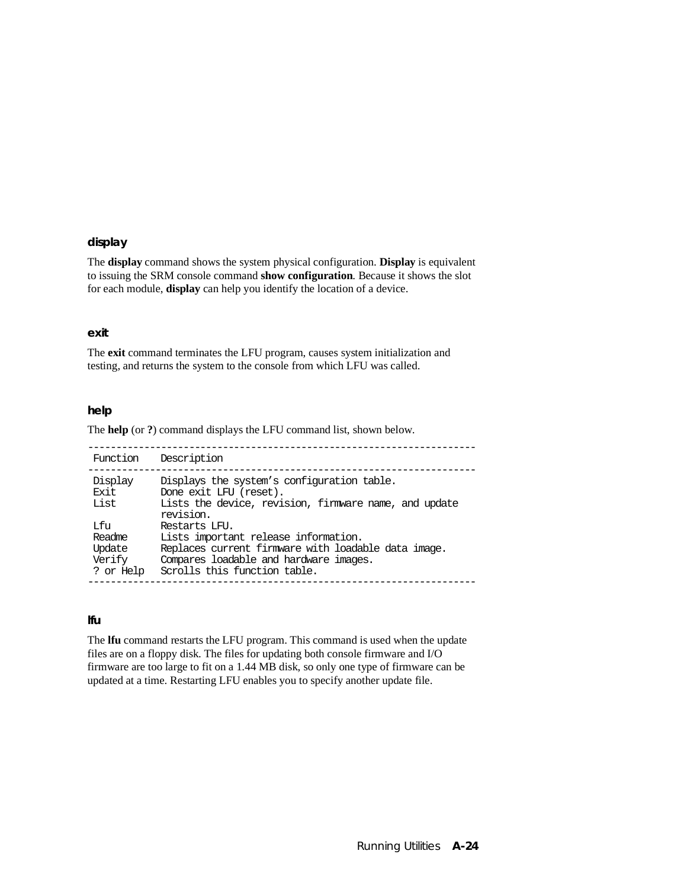### **display**

The **display** command shows the system physical configuration. **Display** is equivalent to issuing the SRM console command **show configuration**. Because it shows the slot for each module, **display** can help you identify the location of a device.

### **exit**

The **exit** command terminates the LFU program, causes system initialization and testing, and returns the system to the console from which LFU was called.

### **help**

The **help** (or **?**) command displays the LFU command list, shown below.

| Function                                       | Description                                                                                                                                                                            |
|------------------------------------------------|----------------------------------------------------------------------------------------------------------------------------------------------------------------------------------------|
| Display<br>Exit.<br>List                       | Displays the system's configuration table.<br>Done exit LFU (reset).<br>Lists the device, revision, firmware name, and update<br>revision.                                             |
| Lfu<br>Readme<br>Update<br>Verify<br>? or Help | Restarts LFU.<br>Lists important release information.<br>Replaces current firmware with loadable data image.<br>Compares loadable and hardware images.<br>Scrolls this function table. |

### **lfu**

The **lfu** command restarts the LFU program. This command is used when the update files are on a floppy disk. The files for updating both console firmware and I/O firmware are too large to fit on a 1.44 MB disk, so only one type of firmware can be updated at a time. Restarting LFU enables you to specify another update file.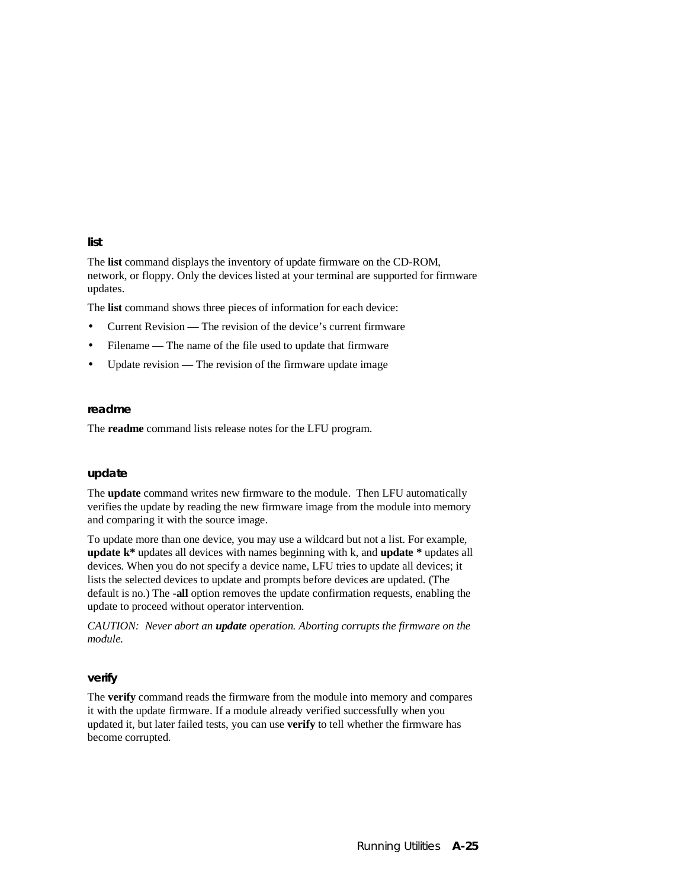#### **list**

The **list** command displays the inventory of update firmware on the CD-ROM, network, or floppy. Only the devices listed at your terminal are supported for firmware updates.

The **list** command shows three pieces of information for each device:

- Current Revision The revision of the device's current firmware
- Filename The name of the file used to update that firmware
- Update revision The revision of the firmware update image

#### **readme**

The **readme** command lists release notes for the LFU program.

#### **update**

The **update** command writes new firmware to the module. Then LFU automatically verifies the update by reading the new firmware image from the module into memory and comparing it with the source image.

To update more than one device, you may use a wildcard but not a list. For example, **update k\*** updates all devices with names beginning with k, and **update \*** updates all devices. When you do not specify a device name, LFU tries to update all devices; it lists the selected devices to update and prompts before devices are updated. (The default is no.) The **-all** option removes the update confirmation requests, enabling the update to proceed without operator intervention.

*CAUTION: Never abort an update operation. Aborting corrupts the firmware on the module.*

### **verify**

The **verify** command reads the firmware from the module into memory and compares it with the update firmware. If a module already verified successfully when you updated it, but later failed tests, you can use **verify** to tell whether the firmware has become corrupted.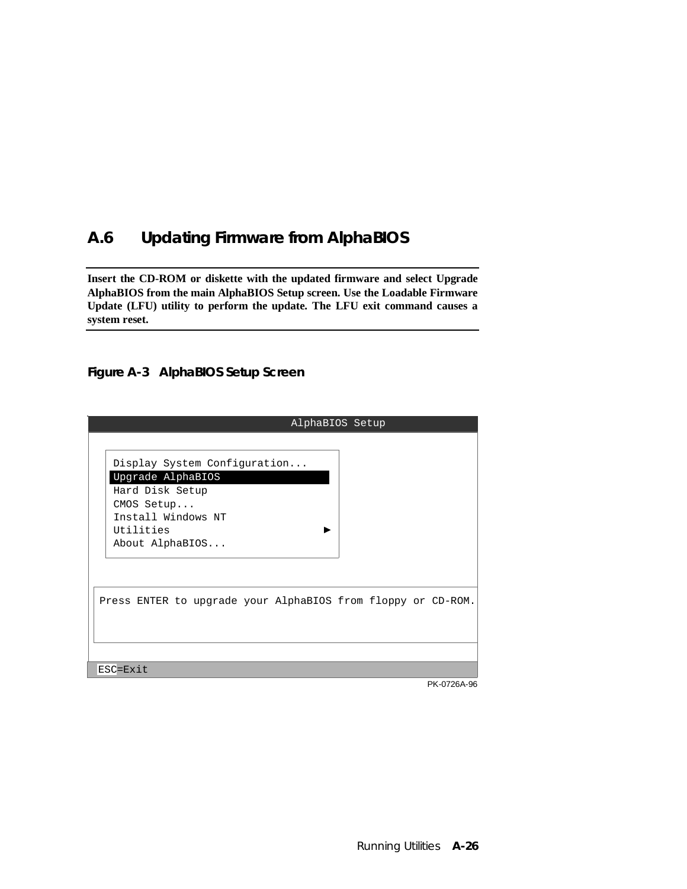# **A.6 Updating Firmware from AlphaBIOS**

**Insert the CD-ROM or diskette with the updated firmware and select Upgrade AlphaBIOS from the main AlphaBIOS Setup screen. Use the Loadable Firmware Update (LFU) utility to perform the update. The LFU exit command causes a system reset.**

### **Figure A-3 AlphaBIOS Setup Screen**

| AlphaBIOS Setup                                                                                                                          |             |
|------------------------------------------------------------------------------------------------------------------------------------------|-------------|
| Display System Configuration<br>Upgrade AlphaBIOS<br>Hard Disk Setup<br>CMOS Setup<br>Install Windows NT<br>Utilities<br>About AlphaBIOS |             |
| Press ENTER to upgrade your AlphaBIOS from floppy or CD-ROM.                                                                             |             |
| ESC=Exit                                                                                                                                 |             |
|                                                                                                                                          | PK-0726A-96 |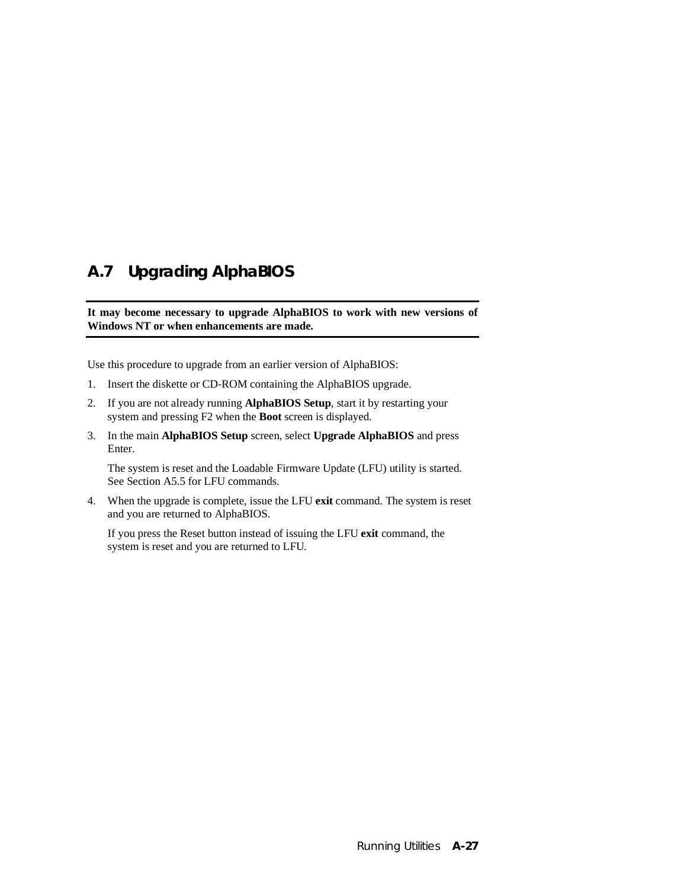# **A.7 Upgrading AlphaBIOS**

**It may become necessary to upgrade AlphaBIOS to work with new versions of Windows NT or when enhancements are made.**

Use this procedure to upgrade from an earlier version of AlphaBIOS:

- 1. Insert the diskette or CD-ROM containing the AlphaBIOS upgrade.
- 2. If you are not already running **AlphaBIOS Setup**, start it by restarting your system and pressing F2 when the **Boot** screen is displayed.
- 3. In the main **AlphaBIOS Setup** screen, select **Upgrade AlphaBIOS** and press Enter.

The system is reset and the Loadable Firmware Update (LFU) utility is started. See Section A5.5 for LFU commands.

4. When the upgrade is complete, issue the LFU **exit** command. The system is reset and you are returned to AlphaBIOS.

If you press the Reset button instead of issuing the LFU **exit** command, the system is reset and you are returned to LFU.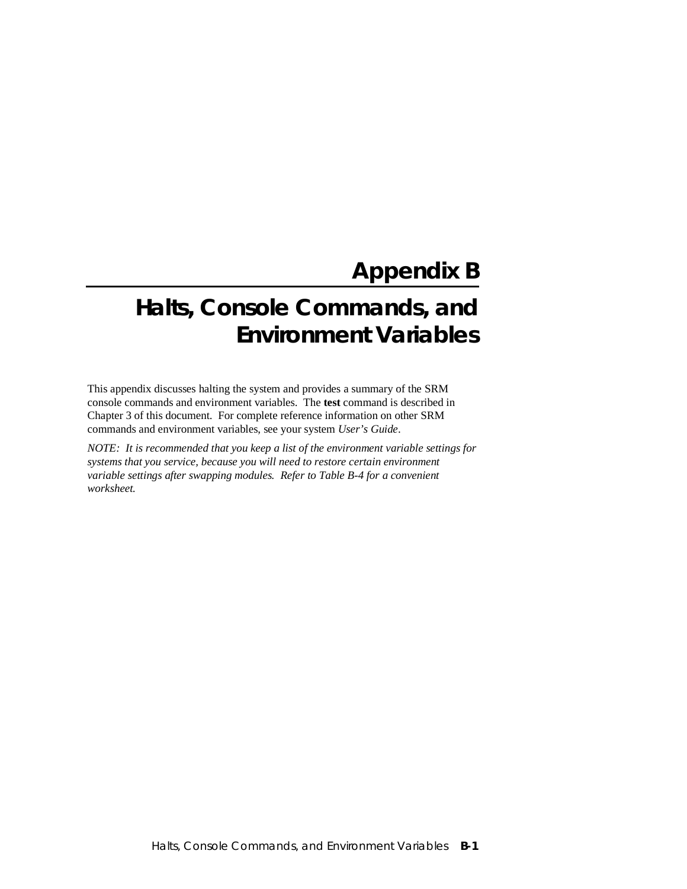# **Appendix B**

# **Halts, Console Commands, and Environment Variables**

This appendix discusses halting the system and provides a summary of the SRM console commands and environment variables. The **test** command is described in Chapter 3 of this document. For complete reference information on other SRM commands and environment variables, see your system *User's Guide*.

*NOTE: It is recommended that you keep a list of the environment variable settings for systems that you service, because you will need to restore certain environment variable settings after swapping modules. Refer to Table B-4 for a convenient worksheet.*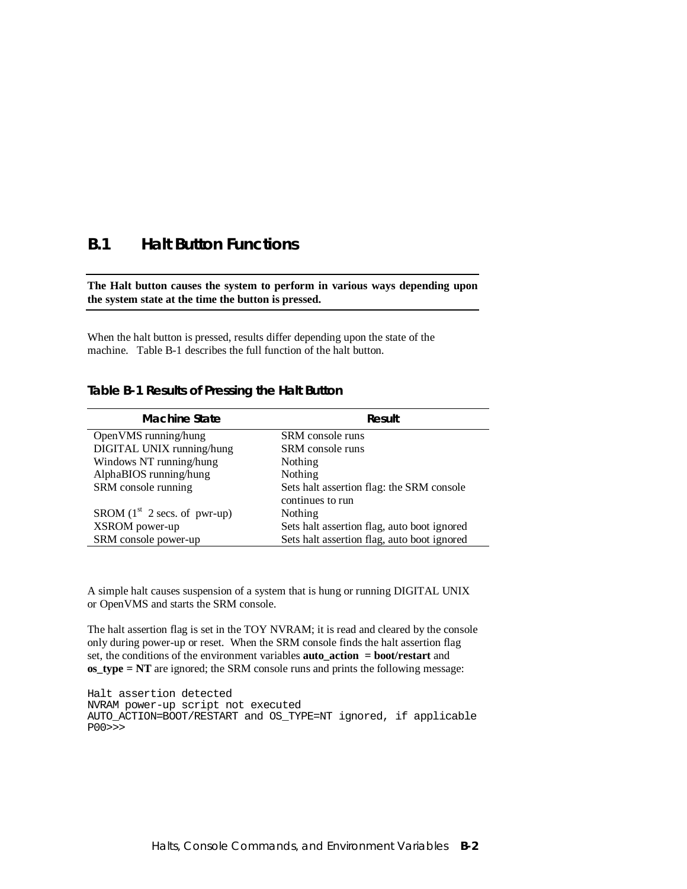### **B.1 Halt Button Functions**

### **The Halt button causes the system to perform in various ways depending upon the system state at the time the button is pressed.**

When the halt button is pressed, results differ depending upon the state of the machine. Table B-1 describes the full function of the halt button.

### **Table B-1 Results of Pressing the Halt Button**

| <b>Machine State</b>           | Result                                      |
|--------------------------------|---------------------------------------------|
| Open VMS running/hung          | SRM console runs                            |
| DIGITAL UNIX running/hung      | SRM console runs                            |
| Windows NT running/hung        | Nothing                                     |
| AlphaBIOS running/hung         | Nothing                                     |
| SRM console running            | Sets halt assertion flag: the SRM console   |
|                                | continues to run                            |
| SROM $(1st 2 secs. of pwr-up)$ | Nothing                                     |
| XSROM power-up                 | Sets halt assertion flag, auto boot ignored |
| SRM console power-up           | Sets halt assertion flag, auto boot ignored |

A simple halt causes suspension of a system that is hung or running DIGITAL UNIX or OpenVMS and starts the SRM console.

The halt assertion flag is set in the TOY NVRAM; it is read and cleared by the console only during power-up or reset. When the SRM console finds the halt assertion flag set, the conditions of the environment variables **auto\_action = boot/restart** and **os\_type = NT** are ignored; the SRM console runs and prints the following message:

Halt assertion detected NVRAM power-up script not executed AUTO\_ACTION=BOOT/RESTART and OS\_TYPE=NT ignored, if applicable P00>>>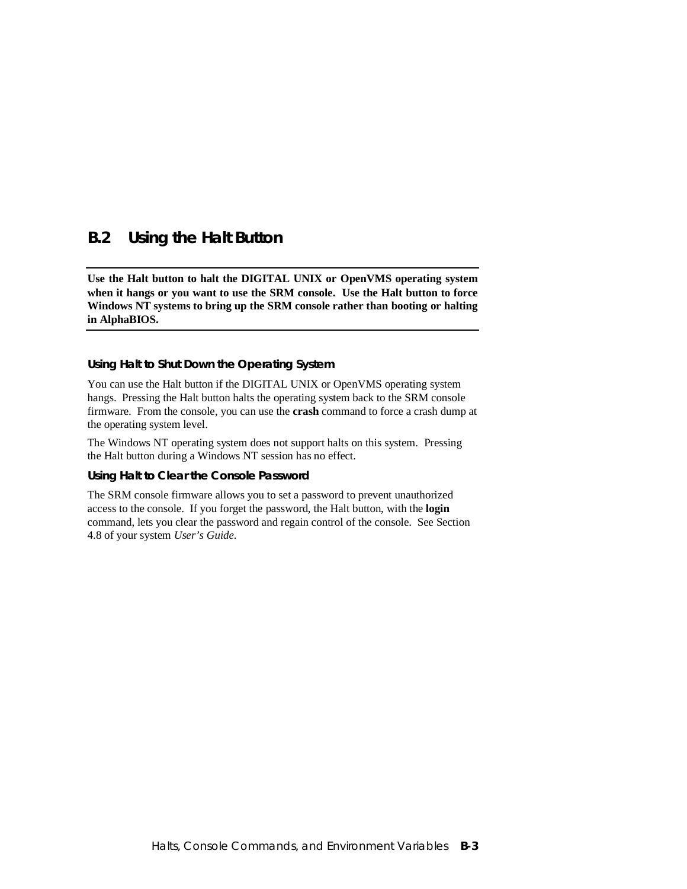### **B.2 Using the Halt Button**

**Use the Halt button to halt the DIGITAL UNIX or OpenVMS operating system when it hangs or you want to use the SRM console. Use the Halt button to force Windows NT systems to bring up the SRM console rather than booting or halting in AlphaBIOS.**

### **Using Halt to Shut Down the Operating System**

You can use the Halt button if the DIGITAL UNIX or OpenVMS operating system hangs. Pressing the Halt button halts the operating system back to the SRM console firmware. From the console, you can use the **crash** command to force a crash dump at the operating system level.

The Windows NT operating system does not support halts on this system. Pressing the Halt button during a Windows NT session has no effect.

### **Using Halt to Clear the Console Password**

The SRM console firmware allows you to set a password to prevent unauthorized access to the console. If you forget the password, the Halt button, with the **login** command, lets you clear the password and regain control of the console. See Section 4.8 of your system *User's Guide*.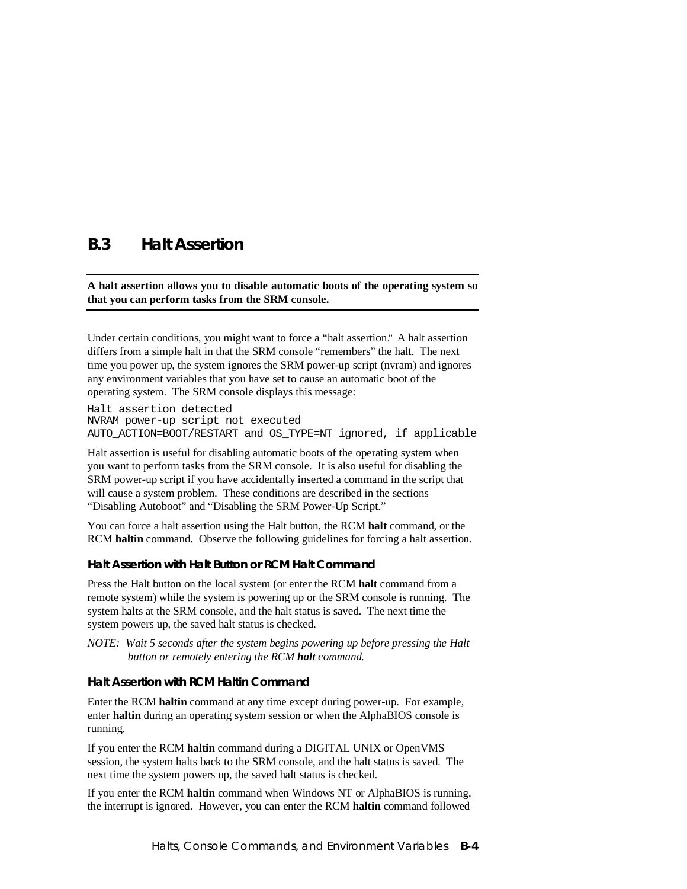### **B.3 Halt Assertion**

### **A halt assertion allows you to disable automatic boots of the operating system so that you can perform tasks from the SRM console.**

Under certain conditions, you might want to force a "halt assertion." A halt assertion differs from a simple halt in that the SRM console "remembers" the halt. The next time you power up, the system ignores the SRM power-up script (nvram) and ignores any environment variables that you have set to cause an automatic boot of the operating system. The SRM console displays this message:

Halt assertion detected NVRAM power-up script not executed AUTO ACTION=BOOT/RESTART and OS TYPE=NT ignored, if applicable

Halt assertion is useful for disabling automatic boots of the operating system when you want to perform tasks from the SRM console. It is also useful for disabling the SRM power-up script if you have accidentally inserted a command in the script that will cause a system problem. These conditions are described in the sections "Disabling Autoboot" and "Disabling the SRM Power-Up Script."

You can force a halt assertion using the Halt button, the RCM **halt** command, or the RCM **haltin** command. Observe the following guidelines for forcing a halt assertion.

### **Halt Assertion with Halt Button or RCM Halt Command**

Press the Halt button on the local system (or enter the RCM **halt** command from a remote system) while the system is powering up or the SRM console is running. The system halts at the SRM console, and the halt status is saved. The next time the system powers up, the saved halt status is checked.

*NOTE: Wait 5 seconds after the system begins powering up before pressing the Halt button or remotely entering the RCM halt command.*

### **Halt Assertion with RCM Haltin Command**

Enter the RCM **haltin** command at any time except during power-up. For example, enter **haltin** during an operating system session or when the AlphaBIOS console is running.

If you enter the RCM **haltin** command during a DIGITAL UNIX or OpenVMS session, the system halts back to the SRM console, and the halt status is saved. The next time the system powers up, the saved halt status is checked.

If you enter the RCM **haltin** command when Windows NT or AlphaBIOS is running, the interrupt is ignored. However, you can enter the RCM **haltin** command followed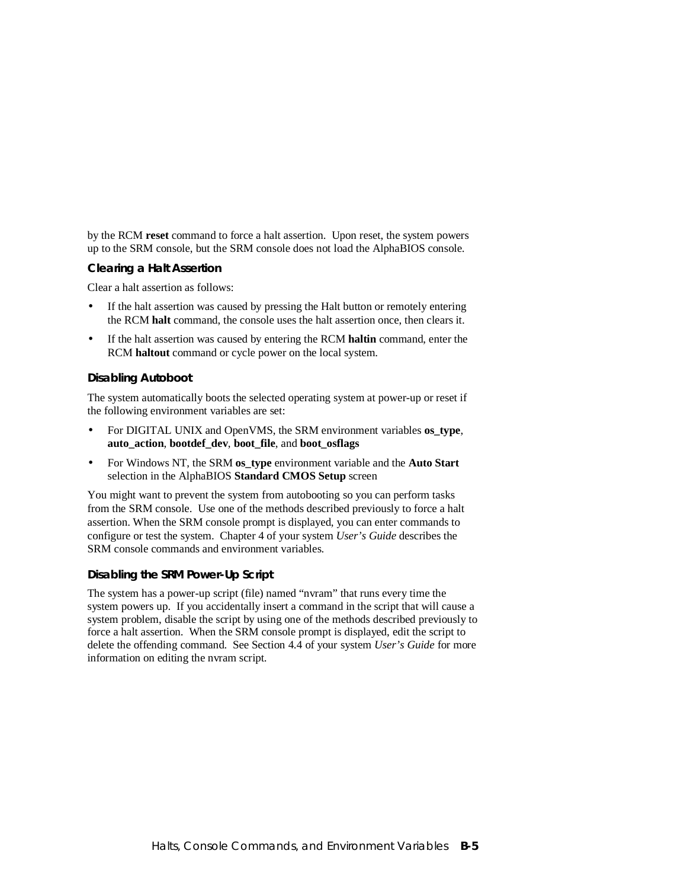by the RCM **reset** command to force a halt assertion. Upon reset, the system powers up to the SRM console, but the SRM console does not load the AlphaBIOS console.

### **Clearing a Halt Assertion**

Clear a halt assertion as follows:

- If the halt assertion was caused by pressing the Halt button or remotely entering the RCM **halt** command, the console uses the halt assertion once, then clears it.
- If the halt assertion was caused by entering the RCM **haltin** command, enter the RCM **haltout** command or cycle power on the local system.

### **Disabling Autoboot**

The system automatically boots the selected operating system at power-up or reset if the following environment variables are set:

- For DIGITAL UNIX and OpenVMS, the SRM environment variables **os\_type**, **auto\_action**, **bootdef\_dev**, **boot\_file**, and **boot\_osflags**
- For Windows NT, the SRM **os\_type** environment variable and the **Auto Start** selection in the AlphaBIOS **Standard CMOS Setup** screen

You might want to prevent the system from autobooting so you can perform tasks from the SRM console. Use one of the methods described previously to force a halt assertion. When the SRM console prompt is displayed, you can enter commands to configure or test the system. Chapter 4 of your system *User's Guide* describes the SRM console commands and environment variables.

### **Disabling the SRM Power-Up Script**

The system has a power-up script (file) named "nvram" that runs every time the system powers up. If you accidentally insert a command in the script that will cause a system problem, disable the script by using one of the methods described previously to force a halt assertion. When the SRM console prompt is displayed, edit the script to delete the offending command. See Section 4.4 of your system *User's Guide* for more information on editing the nvram script.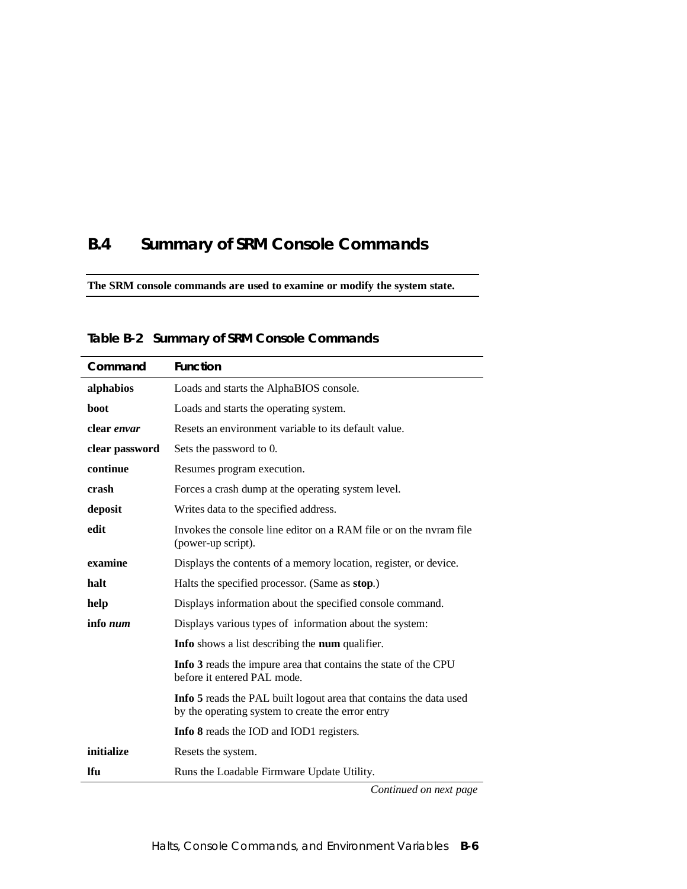# **B.4 Summary of SRM Console Commands**

**The SRM console commands are used to examine or modify the system state.**

| Command        | <b>Function</b>                                                                                                         |  |
|----------------|-------------------------------------------------------------------------------------------------------------------------|--|
| alphabios      | Loads and starts the AlphaBIOS console.                                                                                 |  |
| <b>boot</b>    | Loads and starts the operating system.                                                                                  |  |
| clear envar    | Resets an environment variable to its default value.                                                                    |  |
| clear password | Sets the password to 0.                                                                                                 |  |
| continue       | Resumes program execution.                                                                                              |  |
| crash          | Forces a crash dump at the operating system level.                                                                      |  |
| deposit        | Writes data to the specified address.                                                                                   |  |
| edit           | Invokes the console line editor on a RAM file or on the nyram file<br>(power-up script).                                |  |
| examine        | Displays the contents of a memory location, register, or device.                                                        |  |
| halt           | Halts the specified processor. (Same as stop.)                                                                          |  |
| help           | Displays information about the specified console command.                                                               |  |
| info num       | Displays various types of information about the system:                                                                 |  |
|                | <b>Info</b> shows a list describing the <b>num</b> qualifier.                                                           |  |
|                | Info 3 reads the impure area that contains the state of the CPU<br>before it entered PAL mode.                          |  |
|                | Info 5 reads the PAL built logout area that contains the data used<br>by the operating system to create the error entry |  |
|                | Info 8 reads the IOD and IOD1 registers.                                                                                |  |
| initialize     | Resets the system.                                                                                                      |  |
| <b>Ifu</b>     | Runs the Loadable Firmware Update Utility.                                                                              |  |

**Table B-2 Summary of SRM Console Commands**

*Continued on next page*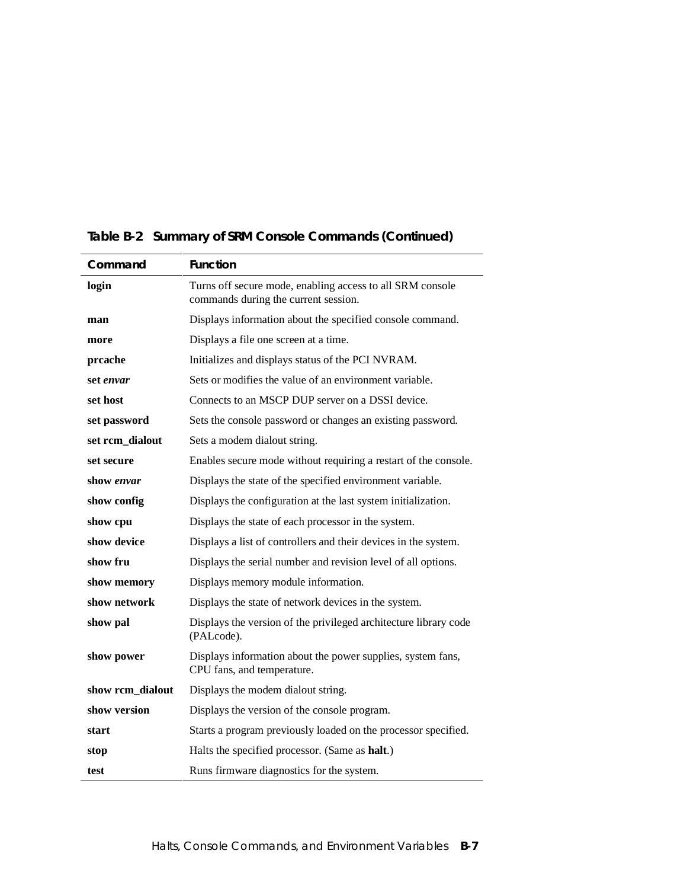| Command          | <b>Function</b>                                                                                   |  |
|------------------|---------------------------------------------------------------------------------------------------|--|
| login            | Turns off secure mode, enabling access to all SRM console<br>commands during the current session. |  |
| man              | Displays information about the specified console command.                                         |  |
| more             | Displays a file one screen at a time.                                                             |  |
| prcache          | Initializes and displays status of the PCI NVRAM.                                                 |  |
| set envar        | Sets or modifies the value of an environment variable.                                            |  |
| set host         | Connects to an MSCP DUP server on a DSSI device.                                                  |  |
| set password     | Sets the console password or changes an existing password.                                        |  |
| set rcm_dialout  | Sets a modem dialout string.                                                                      |  |
| set secure       | Enables secure mode without requiring a restart of the console.                                   |  |
| show envar       | Displays the state of the specified environment variable.                                         |  |
| show config      | Displays the configuration at the last system initialization.                                     |  |
| show cpu         | Displays the state of each processor in the system.                                               |  |
| show device      | Displays a list of controllers and their devices in the system.                                   |  |
| show fru         | Displays the serial number and revision level of all options.                                     |  |
| show memory      | Displays memory module information.                                                               |  |
| show network     | Displays the state of network devices in the system.                                              |  |
| show pal         | Displays the version of the privileged architecture library code<br>(PALcode).                    |  |
| show power       | Displays information about the power supplies, system fans,<br>CPU fans, and temperature.         |  |
| show rcm_dialout | Displays the modem dialout string.                                                                |  |
| show version     | Displays the version of the console program.                                                      |  |
| start            | Starts a program previously loaded on the processor specified.                                    |  |
| stop             | Halts the specified processor. (Same as halt.)                                                    |  |
| test             | Runs firmware diagnostics for the system.                                                         |  |

**Table B-2 Summary of SRM Console Commands (Continued)**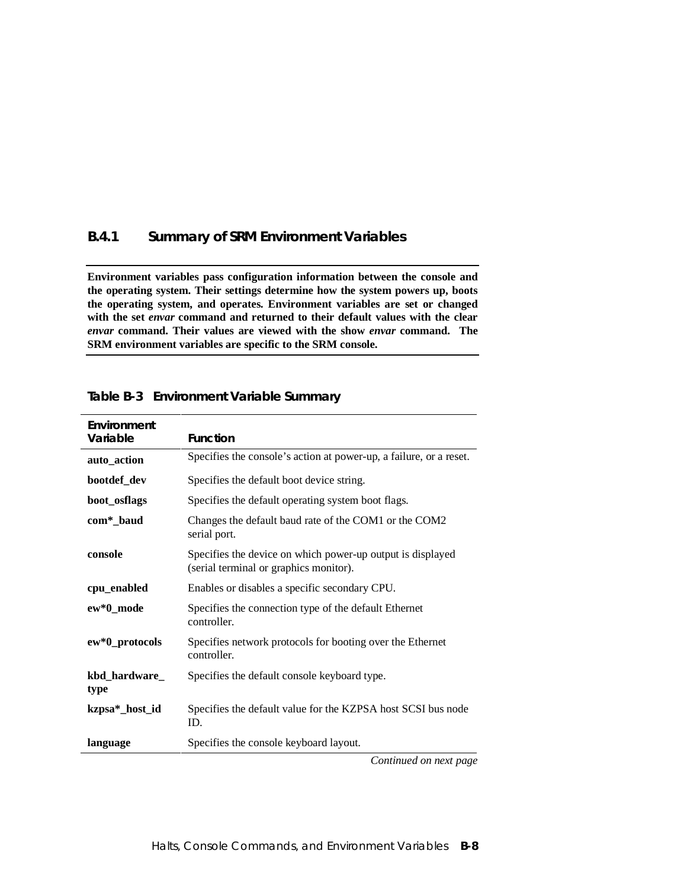### **B.4.1 Summary of SRM Environment Variables**

**Environment variables pass configuration information between the console and the operating system. Their settings determine how the system powers up, boots the operating system, and operates. Environment variables are set or changed with the set** *envar* **command and returned to their default values with the clear** *envar* **command. Their values are viewed with the show** *envar* **command. The SRM environment variables are specific to the SRM console.**

| Environment<br>Variable | <b>Function</b>                                                                                      |  |
|-------------------------|------------------------------------------------------------------------------------------------------|--|
| auto_action             | Specifies the console's action at power-up, a failure, or a reset.                                   |  |
| bootdef_dev             | Specifies the default boot device string.                                                            |  |
| boot_osflags            | Specifies the default operating system boot flags.                                                   |  |
| com*_baud               | Changes the default baud rate of the COM1 or the COM2<br>serial port.                                |  |
| console                 | Specifies the device on which power-up output is displayed<br>(serial terminal or graphics monitor). |  |
| cpu_enabled             | Enables or disables a specific secondary CPU.                                                        |  |
| ew*0_mode               | Specifies the connection type of the default Ethernet<br>controller.                                 |  |
| ew*0_protocols          | Specifies network protocols for booting over the Ethernet<br>controller.                             |  |
| kbd_hardware_<br>type   | Specifies the default console keyboard type.                                                         |  |
| kzpsa*_host_id          | Specifies the default value for the KZPSA host SCSI bus node<br>ID.                                  |  |
| language                | Specifies the console keyboard layout.                                                               |  |
|                         | Continued on next nage                                                                               |  |

### **Table B-3 Environment Variable Summary**

*Continued on next page*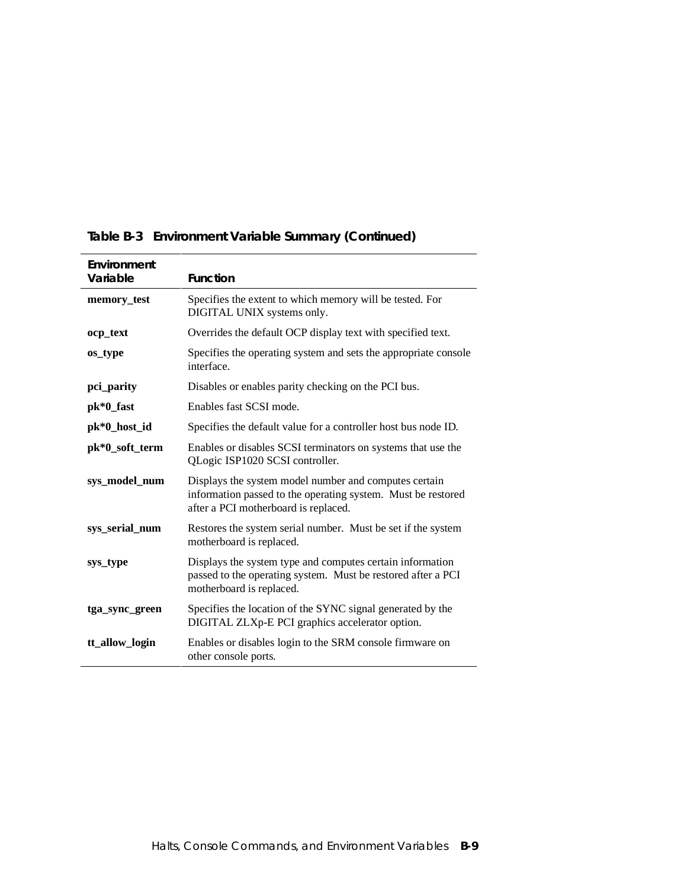| Environment<br>Variable | <b>Function</b>                                                                                                                                               |  |
|-------------------------|---------------------------------------------------------------------------------------------------------------------------------------------------------------|--|
| memory_test             | Specifies the extent to which memory will be tested. For<br>DIGITAL UNIX systems only.                                                                        |  |
| ocp_text                | Overrides the default OCP display text with specified text.                                                                                                   |  |
| os_type                 | Specifies the operating system and sets the appropriate console<br>interface.                                                                                 |  |
| pci_parity              | Disables or enables parity checking on the PCI bus.                                                                                                           |  |
| pk*0_fast               | Enables fast SCSI mode.                                                                                                                                       |  |
| pk*0_host_id            | Specifies the default value for a controller host bus node ID.                                                                                                |  |
| pk*0_soft_term          | Enables or disables SCSI terminators on systems that use the<br>QLogic ISP1020 SCSI controller.                                                               |  |
| sys_model_num           | Displays the system model number and computes certain<br>information passed to the operating system. Must be restored<br>after a PCI motherboard is replaced. |  |
| sys_serial_num          | Restores the system serial number. Must be set if the system<br>motherboard is replaced.                                                                      |  |
| sys_type                | Displays the system type and computes certain information<br>passed to the operating system. Must be restored after a PCI<br>motherboard is replaced.         |  |
| tga_sync_green          | Specifies the location of the SYNC signal generated by the<br>DIGITAL ZLXp-E PCI graphics accelerator option.                                                 |  |
| tt_allow_login          | Enables or disables login to the SRM console firmware on<br>other console ports.                                                                              |  |

### **Table B-3 Environment Variable Summary (Continued)**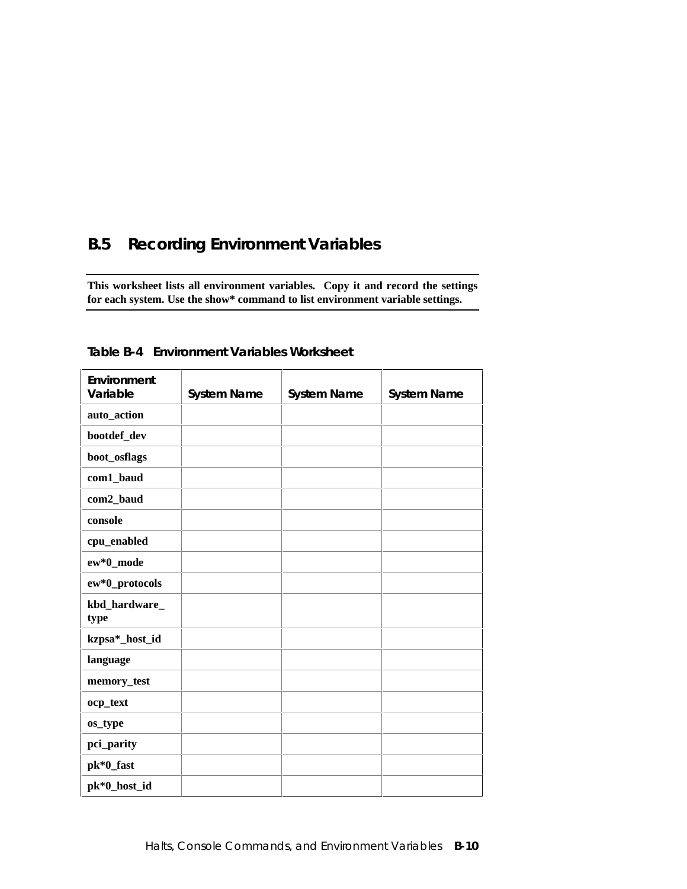# **B.5 Recording Environment Variables**

**This worksheet lists all environment variables. Copy it and record the settings for each system. Use the show\* command to list environment variable settings.**

| Environment           |                    |                    |                    |
|-----------------------|--------------------|--------------------|--------------------|
| Variable              | <b>System Name</b> | <b>System Name</b> | <b>System Name</b> |
| auto_action           |                    |                    |                    |
| bootdef_dev           |                    |                    |                    |
| boot_osflags          |                    |                    |                    |
| com1_baud             |                    |                    |                    |
| com2_baud             |                    |                    |                    |
| console               |                    |                    |                    |
| cpu_enabled           |                    |                    |                    |
| ew*0_mode             |                    |                    |                    |
| ew*0_protocols        |                    |                    |                    |
| kbd_hardware_<br>type |                    |                    |                    |
| kzpsa*_host_id        |                    |                    |                    |
| language              |                    |                    |                    |
| memory_test           |                    |                    |                    |
| ocp_text              |                    |                    |                    |
| os_type               |                    |                    |                    |
| pci_parity            |                    |                    |                    |
| pk*0_fast             |                    |                    |                    |
| pk*0_host_id          |                    |                    |                    |

**Table B-4 Environment Variables Worksheet**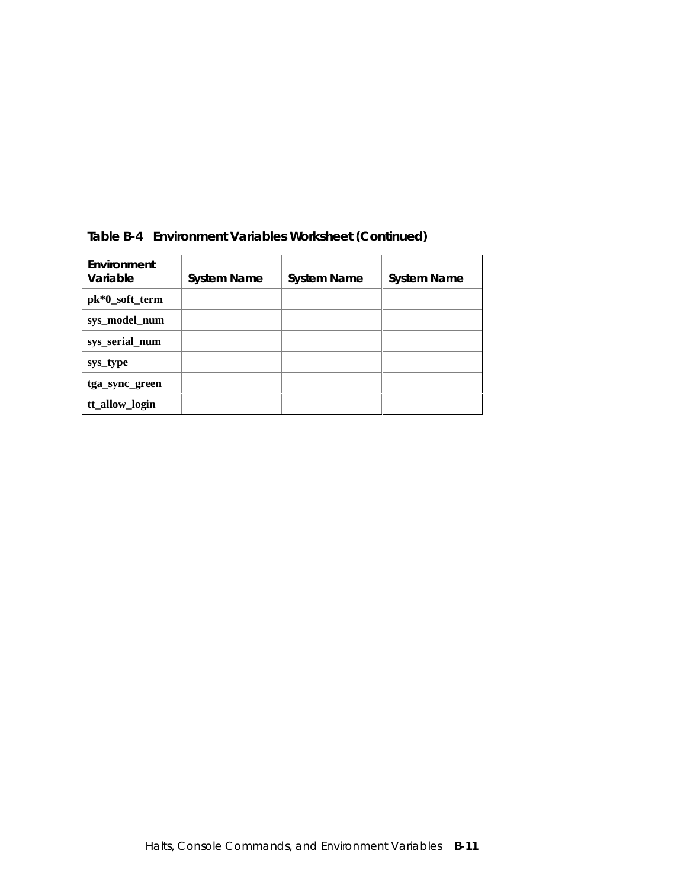| Environment<br>Variable | <b>System Name</b> | <b>System Name</b> | <b>System Name</b> |
|-------------------------|--------------------|--------------------|--------------------|
| pk*0_soft_term          |                    |                    |                    |
| sys_model_num           |                    |                    |                    |
| sys_serial_num          |                    |                    |                    |
| sys_type                |                    |                    |                    |
| tga_sync_green          |                    |                    |                    |
| tt_allow_login          |                    |                    |                    |

### **Table B-4 Environment Variables Worksheet (Continued)**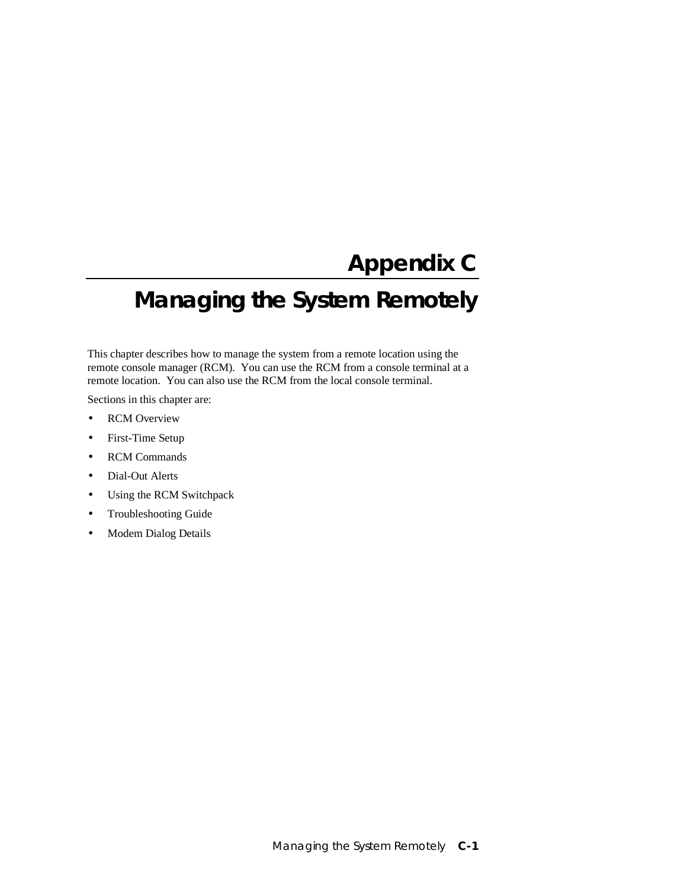# **Appendix C**

# **Managing the System Remotely**

This chapter describes how to manage the system from a remote location using the remote console manager (RCM). You can use the RCM from a console terminal at a remote location. You can also use the RCM from the local console terminal.

Sections in this chapter are:

- RCM Overview
- First-Time Setup
- RCM Commands
- Dial-Out Alerts
- Using the RCM Switchpack
- Troubleshooting Guide
- Modem Dialog Details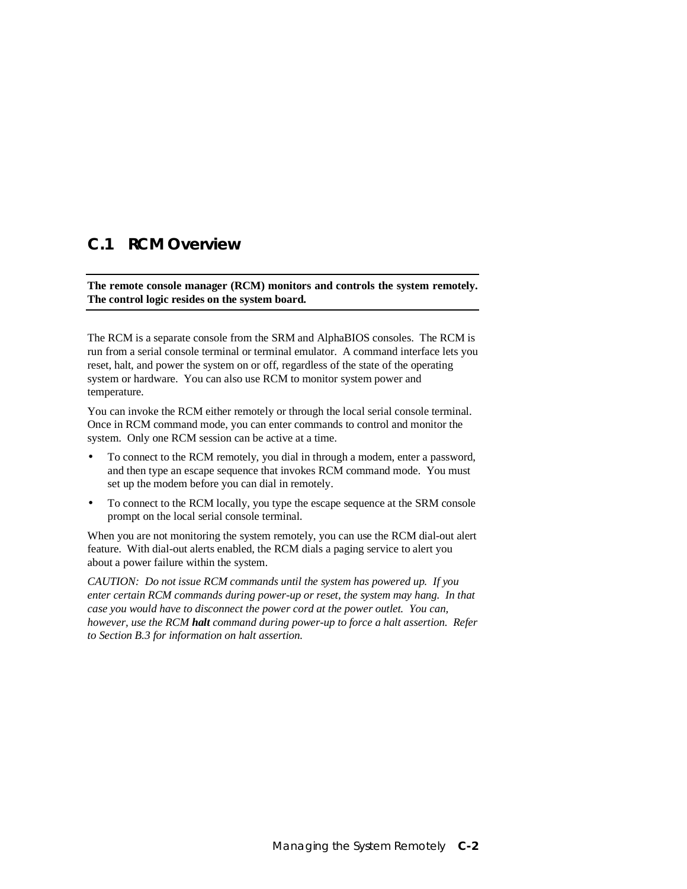### **C.1 RCM Overview**

**The remote console manager (RCM) monitors and controls the system remotely. The control logic resides on the system board.**

The RCM is a separate console from the SRM and AlphaBIOS consoles. The RCM is run from a serial console terminal or terminal emulator. A command interface lets you reset, halt, and power the system on or off, regardless of the state of the operating system or hardware. You can also use RCM to monitor system power and temperature.

You can invoke the RCM either remotely or through the local serial console terminal. Once in RCM command mode, you can enter commands to control and monitor the system. Only one RCM session can be active at a time.

- To connect to the RCM remotely, you dial in through a modem, enter a password, and then type an escape sequence that invokes RCM command mode. You must set up the modem before you can dial in remotely.
- To connect to the RCM locally, you type the escape sequence at the SRM console prompt on the local serial console terminal.

When you are not monitoring the system remotely, you can use the RCM dial-out alert feature. With dial-out alerts enabled, the RCM dials a paging service to alert you about a power failure within the system.

*CAUTION: Do not issue RCM commands until the system has powered up. If you enter certain RCM commands during power-up or reset, the system may hang. In that case you would have to disconnect the power cord at the power outlet. You can, however, use the RCM halt command during power-up to force a halt assertion. Refer to Section B.3 for information on halt assertion.*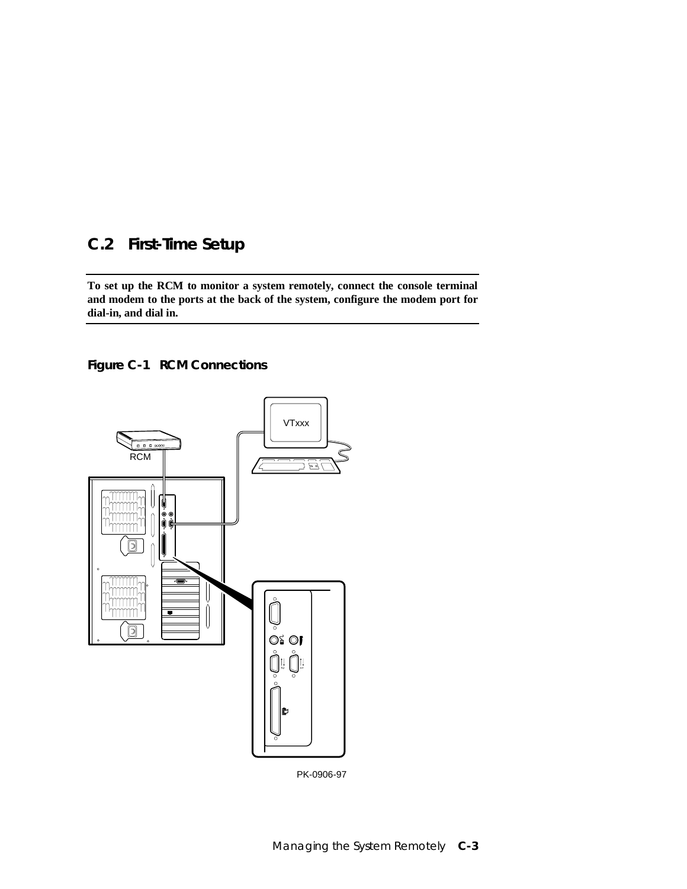## **C.2 First-Time Setup**

**To set up the RCM to monitor a system remotely, connect the console terminal and modem to the ports at the back of the system, configure the modem port for dial-in, and dial in.**





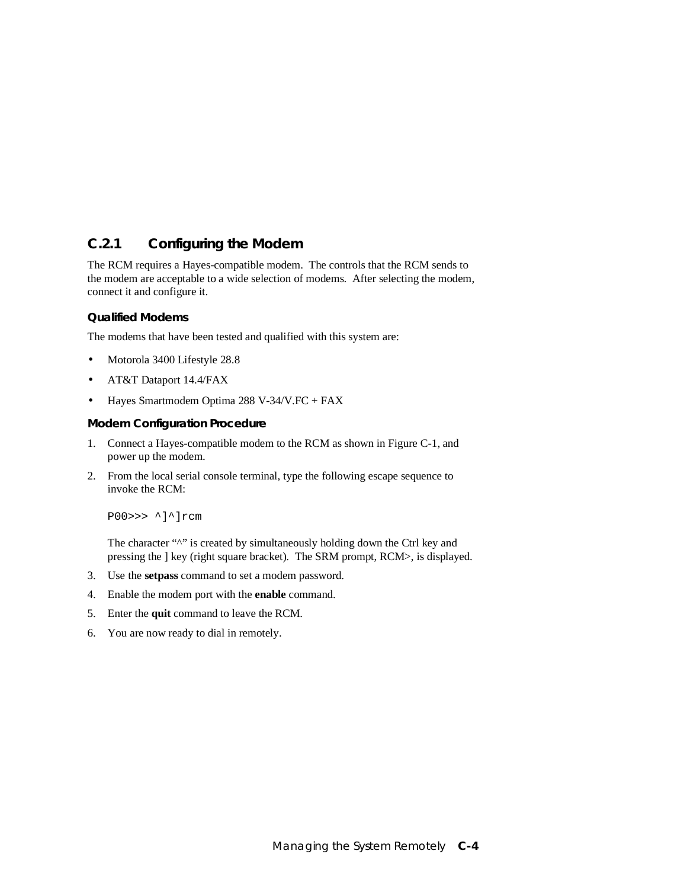### **C.2.1 Configuring the Modem**

The RCM requires a Hayes-compatible modem. The controls that the RCM sends to the modem are acceptable to a wide selection of modems. After selecting the modem, connect it and configure it.

### **Qualified Modems**

The modems that have been tested and qualified with this system are:

- Motorola 3400 Lifestyle 28.8
- AT&T Dataport 14.4/FAX
- Hayes Smartmodem Optima 288 V-34/V.FC + FAX

### **Modem Configuration Procedure**

- 1. Connect a Hayes-compatible modem to the RCM as shown in Figure C-1, and power up the modem.
- 2. From the local serial console terminal, type the following escape sequence to invoke the RCM:

P00>>> ^]^]rcm

The character "^" is created by simultaneously holding down the Ctrl key and pressing the ] key (right square bracket). The SRM prompt, RCM>, is displayed.

- 3. Use the **setpass** command to set a modem password.
- 4. Enable the modem port with the **enable** command.
- 5. Enter the **quit** command to leave the RCM.
- 6. You are now ready to dial in remotely.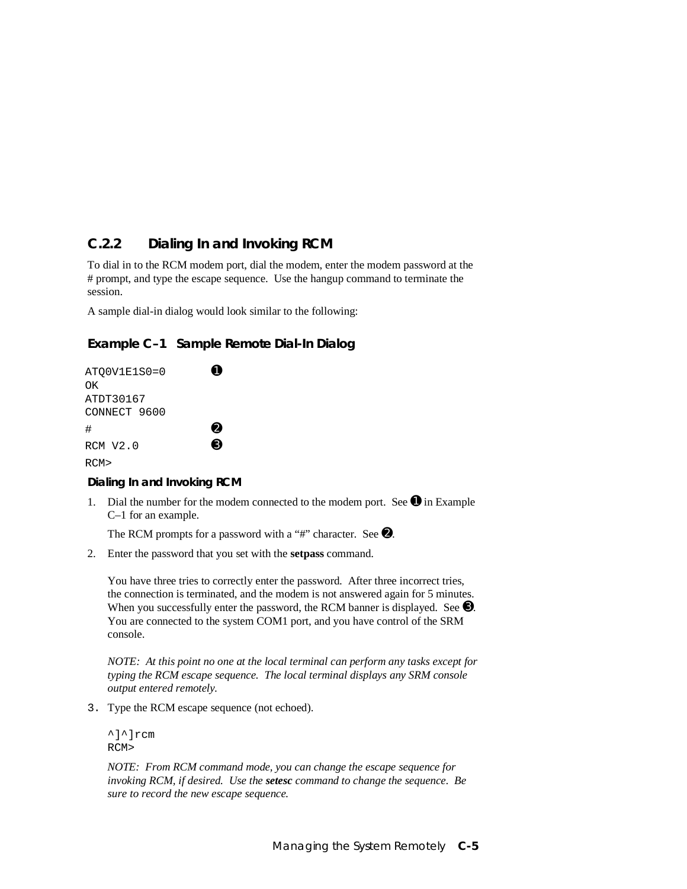### **C.2.2 Dialing In and Invoking RCM**

To dial in to the RCM modem port, dial the modem, enter the modem password at the # prompt, and type the escape sequence. Use the hangup command to terminate the session.

A sample dial-in dialog would look similar to the following:

### **Example C–1 Sample Remote Dial-In Dialog**

| ATOOV1E1S0=0 |   |
|--------------|---|
| OΚ           |   |
| ATDT30167    |   |
| CONNECT 9600 |   |
| #            | 0 |
| $RCM$ $V2.0$ | A |
| RCM>         |   |

### **Dialing In and Invoking RCM**

1. Dial the number for the modem connected to the modem port. See  $\bullet$  in Example C–1 for an example.

The RCM prompts for a password with a "#" character. See  $\bullet$ .

2. Enter the password that you set with the **setpass** command.

You have three tries to correctly enter the password. After three incorrect tries, the connection is terminated, and the modem is not answered again for 5 minutes. When you successfully enter the password, the RCM banner is displayed. See  $\bullet$ . You are connected to the system COM1 port, and you have control of the SRM console.

*NOTE: At this point no one at the local terminal can perform any tasks except for typing the RCM escape sequence. The local terminal displays any SRM console output entered remotely.*

3. Type the RCM escape sequence (not echoed).

^]^]rcm RCM>

 *NOTE: From RCM command mode, you can change the escape sequence for invoking RCM, if desired. Use the setesc command to change the sequence. Be sure to record the new escape sequence.*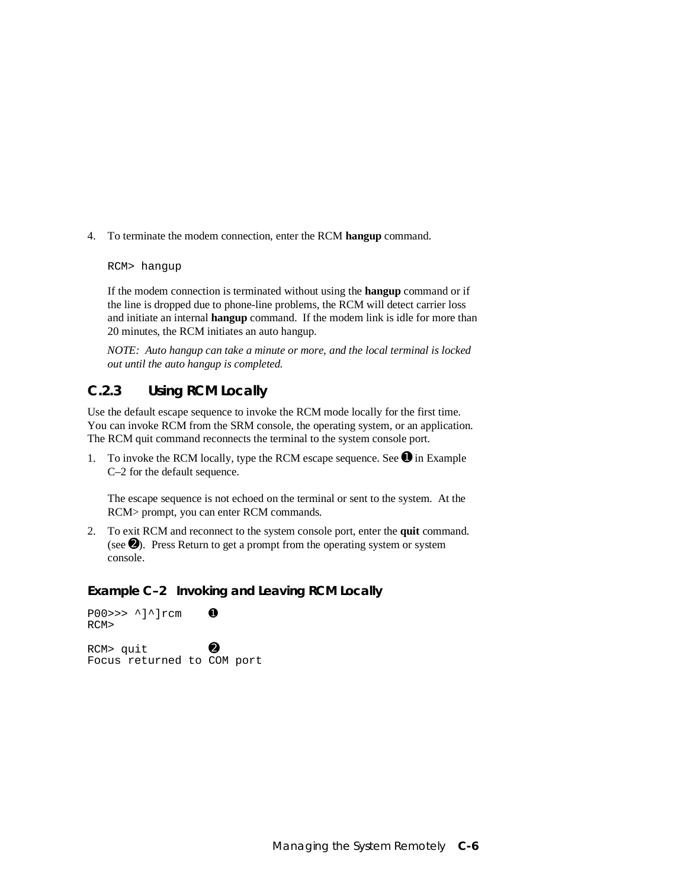4. To terminate the modem connection, enter the RCM **hangup** command.

#### RCM> hangup

If the modem connection is terminated without using the **hangup** command or if the line is dropped due to phone-line problems, the RCM will detect carrier loss and initiate an internal **hangup** command. If the modem link is idle for more than 20 minutes, the RCM initiates an auto hangup.

 *NOTE: Auto hangup can take a minute or more, and the local terminal is locked out until the auto hangup is completed.*

### **C.2.3 Using RCM Locally**

Use the default escape sequence to invoke the RCM mode locally for the first time. You can invoke RCM from the SRM console, the operating system, or an application. The RCM quit command reconnects the terminal to the system console port.

1. To invoke the RCM locally, type the RCM escape sequence. See  $\bullet$  in Example C–2 for the default sequence.

The escape sequence is not echoed on the terminal or sent to the system. At the RCM> prompt, you can enter RCM commands.

2. To exit RCM and reconnect to the system console port, enter the **quit** command. (see  $\Theta$ ). Press Return to get a prompt from the operating system or system console.

### **Example C–2 Invoking and Leaving RCM Locally**

 $P00 \gg \sim$  ^]^]rcm  $\bullet$ RCM>  $RCM >$  quit  $\qquad \qquad \bullet$ Focus returned to COM port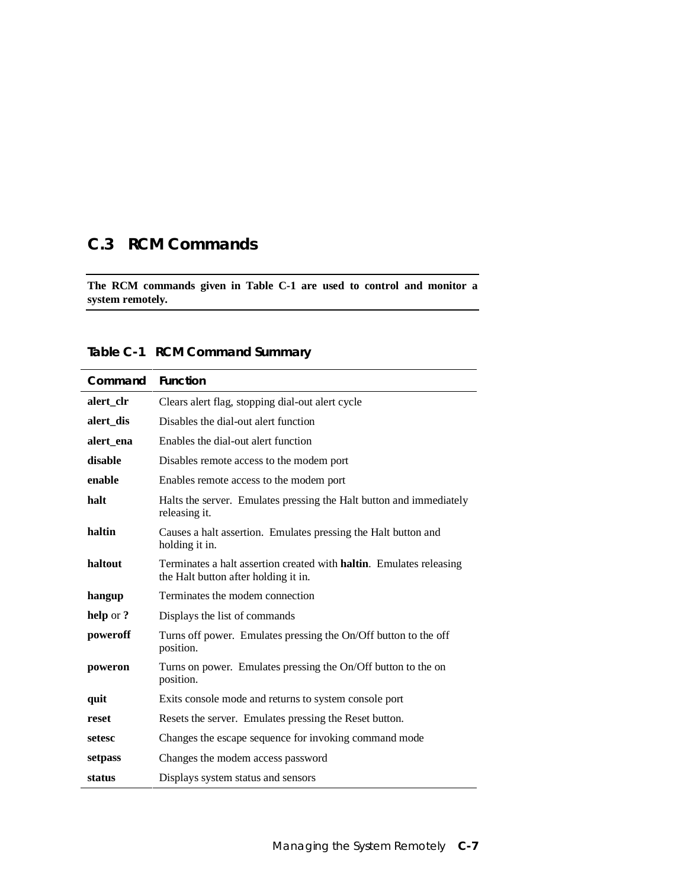# **C.3 RCM Commands**

**The RCM commands given in Table C-1 are used to control and monitor a system remotely.**

|  | Table C-1 RCM Command Summary |  |
|--|-------------------------------|--|
|--|-------------------------------|--|

| Command   | <b>Function</b>                                                                                                     |
|-----------|---------------------------------------------------------------------------------------------------------------------|
| alert_clr | Clears alert flag, stopping dial-out alert cycle                                                                    |
| alert dis | Disables the dial-out alert function                                                                                |
| alert ena | Enables the dial-out alert function                                                                                 |
| disable   | Disables remote access to the modem port                                                                            |
| enable    | Enables remote access to the modem port                                                                             |
| halt      | Halts the server. Emulates pressing the Halt button and immediately<br>releasing it.                                |
| haltin    | Causes a halt assertion. Emulates pressing the Halt button and<br>holding it in.                                    |
| haltout   | Terminates a halt assertion created with <b>haltin</b> . Emulates releasing<br>the Halt button after holding it in. |
| hangup    | Terminates the modem connection                                                                                     |
| help or?  | Displays the list of commands                                                                                       |
| poweroff  | Turns off power. Emulates pressing the On/Off button to the off<br>position.                                        |
| poweron   | Turns on power. Emulates pressing the On/Off button to the on<br>position.                                          |
| quit      | Exits console mode and returns to system console port                                                               |
| reset     | Resets the server. Emulates pressing the Reset button.                                                              |
| setesc    | Changes the escape sequence for invoking command mode                                                               |
| setpass   | Changes the modem access password                                                                                   |
| status    | Displays system status and sensors                                                                                  |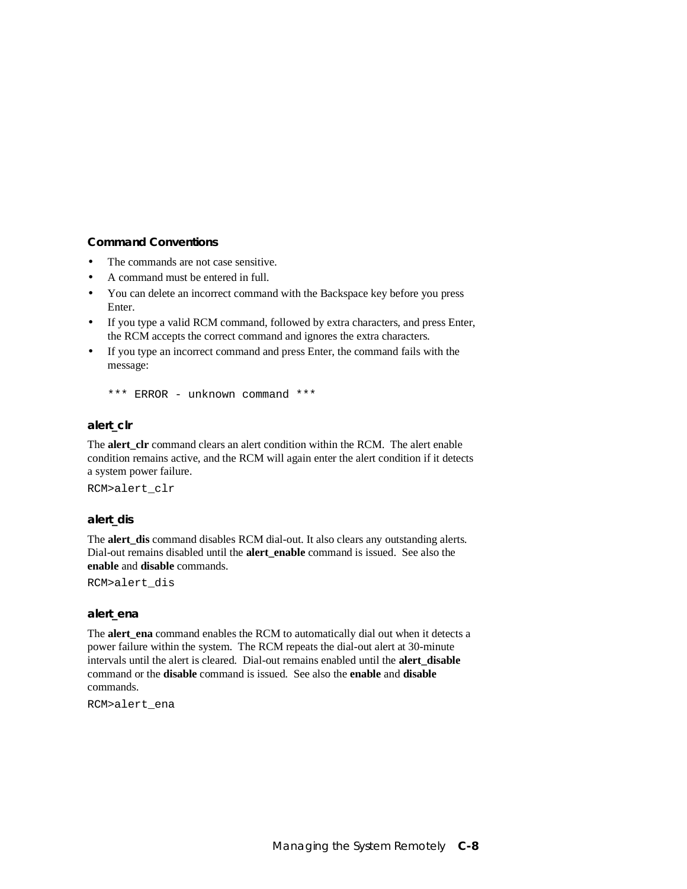### **Command Conventions**

- The commands are not case sensitive.
- A command must be entered in full.
- You can delete an incorrect command with the Backspace key before you press Enter.
- If you type a valid RCM command, followed by extra characters, and press Enter, the RCM accepts the correct command and ignores the extra characters.
- If you type an incorrect command and press Enter, the command fails with the message:

\*\*\* ERROR - unknown command \*\*\*

### **alert\_clr**

The **alert\_clr** command clears an alert condition within the RCM. The alert enable condition remains active, and the RCM will again enter the alert condition if it detects a system power failure.

RCM>alert\_clr

### **alert\_dis**

The **alert** dis command disables RCM dial-out. It also clears any outstanding alerts. Dial-out remains disabled until the **alert\_enable** command is issued. See also the **enable** and **disable** commands.

RCM>alert\_dis

#### **alert\_ena**

The **alert** ena command enables the RCM to automatically dial out when it detects a power failure within the system. The RCM repeats the dial-out alert at 30-minute intervals until the alert is cleared. Dial-out remains enabled until the **alert\_disable** command or the **disable** command is issued. See also the **enable** and **disable** commands.

RCM>alert\_ena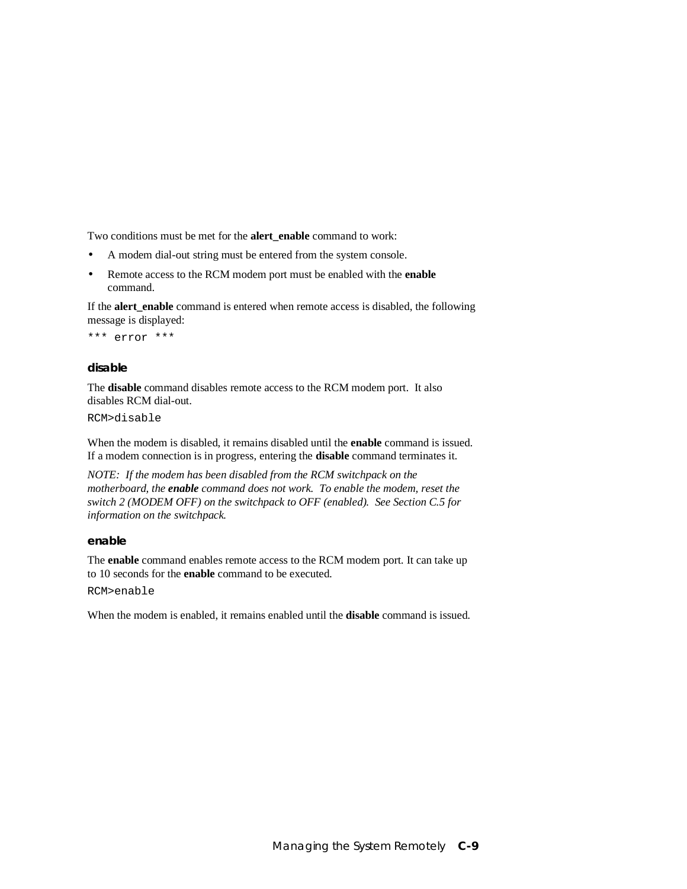Two conditions must be met for the **alert\_enable** command to work:

- A modem dial-out string must be entered from the system console.
- Remote access to the RCM modem port must be enabled with the **enable** command.

If the **alert\_enable** command is entered when remote access is disabled, the following message is displayed:

\*\*\* error \*\*\*

#### **disable**

The **disable** command disables remote access to the RCM modem port. It also disables RCM dial-out.

RCM>disable

When the modem is disabled, it remains disabled until the **enable** command is issued. If a modem connection is in progress, entering the **disable** command terminates it.

*NOTE: If the modem has been disabled from the RCM switchpack on the motherboard, the enable command does not work. To enable the modem, reset the switch 2 (MODEM OFF) on the switchpack to OFF (enabled). See Section C.5 for information on the switchpack.*

### **enable**

The **enable** command enables remote access to the RCM modem port. It can take up to 10 seconds for the **enable** command to be executed.

RCM>enable

When the modem is enabled, it remains enabled until the **disable** command is issued.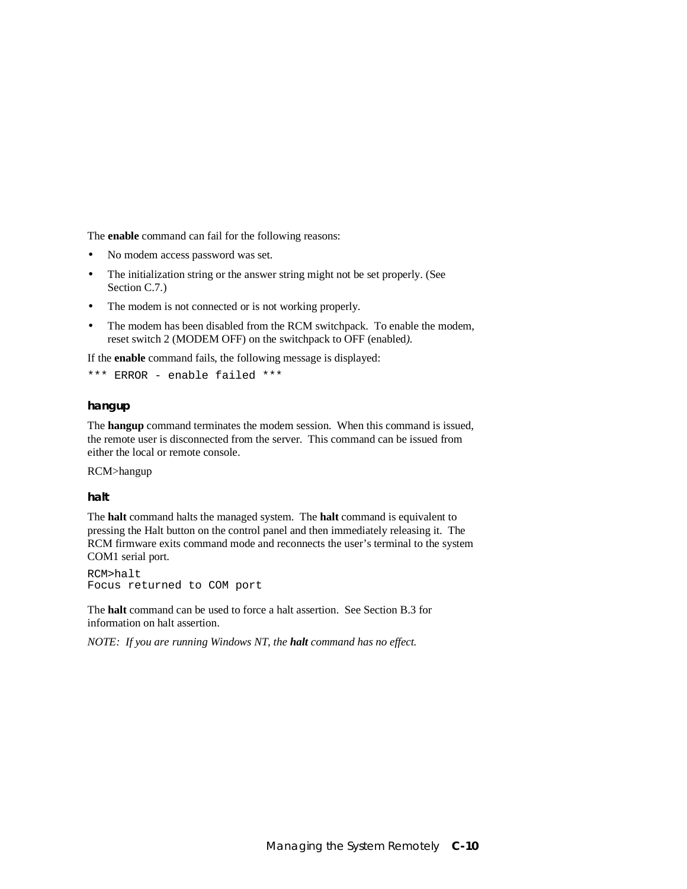The **enable** command can fail for the following reasons:

- No modem access password was set.
- The initialization string or the answer string might not be set properly. (See Section C.7.)
- The modem is not connected or is not working properly.
- The modem has been disabled from the RCM switchpack. To enable the modem, reset switch 2 (MODEM OFF) on the switchpack to OFF (enabled*).*

If the **enable** command fails, the following message is displayed:

```
*** ERROR - enable failed ***
```
### **hangup**

The **hangup** command terminates the modem session. When this command is issued, the remote user is disconnected from the server. This command can be issued from either the local or remote console.

RCM>hangup

**halt**

The **halt** command halts the managed system. The **halt** command is equivalent to pressing the Halt button on the control panel and then immediately releasing it. The RCM firmware exits command mode and reconnects the user's terminal to the system COM1 serial port.

RCM>halt Focus returned to COM port

The **halt** command can be used to force a halt assertion. See Section B.3 for information on halt assertion.

*NOTE: If you are running Windows NT, the halt command has no effect.*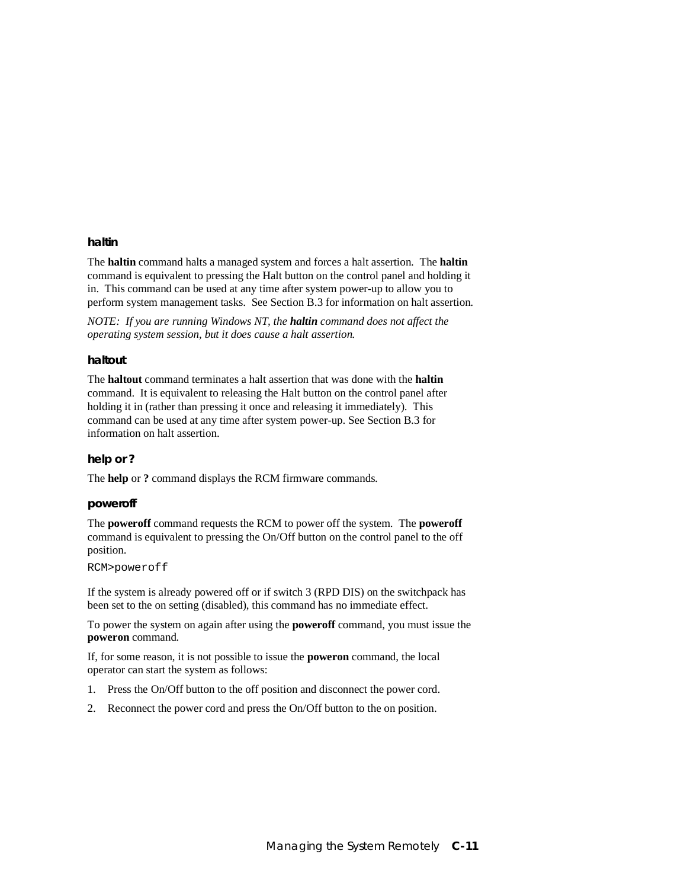#### **haltin**

The **haltin** command halts a managed system and forces a halt assertion. The **haltin** command is equivalent to pressing the Halt button on the control panel and holding it in. This command can be used at any time after system power-up to allow you to perform system management tasks. See Section B.3 for information on halt assertion.

*NOTE: If you are running Windows NT, the haltin command does not affect the operating system session, but it does cause a halt assertion.*

### **haltout**

The **haltout** command terminates a halt assertion that was done with the **haltin** command. It is equivalent to releasing the Halt button on the control panel after holding it in (rather than pressing it once and releasing it immediately). This command can be used at any time after system power-up. See Section B.3 for information on halt assertion.

#### **help or ?**

The **help** or **?** command displays the RCM firmware commands.

#### **poweroff**

The **poweroff** command requests the RCM to power off the system. The **poweroff** command is equivalent to pressing the On/Off button on the control panel to the off position.

#### RCM>poweroff

If the system is already powered off or if switch 3 (RPD DIS) on the switchpack has been set to the on setting (disabled), this command has no immediate effect.

To power the system on again after using the **poweroff** command, you must issue the **poweron** command.

If, for some reason, it is not possible to issue the **poweron** command, the local operator can start the system as follows:

- 1. Press the On/Off button to the off position and disconnect the power cord.
- 2. Reconnect the power cord and press the On/Off button to the on position.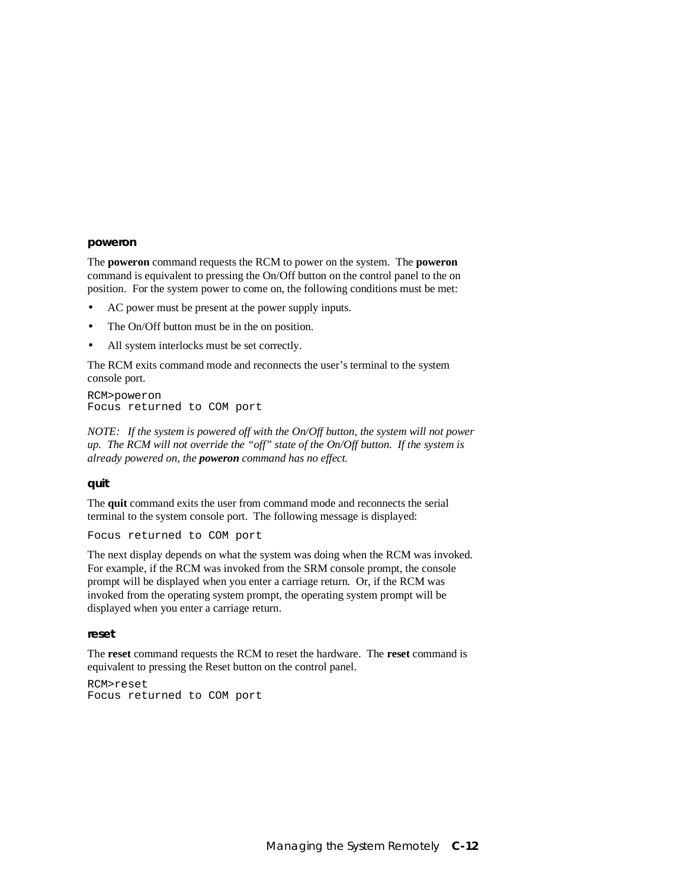#### **poweron**

The **poweron** command requests the RCM to power on the system. The **poweron** command is equivalent to pressing the On/Off button on the control panel to the on position. For the system power to come on, the following conditions must be met:

- AC power must be present at the power supply inputs.
- The On/Off button must be in the on position.
- All system interlocks must be set correctly.

The RCM exits command mode and reconnects the user's terminal to the system console port.

```
RCM>poweron
Focus returned to COM port
```
*NOTE: If the system is powered off with the On/Off button, the system will not power up. The RCM will not override the "off" state of the On/Off button. If the system is already powered on, the poweron command has no effect.*

### **quit**

The **quit** command exits the user from command mode and reconnects the serial terminal to the system console port. The following message is displayed:

Focus returned to COM port

The next display depends on what the system was doing when the RCM was invoked. For example, if the RCM was invoked from the SRM console prompt, the console prompt will be displayed when you enter a carriage return. Or, if the RCM was invoked from the operating system prompt, the operating system prompt will be displayed when you enter a carriage return.

#### **reset**

The **reset** command requests the RCM to reset the hardware. The **reset** command is equivalent to pressing the Reset button on the control panel.

RCM>reset Focus returned to COM port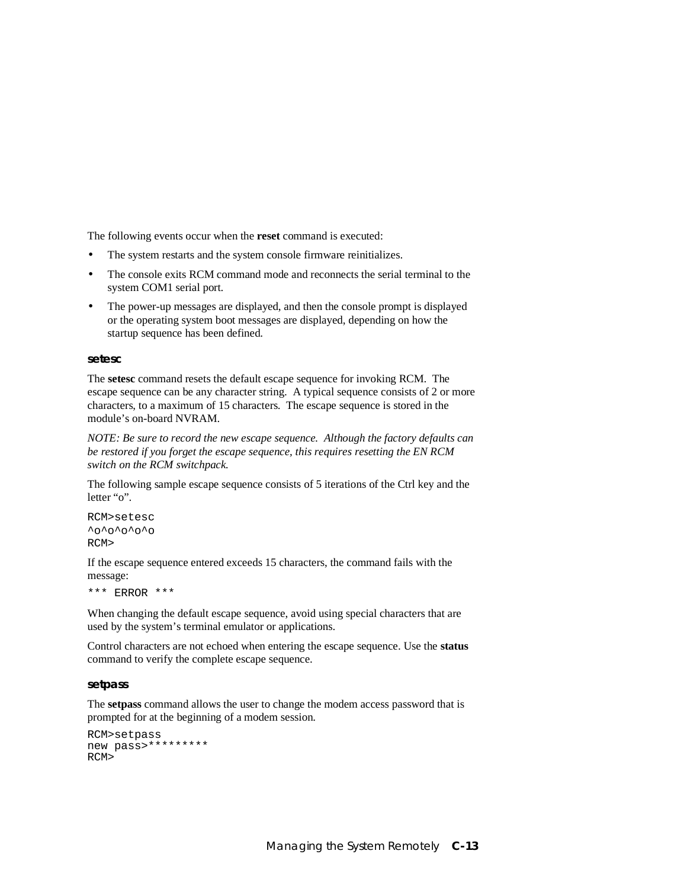The following events occur when the **reset** command is executed:

- The system restarts and the system console firmware reinitializes.
- The console exits RCM command mode and reconnects the serial terminal to the system COM1 serial port.
- The power-up messages are displayed, and then the console prompt is displayed or the operating system boot messages are displayed, depending on how the startup sequence has been defined.

### **setesc**

The **setesc** command resets the default escape sequence for invoking RCM. The escape sequence can be any character string. A typical sequence consists of 2 or more characters, to a maximum of 15 characters. The escape sequence is stored in the module's on-board NVRAM.

*NOTE: Be sure to record the new escape sequence. Although the factory defaults can be restored if you forget the escape sequence, this requires resetting the EN RCM switch on the RCM switchpack.*

The following sample escape sequence consists of 5 iterations of the Ctrl key and the letter "o".

```
RCM>setesc
^0<sup>o</sup>^o^o^o^o
RCM>
```
If the escape sequence entered exceeds 15 characters, the command fails with the message:

\*\*\* ERROR \*\*\*

When changing the default escape sequence, avoid using special characters that are used by the system's terminal emulator or applications.

Control characters are not echoed when entering the escape sequence. Use the **status** command to verify the complete escape sequence.

#### **setpass**

The **setpass** command allows the user to change the modem access password that is prompted for at the beginning of a modem session.

```
RCM>setpass
new pass>*********
RCM
```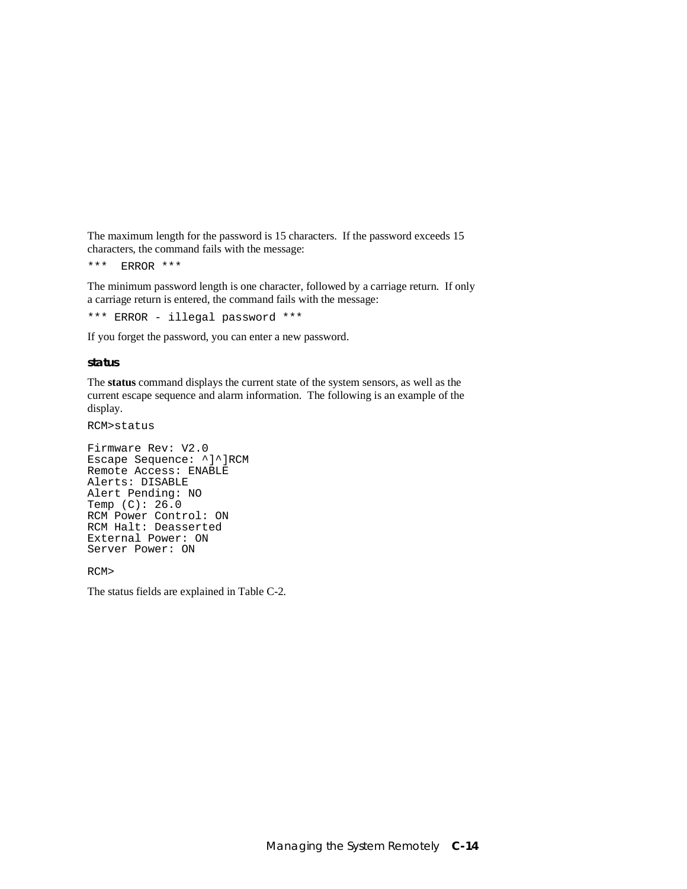The maximum length for the password is 15 characters. If the password exceeds 15 characters, the command fails with the message:

\*\*\* ERROR \*\*\*

The minimum password length is one character, followed by a carriage return. If only a carriage return is entered, the command fails with the message:

\*\*\* ERROR - illegal password \*\*\*

If you forget the password, you can enter a new password.

#### **status**

The **status** command displays the current state of the system sensors, as well as the current escape sequence and alarm information. The following is an example of the display.

RCM>status

```
Firmware Rev: V2.0
Escape Sequence: ^]^]RCM
Remote Access: ENABLE
Alerts: DISABLE
Alert Pending: NO
Temp (C): 26.0
RCM Power Control: ON
RCM Halt: Deasserted
External Power: ON
Server Power: ON
```
RCM>

The status fields are explained in Table C-2.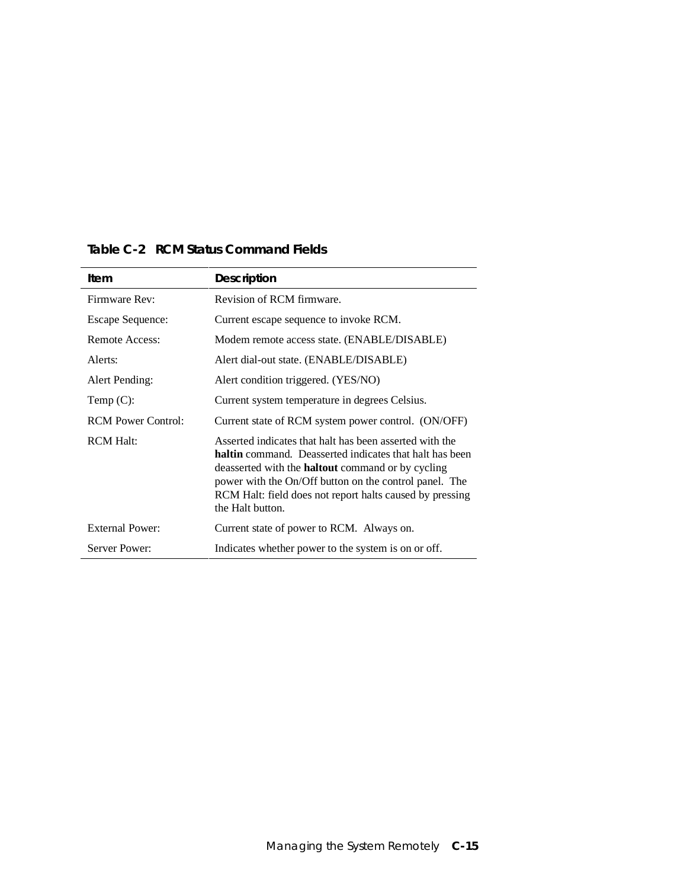| Item                      | <b>Description</b>                                                                                                                                                                                                                                                                                                              |
|---------------------------|---------------------------------------------------------------------------------------------------------------------------------------------------------------------------------------------------------------------------------------------------------------------------------------------------------------------------------|
| Firmware Rev:             | Revision of RCM firmware.                                                                                                                                                                                                                                                                                                       |
| <b>Escape Sequence:</b>   | Current escape sequence to invoke RCM.                                                                                                                                                                                                                                                                                          |
| Remote Access:            | Modem remote access state. (ENABLE/DISABLE)                                                                                                                                                                                                                                                                                     |
| Alerts:                   | Alert dial-out state. (ENABLE/DISABLE)                                                                                                                                                                                                                                                                                          |
| Alert Pending:            | Alert condition triggered. (YES/NO)                                                                                                                                                                                                                                                                                             |
| Temp $(C)$ :              | Current system temperature in degrees Celsius.                                                                                                                                                                                                                                                                                  |
| <b>RCM Power Control:</b> | Current state of RCM system power control. (ON/OFF)                                                                                                                                                                                                                                                                             |
| <b>RCM Halt:</b>          | Asserted indicates that halt has been asserted with the<br><b>haltin</b> command. Deasserted indicates that halt has been<br>deasserted with the <b>haltout</b> command or by cycling<br>power with the On/Off button on the control panel. The<br>RCM Halt: field does not report halts caused by pressing<br>the Halt button. |
| <b>External Power:</b>    | Current state of power to RCM. Always on.                                                                                                                                                                                                                                                                                       |
| Server Power:             | Indicates whether power to the system is on or off.                                                                                                                                                                                                                                                                             |

### **Table C-2 RCM Status Command Fields**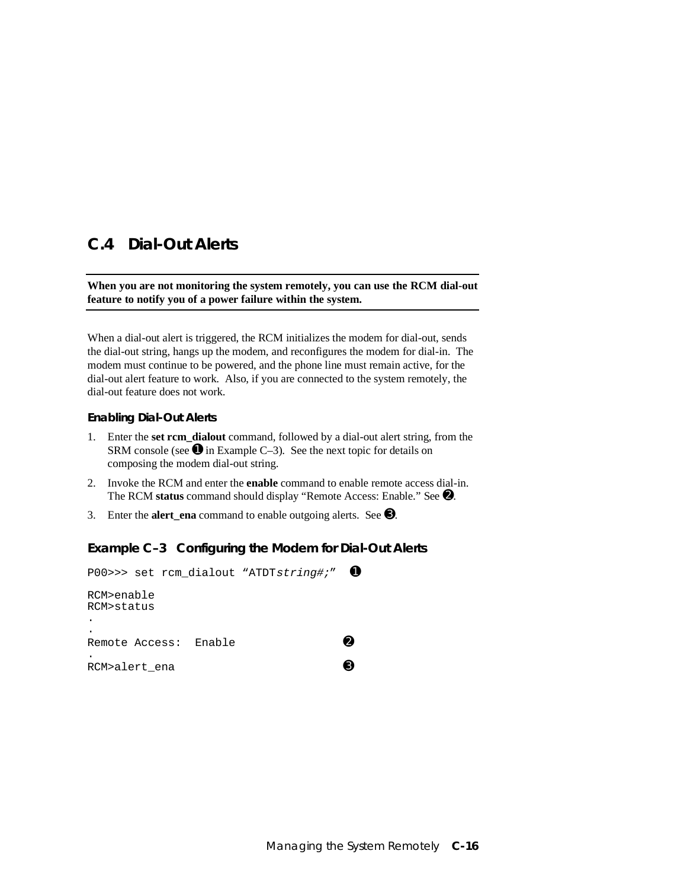### **C.4 Dial-Out Alerts**

### **When you are not monitoring the system remotely, you can use the RCM dial-out feature to notify you of a power failure within the system.**

When a dial-out alert is triggered, the RCM initializes the modem for dial-out, sends the dial-out string, hangs up the modem, and reconfigures the modem for dial-in. The modem must continue to be powered, and the phone line must remain active, for the dial-out alert feature to work. Also, if you are connected to the system remotely, the dial-out feature does not work.

### **Enabling Dial-Out Alerts**

- 1. Enter the **set rcm\_dialout** command, followed by a dial-out alert string, from the SRM console (see  $\bullet$  in Example C–3). See the next topic for details on composing the modem dial-out string.
- 2. Invoke the RCM and enter the **enable** command to enable remote access dial-in. The RCM **status** command should display "Remote Access: Enable." See ➋.
- 3. Enter the **alert** ena command to enable outgoing alerts. See  $\Theta$ .

### **Example C–3 Configuring the Modem for Dial-Out Alerts**

```
P00>>> set rcm_dialout "ATDTstring#;" ➊
RCM>enable
RCM>status
.
.
Remote Access: Enable ⊘<br>.<br>RCM>alert ena
RCM>alert_ena
```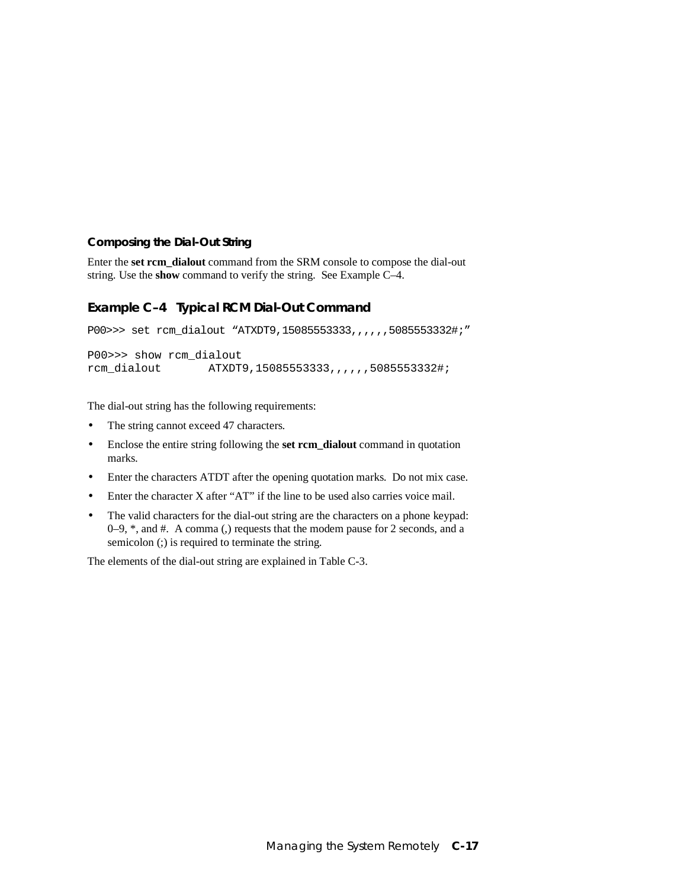### **Composing the Dial-Out String**

Enter the **set rcm\_dialout** command from the SRM console to compose the dial-out string. Use the **show** command to verify the string. See Example C–4.

### **Example C–4 Typical RCM Dial-Out Command**

```
P00>>> set rcm_dialout "ATXDT9,15085553333,,,,,,,5085553332#;"
P00>>> show rcm_dialout
rcm_dialout ATXDT9,15085553333,,,,,,5085553332#;
```
The dial-out string has the following requirements:

- The string cannot exceed 47 characters.
- Enclose the entire string following the **set rcm\_dialout** command in quotation marks.
- Enter the characters ATDT after the opening quotation marks. Do not mix case.
- Enter the character X after "AT" if the line to be used also carries voice mail.
- The valid characters for the dial-out string are the characters on a phone keypad: 0–9, \*, and #. A comma (,) requests that the modem pause for 2 seconds, and a semicolon (;) is required to terminate the string.

The elements of the dial-out string are explained in Table C-3.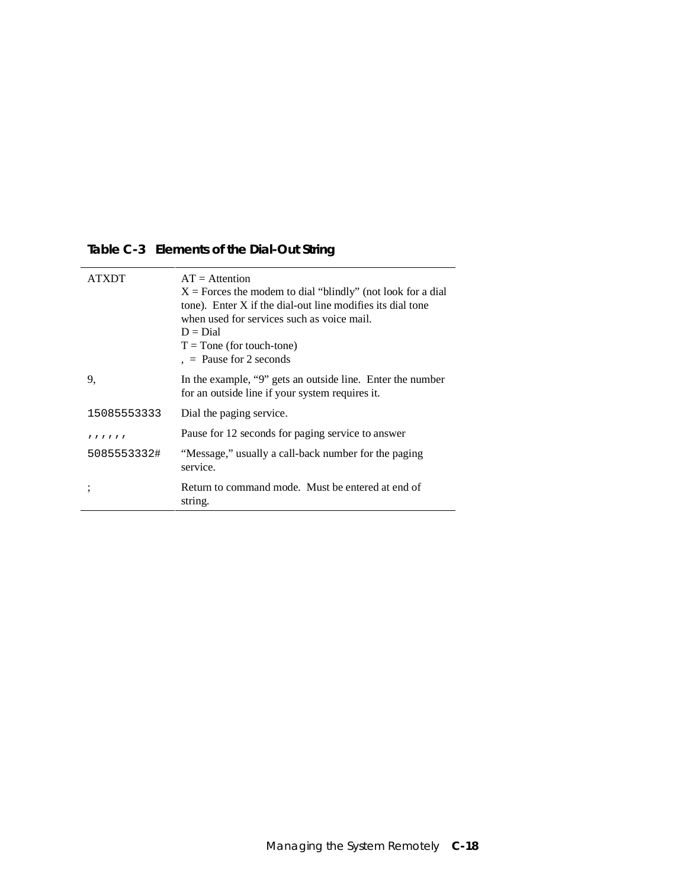# **Table C-3 Elements of the Dial-Out String**

|             | $AT =$ Attention<br>$X =$ Forces the modem to dial "blindly" (not look for a dial<br>tone). Enter X if the dial-out line modifies its dial tone<br>when used for services such as voice mail.<br>$D = Dial$<br>$T =$ Tone (for touch-tone)<br>$=$ Pause for 2 seconds |
|-------------|-----------------------------------------------------------------------------------------------------------------------------------------------------------------------------------------------------------------------------------------------------------------------|
| 9.          | In the example, "9" gets an outside line. Enter the number<br>for an outside line if your system requires it.                                                                                                                                                         |
| 15085553333 | Dial the paging service.                                                                                                                                                                                                                                              |
| 111111      | Pause for 12 seconds for paging service to answer                                                                                                                                                                                                                     |
| 5085553332# | "Message," usually a call-back number for the paging<br>service.                                                                                                                                                                                                      |
|             | Return to command mode. Must be entered at end of<br>string.                                                                                                                                                                                                          |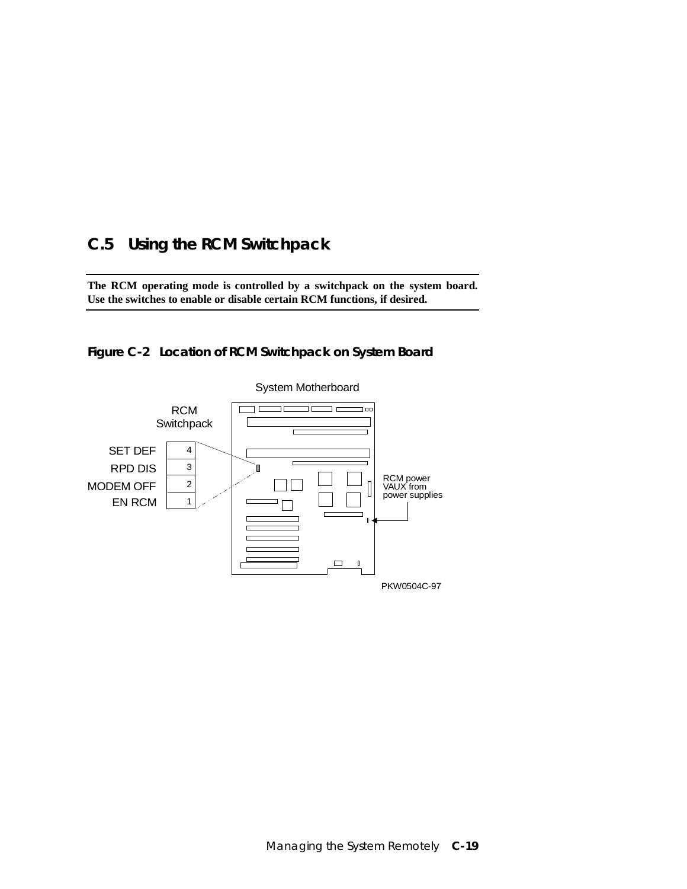# **C.5 Using the RCM Switchpack**

**The RCM operating mode is controlled by a switchpack on the system board. Use the switches to enable or disable certain RCM functions, if desired.**



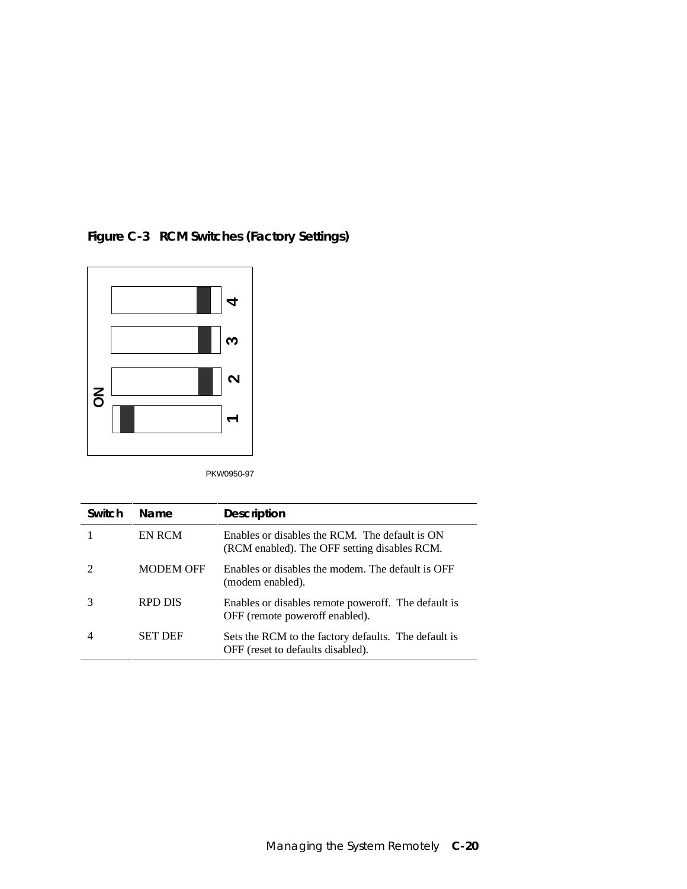

**Figure C-3 RCM Switches (Factory Settings)**

PKW0950-97

| Switch | <b>Name</b>      | <b>Description</b>                                                                             |
|--------|------------------|------------------------------------------------------------------------------------------------|
|        | EN RCM           | Enables or disables the RCM. The default is ON<br>(RCM enabled). The OFF setting disables RCM. |
|        | <b>MODEM OFF</b> | Enables or disables the modem. The default is OFF<br>(modem enabled).                          |
|        | RPD DIS          | Enables or disables remote power off. The default is<br>OFF (remote power off enabled).        |
|        | <b>SET DEF</b>   | Sets the RCM to the factory defaults. The default is<br>OFF (reset to defaults disabled).      |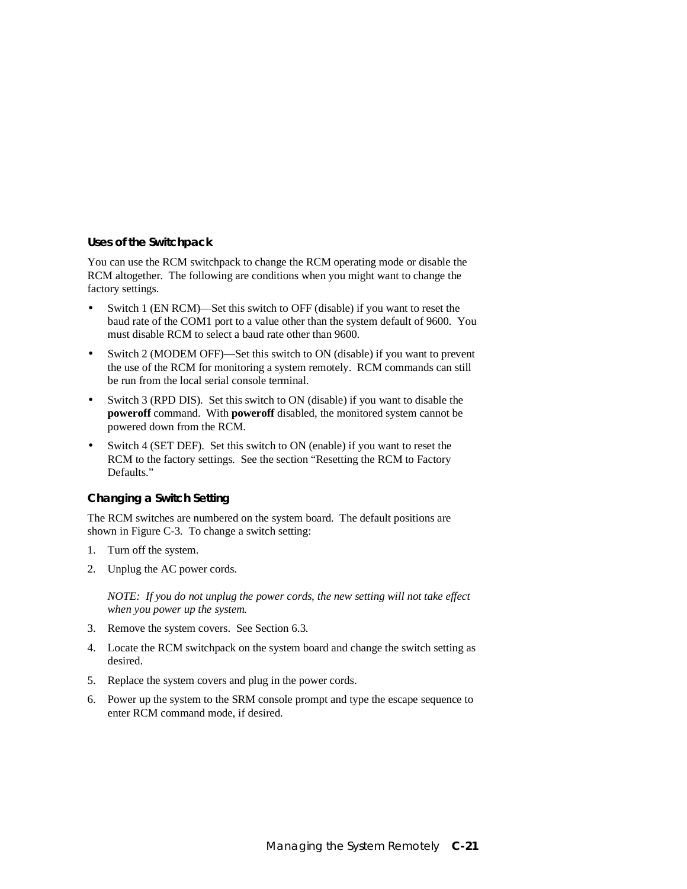#### **Uses of the Switchpack**

You can use the RCM switchpack to change the RCM operating mode or disable the RCM altogether. The following are conditions when you might want to change the factory settings.

- Switch 1 (EN RCM)—Set this switch to OFF (disable) if you want to reset the baud rate of the COM1 port to a value other than the system default of 9600. You must disable RCM to select a baud rate other than 9600.
- Switch 2 (MODEM OFF)—Set this switch to ON (disable) if you want to prevent the use of the RCM for monitoring a system remotely. RCM commands can still be run from the local serial console terminal.
- Switch 3 (RPD DIS). Set this switch to ON (disable) if you want to disable the **poweroff** command. With **poweroff** disabled, the monitored system cannot be powered down from the RCM.
- Switch 4 (SET DEF). Set this switch to ON (enable) if you want to reset the RCM to the factory settings. See the section "Resetting the RCM to Factory Defaults."

#### **Changing a Switch Setting**

The RCM switches are numbered on the system board. The default positions are shown in Figure C-3. To change a switch setting:

- 1. Turn off the system.
- 2. Unplug the AC power cords.

*NOTE: If you do not unplug the power cords, the new setting will not take effect when you power up the system.*

- 3. Remove the system covers. See Section 6.3.
- 4. Locate the RCM switchpack on the system board and change the switch setting as desired.
- 5. Replace the system covers and plug in the power cords.
- 6. Power up the system to the SRM console prompt and type the escape sequence to enter RCM command mode, if desired.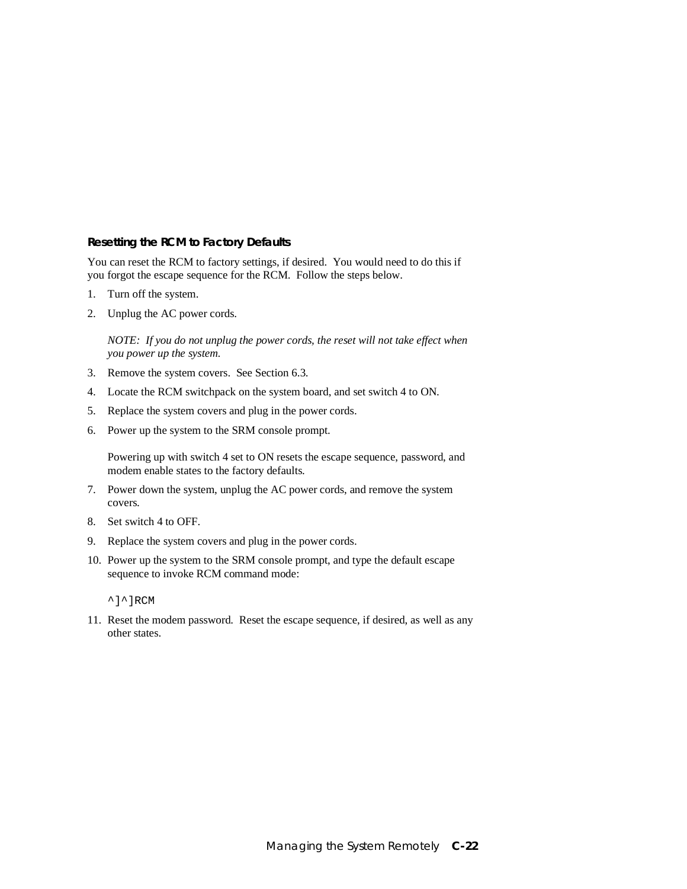#### **Resetting the RCM to Factory Defaults**

You can reset the RCM to factory settings, if desired. You would need to do this if you forgot the escape sequence for the RCM. Follow the steps below.

- 1. Turn off the system.
- 2. Unplug the AC power cords.

*NOTE: If you do not unplug the power cords, the reset will not take effect when you power up the system.*

- 3. Remove the system covers. See Section 6.3.
- 4. Locate the RCM switchpack on the system board, and set switch 4 to ON.
- 5. Replace the system covers and plug in the power cords.
- 6. Power up the system to the SRM console prompt.

Powering up with switch 4 set to ON resets the escape sequence, password, and modem enable states to the factory defaults.

- 7. Power down the system, unplug the AC power cords, and remove the system covers.
- 8. Set switch 4 to OFF.
- 9. Replace the system covers and plug in the power cords.
- 10. Power up the system to the SRM console prompt, and type the default escape sequence to invoke RCM command mode:

^]^]RCM

11. Reset the modem password. Reset the escape sequence, if desired, as well as any other states.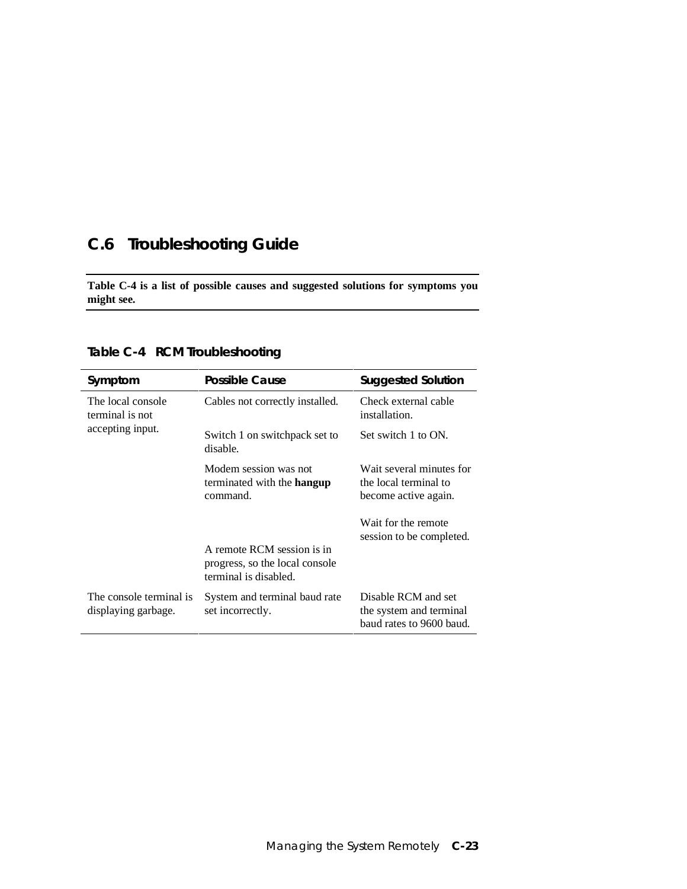# **C.6 Troubleshooting Guide**

**Table C-4 is a list of possible causes and suggested solutions for symptoms you might see.**

| Symptom                                        | <b>Possible Cause</b>                                                                 | <b>Suggested Solution</b>                                                  |
|------------------------------------------------|---------------------------------------------------------------------------------------|----------------------------------------------------------------------------|
| The local console<br>terminal is not           | Cables not correctly installed.                                                       | Check external cable<br>installation.                                      |
| accepting input.                               | Switch 1 on switchpack set to<br>disable.                                             | Set switch 1 to ON.                                                        |
|                                                | Modem session was not<br>terminated with the <b>hangup</b><br>command.                | Wait several minutes for<br>the local terminal to<br>become active again.  |
|                                                | A remote RCM session is in<br>progress, so the local console<br>terminal is disabled. | Wait for the remote<br>session to be completed.                            |
| The console terminal is<br>displaying garbage. | System and terminal baud rate<br>set incorrectly.                                     | Disable RCM and set<br>the system and terminal<br>baud rates to 9600 baud. |

**Table C-4 RCM Troubleshooting**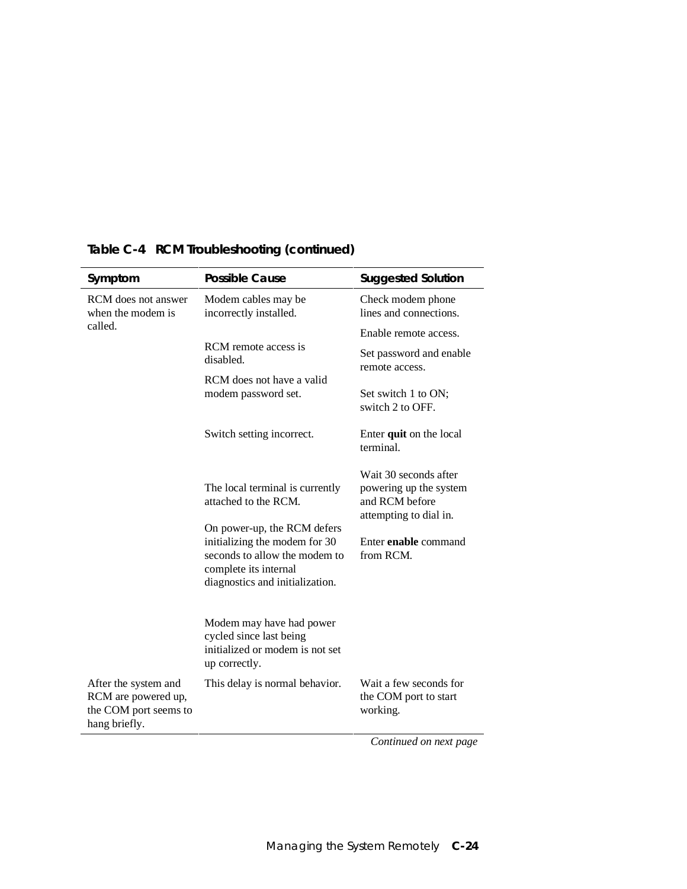| Symptom                                                                               | <b>Possible Cause</b>                                                                                                                                     | <b>Suggested Solution</b>                                                                   |
|---------------------------------------------------------------------------------------|-----------------------------------------------------------------------------------------------------------------------------------------------------------|---------------------------------------------------------------------------------------------|
| RCM does not answer<br>when the modem is<br>called.                                   | Modem cables may be<br>incorrectly installed.                                                                                                             | Check modem phone<br>lines and connections.                                                 |
|                                                                                       |                                                                                                                                                           | Enable remote access.                                                                       |
|                                                                                       | RCM remote access is<br>disabled.                                                                                                                         | Set password and enable<br>remote access.                                                   |
|                                                                                       | RCM does not have a valid<br>modem password set.                                                                                                          | Set switch 1 to ON;<br>switch 2 to OFF.                                                     |
|                                                                                       | Switch setting incorrect.                                                                                                                                 | Enter quit on the local<br>terminal.                                                        |
|                                                                                       | The local terminal is currently<br>attached to the RCM.                                                                                                   | Wait 30 seconds after<br>powering up the system<br>and RCM before<br>attempting to dial in. |
|                                                                                       | On power-up, the RCM defers<br>initializing the modem for 30<br>seconds to allow the modem to<br>complete its internal<br>diagnostics and initialization. | Enter enable command<br>from RCM.                                                           |
|                                                                                       | Modem may have had power<br>cycled since last being<br>initialized or modem is not set<br>up correctly.                                                   |                                                                                             |
| After the system and<br>RCM are powered up,<br>the COM port seems to<br>hang briefly. | This delay is normal behavior.                                                                                                                            | Wait a few seconds for<br>the COM port to start<br>working.                                 |
|                                                                                       |                                                                                                                                                           | Continued on next page                                                                      |

# **Table C-4 RCM Troubleshooting (continued)**

Managing the System Remotely **C-24**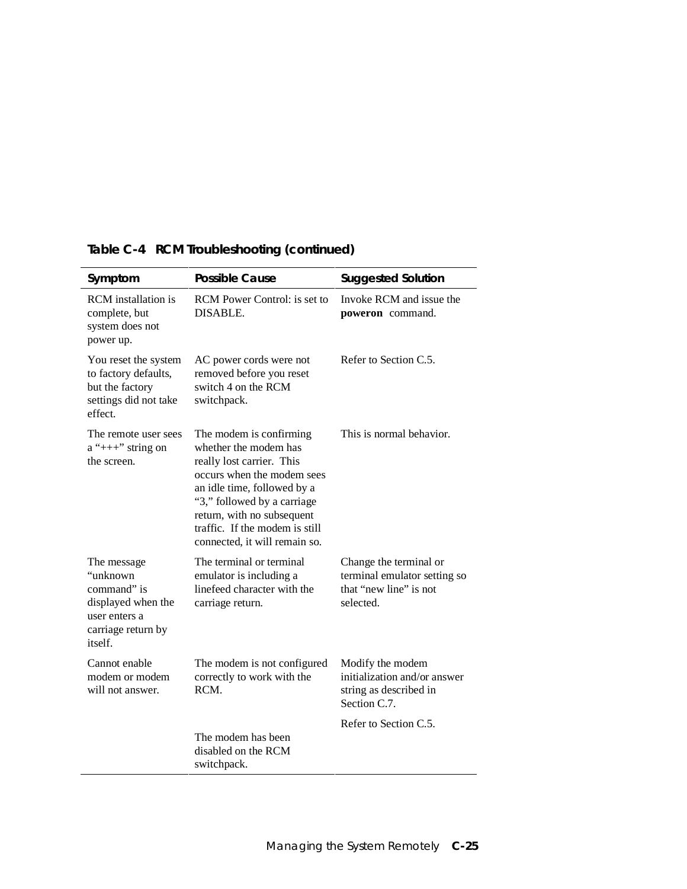| Symptom                                                                                                        | <b>Possible Cause</b>                                                                                                                                                                                                                                                      | <b>Suggested Solution</b>                                                                     |
|----------------------------------------------------------------------------------------------------------------|----------------------------------------------------------------------------------------------------------------------------------------------------------------------------------------------------------------------------------------------------------------------------|-----------------------------------------------------------------------------------------------|
| <b>RCM</b> installation is<br>complete, but<br>system does not<br>power up.                                    | <b>RCM</b> Power Control: is set to<br>DISABLE.                                                                                                                                                                                                                            | Invoke RCM and issue the<br>poweron command.                                                  |
| You reset the system<br>to factory defaults,<br>but the factory<br>settings did not take<br>effect.            | AC power cords were not<br>removed before you reset<br>switch 4 on the RCM<br>switchpack.                                                                                                                                                                                  | Refer to Section C.5.                                                                         |
| The remote user sees<br>$a''++''$ string on<br>the screen.                                                     | The modem is confirming<br>whether the modem has<br>really lost carrier. This<br>occurs when the modem sees<br>an idle time, followed by a<br>"3," followed by a carriage<br>return, with no subsequent<br>traffic. If the modem is still<br>connected, it will remain so. | This is normal behavior.                                                                      |
| The message<br>"unknown<br>command" is<br>displayed when the<br>user enters a<br>carriage return by<br>itself. | The terminal or terminal<br>emulator is including a<br>linefeed character with the<br>carriage return.                                                                                                                                                                     | Change the terminal or<br>terminal emulator setting so<br>that "new line" is not<br>selected. |
| Cannot enable<br>modem or modem<br>will not answer.                                                            | The modem is not configured<br>correctly to work with the<br>RCM.                                                                                                                                                                                                          | Modify the modem<br>initialization and/or answer<br>string as described in<br>Section C.7.    |
|                                                                                                                | The modem has been<br>disabled on the RCM<br>switchpack.                                                                                                                                                                                                                   | Refer to Section C.5.                                                                         |

# **Table C-4 RCM Troubleshooting (continued)**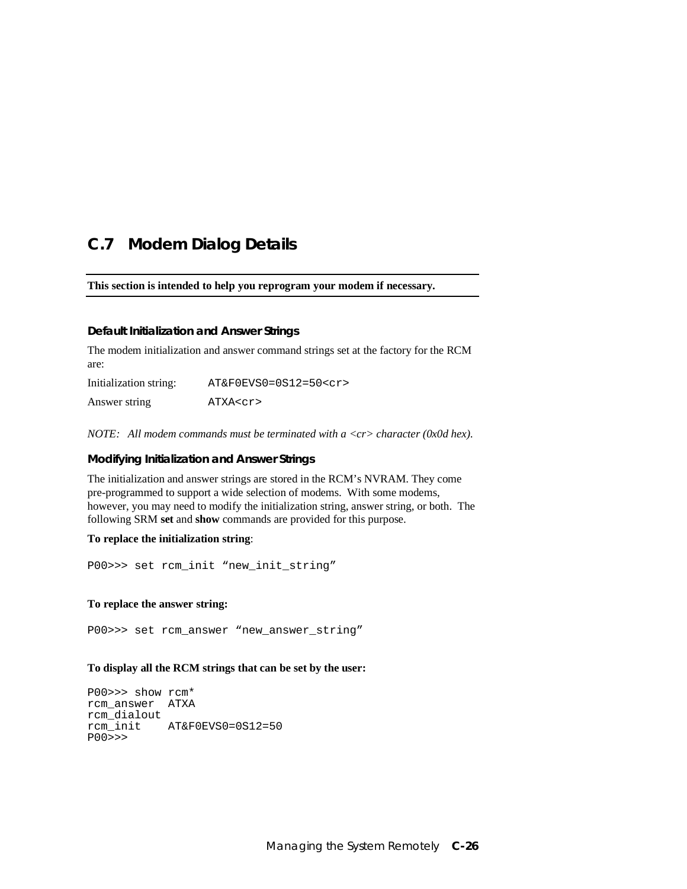### **C.7 Modem Dialog Details**

**This section is intended to help you reprogram your modem if necessary.**

#### **Default Initialization and Answer Strings**

The modem initialization and answer command strings set at the factory for the RCM are:

Initialization string: AT&F0EVS0=0S12=50<cr> Answer string ATXA<cr>

*NOTE: All modem commands must be terminated with a <cr> character (0x0d hex).*

#### **Modifying Initialization and Answer Strings**

The initialization and answer strings are stored in the RCM's NVRAM. They come pre-programmed to support a wide selection of modems. With some modems, however, you may need to modify the initialization string, answer string, or both. The following SRM **set** and **show** commands are provided for this purpose.

#### **To replace the initialization string**:

P00>>> set rcm\_init "new\_init\_string"

#### **To replace the answer string:**

P00>>> set rcm\_answer "new\_answer\_string"

#### **To display all the RCM strings that can be set by the user:**

P00>>> show rcm\* rcm\_answer ATXA rcm\_dialout rcm\_init AT&F0EVS0=0S12=50 P00>>>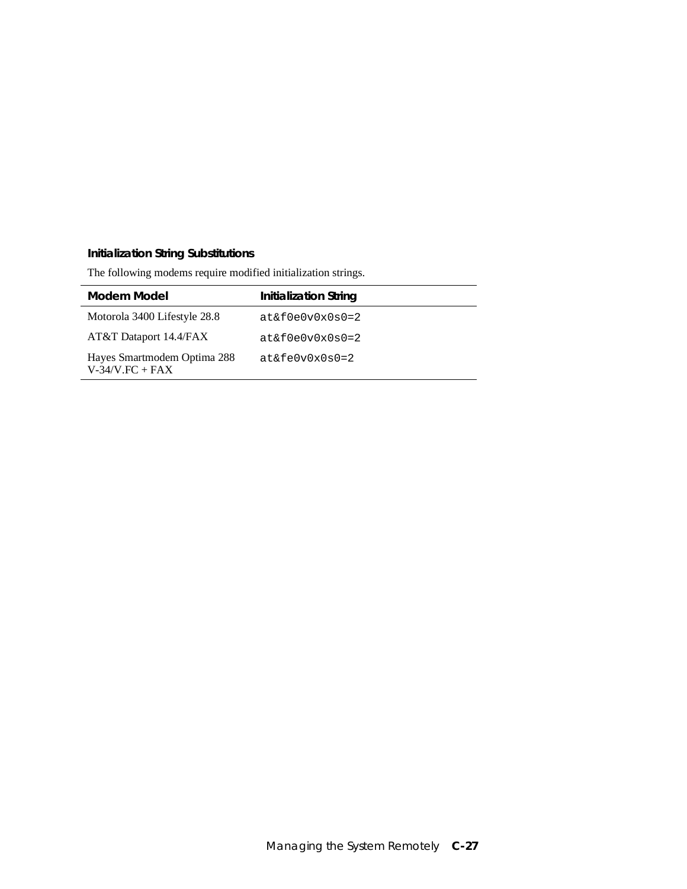#### **Initialization String Substitutions**

l,

The following modems require modified initialization strings.

| Modem Model                                        | <b>Initialization String</b> |
|----------------------------------------------------|------------------------------|
| Motorola 3400 Lifestyle 28.8                       | $at\&f0e0v0x0s0=2$           |
| AT&T Dataport 14.4/FAX                             | $at\&f0e0v0x0s0=2$           |
| Hayes Smartmodem Optima 288<br>$V-34/V$ . FC + FAX | $at\&fe0v0x0s0=2$            |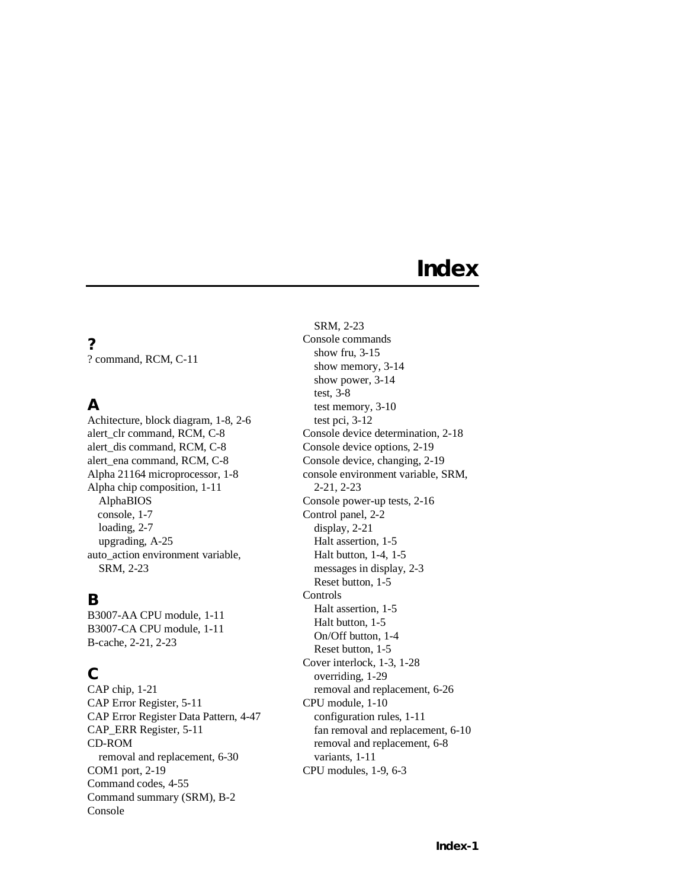# **Index**

**?** ? command, RCM, C-11

# **A**

Achitecture, block diagram, 1-8, 2-6 alert\_clr command, RCM, C-8 alert\_dis command, RCM, C-8 alert\_ena command, RCM, C-8 Alpha 21164 microprocessor, 1-8 Alpha chip composition, 1-11 AlphaBIOS console, 1-7 loading, 2-7 upgrading, A-25 auto\_action environment variable, SRM, 2-23

### **B**

B3007-AA CPU module, 1-11 B3007-CA CPU module, 1-11 B-cache, 2-21, 2-23

### **C**

CAP chip, 1-21 CAP Error Register, 5-11 CAP Error Register Data Pattern, 4-47 CAP\_ERR Register, 5-11 CD-ROM removal and replacement, 6-30 COM1 port, 2-19 Command codes, 4-55 Command summary (SRM), B-2 Console

SRM, 2-23 Console commands show fru, 3-15 show memory, 3-14 show power, 3-14 test, 3-8 test memory, 3-10 test pci, 3-12 Console device determination, 2-18 Console device options, 2-19 Console device, changing, 2-19 console environment variable, SRM, 2-21, 2-23 Console power-up tests, 2-16 Control panel, 2-2 display, 2-21 Halt assertion, 1-5 Halt button, 1-4, 1-5 messages in display, 2-3 Reset button, 1-5 Controls Halt assertion, 1-5 Halt button, 1-5 On/Off button, 1-4 Reset button, 1-5 Cover interlock, 1-3, 1-28 overriding, 1-29 removal and replacement, 6-26 CPU module, 1-10 configuration rules, 1-11 fan removal and replacement, 6-10 removal and replacement, 6-8 variants, 1-11 CPU modules, 1-9, 6-3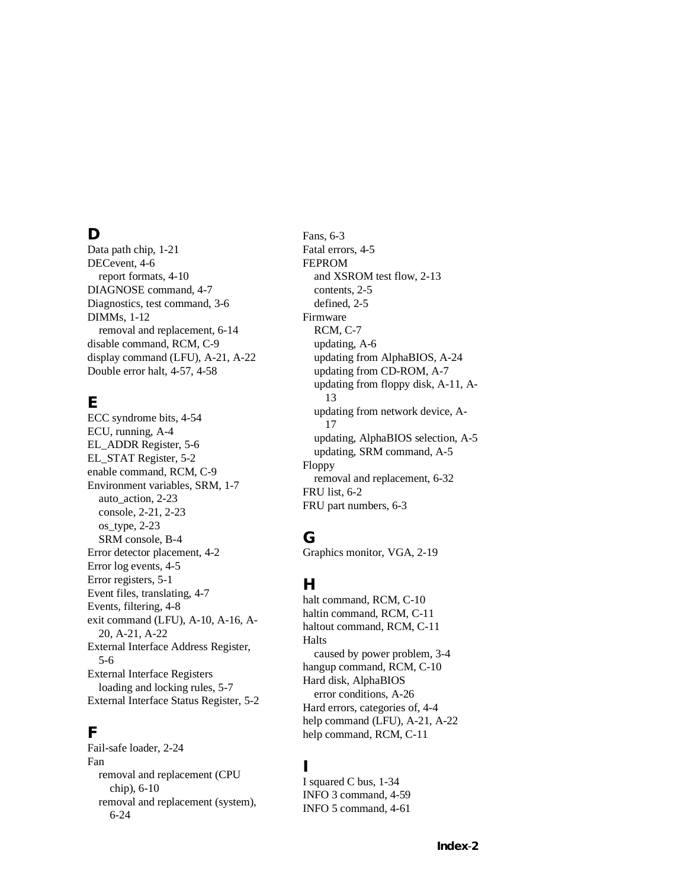#### **D**

Data path chip, 1-21 DECevent, 4-6 report formats, 4-10 DIAGNOSE command, 4-7 Diagnostics, test command, 3-6 DIMMs, 1-12 removal and replacement, 6-14 disable command, RCM, C-9 display command (LFU), A-21, A-22 Double error halt, 4-57, 4-58

# **E**

ECC syndrome bits, 4-54 ECU, running, A-4 EL\_ADDR Register, 5-6 EL\_STAT Register, 5-2 enable command, RCM, C-9 Environment variables, SRM, 1-7 auto\_action, 2-23 console, 2-21, 2-23 os\_type, 2-23 SRM console, B-4 Error detector placement, 4-2 Error log events, 4-5 Error registers, 5-1 Event files, translating, 4-7 Events, filtering, 4-8 exit command (LFU), A-10, A-16, A-20, A-21, A-22 External Interface Address Register, 5-6 External Interface Registers loading and locking rules, 5-7 External Interface Status Register, 5-2

### **F**

Fail-safe loader, 2-24 Fan removal and replacement (CPU chip), 6-10 removal and replacement (system), 6-24

Fans, 6-3 Fatal errors, 4-5 FEPROM and XSROM test flow, 2-13 contents, 2-5 defined, 2-5 Firmware RCM, C-7 updating, A-6 updating from AlphaBIOS, A-24 updating from CD-ROM, A-7 updating from floppy disk, A-11, A-13 updating from network device, A-17 updating, AlphaBIOS selection, A-5 updating, SRM command, A-5 Floppy removal and replacement, 6-32 FRU list, 6-2 FRU part numbers, 6-3

### **G**

Graphics monitor, VGA, 2-19

### **H**

halt command, RCM, C-10 haltin command, RCM, C-11 haltout command, RCM, C-11 Halts caused by power problem, 3-4 hangup command, RCM, C-10 Hard disk, AlphaBIOS error conditions, A-26 Hard errors, categories of, 4-4 help command (LFU), A-21, A-22 help command, RCM, C-11

### **I**

I squared C bus, 1-34 INFO 3 command, 4-59 INFO 5 command, 4-61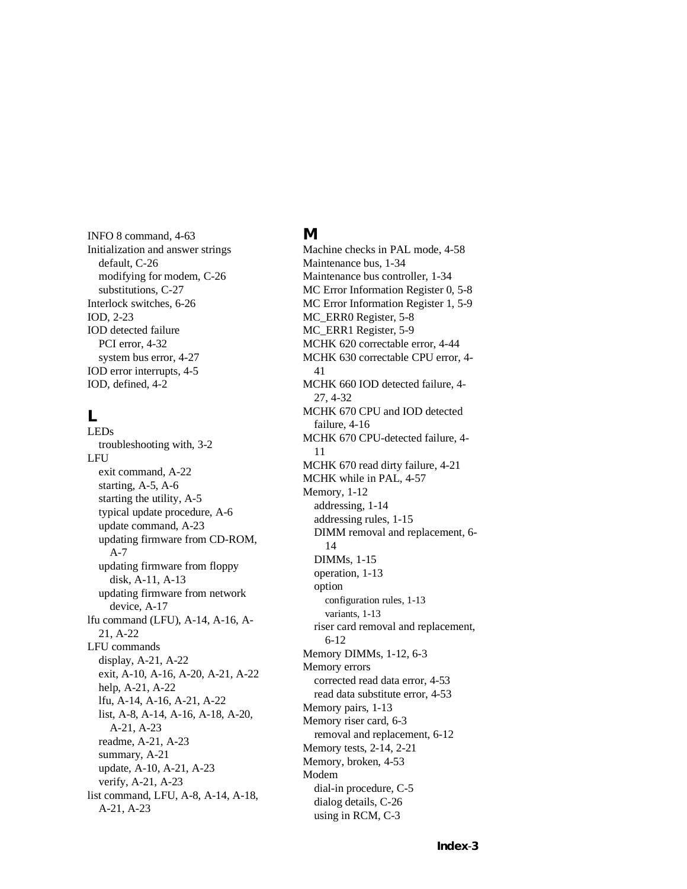INFO 8 command, 4-63 Initialization and answer strings default, C-26 modifying for modem, C-26 substitutions, C-27 Interlock switches, 6-26 IOD, 2-23 IOD detected failure PCI error, 4-32 system bus error, 4-27 IOD error interrupts, 4-5 IOD, defined, 4-2

#### **L**

LEDs troubleshooting with, 3-2 LFU exit command, A-22 starting, A-5, A-6 starting the utility, A-5 typical update procedure, A-6 update command, A-23 updating firmware from CD-ROM, A-7 updating firmware from floppy disk, A-11, A-13 updating firmware from network device, A-17 lfu command (LFU), A-14, A-16, A-21, A-22 LFU commands display, A-21, A-22 exit, A-10, A-16, A-20, A-21, A-22 help, A-21, A-22 lfu, A-14, A-16, A-21, A-22 list, A-8, A-14, A-16, A-18, A-20, A-21, A-23 readme, A-21, A-23 summary, A-21 update, A-10, A-21, A-23 verify, A-21, A-23 list command, LFU, A-8, A-14, A-18, A-21, A-23

#### **M**

Machine checks in PAL mode, 4-58 Maintenance bus, 1-34 Maintenance bus controller, 1-34 MC Error Information Register 0, 5-8 MC Error Information Register 1, 5-9 MC\_ERR0 Register, 5-8 MC\_ERR1 Register, 5-9 MCHK 620 correctable error, 4-44 MCHK 630 correctable CPU error, 4- 41 MCHK 660 IOD detected failure, 4- 27, 4-32 MCHK 670 CPU and IOD detected failure, 4-16 MCHK 670 CPU-detected failure, 4- 11 MCHK 670 read dirty failure, 4-21 MCHK while in PAL, 4-57 Memory, 1-12 addressing, 1-14 addressing rules, 1-15 DIMM removal and replacement, 6- 14 DIMMs, 1-15 operation, 1-13 option configuration rules, 1-13 variants, 1-13 riser card removal and replacement, 6-12 Memory DIMMs, 1-12, 6-3 Memory errors corrected read data error, 4-53 read data substitute error, 4-53 Memory pairs, 1-13 Memory riser card, 6-3 removal and replacement, 6-12 Memory tests, 2-14, 2-21 Memory, broken, 4-53 Modem dial-in procedure, C-5 dialog details, C-26 using in RCM, C-3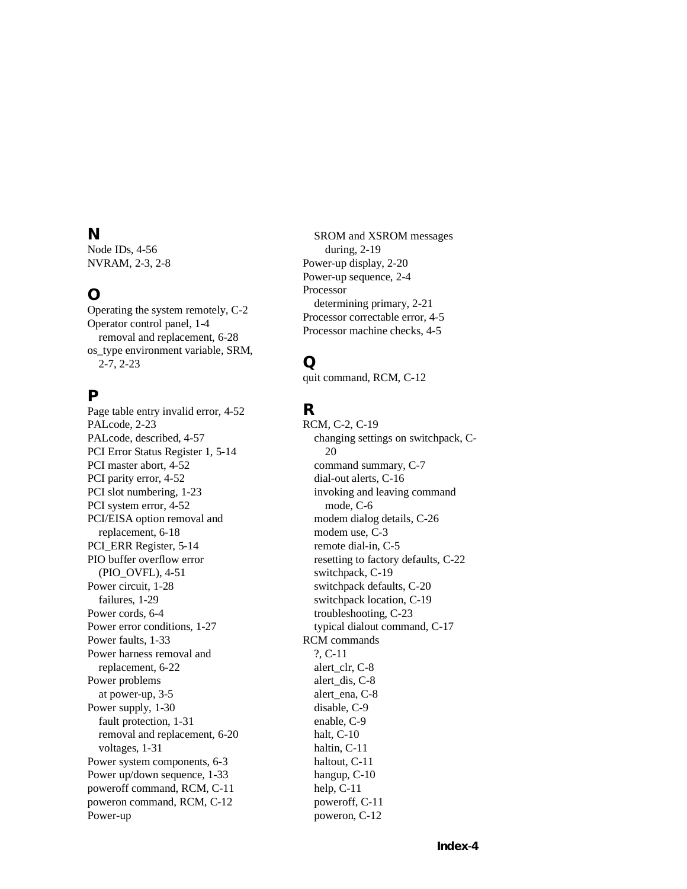#### **N**

Node IDs, 4-56 NVRAM, 2-3, 2-8

### **O**

Operating the system remotely, C-2 Operator control panel, 1-4 removal and replacement, 6-28 os\_type environment variable, SRM, 2-7, 2-23

### **P**

Page table entry invalid error, 4-52 PALcode, 2-23 PALcode, described, 4-57 PCI Error Status Register 1, 5-14 PCI master abort, 4-52 PCI parity error, 4-52 PCI slot numbering, 1-23 PCI system error, 4-52 PCI/EISA option removal and replacement, 6-18 PCI\_ERR Register, 5-14 PIO buffer overflow error (PIO\_OVFL), 4-51 Power circuit, 1-28 failures, 1-29 Power cords, 6-4 Power error conditions, 1-27 Power faults, 1-33 Power harness removal and replacement, 6-22 Power problems at power-up, 3-5 Power supply, 1-30 fault protection, 1-31 removal and replacement, 6-20 voltages, 1-31 Power system components, 6-3 Power up/down sequence, 1-33 poweroff command, RCM, C-11 poweron command, RCM, C-12 Power-up

SROM and XSROM messages during, 2-19 Power-up display, 2-20 Power-up sequence, 2-4 Processor determining primary, 2-21 Processor correctable error, 4-5 Processor machine checks, 4-5

# **Q**

quit command, RCM, C-12

# **R**

RCM, C-2, C-19 changing settings on switchpack, C-20 command summary, C-7 dial-out alerts, C-16 invoking and leaving command mode, C-6 modem dialog details, C-26 modem use, C-3 remote dial-in, C-5 resetting to factory defaults, C-22 switchpack, C-19 switchpack defaults, C-20 switchpack location, C-19 troubleshooting, C-23 typical dialout command, C-17 RCM commands ?, C-11 alert\_clr, C-8 alert\_dis, C-8 alert\_ena, C-8 disable, C-9 enable, C-9 halt, C-10 haltin, C-11 haltout, C-11 hangup, C-10 help, C-11 poweroff, C-11 poweron, C-12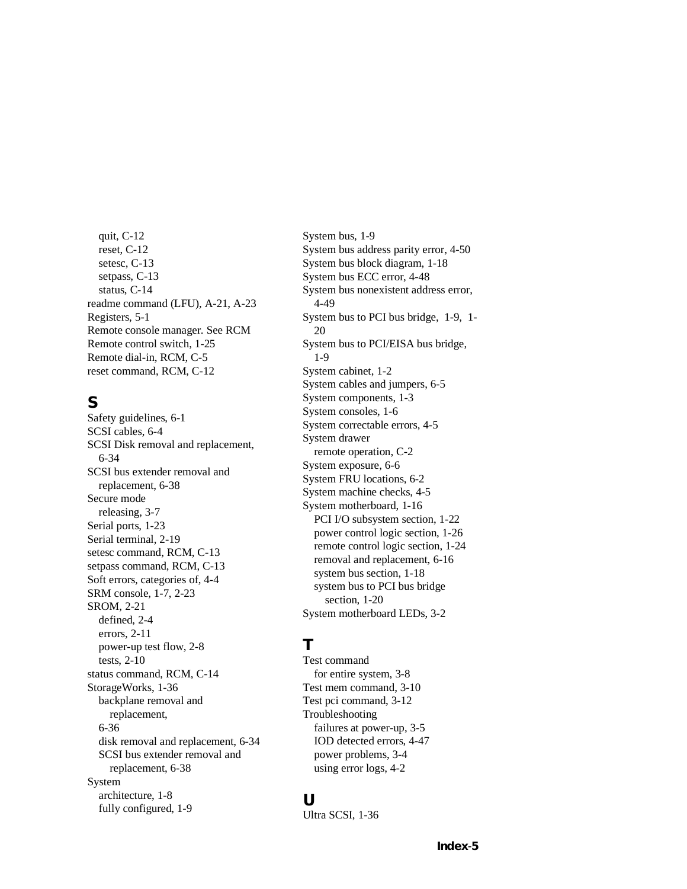quit, C-12 reset, C-12 setesc, C-13 setpass, C-13 status, C-14 readme command (LFU), A-21, A-23 Registers, 5-1 Remote console manager. See RCM Remote control switch, 1-25 Remote dial-in, RCM, C-5 reset command, RCM, C-12

### **S**

Safety guidelines, 6-1 SCSI cables, 6-4 SCSI Disk removal and replacement, 6-34 SCSI bus extender removal and replacement, 6-38 Secure mode releasing, 3-7 Serial ports, 1-23 Serial terminal, 2-19 setesc command, RCM, C-13 setpass command, RCM, C-13 Soft errors, categories of, 4-4 SRM console, 1-7, 2-23 SROM, 2-21 defined, 2-4 errors, 2-11 power-up test flow, 2-8 tests, 2-10 status command, RCM, C-14 StorageWorks, 1-36 backplane removal and replacement, 6-36 disk removal and replacement, 6-34 SCSI bus extender removal and replacement, 6-38 System architecture, 1-8 fully configured, 1-9

System bus, 1-9 System bus address parity error, 4-50 System bus block diagram, 1-18 System bus ECC error, 4-48 System bus nonexistent address error, 4-49 System bus to PCI bus bridge, 1-9, 1- 20 System bus to PCI/EISA bus bridge, 1-9 System cabinet, 1-2 System cables and jumpers, 6-5 System components, 1-3 System consoles, 1-6 System correctable errors, 4-5 System drawer remote operation, C-2 System exposure, 6-6 System FRU locations, 6-2 System machine checks, 4-5 System motherboard, 1-16 PCI I/O subsystem section, 1-22 power control logic section, 1-26 remote control logic section, 1-24 removal and replacement, 6-16 system bus section, 1-18 system bus to PCI bus bridge section, 1-20 System motherboard LEDs, 3-2

#### **T**

Test command for entire system, 3-8 Test mem command, 3-10 Test pci command, 3-12 Troubleshooting failures at power-up, 3-5 IOD detected errors, 4-47 power problems, 3-4 using error logs, 4-2

#### **U**

Ultra SCSI, 1-36